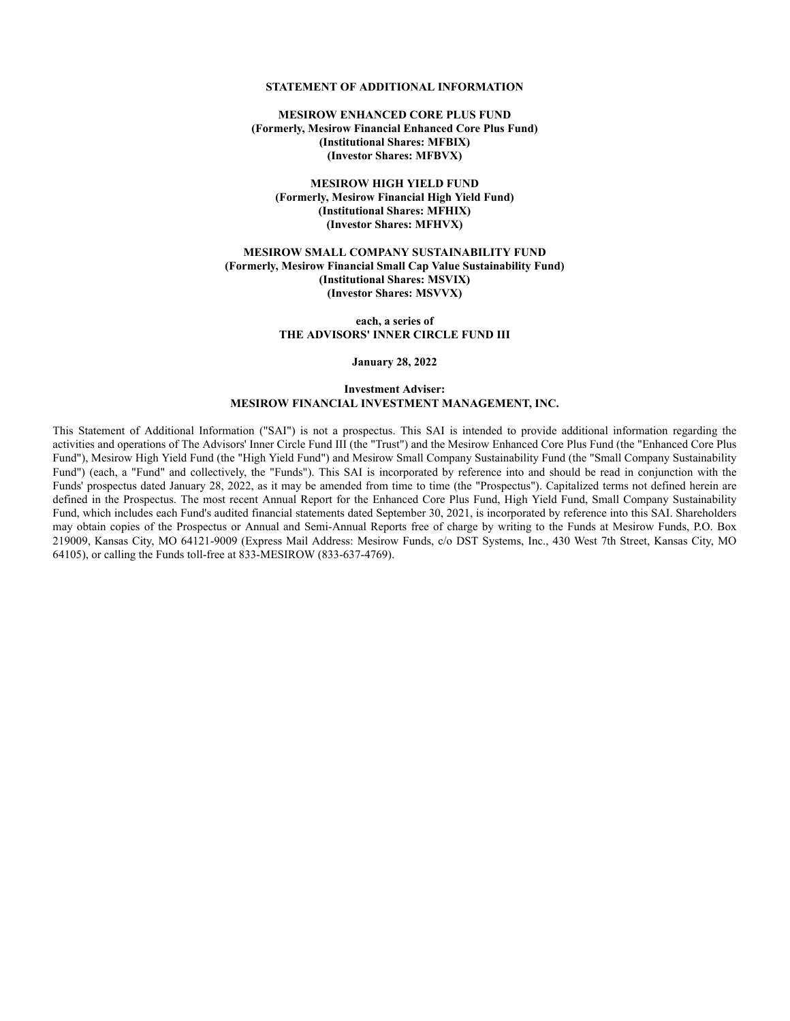# **STATEMENT OF ADDITIONAL INFORMATION**

**MESIROW ENHANCED CORE PLUS FUND (Formerly, Mesirow Financial Enhanced Core Plus Fund) (Institutional Shares: MFBIX) (Investor Shares: MFBVX)**

**MESIROW HIGH YIELD FUND (Formerly, Mesirow Financial High Yield Fund) (Institutional Shares: MFHIX) (Investor Shares: MFHVX)**

**MESIROW SMALL COMPANY SUSTAINABILITY FUND (Formerly, Mesirow Financial Small Cap Value Sustainability Fund) (Institutional Shares: MSVIX) (Investor Shares: MSVVX)**

> **each, a series of THE ADVISORS' INNER CIRCLE FUND III**

> > **January 28, 2022**

#### **Investment Adviser: MESIROW FINANCIAL INVESTMENT MANAGEMENT, INC.**

This Statement of Additional Information ("SAI") is not a prospectus. This SAI is intended to provide additional information regarding the activities and operations of The Advisors' Inner Circle Fund III (the "Trust") and the Mesirow Enhanced Core Plus Fund (the "Enhanced Core Plus Fund"), Mesirow High Yield Fund (the "High Yield Fund") and Mesirow Small Company Sustainability Fund (the "Small Company Sustainability Fund") (each, a "Fund" and collectively, the "Funds"). This SAI is incorporated by reference into and should be read in conjunction with the Funds' prospectus dated January 28, 2022, as it may be amended from time to time (the "Prospectus"). Capitalized terms not defined herein are defined in the Prospectus. The most recent Annual Report for the Enhanced Core Plus Fund, High Yield Fund, Small Company Sustainability Fund, which includes each Fund's audited financial statements dated September 30, 2021, is incorporated by reference into this SAI. Shareholders may obtain copies of the Prospectus or Annual and Semi-Annual Reports free of charge by writing to the Funds at Mesirow Funds, P.O. Box 219009, Kansas City, MO 64121-9009 (Express Mail Address: Mesirow Funds, c/o DST Systems, Inc., 430 West 7th Street, Kansas City, MO 64105), or calling the Funds toll-free at 833-MESIROW (833-637-4769).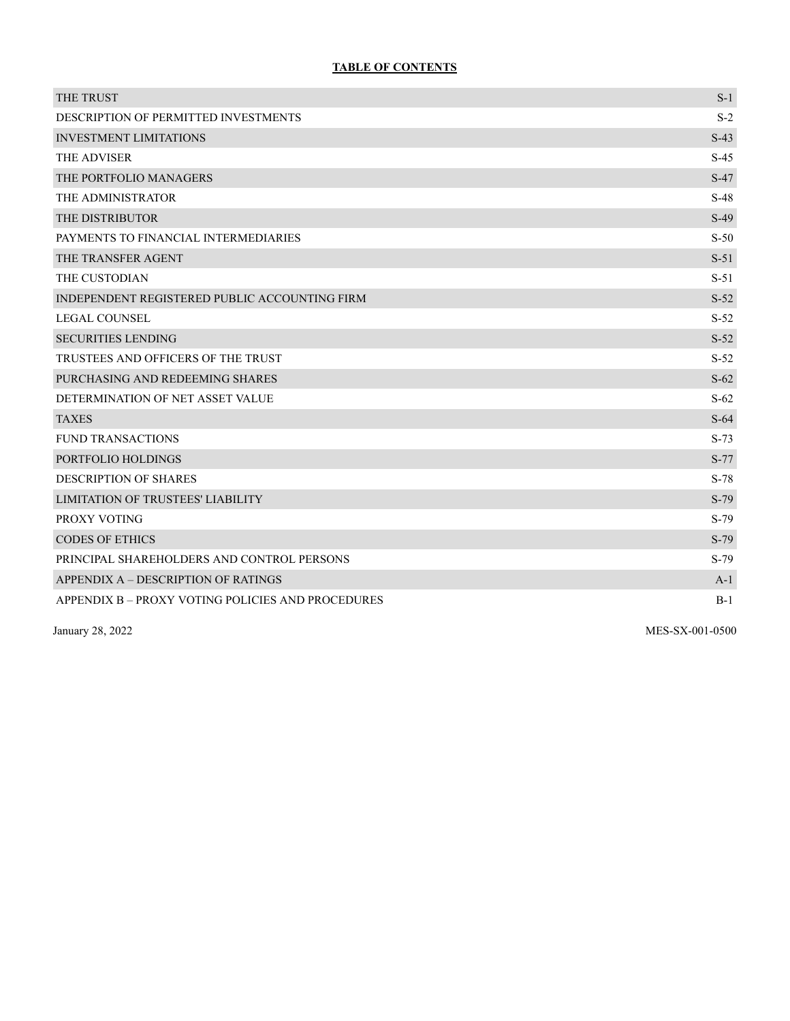# **TABLE OF CONTENTS**

| THE TRUST                                         | $S-1$  |
|---------------------------------------------------|--------|
| DESCRIPTION OF PERMITTED INVESTMENTS              | $S-2$  |
| <b>INVESTMENT LIMITATIONS</b>                     | $S-43$ |
| THE ADVISER                                       | $S-45$ |
| THE PORTFOLIO MANAGERS                            | $S-47$ |
| THE ADMINISTRATOR                                 | $S-48$ |
| THE DISTRIBUTOR                                   | $S-49$ |
| PAYMENTS TO FINANCIAL INTERMEDIARIES              | $S-50$ |
| THE TRANSFER AGENT                                | $S-51$ |
| THE CUSTODIAN                                     | $S-51$ |
| INDEPENDENT REGISTERED PUBLIC ACCOUNTING FIRM     | $S-52$ |
| <b>LEGAL COUNSEL</b>                              | $S-52$ |
| <b>SECURITIES LENDING</b>                         | $S-52$ |
| TRUSTEES AND OFFICERS OF THE TRUST                | $S-52$ |
| PURCHASING AND REDEEMING SHARES                   | $S-62$ |
| DETERMINATION OF NET ASSET VALUE                  | $S-62$ |
| <b>TAXES</b>                                      | $S-64$ |
| <b>FUND TRANSACTIONS</b>                          | $S-73$ |
| PORTFOLIO HOLDINGS                                | $S-77$ |
| DESCRIPTION OF SHARES                             | $S-78$ |
| <b>LIMITATION OF TRUSTEES' LIABILITY</b>          | $S-79$ |
| PROXY VOTING                                      | $S-79$ |
| <b>CODES OF ETHICS</b>                            | S-79   |
| PRINCIPAL SHAREHOLDERS AND CONTROL PERSONS        | $S-79$ |
| APPENDIX A - DESCRIPTION OF RATINGS               | $A-1$  |
| APPENDIX B – PROXY VOTING POLICIES AND PROCEDURES | $B-1$  |

January 28, 2022 MES-SX-001-0500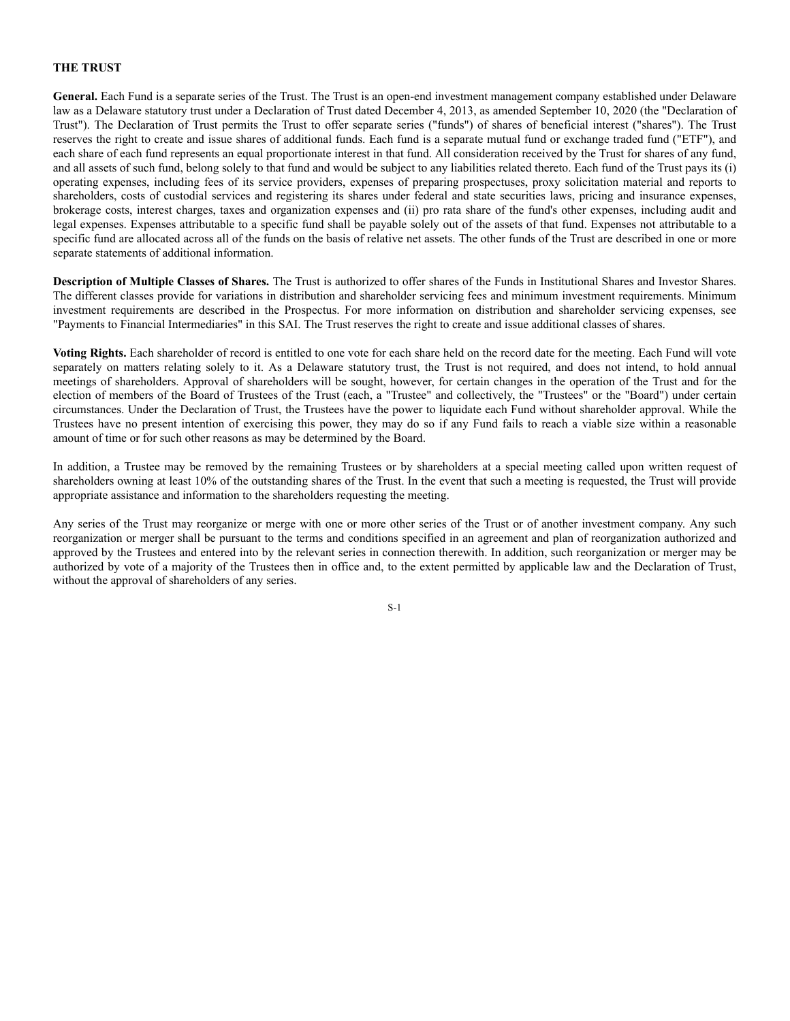# **THE TRUST**

**General.** Each Fund is a separate series of the Trust. The Trust is an open-end investment management company established under Delaware law as a Delaware statutory trust under a Declaration of Trust dated December 4, 2013, as amended September 10, 2020 (the "Declaration of Trust"). The Declaration of Trust permits the Trust to offer separate series ("funds") of shares of beneficial interest ("shares"). The Trust reserves the right to create and issue shares of additional funds. Each fund is a separate mutual fund or exchange traded fund ("ETF"), and each share of each fund represents an equal proportionate interest in that fund. All consideration received by the Trust for shares of any fund, and all assets of such fund, belong solely to that fund and would be subject to any liabilities related thereto. Each fund of the Trust pays its (i) operating expenses, including fees of its service providers, expenses of preparing prospectuses, proxy solicitation material and reports to shareholders, costs of custodial services and registering its shares under federal and state securities laws, pricing and insurance expenses, brokerage costs, interest charges, taxes and organization expenses and (ii) pro rata share of the fund's other expenses, including audit and legal expenses. Expenses attributable to a specific fund shall be payable solely out of the assets of that fund. Expenses not attributable to a specific fund are allocated across all of the funds on the basis of relative net assets. The other funds of the Trust are described in one or more separate statements of additional information.

**Description of Multiple Classes of Shares.** The Trust is authorized to offer shares of the Funds in Institutional Shares and Investor Shares. The different classes provide for variations in distribution and shareholder servicing fees and minimum investment requirements. Minimum investment requirements are described in the Prospectus. For more information on distribution and shareholder servicing expenses, see "Payments to Financial Intermediaries" in this SAI. The Trust reserves the right to create and issue additional classes of shares.

**Voting Rights.** Each shareholder of record is entitled to one vote for each share held on the record date for the meeting. Each Fund will vote separately on matters relating solely to it. As a Delaware statutory trust, the Trust is not required, and does not intend, to hold annual meetings of shareholders. Approval of shareholders will be sought, however, for certain changes in the operation of the Trust and for the election of members of the Board of Trustees of the Trust (each, a "Trustee" and collectively, the "Trustees" or the "Board") under certain circumstances. Under the Declaration of Trust, the Trustees have the power to liquidate each Fund without shareholder approval. While the Trustees have no present intention of exercising this power, they may do so if any Fund fails to reach a viable size within a reasonable amount of time or for such other reasons as may be determined by the Board.

In addition, a Trustee may be removed by the remaining Trustees or by shareholders at a special meeting called upon written request of shareholders owning at least 10% of the outstanding shares of the Trust. In the event that such a meeting is requested, the Trust will provide appropriate assistance and information to the shareholders requesting the meeting.

Any series of the Trust may reorganize or merge with one or more other series of the Trust or of another investment company. Any such reorganization or merger shall be pursuant to the terms and conditions specified in an agreement and plan of reorganization authorized and approved by the Trustees and entered into by the relevant series in connection therewith. In addition, such reorganization or merger may be authorized by vote of a majority of the Trustees then in office and, to the extent permitted by applicable law and the Declaration of Trust, without the approval of shareholders of any series.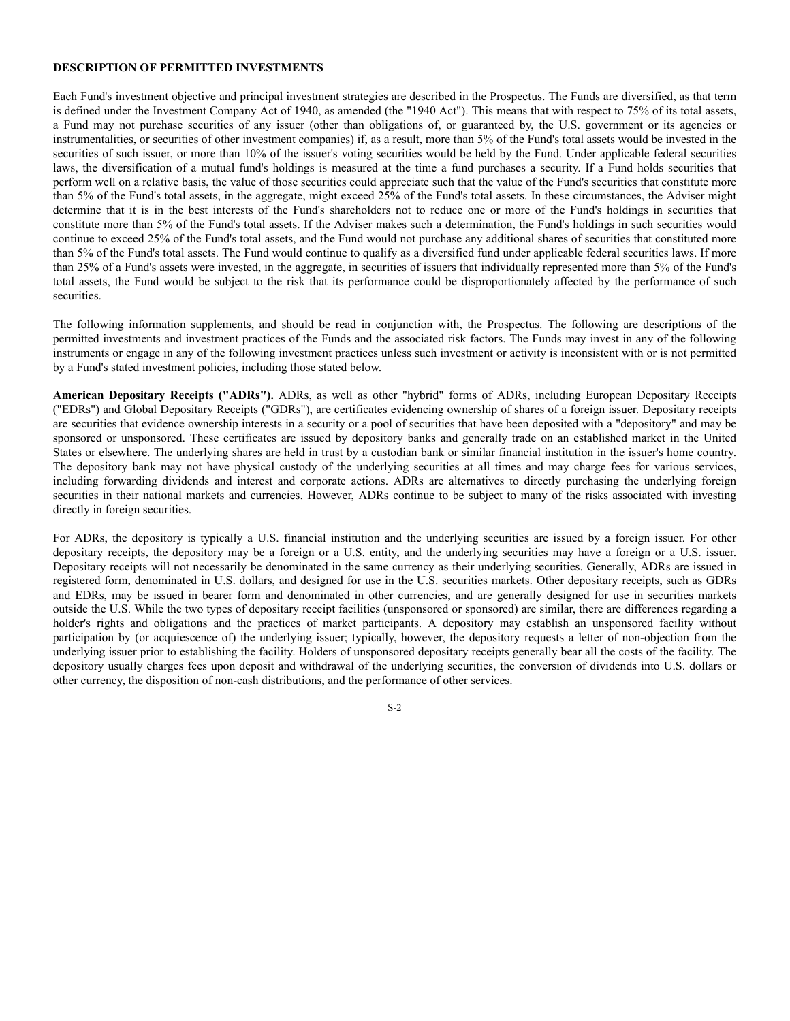#### **DESCRIPTION OF PERMITTED INVESTMENTS**

Each Fund's investment objective and principal investment strategies are described in the Prospectus. The Funds are diversified, as that term is defined under the Investment Company Act of 1940, as amended (the "1940 Act"). This means that with respect to 75% of its total assets, a Fund may not purchase securities of any issuer (other than obligations of, or guaranteed by, the U.S. government or its agencies or instrumentalities, or securities of other investment companies) if, as a result, more than 5% of the Fund's total assets would be invested in the securities of such issuer, or more than 10% of the issuer's voting securities would be held by the Fund. Under applicable federal securities laws, the diversification of a mutual fund's holdings is measured at the time a fund purchases a security. If a Fund holds securities that perform well on a relative basis, the value of those securities could appreciate such that the value of the Fund's securities that constitute more than 5% of the Fund's total assets, in the aggregate, might exceed 25% of the Fund's total assets. In these circumstances, the Adviser might determine that it is in the best interests of the Fund's shareholders not to reduce one or more of the Fund's holdings in securities that constitute more than 5% of the Fund's total assets. If the Adviser makes such a determination, the Fund's holdings in such securities would continue to exceed 25% of the Fund's total assets, and the Fund would not purchase any additional shares of securities that constituted more than 5% of the Fund's total assets. The Fund would continue to qualify as a diversified fund under applicable federal securities laws. If more than 25% of a Fund's assets were invested, in the aggregate, in securities of issuers that individually represented more than 5% of the Fund's total assets, the Fund would be subject to the risk that its performance could be disproportionately affected by the performance of such securities.

The following information supplements, and should be read in conjunction with, the Prospectus. The following are descriptions of the permitted investments and investment practices of the Funds and the associated risk factors. The Funds may invest in any of the following instruments or engage in any of the following investment practices unless such investment or activity is inconsistent with or is not permitted by a Fund's stated investment policies, including those stated below.

**American Depositary Receipts ("ADRs").** ADRs, as well as other "hybrid" forms of ADRs, including European Depositary Receipts ("EDRs") and Global Depositary Receipts ("GDRs"), are certificates evidencing ownership of shares of a foreign issuer. Depositary receipts are securities that evidence ownership interests in a security or a pool of securities that have been deposited with a "depository" and may be sponsored or unsponsored. These certificates are issued by depository banks and generally trade on an established market in the United States or elsewhere. The underlying shares are held in trust by a custodian bank or similar financial institution in the issuer's home country. The depository bank may not have physical custody of the underlying securities at all times and may charge fees for various services, including forwarding dividends and interest and corporate actions. ADRs are alternatives to directly purchasing the underlying foreign securities in their national markets and currencies. However, ADRs continue to be subject to many of the risks associated with investing directly in foreign securities.

For ADRs, the depository is typically a U.S. financial institution and the underlying securities are issued by a foreign issuer. For other depositary receipts, the depository may be a foreign or a U.S. entity, and the underlying securities may have a foreign or a U.S. issuer. Depositary receipts will not necessarily be denominated in the same currency as their underlying securities. Generally, ADRs are issued in registered form, denominated in U.S. dollars, and designed for use in the U.S. securities markets. Other depositary receipts, such as GDRs and EDRs, may be issued in bearer form and denominated in other currencies, and are generally designed for use in securities markets outside the U.S. While the two types of depositary receipt facilities (unsponsored or sponsored) are similar, there are differences regarding a holder's rights and obligations and the practices of market participants. A depository may establish an unsponsored facility without participation by (or acquiescence of) the underlying issuer; typically, however, the depository requests a letter of non-objection from the underlying issuer prior to establishing the facility. Holders of unsponsored depositary receipts generally bear all the costs of the facility. The depository usually charges fees upon deposit and withdrawal of the underlying securities, the conversion of dividends into U.S. dollars or other currency, the disposition of non-cash distributions, and the performance of other services.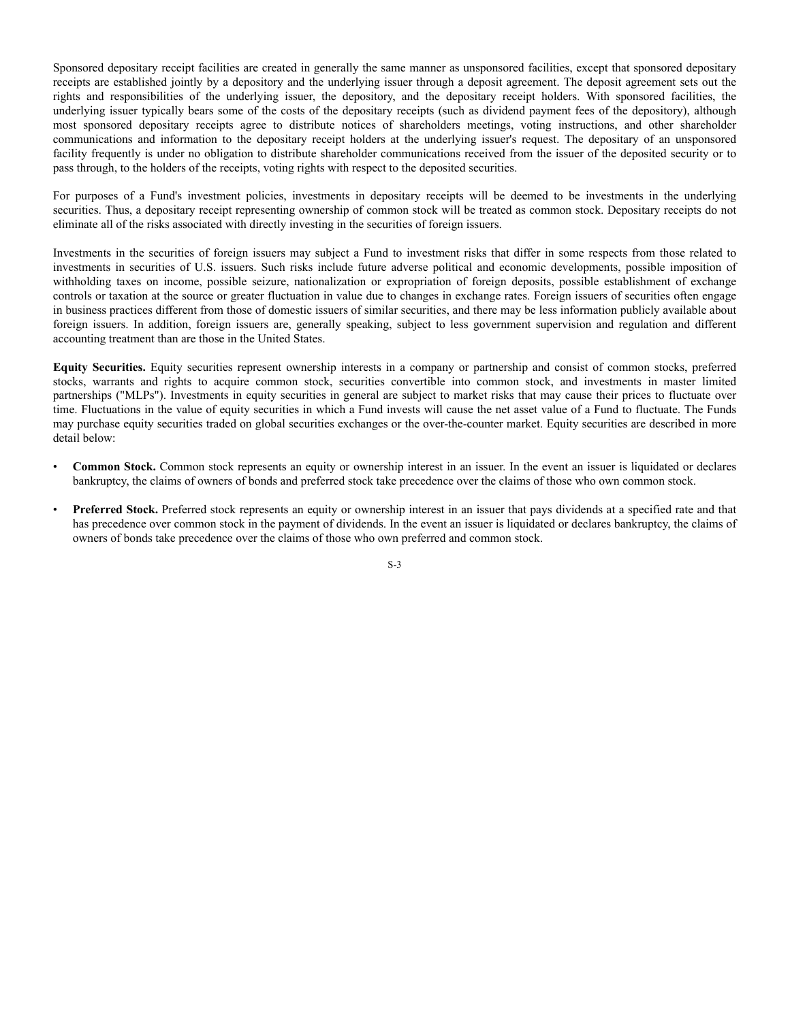Sponsored depositary receipt facilities are created in generally the same manner as unsponsored facilities, except that sponsored depositary receipts are established jointly by a depository and the underlying issuer through a deposit agreement. The deposit agreement sets out the rights and responsibilities of the underlying issuer, the depository, and the depositary receipt holders. With sponsored facilities, the underlying issuer typically bears some of the costs of the depositary receipts (such as dividend payment fees of the depository), although most sponsored depositary receipts agree to distribute notices of shareholders meetings, voting instructions, and other shareholder communications and information to the depositary receipt holders at the underlying issuer's request. The depositary of an unsponsored facility frequently is under no obligation to distribute shareholder communications received from the issuer of the deposited security or to pass through, to the holders of the receipts, voting rights with respect to the deposited securities.

For purposes of a Fund's investment policies, investments in depositary receipts will be deemed to be investments in the underlying securities. Thus, a depositary receipt representing ownership of common stock will be treated as common stock. Depositary receipts do not eliminate all of the risks associated with directly investing in the securities of foreign issuers.

Investments in the securities of foreign issuers may subject a Fund to investment risks that differ in some respects from those related to investments in securities of U.S. issuers. Such risks include future adverse political and economic developments, possible imposition of withholding taxes on income, possible seizure, nationalization or expropriation of foreign deposits, possible establishment of exchange controls or taxation at the source or greater fluctuation in value due to changes in exchange rates. Foreign issuers of securities often engage in business practices different from those of domestic issuers of similar securities, and there may be less information publicly available about foreign issuers. In addition, foreign issuers are, generally speaking, subject to less government supervision and regulation and different accounting treatment than are those in the United States.

**Equity Securities.** Equity securities represent ownership interests in a company or partnership and consist of common stocks, preferred stocks, warrants and rights to acquire common stock, securities convertible into common stock, and investments in master limited partnerships ("MLPs"). Investments in equity securities in general are subject to market risks that may cause their prices to fluctuate over time. Fluctuations in the value of equity securities in which a Fund invests will cause the net asset value of a Fund to fluctuate. The Funds may purchase equity securities traded on global securities exchanges or the over-the-counter market. Equity securities are described in more detail below:

- **Common Stock.** Common stock represents an equity or ownership interest in an issuer. In the event an issuer is liquidated or declares bankruptcy, the claims of owners of bonds and preferred stock take precedence over the claims of those who own common stock.
- **Preferred Stock.** Preferred stock represents an equity or ownership interest in an issuer that pays dividends at a specified rate and that has precedence over common stock in the payment of dividends. In the event an issuer is liquidated or declares bankruptcy, the claims of owners of bonds take precedence over the claims of those who own preferred and common stock.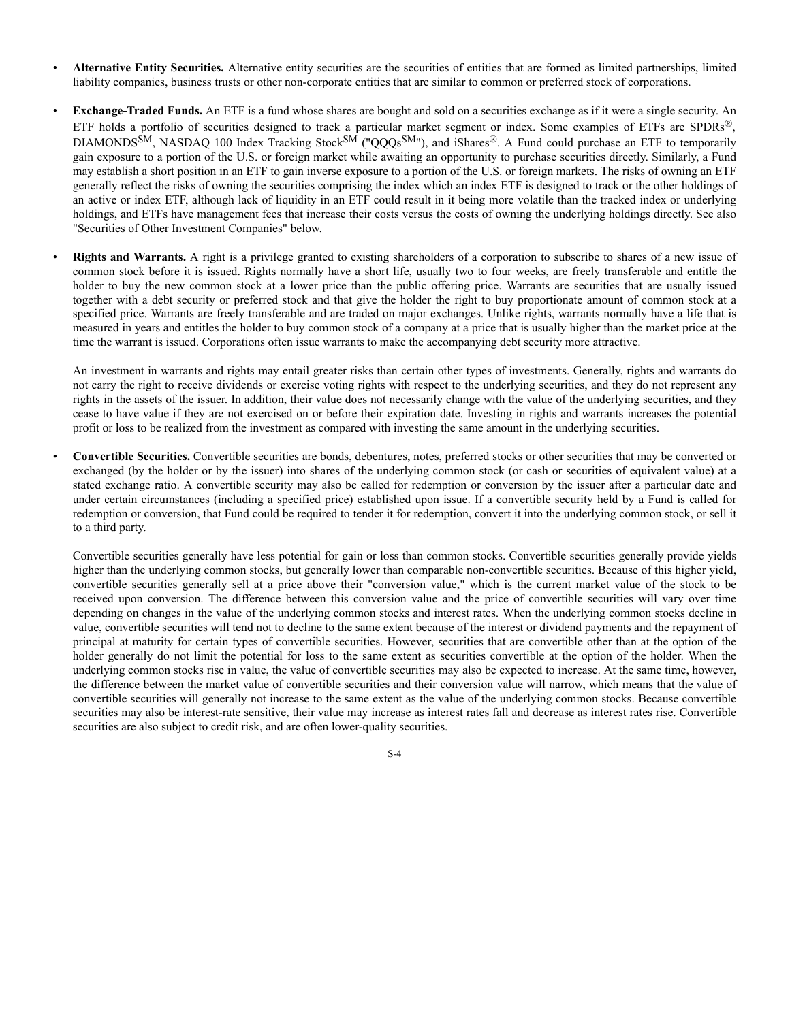- **Alternative Entity Securities.** Alternative entity securities are the securities of entities that are formed as limited partnerships, limited liability companies, business trusts or other non-corporate entities that are similar to common or preferred stock of corporations.
- **Exchange-Traded Funds.** An ETF is a fund whose shares are bought and sold on a securities exchange as if it were a single security. An ETF holds a portfolio of securities designed to track a particular market segment or index. Some examples of ETFs are SPDRs<sup>®</sup>, DIAMONDSSM, NASDAQ 100 Index Tracking Stock<sup>SM</sup> ("QQQs<sup>SM</sup>"), and iShares®. A Fund could purchase an ETF to temporarily gain exposure to a portion of the U.S. or foreign market while awaiting an opportunity to purchase securities directly. Similarly, a Fund may establish a short position in an ETF to gain inverse exposure to a portion of the U.S. or foreign markets. The risks of owning an ETF generally reflect the risks of owning the securities comprising the index which an index ETF is designed to track or the other holdings of an active or index ETF, although lack of liquidity in an ETF could result in it being more volatile than the tracked index or underlying holdings, and ETFs have management fees that increase their costs versus the costs of owning the underlying holdings directly. See also "Securities of Other Investment Companies" below.
- **Rights and Warrants.** A right is a privilege granted to existing shareholders of a corporation to subscribe to shares of a new issue of common stock before it is issued. Rights normally have a short life, usually two to four weeks, are freely transferable and entitle the holder to buy the new common stock at a lower price than the public offering price. Warrants are securities that are usually issued together with a debt security or preferred stock and that give the holder the right to buy proportionate amount of common stock at a specified price. Warrants are freely transferable and are traded on major exchanges. Unlike rights, warrants normally have a life that is measured in years and entitles the holder to buy common stock of a company at a price that is usually higher than the market price at the time the warrant is issued. Corporations often issue warrants to make the accompanying debt security more attractive.

An investment in warrants and rights may entail greater risks than certain other types of investments. Generally, rights and warrants do not carry the right to receive dividends or exercise voting rights with respect to the underlying securities, and they do not represent any rights in the assets of the issuer. In addition, their value does not necessarily change with the value of the underlying securities, and they cease to have value if they are not exercised on or before their expiration date. Investing in rights and warrants increases the potential profit or loss to be realized from the investment as compared with investing the same amount in the underlying securities.

• **Convertible Securities.** Convertible securities are bonds, debentures, notes, preferred stocks or other securities that may be converted or exchanged (by the holder or by the issuer) into shares of the underlying common stock (or cash or securities of equivalent value) at a stated exchange ratio. A convertible security may also be called for redemption or conversion by the issuer after a particular date and under certain circumstances (including a specified price) established upon issue. If a convertible security held by a Fund is called for redemption or conversion, that Fund could be required to tender it for redemption, convert it into the underlying common stock, or sell it to a third party.

Convertible securities generally have less potential for gain or loss than common stocks. Convertible securities generally provide yields higher than the underlying common stocks, but generally lower than comparable non-convertible securities. Because of this higher yield, convertible securities generally sell at a price above their "conversion value," which is the current market value of the stock to be received upon conversion. The difference between this conversion value and the price of convertible securities will vary over time depending on changes in the value of the underlying common stocks and interest rates. When the underlying common stocks decline in value, convertible securities will tend not to decline to the same extent because of the interest or dividend payments and the repayment of principal at maturity for certain types of convertible securities. However, securities that are convertible other than at the option of the holder generally do not limit the potential for loss to the same extent as securities convertible at the option of the holder. When the underlying common stocks rise in value, the value of convertible securities may also be expected to increase. At the same time, however, the difference between the market value of convertible securities and their conversion value will narrow, which means that the value of convertible securities will generally not increase to the same extent as the value of the underlying common stocks. Because convertible securities may also be interest-rate sensitive, their value may increase as interest rates fall and decrease as interest rates rise. Convertible securities are also subject to credit risk, and are often lower-quality securities.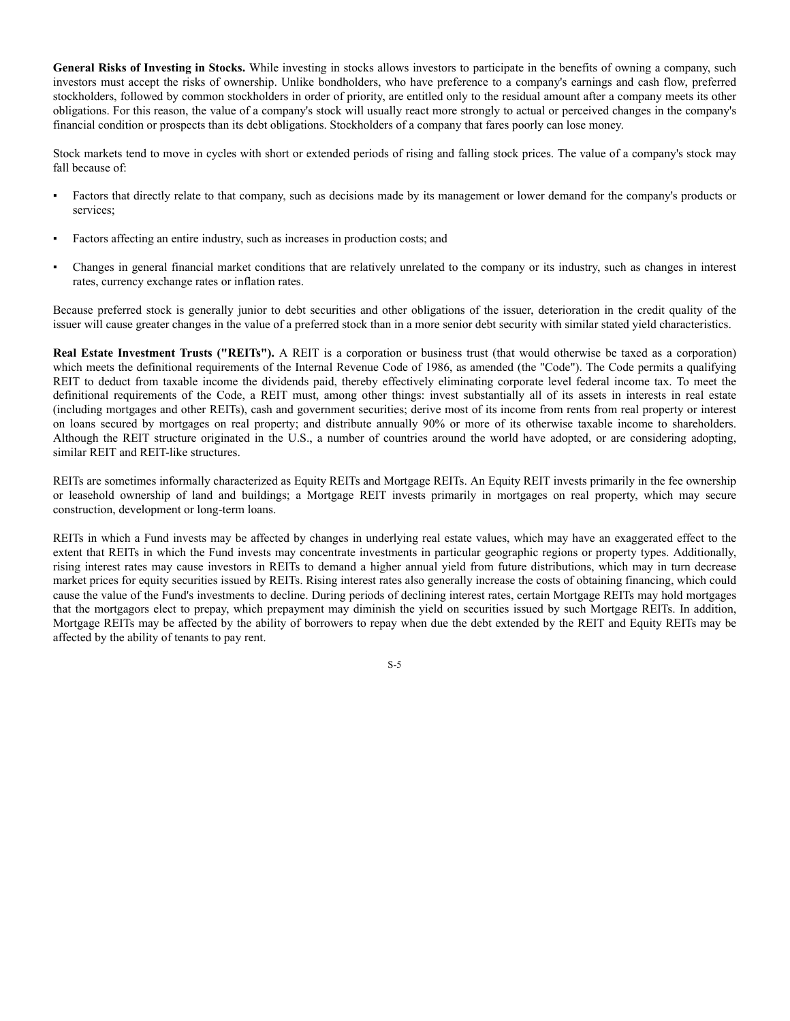**General Risks of Investing in Stocks.** While investing in stocks allows investors to participate in the benefits of owning a company, such investors must accept the risks of ownership. Unlike bondholders, who have preference to a company's earnings and cash flow, preferred stockholders, followed by common stockholders in order of priority, are entitled only to the residual amount after a company meets its other obligations. For this reason, the value of a company's stock will usually react more strongly to actual or perceived changes in the company's financial condition or prospects than its debt obligations. Stockholders of a company that fares poorly can lose money.

Stock markets tend to move in cycles with short or extended periods of rising and falling stock prices. The value of a company's stock may fall because of:

- Factors that directly relate to that company, such as decisions made by its management or lower demand for the company's products or services;
- Factors affecting an entire industry, such as increases in production costs; and
- Changes in general financial market conditions that are relatively unrelated to the company or its industry, such as changes in interest rates, currency exchange rates or inflation rates.

Because preferred stock is generally junior to debt securities and other obligations of the issuer, deterioration in the credit quality of the issuer will cause greater changes in the value of a preferred stock than in a more senior debt security with similar stated yield characteristics.

**Real Estate Investment Trusts ("REITs").** A REIT is a corporation or business trust (that would otherwise be taxed as a corporation) which meets the definitional requirements of the Internal Revenue Code of 1986, as amended (the "Code"). The Code permits a qualifying REIT to deduct from taxable income the dividends paid, thereby effectively eliminating corporate level federal income tax. To meet the definitional requirements of the Code, a REIT must, among other things: invest substantially all of its assets in interests in real estate (including mortgages and other REITs), cash and government securities; derive most of its income from rents from real property or interest on loans secured by mortgages on real property; and distribute annually 90% or more of its otherwise taxable income to shareholders. Although the REIT structure originated in the U.S., a number of countries around the world have adopted, or are considering adopting, similar REIT and REIT-like structures.

REITs are sometimes informally characterized as Equity REITs and Mortgage REITs. An Equity REIT invests primarily in the fee ownership or leasehold ownership of land and buildings; a Mortgage REIT invests primarily in mortgages on real property, which may secure construction, development or long-term loans.

REITs in which a Fund invests may be affected by changes in underlying real estate values, which may have an exaggerated effect to the extent that REITs in which the Fund invests may concentrate investments in particular geographic regions or property types. Additionally, rising interest rates may cause investors in REITs to demand a higher annual yield from future distributions, which may in turn decrease market prices for equity securities issued by REITs. Rising interest rates also generally increase the costs of obtaining financing, which could cause the value of the Fund's investments to decline. During periods of declining interest rates, certain Mortgage REITs may hold mortgages that the mortgagors elect to prepay, which prepayment may diminish the yield on securities issued by such Mortgage REITs. In addition, Mortgage REITs may be affected by the ability of borrowers to repay when due the debt extended by the REIT and Equity REITs may be affected by the ability of tenants to pay rent.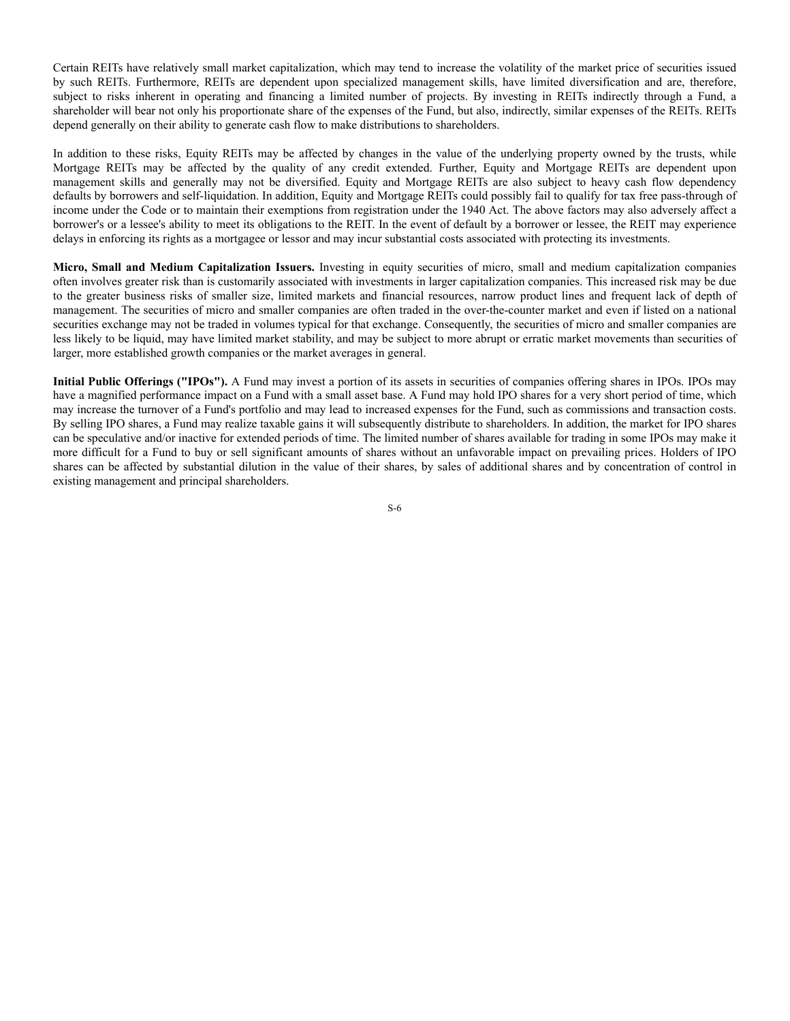Certain REITs have relatively small market capitalization, which may tend to increase the volatility of the market price of securities issued by such REITs. Furthermore, REITs are dependent upon specialized management skills, have limited diversification and are, therefore, subject to risks inherent in operating and financing a limited number of projects. By investing in REITs indirectly through a Fund, a shareholder will bear not only his proportionate share of the expenses of the Fund, but also, indirectly, similar expenses of the REITs. REITs depend generally on their ability to generate cash flow to make distributions to shareholders.

In addition to these risks, Equity REITs may be affected by changes in the value of the underlying property owned by the trusts, while Mortgage REITs may be affected by the quality of any credit extended. Further, Equity and Mortgage REITs are dependent upon management skills and generally may not be diversified. Equity and Mortgage REITs are also subject to heavy cash flow dependency defaults by borrowers and self-liquidation. In addition, Equity and Mortgage REITs could possibly fail to qualify for tax free pass-through of income under the Code or to maintain their exemptions from registration under the 1940 Act. The above factors may also adversely affect a borrower's or a lessee's ability to meet its obligations to the REIT. In the event of default by a borrower or lessee, the REIT may experience delays in enforcing its rights as a mortgagee or lessor and may incur substantial costs associated with protecting its investments.

**Micro, Small and Medium Capitalization Issuers.** Investing in equity securities of micro, small and medium capitalization companies often involves greater risk than is customarily associated with investments in larger capitalization companies. This increased risk may be due to the greater business risks of smaller size, limited markets and financial resources, narrow product lines and frequent lack of depth of management. The securities of micro and smaller companies are often traded in the over-the-counter market and even if listed on a national securities exchange may not be traded in volumes typical for that exchange. Consequently, the securities of micro and smaller companies are less likely to be liquid, may have limited market stability, and may be subject to more abrupt or erratic market movements than securities of larger, more established growth companies or the market averages in general.

**Initial Public Offerings ("IPOs").** A Fund may invest a portion of its assets in securities of companies offering shares in IPOs. IPOs may have a magnified performance impact on a Fund with a small asset base. A Fund may hold IPO shares for a very short period of time, which may increase the turnover of a Fund's portfolio and may lead to increased expenses for the Fund, such as commissions and transaction costs. By selling IPO shares, a Fund may realize taxable gains it will subsequently distribute to shareholders. In addition, the market for IPO shares can be speculative and/or inactive for extended periods of time. The limited number of shares available for trading in some IPOs may make it more difficult for a Fund to buy or sell significant amounts of shares without an unfavorable impact on prevailing prices. Holders of IPO shares can be affected by substantial dilution in the value of their shares, by sales of additional shares and by concentration of control in existing management and principal shareholders.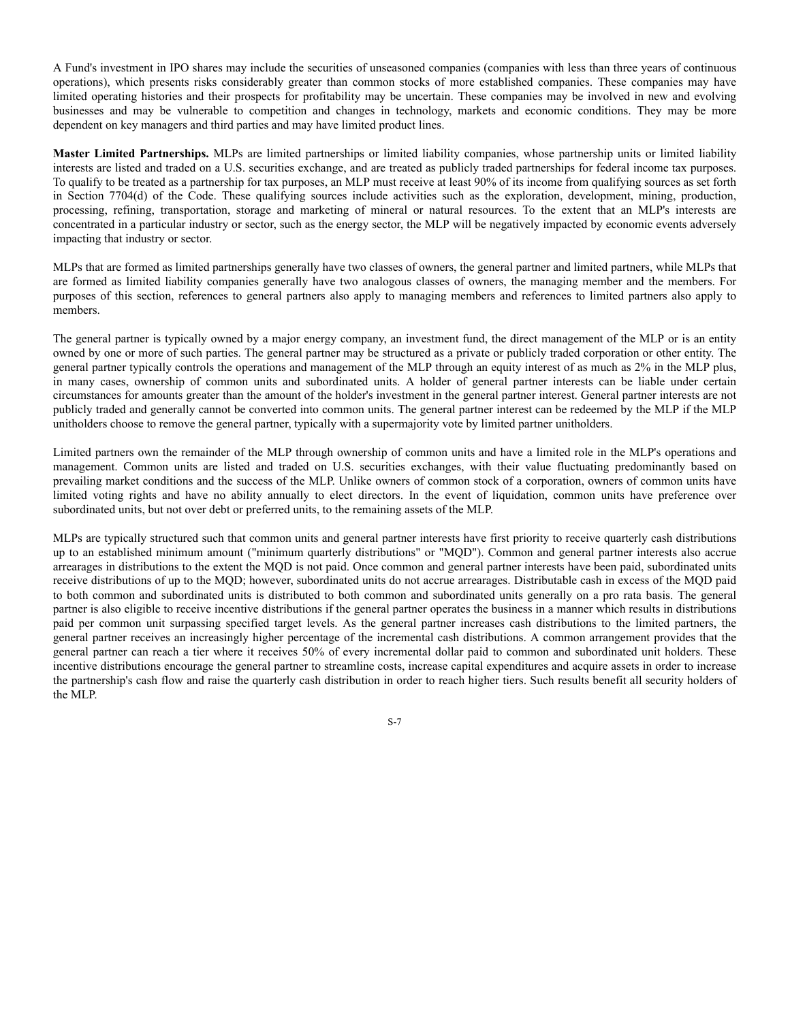A Fund's investment in IPO shares may include the securities of unseasoned companies (companies with less than three years of continuous operations), which presents risks considerably greater than common stocks of more established companies. These companies may have limited operating histories and their prospects for profitability may be uncertain. These companies may be involved in new and evolving businesses and may be vulnerable to competition and changes in technology, markets and economic conditions. They may be more dependent on key managers and third parties and may have limited product lines.

**Master Limited Partnerships.** MLPs are limited partnerships or limited liability companies, whose partnership units or limited liability interests are listed and traded on a U.S. securities exchange, and are treated as publicly traded partnerships for federal income tax purposes. To qualify to be treated as a partnership for tax purposes, an MLP must receive at least 90% of its income from qualifying sources as set forth in Section 7704(d) of the Code. These qualifying sources include activities such as the exploration, development, mining, production, processing, refining, transportation, storage and marketing of mineral or natural resources. To the extent that an MLP's interests are concentrated in a particular industry or sector, such as the energy sector, the MLP will be negatively impacted by economic events adversely impacting that industry or sector.

MLPs that are formed as limited partnerships generally have two classes of owners, the general partner and limited partners, while MLPs that are formed as limited liability companies generally have two analogous classes of owners, the managing member and the members. For purposes of this section, references to general partners also apply to managing members and references to limited partners also apply to members.

The general partner is typically owned by a major energy company, an investment fund, the direct management of the MLP or is an entity owned by one or more of such parties. The general partner may be structured as a private or publicly traded corporation or other entity. The general partner typically controls the operations and management of the MLP through an equity interest of as much as 2% in the MLP plus, in many cases, ownership of common units and subordinated units. A holder of general partner interests can be liable under certain circumstances for amounts greater than the amount of the holder's investment in the general partner interest. General partner interests are not publicly traded and generally cannot be converted into common units. The general partner interest can be redeemed by the MLP if the MLP unitholders choose to remove the general partner, typically with a supermajority vote by limited partner unitholders.

Limited partners own the remainder of the MLP through ownership of common units and have a limited role in the MLP's operations and management. Common units are listed and traded on U.S. securities exchanges, with their value fluctuating predominantly based on prevailing market conditions and the success of the MLP. Unlike owners of common stock of a corporation, owners of common units have limited voting rights and have no ability annually to elect directors. In the event of liquidation, common units have preference over subordinated units, but not over debt or preferred units, to the remaining assets of the MLP.

MLPs are typically structured such that common units and general partner interests have first priority to receive quarterly cash distributions up to an established minimum amount ("minimum quarterly distributions" or "MQD"). Common and general partner interests also accrue arrearages in distributions to the extent the MQD is not paid. Once common and general partner interests have been paid, subordinated units receive distributions of up to the MQD; however, subordinated units do not accrue arrearages. Distributable cash in excess of the MQD paid to both common and subordinated units is distributed to both common and subordinated units generally on a pro rata basis. The general partner is also eligible to receive incentive distributions if the general partner operates the business in a manner which results in distributions paid per common unit surpassing specified target levels. As the general partner increases cash distributions to the limited partners, the general partner receives an increasingly higher percentage of the incremental cash distributions. A common arrangement provides that the general partner can reach a tier where it receives 50% of every incremental dollar paid to common and subordinated unit holders. These incentive distributions encourage the general partner to streamline costs, increase capital expenditures and acquire assets in order to increase the partnership's cash flow and raise the quarterly cash distribution in order to reach higher tiers. Such results benefit all security holders of the MLP.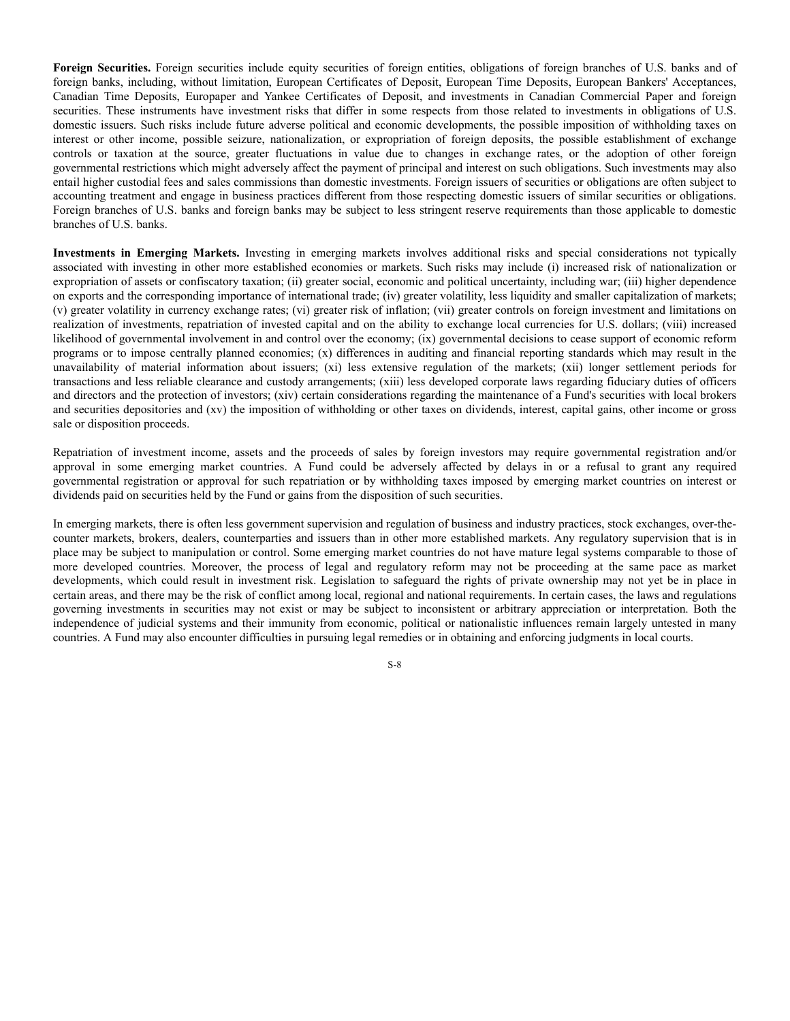Foreign Securities. Foreign securities include equity securities of foreign entities, obligations of foreign branches of U.S. banks and of foreign banks, including, without limitation, European Certificates of Deposit, European Time Deposits, European Bankers' Acceptances, Canadian Time Deposits, Europaper and Yankee Certificates of Deposit, and investments in Canadian Commercial Paper and foreign securities. These instruments have investment risks that differ in some respects from those related to investments in obligations of U.S. domestic issuers. Such risks include future adverse political and economic developments, the possible imposition of withholding taxes on interest or other income, possible seizure, nationalization, or expropriation of foreign deposits, the possible establishment of exchange controls or taxation at the source, greater fluctuations in value due to changes in exchange rates, or the adoption of other foreign governmental restrictions which might adversely affect the payment of principal and interest on such obligations. Such investments may also entail higher custodial fees and sales commissions than domestic investments. Foreign issuers of securities or obligations are often subject to accounting treatment and engage in business practices different from those respecting domestic issuers of similar securities or obligations. Foreign branches of U.S. banks and foreign banks may be subject to less stringent reserve requirements than those applicable to domestic branches of U.S. banks.

**Investments in Emerging Markets.** Investing in emerging markets involves additional risks and special considerations not typically associated with investing in other more established economies or markets. Such risks may include (i) increased risk of nationalization or expropriation of assets or confiscatory taxation; (ii) greater social, economic and political uncertainty, including war; (iii) higher dependence on exports and the corresponding importance of international trade; (iv) greater volatility, less liquidity and smaller capitalization of markets; (v) greater volatility in currency exchange rates; (vi) greater risk of inflation; (vii) greater controls on foreign investment and limitations on realization of investments, repatriation of invested capital and on the ability to exchange local currencies for U.S. dollars; (viii) increased likelihood of governmental involvement in and control over the economy; (ix) governmental decisions to cease support of economic reform programs or to impose centrally planned economies; (x) differences in auditing and financial reporting standards which may result in the unavailability of material information about issuers; (xi) less extensive regulation of the markets; (xii) longer settlement periods for transactions and less reliable clearance and custody arrangements; (xiii) less developed corporate laws regarding fiduciary duties of officers and directors and the protection of investors; (xiv) certain considerations regarding the maintenance of a Fund's securities with local brokers and securities depositories and (xv) the imposition of withholding or other taxes on dividends, interest, capital gains, other income or gross sale or disposition proceeds.

Repatriation of investment income, assets and the proceeds of sales by foreign investors may require governmental registration and/or approval in some emerging market countries. A Fund could be adversely affected by delays in or a refusal to grant any required governmental registration or approval for such repatriation or by withholding taxes imposed by emerging market countries on interest or dividends paid on securities held by the Fund or gains from the disposition of such securities.

In emerging markets, there is often less government supervision and regulation of business and industry practices, stock exchanges, over-thecounter markets, brokers, dealers, counterparties and issuers than in other more established markets. Any regulatory supervision that is in place may be subject to manipulation or control. Some emerging market countries do not have mature legal systems comparable to those of more developed countries. Moreover, the process of legal and regulatory reform may not be proceeding at the same pace as market developments, which could result in investment risk. Legislation to safeguard the rights of private ownership may not yet be in place in certain areas, and there may be the risk of conflict among local, regional and national requirements. In certain cases, the laws and regulations governing investments in securities may not exist or may be subject to inconsistent or arbitrary appreciation or interpretation. Both the independence of judicial systems and their immunity from economic, political or nationalistic influences remain largely untested in many countries. A Fund may also encounter difficulties in pursuing legal remedies or in obtaining and enforcing judgments in local courts.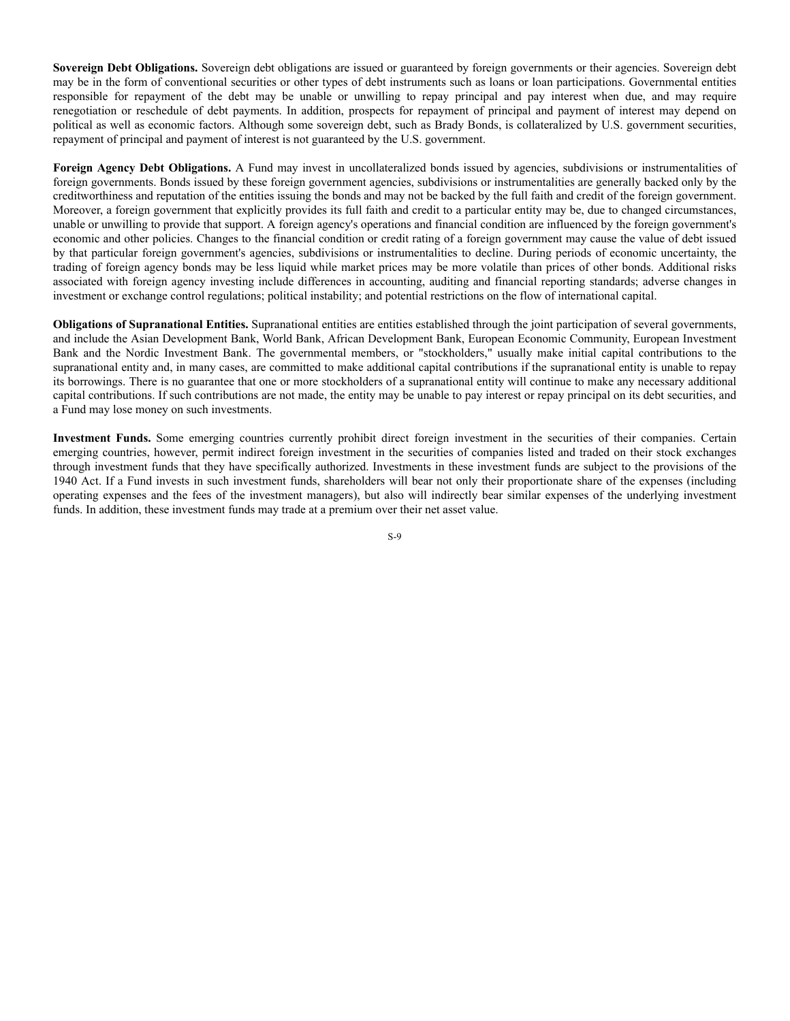**Sovereign Debt Obligations.** Sovereign debt obligations are issued or guaranteed by foreign governments or their agencies. Sovereign debt may be in the form of conventional securities or other types of debt instruments such as loans or loan participations. Governmental entities responsible for repayment of the debt may be unable or unwilling to repay principal and pay interest when due, and may require renegotiation or reschedule of debt payments. In addition, prospects for repayment of principal and payment of interest may depend on political as well as economic factors. Although some sovereign debt, such as Brady Bonds, is collateralized by U.S. government securities, repayment of principal and payment of interest is not guaranteed by the U.S. government.

**Foreign Agency Debt Obligations.** A Fund may invest in uncollateralized bonds issued by agencies, subdivisions or instrumentalities of foreign governments. Bonds issued by these foreign government agencies, subdivisions or instrumentalities are generally backed only by the creditworthiness and reputation of the entities issuing the bonds and may not be backed by the full faith and credit of the foreign government. Moreover, a foreign government that explicitly provides its full faith and credit to a particular entity may be, due to changed circumstances, unable or unwilling to provide that support. A foreign agency's operations and financial condition are influenced by the foreign government's economic and other policies. Changes to the financial condition or credit rating of a foreign government may cause the value of debt issued by that particular foreign government's agencies, subdivisions or instrumentalities to decline. During periods of economic uncertainty, the trading of foreign agency bonds may be less liquid while market prices may be more volatile than prices of other bonds. Additional risks associated with foreign agency investing include differences in accounting, auditing and financial reporting standards; adverse changes in investment or exchange control regulations; political instability; and potential restrictions on the flow of international capital.

**Obligations of Supranational Entities.** Supranational entities are entities established through the joint participation of several governments, and include the Asian Development Bank, World Bank, African Development Bank, European Economic Community, European Investment Bank and the Nordic Investment Bank. The governmental members, or "stockholders," usually make initial capital contributions to the supranational entity and, in many cases, are committed to make additional capital contributions if the supranational entity is unable to repay its borrowings. There is no guarantee that one or more stockholders of a supranational entity will continue to make any necessary additional capital contributions. If such contributions are not made, the entity may be unable to pay interest or repay principal on its debt securities, and a Fund may lose money on such investments.

**Investment Funds.** Some emerging countries currently prohibit direct foreign investment in the securities of their companies. Certain emerging countries, however, permit indirect foreign investment in the securities of companies listed and traded on their stock exchanges through investment funds that they have specifically authorized. Investments in these investment funds are subject to the provisions of the 1940 Act. If a Fund invests in such investment funds, shareholders will bear not only their proportionate share of the expenses (including operating expenses and the fees of the investment managers), but also will indirectly bear similar expenses of the underlying investment funds. In addition, these investment funds may trade at a premium over their net asset value.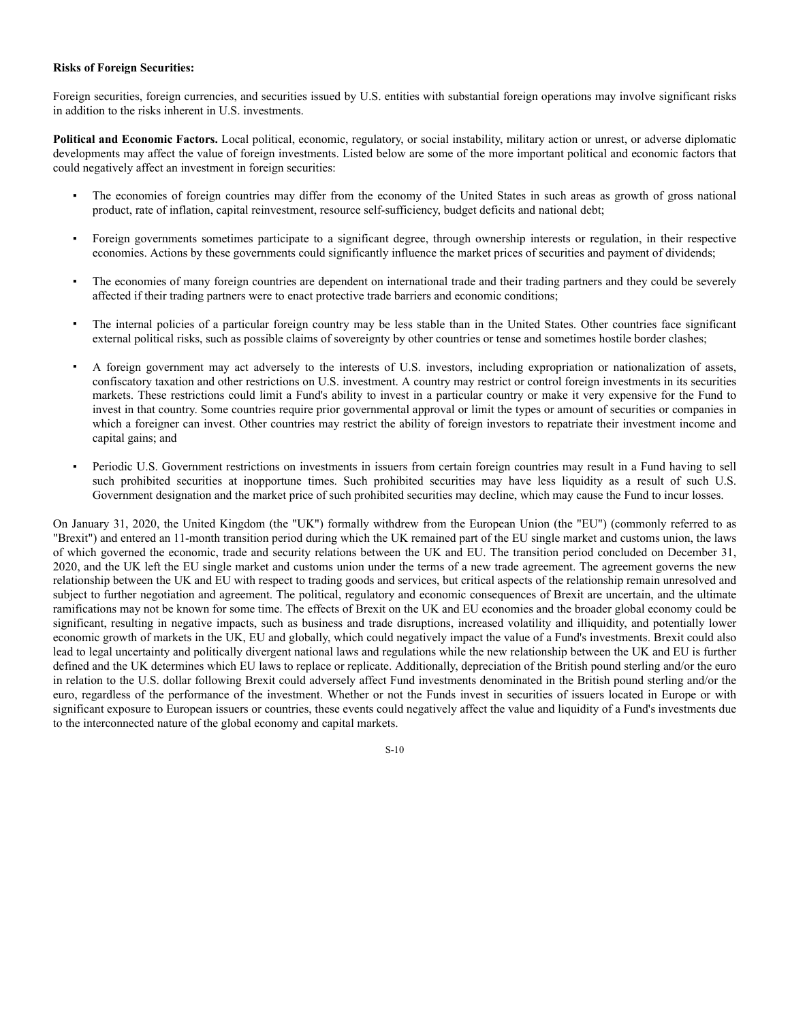#### **Risks of Foreign Securities:**

Foreign securities, foreign currencies, and securities issued by U.S. entities with substantial foreign operations may involve significant risks in addition to the risks inherent in U.S. investments.

**Political and Economic Factors.** Local political, economic, regulatory, or social instability, military action or unrest, or adverse diplomatic developments may affect the value of foreign investments. Listed below are some of the more important political and economic factors that could negatively affect an investment in foreign securities:

- The economies of foreign countries may differ from the economy of the United States in such areas as growth of gross national product, rate of inflation, capital reinvestment, resource self-sufficiency, budget deficits and national debt;
- Foreign governments sometimes participate to a significant degree, through ownership interests or regulation, in their respective economies. Actions by these governments could significantly influence the market prices of securities and payment of dividends;
- The economies of many foreign countries are dependent on international trade and their trading partners and they could be severely affected if their trading partners were to enact protective trade barriers and economic conditions;
- The internal policies of a particular foreign country may be less stable than in the United States. Other countries face significant external political risks, such as possible claims of sovereignty by other countries or tense and sometimes hostile border clashes;
- A foreign government may act adversely to the interests of U.S. investors, including expropriation or nationalization of assets, confiscatory taxation and other restrictions on U.S. investment. A country may restrict or control foreign investments in its securities markets. These restrictions could limit a Fund's ability to invest in a particular country or make it very expensive for the Fund to invest in that country. Some countries require prior governmental approval or limit the types or amount of securities or companies in which a foreigner can invest. Other countries may restrict the ability of foreign investors to repatriate their investment income and capital gains; and
- Periodic U.S. Government restrictions on investments in issuers from certain foreign countries may result in a Fund having to sell such prohibited securities at inopportune times. Such prohibited securities may have less liquidity as a result of such U.S. Government designation and the market price of such prohibited securities may decline, which may cause the Fund to incur losses.

On January 31, 2020, the United Kingdom (the "UK") formally withdrew from the European Union (the "EU") (commonly referred to as "Brexit") and entered an 11-month transition period during which the UK remained part of the EU single market and customs union, the laws of which governed the economic, trade and security relations between the UK and EU. The transition period concluded on December 31, 2020, and the UK left the EU single market and customs union under the terms of a new trade agreement. The agreement governs the new relationship between the UK and EU with respect to trading goods and services, but critical aspects of the relationship remain unresolved and subject to further negotiation and agreement. The political, regulatory and economic consequences of Brexit are uncertain, and the ultimate ramifications may not be known for some time. The effects of Brexit on the UK and EU economies and the broader global economy could be significant, resulting in negative impacts, such as business and trade disruptions, increased volatility and illiquidity, and potentially lower economic growth of markets in the UK, EU and globally, which could negatively impact the value of a Fund's investments. Brexit could also lead to legal uncertainty and politically divergent national laws and regulations while the new relationship between the UK and EU is further defined and the UK determines which EU laws to replace or replicate. Additionally, depreciation of the British pound sterling and/or the euro in relation to the U.S. dollar following Brexit could adversely affect Fund investments denominated in the British pound sterling and/or the euro, regardless of the performance of the investment. Whether or not the Funds invest in securities of issuers located in Europe or with significant exposure to European issuers or countries, these events could negatively affect the value and liquidity of a Fund's investments due to the interconnected nature of the global economy and capital markets.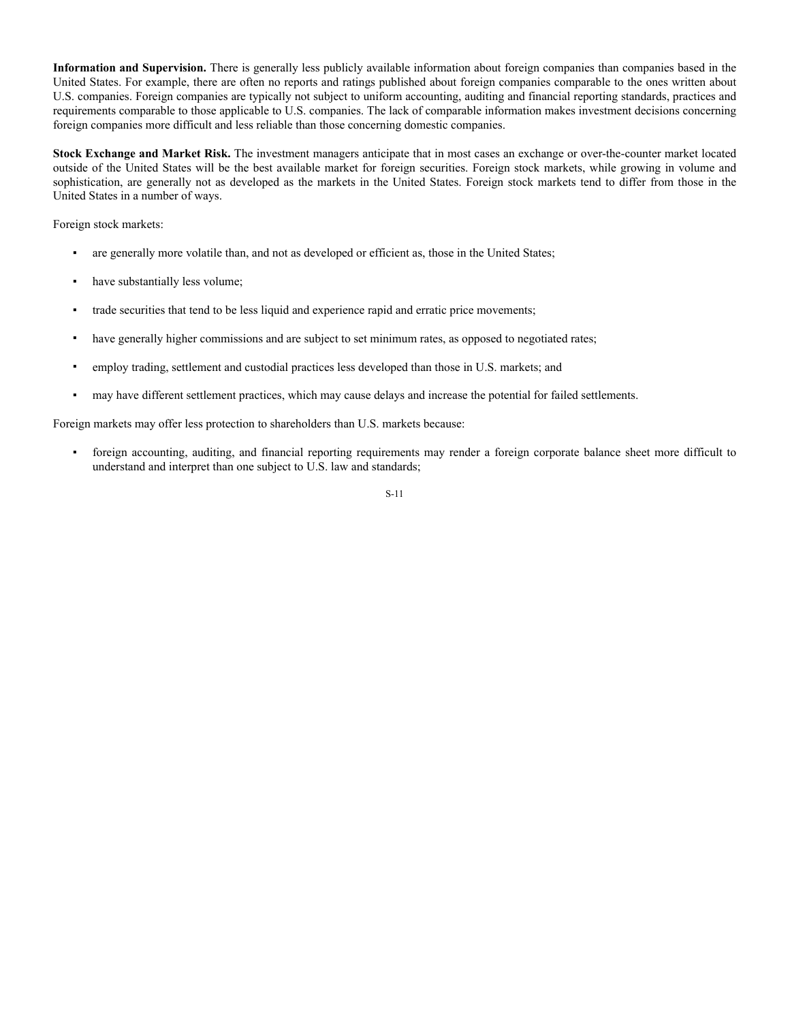**Information and Supervision.** There is generally less publicly available information about foreign companies than companies based in the United States. For example, there are often no reports and ratings published about foreign companies comparable to the ones written about U.S. companies. Foreign companies are typically not subject to uniform accounting, auditing and financial reporting standards, practices and requirements comparable to those applicable to U.S. companies. The lack of comparable information makes investment decisions concerning foreign companies more difficult and less reliable than those concerning domestic companies.

**Stock Exchange and Market Risk.** The investment managers anticipate that in most cases an exchange or over-the-counter market located outside of the United States will be the best available market for foreign securities. Foreign stock markets, while growing in volume and sophistication, are generally not as developed as the markets in the United States. Foreign stock markets tend to differ from those in the United States in a number of ways.

Foreign stock markets:

- are generally more volatile than, and not as developed or efficient as, those in the United States;
- have substantially less volume;
- trade securities that tend to be less liquid and experience rapid and erratic price movements;
- have generally higher commissions and are subject to set minimum rates, as opposed to negotiated rates;
- employ trading, settlement and custodial practices less developed than those in U.S. markets; and
- may have different settlement practices, which may cause delays and increase the potential for failed settlements.

Foreign markets may offer less protection to shareholders than U.S. markets because:

foreign accounting, auditing, and financial reporting requirements may render a foreign corporate balance sheet more difficult to understand and interpret than one subject to U.S. law and standards;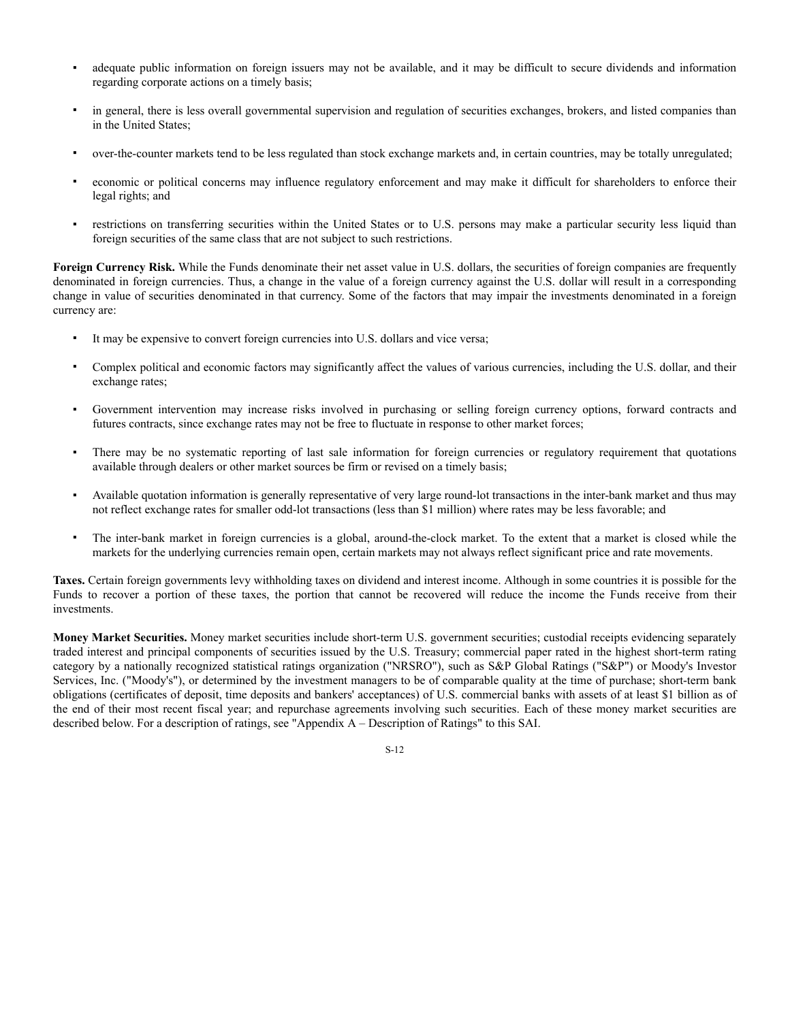- adequate public information on foreign issuers may not be available, and it may be difficult to secure dividends and information regarding corporate actions on a timely basis;
- in general, there is less overall governmental supervision and regulation of securities exchanges, brokers, and listed companies than in the United States;
- over-the-counter markets tend to be less regulated than stock exchange markets and, in certain countries, may be totally unregulated;
- economic or political concerns may influence regulatory enforcement and may make it difficult for shareholders to enforce their legal rights; and
- restrictions on transferring securities within the United States or to U.S. persons may make a particular security less liquid than foreign securities of the same class that are not subject to such restrictions.

Foreign Currency Risk. While the Funds denominate their net asset value in U.S. dollars, the securities of foreign companies are frequently denominated in foreign currencies. Thus, a change in the value of a foreign currency against the U.S. dollar will result in a corresponding change in value of securities denominated in that currency. Some of the factors that may impair the investments denominated in a foreign currency are:

- It may be expensive to convert foreign currencies into U.S. dollars and vice versa;
- Complex political and economic factors may significantly affect the values of various currencies, including the U.S. dollar, and their exchange rates;
- Government intervention may increase risks involved in purchasing or selling foreign currency options, forward contracts and futures contracts, since exchange rates may not be free to fluctuate in response to other market forces;
- There may be no systematic reporting of last sale information for foreign currencies or regulatory requirement that quotations available through dealers or other market sources be firm or revised on a timely basis;
- Available quotation information is generally representative of very large round-lot transactions in the inter-bank market and thus may not reflect exchange rates for smaller odd-lot transactions (less than \$1 million) where rates may be less favorable; and
- The inter-bank market in foreign currencies is a global, around-the-clock market. To the extent that a market is closed while the markets for the underlying currencies remain open, certain markets may not always reflect significant price and rate movements.

**Taxes.** Certain foreign governments levy withholding taxes on dividend and interest income. Although in some countries it is possible for the Funds to recover a portion of these taxes, the portion that cannot be recovered will reduce the income the Funds receive from their investments.

**Money Market Securities.** Money market securities include short-term U.S. government securities; custodial receipts evidencing separately traded interest and principal components of securities issued by the U.S. Treasury; commercial paper rated in the highest short-term rating category by a nationally recognized statistical ratings organization ("NRSRO"), such as S&P Global Ratings ("S&P") or Moody's Investor Services, Inc. ("Moody's"), or determined by the investment managers to be of comparable quality at the time of purchase; short-term bank obligations (certificates of deposit, time deposits and bankers' acceptances) of U.S. commercial banks with assets of at least \$1 billion as of the end of their most recent fiscal year; and repurchase agreements involving such securities. Each of these money market securities are described below. For a description of ratings, see "Appendix A – Description of Ratings" to this SAI.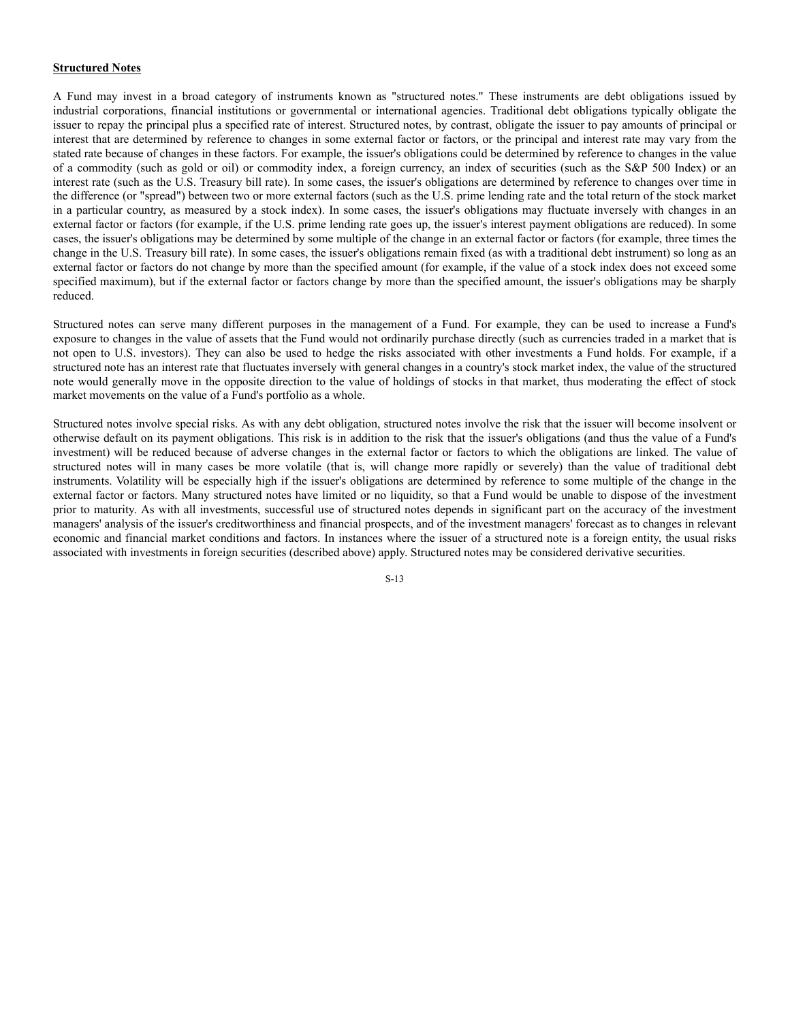#### **Structured Notes**

A Fund may invest in a broad category of instruments known as "structured notes." These instruments are debt obligations issued by industrial corporations, financial institutions or governmental or international agencies. Traditional debt obligations typically obligate the issuer to repay the principal plus a specified rate of interest. Structured notes, by contrast, obligate the issuer to pay amounts of principal or interest that are determined by reference to changes in some external factor or factors, or the principal and interest rate may vary from the stated rate because of changes in these factors. For example, the issuer's obligations could be determined by reference to changes in the value of a commodity (such as gold or oil) or commodity index, a foreign currency, an index of securities (such as the S&P 500 Index) or an interest rate (such as the U.S. Treasury bill rate). In some cases, the issuer's obligations are determined by reference to changes over time in the difference (or "spread") between two or more external factors (such as the U.S. prime lending rate and the total return of the stock market in a particular country, as measured by a stock index). In some cases, the issuer's obligations may fluctuate inversely with changes in an external factor or factors (for example, if the U.S. prime lending rate goes up, the issuer's interest payment obligations are reduced). In some cases, the issuer's obligations may be determined by some multiple of the change in an external factor or factors (for example, three times the change in the U.S. Treasury bill rate). In some cases, the issuer's obligations remain fixed (as with a traditional debt instrument) so long as an external factor or factors do not change by more than the specified amount (for example, if the value of a stock index does not exceed some specified maximum), but if the external factor or factors change by more than the specified amount, the issuer's obligations may be sharply reduced.

Structured notes can serve many different purposes in the management of a Fund. For example, they can be used to increase a Fund's exposure to changes in the value of assets that the Fund would not ordinarily purchase directly (such as currencies traded in a market that is not open to U.S. investors). They can also be used to hedge the risks associated with other investments a Fund holds. For example, if a structured note has an interest rate that fluctuates inversely with general changes in a country's stock market index, the value of the structured note would generally move in the opposite direction to the value of holdings of stocks in that market, thus moderating the effect of stock market movements on the value of a Fund's portfolio as a whole.

Structured notes involve special risks. As with any debt obligation, structured notes involve the risk that the issuer will become insolvent or otherwise default on its payment obligations. This risk is in addition to the risk that the issuer's obligations (and thus the value of a Fund's investment) will be reduced because of adverse changes in the external factor or factors to which the obligations are linked. The value of structured notes will in many cases be more volatile (that is, will change more rapidly or severely) than the value of traditional debt instruments. Volatility will be especially high if the issuer's obligations are determined by reference to some multiple of the change in the external factor or factors. Many structured notes have limited or no liquidity, so that a Fund would be unable to dispose of the investment prior to maturity. As with all investments, successful use of structured notes depends in significant part on the accuracy of the investment managers' analysis of the issuer's creditworthiness and financial prospects, and of the investment managers' forecast as to changes in relevant economic and financial market conditions and factors. In instances where the issuer of a structured note is a foreign entity, the usual risks associated with investments in foreign securities (described above) apply. Structured notes may be considered derivative securities.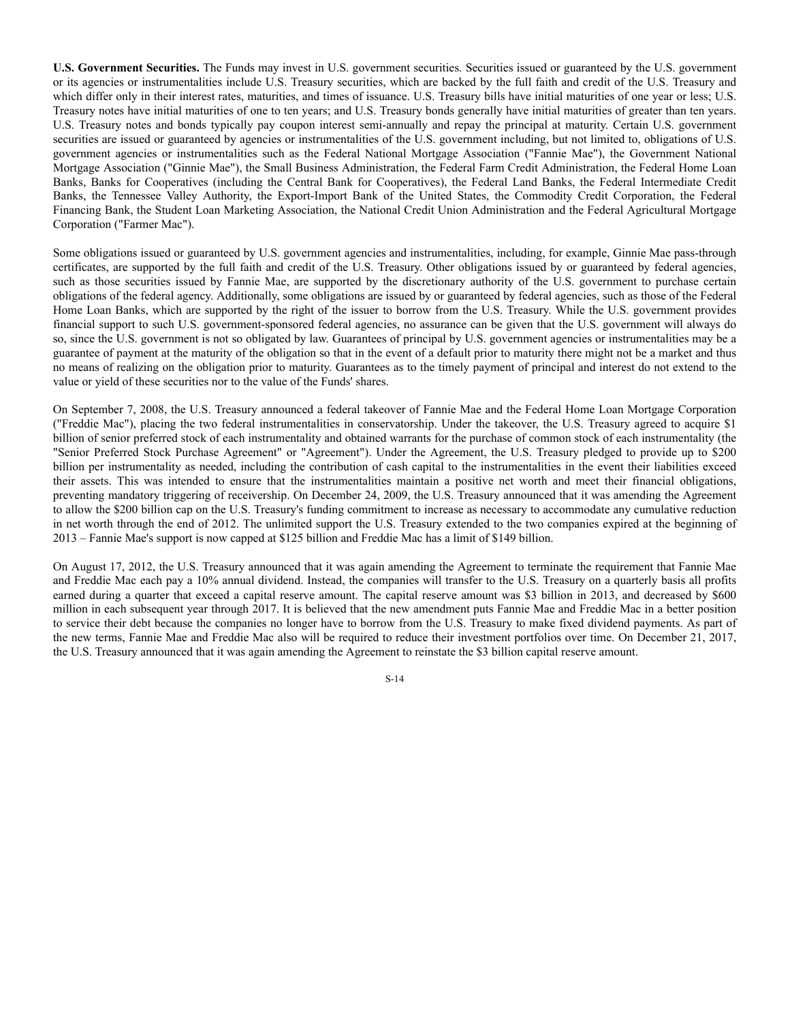**U.S. Government Securities.** The Funds may invest in U.S. government securities. Securities issued or guaranteed by the U.S. government or its agencies or instrumentalities include U.S. Treasury securities, which are backed by the full faith and credit of the U.S. Treasury and which differ only in their interest rates, maturities, and times of issuance. U.S. Treasury bills have initial maturities of one year or less; U.S. Treasury notes have initial maturities of one to ten years; and U.S. Treasury bonds generally have initial maturities of greater than ten years. U.S. Treasury notes and bonds typically pay coupon interest semi-annually and repay the principal at maturity. Certain U.S. government securities are issued or guaranteed by agencies or instrumentalities of the U.S. government including, but not limited to, obligations of U.S. government agencies or instrumentalities such as the Federal National Mortgage Association ("Fannie Mae"), the Government National Mortgage Association ("Ginnie Mae"), the Small Business Administration, the Federal Farm Credit Administration, the Federal Home Loan Banks, Banks for Cooperatives (including the Central Bank for Cooperatives), the Federal Land Banks, the Federal Intermediate Credit Banks, the Tennessee Valley Authority, the Export-Import Bank of the United States, the Commodity Credit Corporation, the Federal Financing Bank, the Student Loan Marketing Association, the National Credit Union Administration and the Federal Agricultural Mortgage Corporation ("Farmer Mac").

Some obligations issued or guaranteed by U.S. government agencies and instrumentalities, including, for example, Ginnie Mae pass-through certificates, are supported by the full faith and credit of the U.S. Treasury. Other obligations issued by or guaranteed by federal agencies, such as those securities issued by Fannie Mae, are supported by the discretionary authority of the U.S. government to purchase certain obligations of the federal agency. Additionally, some obligations are issued by or guaranteed by federal agencies, such as those of the Federal Home Loan Banks, which are supported by the right of the issuer to borrow from the U.S. Treasury. While the U.S. government provides financial support to such U.S. government-sponsored federal agencies, no assurance can be given that the U.S. government will always do so, since the U.S. government is not so obligated by law. Guarantees of principal by U.S. government agencies or instrumentalities may be a guarantee of payment at the maturity of the obligation so that in the event of a default prior to maturity there might not be a market and thus no means of realizing on the obligation prior to maturity. Guarantees as to the timely payment of principal and interest do not extend to the value or yield of these securities nor to the value of the Funds' shares.

On September 7, 2008, the U.S. Treasury announced a federal takeover of Fannie Mae and the Federal Home Loan Mortgage Corporation ("Freddie Mac"), placing the two federal instrumentalities in conservatorship. Under the takeover, the U.S. Treasury agreed to acquire \$1 billion of senior preferred stock of each instrumentality and obtained warrants for the purchase of common stock of each instrumentality (the "Senior Preferred Stock Purchase Agreement" or "Agreement"). Under the Agreement, the U.S. Treasury pledged to provide up to \$200 billion per instrumentality as needed, including the contribution of cash capital to the instrumentalities in the event their liabilities exceed their assets. This was intended to ensure that the instrumentalities maintain a positive net worth and meet their financial obligations, preventing mandatory triggering of receivership. On December 24, 2009, the U.S. Treasury announced that it was amending the Agreement to allow the \$200 billion cap on the U.S. Treasury's funding commitment to increase as necessary to accommodate any cumulative reduction in net worth through the end of 2012. The unlimited support the U.S. Treasury extended to the two companies expired at the beginning of 2013 – Fannie Mae's support is now capped at \$125 billion and Freddie Mac has a limit of \$149 billion.

On August 17, 2012, the U.S. Treasury announced that it was again amending the Agreement to terminate the requirement that Fannie Mae and Freddie Mac each pay a 10% annual dividend. Instead, the companies will transfer to the U.S. Treasury on a quarterly basis all profits earned during a quarter that exceed a capital reserve amount. The capital reserve amount was \$3 billion in 2013, and decreased by \$600 million in each subsequent year through 2017. It is believed that the new amendment puts Fannie Mae and Freddie Mac in a better position to service their debt because the companies no longer have to borrow from the U.S. Treasury to make fixed dividend payments. As part of the new terms, Fannie Mae and Freddie Mac also will be required to reduce their investment portfolios over time. On December 21, 2017, the U.S. Treasury announced that it was again amending the Agreement to reinstate the \$3 billion capital reserve amount.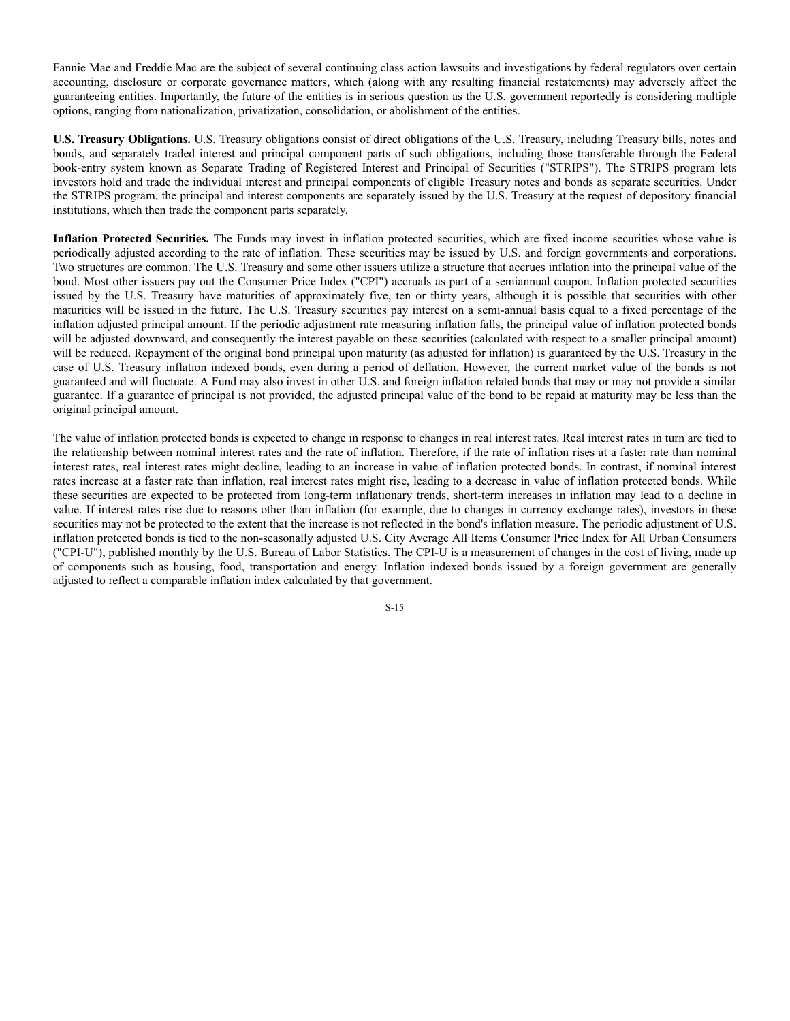Fannie Mae and Freddie Mac are the subject of several continuing class action lawsuits and investigations by federal regulators over certain accounting, disclosure or corporate governance matters, which (along with any resulting financial restatements) may adversely affect the guaranteeing entities. Importantly, the future of the entities is in serious question as the U.S. government reportedly is considering multiple options, ranging from nationalization, privatization, consolidation, or abolishment of the entities.

**U.S. Treasury Obligations.** U.S. Treasury obligations consist of direct obligations of the U.S. Treasury, including Treasury bills, notes and bonds, and separately traded interest and principal component parts of such obligations, including those transferable through the Federal book-entry system known as Separate Trading of Registered Interest and Principal of Securities ("STRIPS"). The STRIPS program lets investors hold and trade the individual interest and principal components of eligible Treasury notes and bonds as separate securities. Under the STRIPS program, the principal and interest components are separately issued by the U.S. Treasury at the request of depository financial institutions, which then trade the component parts separately.

**Inflation Protected Securities.** The Funds may invest in inflation protected securities, which are fixed income securities whose value is periodically adjusted according to the rate of inflation. These securities may be issued by U.S. and foreign governments and corporations. Two structures are common. The U.S. Treasury and some other issuers utilize a structure that accrues inflation into the principal value of the bond. Most other issuers pay out the Consumer Price Index ("CPI") accruals as part of a semiannual coupon. Inflation protected securities issued by the U.S. Treasury have maturities of approximately five, ten or thirty years, although it is possible that securities with other maturities will be issued in the future. The U.S. Treasury securities pay interest on a semi-annual basis equal to a fixed percentage of the inflation adjusted principal amount. If the periodic adjustment rate measuring inflation falls, the principal value of inflation protected bonds will be adjusted downward, and consequently the interest payable on these securities (calculated with respect to a smaller principal amount) will be reduced. Repayment of the original bond principal upon maturity (as adjusted for inflation) is guaranteed by the U.S. Treasury in the case of U.S. Treasury inflation indexed bonds, even during a period of deflation. However, the current market value of the bonds is not guaranteed and will fluctuate. A Fund may also invest in other U.S. and foreign inflation related bonds that may or may not provide a similar guarantee. If a guarantee of principal is not provided, the adjusted principal value of the bond to be repaid at maturity may be less than the original principal amount.

The value of inflation protected bonds is expected to change in response to changes in real interest rates. Real interest rates in turn are tied to the relationship between nominal interest rates and the rate of inflation. Therefore, if the rate of inflation rises at a faster rate than nominal interest rates, real interest rates might decline, leading to an increase in value of inflation protected bonds. In contrast, if nominal interest rates increase at a faster rate than inflation, real interest rates might rise, leading to a decrease in value of inflation protected bonds. While these securities are expected to be protected from long-term inflationary trends, short-term increases in inflation may lead to a decline in value. If interest rates rise due to reasons other than inflation (for example, due to changes in currency exchange rates), investors in these securities may not be protected to the extent that the increase is not reflected in the bond's inflation measure. The periodic adjustment of U.S. inflation protected bonds is tied to the non-seasonally adjusted U.S. City Average All Items Consumer Price Index for All Urban Consumers ("CPI-U"), published monthly by the U.S. Bureau of Labor Statistics. The CPI-U is a measurement of changes in the cost of living, made up of components such as housing, food, transportation and energy. Inflation indexed bonds issued by a foreign government are generally adjusted to reflect a comparable inflation index calculated by that government.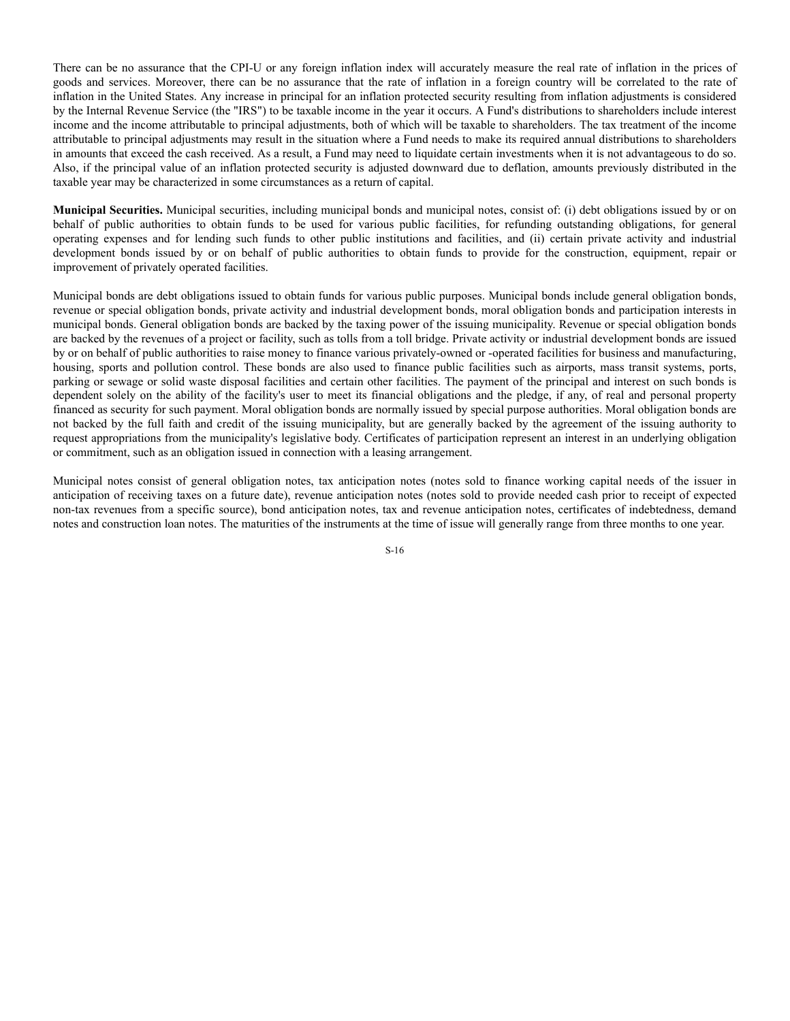There can be no assurance that the CPI-U or any foreign inflation index will accurately measure the real rate of inflation in the prices of goods and services. Moreover, there can be no assurance that the rate of inflation in a foreign country will be correlated to the rate of inflation in the United States. Any increase in principal for an inflation protected security resulting from inflation adjustments is considered by the Internal Revenue Service (the "IRS") to be taxable income in the year it occurs. A Fund's distributions to shareholders include interest income and the income attributable to principal adjustments, both of which will be taxable to shareholders. The tax treatment of the income attributable to principal adjustments may result in the situation where a Fund needs to make its required annual distributions to shareholders in amounts that exceed the cash received. As a result, a Fund may need to liquidate certain investments when it is not advantageous to do so. Also, if the principal value of an inflation protected security is adjusted downward due to deflation, amounts previously distributed in the taxable year may be characterized in some circumstances as a return of capital.

**Municipal Securities.** Municipal securities, including municipal bonds and municipal notes, consist of: (i) debt obligations issued by or on behalf of public authorities to obtain funds to be used for various public facilities, for refunding outstanding obligations, for general operating expenses and for lending such funds to other public institutions and facilities, and (ii) certain private activity and industrial development bonds issued by or on behalf of public authorities to obtain funds to provide for the construction, equipment, repair or improvement of privately operated facilities.

Municipal bonds are debt obligations issued to obtain funds for various public purposes. Municipal bonds include general obligation bonds, revenue or special obligation bonds, private activity and industrial development bonds, moral obligation bonds and participation interests in municipal bonds. General obligation bonds are backed by the taxing power of the issuing municipality. Revenue or special obligation bonds are backed by the revenues of a project or facility, such as tolls from a toll bridge. Private activity or industrial development bonds are issued by or on behalf of public authorities to raise money to finance various privately-owned or -operated facilities for business and manufacturing, housing, sports and pollution control. These bonds are also used to finance public facilities such as airports, mass transit systems, ports, parking or sewage or solid waste disposal facilities and certain other facilities. The payment of the principal and interest on such bonds is dependent solely on the ability of the facility's user to meet its financial obligations and the pledge, if any, of real and personal property financed as security for such payment. Moral obligation bonds are normally issued by special purpose authorities. Moral obligation bonds are not backed by the full faith and credit of the issuing municipality, but are generally backed by the agreement of the issuing authority to request appropriations from the municipality's legislative body. Certificates of participation represent an interest in an underlying obligation or commitment, such as an obligation issued in connection with a leasing arrangement.

Municipal notes consist of general obligation notes, tax anticipation notes (notes sold to finance working capital needs of the issuer in anticipation of receiving taxes on a future date), revenue anticipation notes (notes sold to provide needed cash prior to receipt of expected non-tax revenues from a specific source), bond anticipation notes, tax and revenue anticipation notes, certificates of indebtedness, demand notes and construction loan notes. The maturities of the instruments at the time of issue will generally range from three months to one year.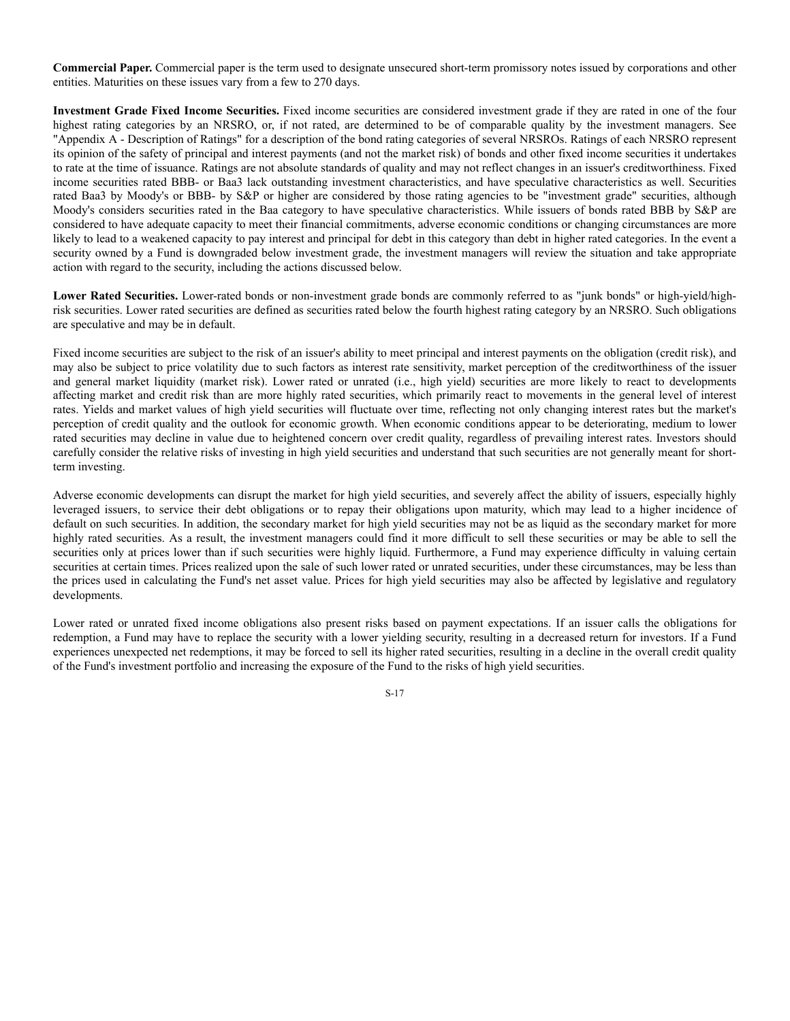**Commercial Paper.** Commercial paper is the term used to designate unsecured short-term promissory notes issued by corporations and other entities. Maturities on these issues vary from a few to 270 days.

**Investment Grade Fixed Income Securities.** Fixed income securities are considered investment grade if they are rated in one of the four highest rating categories by an NRSRO, or, if not rated, are determined to be of comparable quality by the investment managers. See "Appendix A - Description of Ratings" for a description of the bond rating categories of several NRSROs. Ratings of each NRSRO represent its opinion of the safety of principal and interest payments (and not the market risk) of bonds and other fixed income securities it undertakes to rate at the time of issuance. Ratings are not absolute standards of quality and may not reflect changes in an issuer's creditworthiness. Fixed income securities rated BBB- or Baa3 lack outstanding investment characteristics, and have speculative characteristics as well. Securities rated Baa3 by Moody's or BBB- by S&P or higher are considered by those rating agencies to be "investment grade" securities, although Moody's considers securities rated in the Baa category to have speculative characteristics. While issuers of bonds rated BBB by S&P are considered to have adequate capacity to meet their financial commitments, adverse economic conditions or changing circumstances are more likely to lead to a weakened capacity to pay interest and principal for debt in this category than debt in higher rated categories. In the event a security owned by a Fund is downgraded below investment grade, the investment managers will review the situation and take appropriate action with regard to the security, including the actions discussed below.

**Lower Rated Securities.** Lower-rated bonds or non-investment grade bonds are commonly referred to as "junk bonds" or high-yield/highrisk securities. Lower rated securities are defined as securities rated below the fourth highest rating category by an NRSRO. Such obligations are speculative and may be in default.

Fixed income securities are subject to the risk of an issuer's ability to meet principal and interest payments on the obligation (credit risk), and may also be subject to price volatility due to such factors as interest rate sensitivity, market perception of the creditworthiness of the issuer and general market liquidity (market risk). Lower rated or unrated (i.e., high yield) securities are more likely to react to developments affecting market and credit risk than are more highly rated securities, which primarily react to movements in the general level of interest rates. Yields and market values of high yield securities will fluctuate over time, reflecting not only changing interest rates but the market's perception of credit quality and the outlook for economic growth. When economic conditions appear to be deteriorating, medium to lower rated securities may decline in value due to heightened concern over credit quality, regardless of prevailing interest rates. Investors should carefully consider the relative risks of investing in high yield securities and understand that such securities are not generally meant for shortterm investing.

Adverse economic developments can disrupt the market for high yield securities, and severely affect the ability of issuers, especially highly leveraged issuers, to service their debt obligations or to repay their obligations upon maturity, which may lead to a higher incidence of default on such securities. In addition, the secondary market for high yield securities may not be as liquid as the secondary market for more highly rated securities. As a result, the investment managers could find it more difficult to sell these securities or may be able to sell the securities only at prices lower than if such securities were highly liquid. Furthermore, a Fund may experience difficulty in valuing certain securities at certain times. Prices realized upon the sale of such lower rated or unrated securities, under these circumstances, may be less than the prices used in calculating the Fund's net asset value. Prices for high yield securities may also be affected by legislative and regulatory developments.

Lower rated or unrated fixed income obligations also present risks based on payment expectations. If an issuer calls the obligations for redemption, a Fund may have to replace the security with a lower yielding security, resulting in a decreased return for investors. If a Fund experiences unexpected net redemptions, it may be forced to sell its higher rated securities, resulting in a decline in the overall credit quality of the Fund's investment portfolio and increasing the exposure of the Fund to the risks of high yield securities.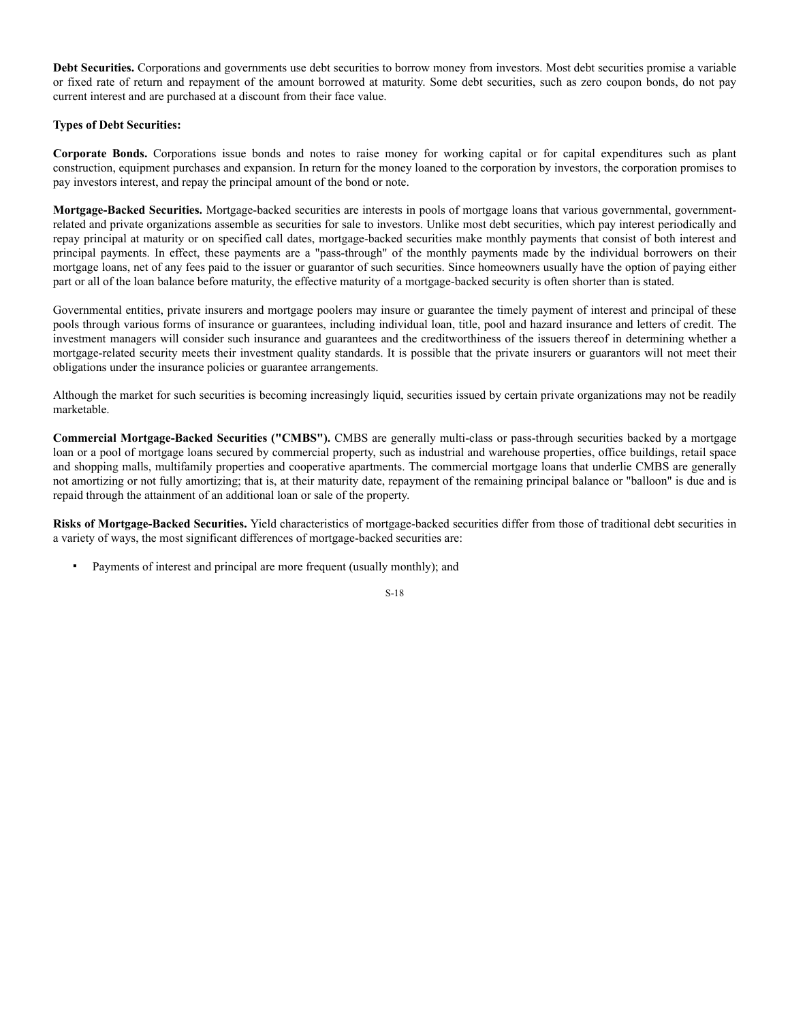**Debt Securities.** Corporations and governments use debt securities to borrow money from investors. Most debt securities promise a variable or fixed rate of return and repayment of the amount borrowed at maturity. Some debt securities, such as zero coupon bonds, do not pay current interest and are purchased at a discount from their face value.

# **Types of Debt Securities:**

**Corporate Bonds.** Corporations issue bonds and notes to raise money for working capital or for capital expenditures such as plant construction, equipment purchases and expansion. In return for the money loaned to the corporation by investors, the corporation promises to pay investors interest, and repay the principal amount of the bond or note.

**Mortgage-Backed Securities.** Mortgage-backed securities are interests in pools of mortgage loans that various governmental, governmentrelated and private organizations assemble as securities for sale to investors. Unlike most debt securities, which pay interest periodically and repay principal at maturity or on specified call dates, mortgage-backed securities make monthly payments that consist of both interest and principal payments. In effect, these payments are a "pass-through" of the monthly payments made by the individual borrowers on their mortgage loans, net of any fees paid to the issuer or guarantor of such securities. Since homeowners usually have the option of paying either part or all of the loan balance before maturity, the effective maturity of a mortgage-backed security is often shorter than is stated.

Governmental entities, private insurers and mortgage poolers may insure or guarantee the timely payment of interest and principal of these pools through various forms of insurance or guarantees, including individual loan, title, pool and hazard insurance and letters of credit. The investment managers will consider such insurance and guarantees and the creditworthiness of the issuers thereof in determining whether a mortgage-related security meets their investment quality standards. It is possible that the private insurers or guarantors will not meet their obligations under the insurance policies or guarantee arrangements.

Although the market for such securities is becoming increasingly liquid, securities issued by certain private organizations may not be readily marketable.

**Commercial Mortgage-Backed Securities ("CMBS").** CMBS are generally multi-class or pass-through securities backed by a mortgage loan or a pool of mortgage loans secured by commercial property, such as industrial and warehouse properties, office buildings, retail space and shopping malls, multifamily properties and cooperative apartments. The commercial mortgage loans that underlie CMBS are generally not amortizing or not fully amortizing; that is, at their maturity date, repayment of the remaining principal balance or "balloon" is due and is repaid through the attainment of an additional loan or sale of the property.

**Risks of Mortgage-Backed Securities.** Yield characteristics of mortgage-backed securities differ from those of traditional debt securities in a variety of ways, the most significant differences of mortgage-backed securities are:

Payments of interest and principal are more frequent (usually monthly); and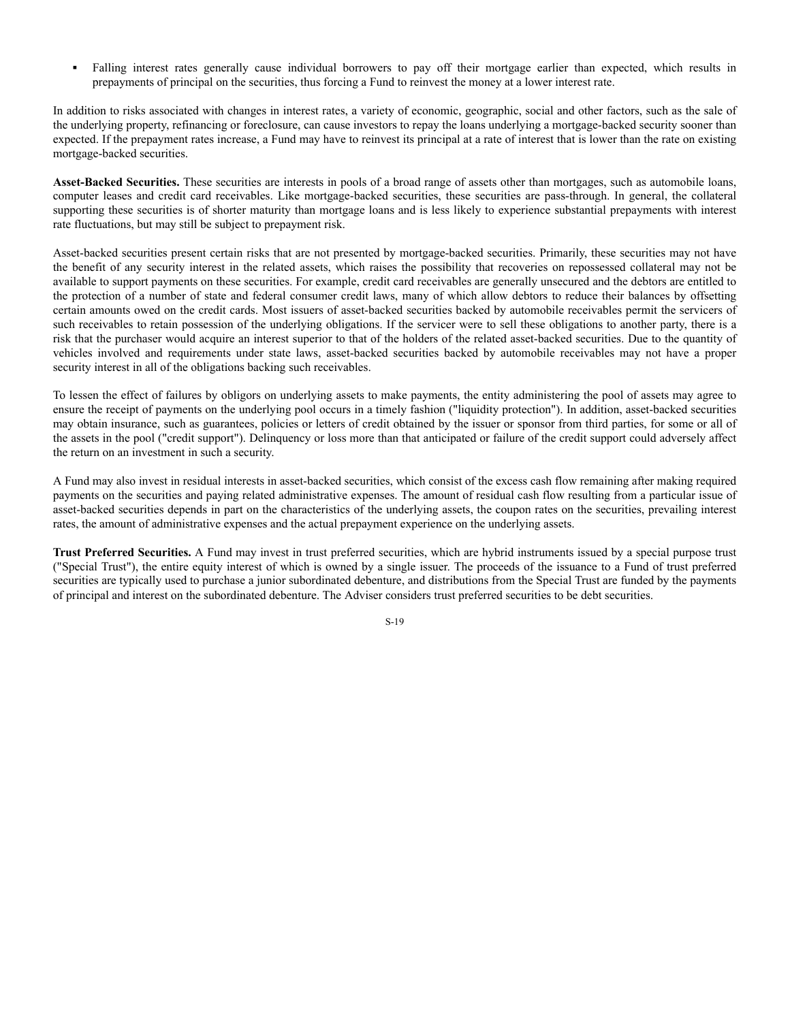**▪** Falling interest rates generally cause individual borrowers to pay off their mortgage earlier than expected, which results in prepayments of principal on the securities, thus forcing a Fund to reinvest the money at a lower interest rate.

In addition to risks associated with changes in interest rates, a variety of economic, geographic, social and other factors, such as the sale of the underlying property, refinancing or foreclosure, can cause investors to repay the loans underlying a mortgage-backed security sooner than expected. If the prepayment rates increase, a Fund may have to reinvest its principal at a rate of interest that is lower than the rate on existing mortgage-backed securities.

**Asset-Backed Securities.** These securities are interests in pools of a broad range of assets other than mortgages, such as automobile loans, computer leases and credit card receivables. Like mortgage-backed securities, these securities are pass-through. In general, the collateral supporting these securities is of shorter maturity than mortgage loans and is less likely to experience substantial prepayments with interest rate fluctuations, but may still be subject to prepayment risk.

Asset-backed securities present certain risks that are not presented by mortgage-backed securities. Primarily, these securities may not have the benefit of any security interest in the related assets, which raises the possibility that recoveries on repossessed collateral may not be available to support payments on these securities. For example, credit card receivables are generally unsecured and the debtors are entitled to the protection of a number of state and federal consumer credit laws, many of which allow debtors to reduce their balances by offsetting certain amounts owed on the credit cards. Most issuers of asset-backed securities backed by automobile receivables permit the servicers of such receivables to retain possession of the underlying obligations. If the servicer were to sell these obligations to another party, there is a risk that the purchaser would acquire an interest superior to that of the holders of the related asset-backed securities. Due to the quantity of vehicles involved and requirements under state laws, asset-backed securities backed by automobile receivables may not have a proper security interest in all of the obligations backing such receivables.

To lessen the effect of failures by obligors on underlying assets to make payments, the entity administering the pool of assets may agree to ensure the receipt of payments on the underlying pool occurs in a timely fashion ("liquidity protection"). In addition, asset-backed securities may obtain insurance, such as guarantees, policies or letters of credit obtained by the issuer or sponsor from third parties, for some or all of the assets in the pool ("credit support"). Delinquency or loss more than that anticipated or failure of the credit support could adversely affect the return on an investment in such a security.

A Fund may also invest in residual interests in asset-backed securities, which consist of the excess cash flow remaining after making required payments on the securities and paying related administrative expenses. The amount of residual cash flow resulting from a particular issue of asset-backed securities depends in part on the characteristics of the underlying assets, the coupon rates on the securities, prevailing interest rates, the amount of administrative expenses and the actual prepayment experience on the underlying assets.

**Trust Preferred Securities.** A Fund may invest in trust preferred securities, which are hybrid instruments issued by a special purpose trust ("Special Trust"), the entire equity interest of which is owned by a single issuer. The proceeds of the issuance to a Fund of trust preferred securities are typically used to purchase a junior subordinated debenture, and distributions from the Special Trust are funded by the payments of principal and interest on the subordinated debenture. The Adviser considers trust preferred securities to be debt securities.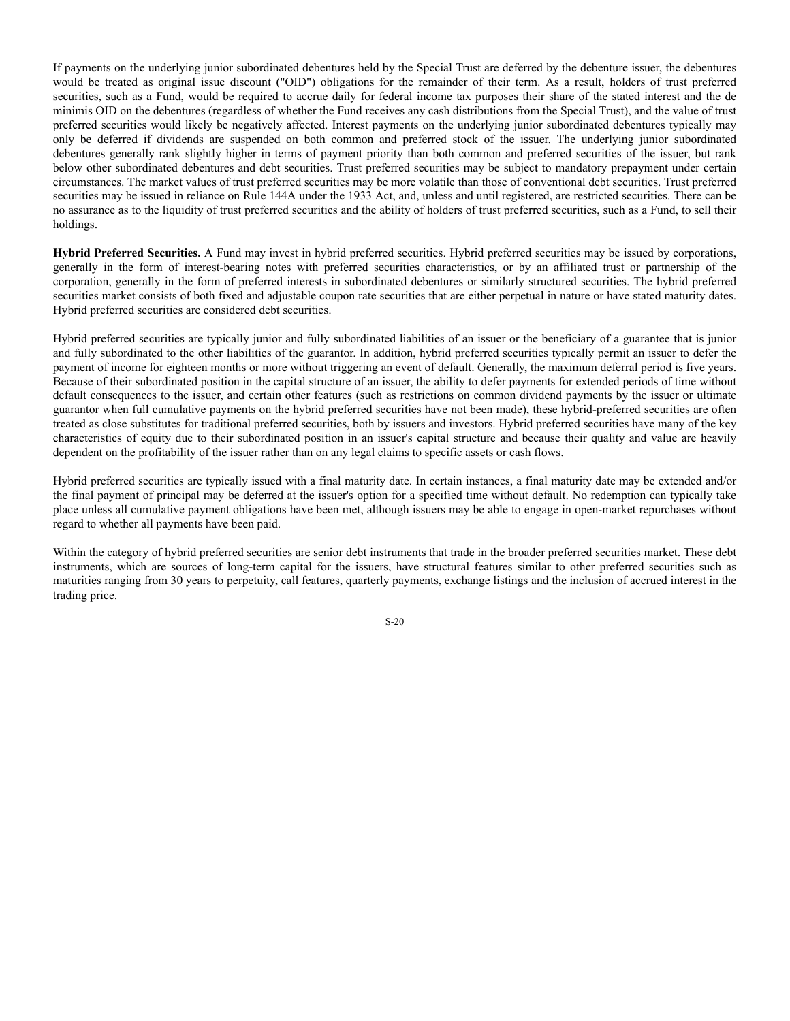If payments on the underlying junior subordinated debentures held by the Special Trust are deferred by the debenture issuer, the debentures would be treated as original issue discount ("OID") obligations for the remainder of their term. As a result, holders of trust preferred securities, such as a Fund, would be required to accrue daily for federal income tax purposes their share of the stated interest and the de minimis OID on the debentures (regardless of whether the Fund receives any cash distributions from the Special Trust), and the value of trust preferred securities would likely be negatively affected. Interest payments on the underlying junior subordinated debentures typically may only be deferred if dividends are suspended on both common and preferred stock of the issuer. The underlying junior subordinated debentures generally rank slightly higher in terms of payment priority than both common and preferred securities of the issuer, but rank below other subordinated debentures and debt securities. Trust preferred securities may be subject to mandatory prepayment under certain circumstances. The market values of trust preferred securities may be more volatile than those of conventional debt securities. Trust preferred securities may be issued in reliance on Rule 144A under the 1933 Act, and, unless and until registered, are restricted securities. There can be no assurance as to the liquidity of trust preferred securities and the ability of holders of trust preferred securities, such as a Fund, to sell their holdings.

**Hybrid Preferred Securities.** A Fund may invest in hybrid preferred securities. Hybrid preferred securities may be issued by corporations, generally in the form of interest-bearing notes with preferred securities characteristics, or by an affiliated trust or partnership of the corporation, generally in the form of preferred interests in subordinated debentures or similarly structured securities. The hybrid preferred securities market consists of both fixed and adjustable coupon rate securities that are either perpetual in nature or have stated maturity dates. Hybrid preferred securities are considered debt securities.

Hybrid preferred securities are typically junior and fully subordinated liabilities of an issuer or the beneficiary of a guarantee that is junior and fully subordinated to the other liabilities of the guarantor. In addition, hybrid preferred securities typically permit an issuer to defer the payment of income for eighteen months or more without triggering an event of default. Generally, the maximum deferral period is five years. Because of their subordinated position in the capital structure of an issuer, the ability to defer payments for extended periods of time without default consequences to the issuer, and certain other features (such as restrictions on common dividend payments by the issuer or ultimate guarantor when full cumulative payments on the hybrid preferred securities have not been made), these hybrid-preferred securities are often treated as close substitutes for traditional preferred securities, both by issuers and investors. Hybrid preferred securities have many of the key characteristics of equity due to their subordinated position in an issuer's capital structure and because their quality and value are heavily dependent on the profitability of the issuer rather than on any legal claims to specific assets or cash flows.

Hybrid preferred securities are typically issued with a final maturity date. In certain instances, a final maturity date may be extended and/or the final payment of principal may be deferred at the issuer's option for a specified time without default. No redemption can typically take place unless all cumulative payment obligations have been met, although issuers may be able to engage in open-market repurchases without regard to whether all payments have been paid.

Within the category of hybrid preferred securities are senior debt instruments that trade in the broader preferred securities market. These debt instruments, which are sources of long-term capital for the issuers, have structural features similar to other preferred securities such as maturities ranging from 30 years to perpetuity, call features, quarterly payments, exchange listings and the inclusion of accrued interest in the trading price.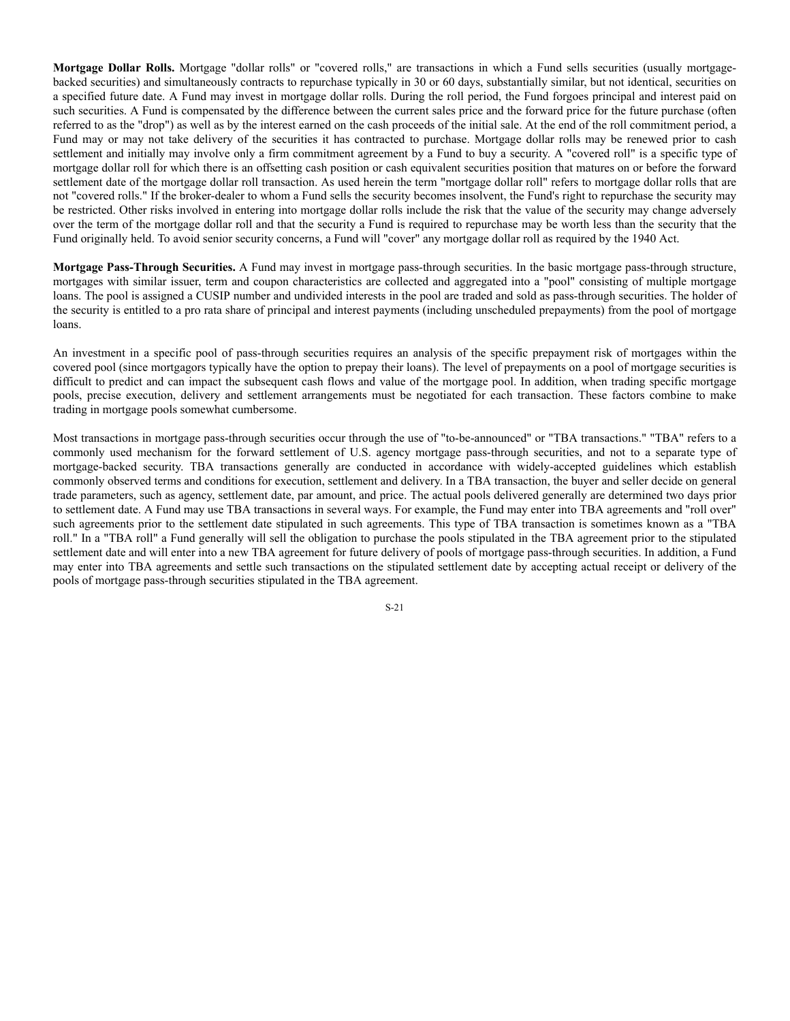**Mortgage Dollar Rolls.** Mortgage "dollar rolls" or "covered rolls," are transactions in which a Fund sells securities (usually mortgagebacked securities) and simultaneously contracts to repurchase typically in 30 or 60 days, substantially similar, but not identical, securities on a specified future date. A Fund may invest in mortgage dollar rolls. During the roll period, the Fund forgoes principal and interest paid on such securities. A Fund is compensated by the difference between the current sales price and the forward price for the future purchase (often referred to as the "drop") as well as by the interest earned on the cash proceeds of the initial sale. At the end of the roll commitment period, a Fund may or may not take delivery of the securities it has contracted to purchase. Mortgage dollar rolls may be renewed prior to cash settlement and initially may involve only a firm commitment agreement by a Fund to buy a security. A "covered roll" is a specific type of mortgage dollar roll for which there is an offsetting cash position or cash equivalent securities position that matures on or before the forward settlement date of the mortgage dollar roll transaction. As used herein the term "mortgage dollar roll" refers to mortgage dollar rolls that are not "covered rolls." If the broker-dealer to whom a Fund sells the security becomes insolvent, the Fund's right to repurchase the security may be restricted. Other risks involved in entering into mortgage dollar rolls include the risk that the value of the security may change adversely over the term of the mortgage dollar roll and that the security a Fund is required to repurchase may be worth less than the security that the Fund originally held. To avoid senior security concerns, a Fund will "cover" any mortgage dollar roll as required by the 1940 Act.

**Mortgage Pass-Through Securities.** A Fund may invest in mortgage pass-through securities. In the basic mortgage pass-through structure, mortgages with similar issuer, term and coupon characteristics are collected and aggregated into a "pool" consisting of multiple mortgage loans. The pool is assigned a CUSIP number and undivided interests in the pool are traded and sold as pass-through securities. The holder of the security is entitled to a pro rata share of principal and interest payments (including unscheduled prepayments) from the pool of mortgage loans.

An investment in a specific pool of pass-through securities requires an analysis of the specific prepayment risk of mortgages within the covered pool (since mortgagors typically have the option to prepay their loans). The level of prepayments on a pool of mortgage securities is difficult to predict and can impact the subsequent cash flows and value of the mortgage pool. In addition, when trading specific mortgage pools, precise execution, delivery and settlement arrangements must be negotiated for each transaction. These factors combine to make trading in mortgage pools somewhat cumbersome.

Most transactions in mortgage pass-through securities occur through the use of "to-be-announced" or "TBA transactions." "TBA" refers to a commonly used mechanism for the forward settlement of U.S. agency mortgage pass-through securities, and not to a separate type of mortgage-backed security. TBA transactions generally are conducted in accordance with widely-accepted guidelines which establish commonly observed terms and conditions for execution, settlement and delivery. In a TBA transaction, the buyer and seller decide on general trade parameters, such as agency, settlement date, par amount, and price. The actual pools delivered generally are determined two days prior to settlement date. A Fund may use TBA transactions in several ways. For example, the Fund may enter into TBA agreements and "roll over" such agreements prior to the settlement date stipulated in such agreements. This type of TBA transaction is sometimes known as a "TBA roll." In a "TBA roll" a Fund generally will sell the obligation to purchase the pools stipulated in the TBA agreement prior to the stipulated settlement date and will enter into a new TBA agreement for future delivery of pools of mortgage pass-through securities. In addition, a Fund may enter into TBA agreements and settle such transactions on the stipulated settlement date by accepting actual receipt or delivery of the pools of mortgage pass-through securities stipulated in the TBA agreement.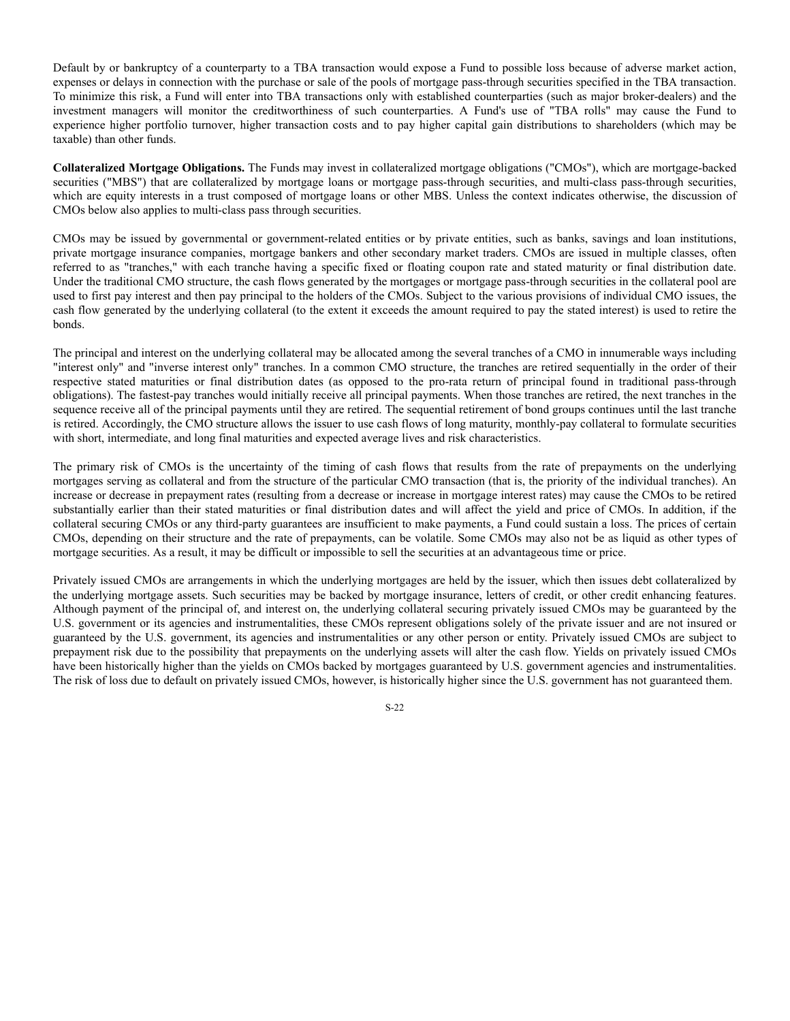Default by or bankruptcy of a counterparty to a TBA transaction would expose a Fund to possible loss because of adverse market action, expenses or delays in connection with the purchase or sale of the pools of mortgage pass-through securities specified in the TBA transaction. To minimize this risk, a Fund will enter into TBA transactions only with established counterparties (such as major broker-dealers) and the investment managers will monitor the creditworthiness of such counterparties. A Fund's use of "TBA rolls" may cause the Fund to experience higher portfolio turnover, higher transaction costs and to pay higher capital gain distributions to shareholders (which may be taxable) than other funds.

**Collateralized Mortgage Obligations.** The Funds may invest in collateralized mortgage obligations ("CMOs"), which are mortgage-backed securities ("MBS") that are collateralized by mortgage loans or mortgage pass-through securities, and multi-class pass-through securities, which are equity interests in a trust composed of mortgage loans or other MBS. Unless the context indicates otherwise, the discussion of CMOs below also applies to multi-class pass through securities.

CMOs may be issued by governmental or government-related entities or by private entities, such as banks, savings and loan institutions, private mortgage insurance companies, mortgage bankers and other secondary market traders. CMOs are issued in multiple classes, often referred to as "tranches," with each tranche having a specific fixed or floating coupon rate and stated maturity or final distribution date. Under the traditional CMO structure, the cash flows generated by the mortgages or mortgage pass-through securities in the collateral pool are used to first pay interest and then pay principal to the holders of the CMOs. Subject to the various provisions of individual CMO issues, the cash flow generated by the underlying collateral (to the extent it exceeds the amount required to pay the stated interest) is used to retire the bonds.

The principal and interest on the underlying collateral may be allocated among the several tranches of a CMO in innumerable ways including "interest only" and "inverse interest only" tranches. In a common CMO structure, the tranches are retired sequentially in the order of their respective stated maturities or final distribution dates (as opposed to the pro-rata return of principal found in traditional pass-through obligations). The fastest-pay tranches would initially receive all principal payments. When those tranches are retired, the next tranches in the sequence receive all of the principal payments until they are retired. The sequential retirement of bond groups continues until the last tranche is retired. Accordingly, the CMO structure allows the issuer to use cash flows of long maturity, monthly-pay collateral to formulate securities with short, intermediate, and long final maturities and expected average lives and risk characteristics.

The primary risk of CMOs is the uncertainty of the timing of cash flows that results from the rate of prepayments on the underlying mortgages serving as collateral and from the structure of the particular CMO transaction (that is, the priority of the individual tranches). An increase or decrease in prepayment rates (resulting from a decrease or increase in mortgage interest rates) may cause the CMOs to be retired substantially earlier than their stated maturities or final distribution dates and will affect the yield and price of CMOs. In addition, if the collateral securing CMOs or any third-party guarantees are insufficient to make payments, a Fund could sustain a loss. The prices of certain CMOs, depending on their structure and the rate of prepayments, can be volatile. Some CMOs may also not be as liquid as other types of mortgage securities. As a result, it may be difficult or impossible to sell the securities at an advantageous time or price.

Privately issued CMOs are arrangements in which the underlying mortgages are held by the issuer, which then issues debt collateralized by the underlying mortgage assets. Such securities may be backed by mortgage insurance, letters of credit, or other credit enhancing features. Although payment of the principal of, and interest on, the underlying collateral securing privately issued CMOs may be guaranteed by the U.S. government or its agencies and instrumentalities, these CMOs represent obligations solely of the private issuer and are not insured or guaranteed by the U.S. government, its agencies and instrumentalities or any other person or entity. Privately issued CMOs are subject to prepayment risk due to the possibility that prepayments on the underlying assets will alter the cash flow. Yields on privately issued CMOs have been historically higher than the yields on CMOs backed by mortgages guaranteed by U.S. government agencies and instrumentalities. The risk of loss due to default on privately issued CMOs, however, is historically higher since the U.S. government has not guaranteed them.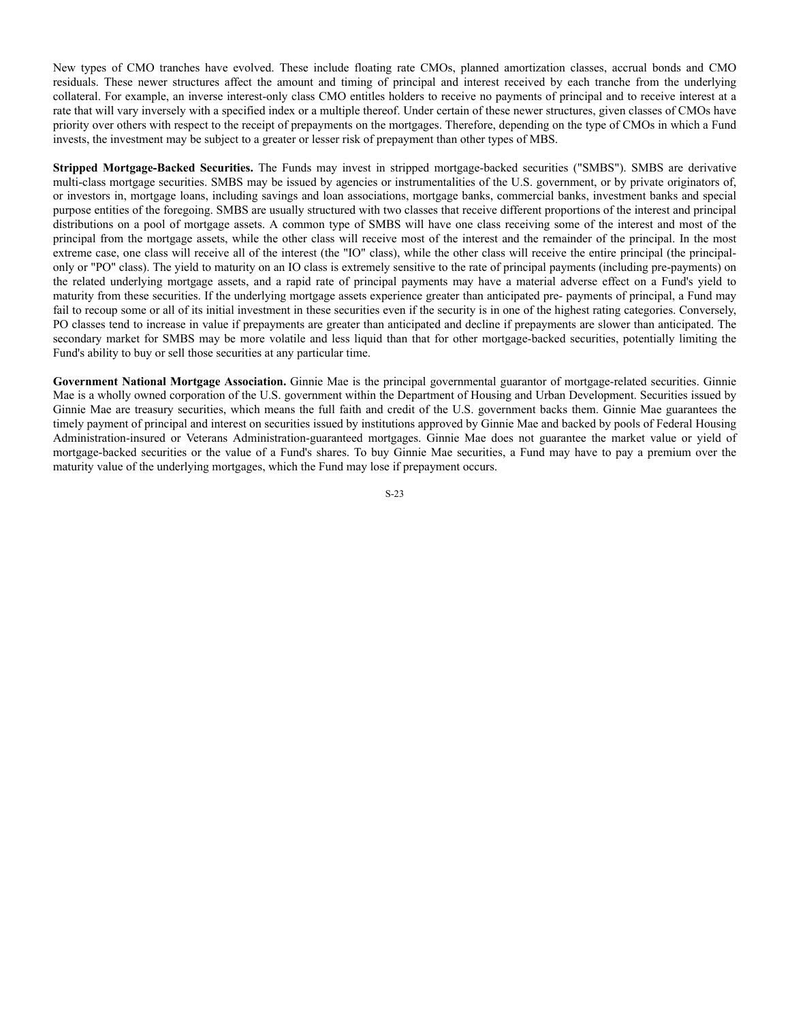New types of CMO tranches have evolved. These include floating rate CMOs, planned amortization classes, accrual bonds and CMO residuals. These newer structures affect the amount and timing of principal and interest received by each tranche from the underlying collateral. For example, an inverse interest-only class CMO entitles holders to receive no payments of principal and to receive interest at a rate that will vary inversely with a specified index or a multiple thereof. Under certain of these newer structures, given classes of CMOs have priority over others with respect to the receipt of prepayments on the mortgages. Therefore, depending on the type of CMOs in which a Fund invests, the investment may be subject to a greater or lesser risk of prepayment than other types of MBS.

**Stripped Mortgage-Backed Securities.** The Funds may invest in stripped mortgage-backed securities ("SMBS"). SMBS are derivative multi-class mortgage securities. SMBS may be issued by agencies or instrumentalities of the U.S. government, or by private originators of, or investors in, mortgage loans, including savings and loan associations, mortgage banks, commercial banks, investment banks and special purpose entities of the foregoing. SMBS are usually structured with two classes that receive different proportions of the interest and principal distributions on a pool of mortgage assets. A common type of SMBS will have one class receiving some of the interest and most of the principal from the mortgage assets, while the other class will receive most of the interest and the remainder of the principal. In the most extreme case, one class will receive all of the interest (the "IO" class), while the other class will receive the entire principal (the principalonly or "PO" class). The yield to maturity on an IO class is extremely sensitive to the rate of principal payments (including pre-payments) on the related underlying mortgage assets, and a rapid rate of principal payments may have a material adverse effect on a Fund's yield to maturity from these securities. If the underlying mortgage assets experience greater than anticipated pre- payments of principal, a Fund may fail to recoup some or all of its initial investment in these securities even if the security is in one of the highest rating categories. Conversely, PO classes tend to increase in value if prepayments are greater than anticipated and decline if prepayments are slower than anticipated. The secondary market for SMBS may be more volatile and less liquid than that for other mortgage-backed securities, potentially limiting the Fund's ability to buy or sell those securities at any particular time.

**Government National Mortgage Association.** Ginnie Mae is the principal governmental guarantor of mortgage-related securities. Ginnie Mae is a wholly owned corporation of the U.S. government within the Department of Housing and Urban Development. Securities issued by Ginnie Mae are treasury securities, which means the full faith and credit of the U.S. government backs them. Ginnie Mae guarantees the timely payment of principal and interest on securities issued by institutions approved by Ginnie Mae and backed by pools of Federal Housing Administration-insured or Veterans Administration-guaranteed mortgages. Ginnie Mae does not guarantee the market value or yield of mortgage-backed securities or the value of a Fund's shares. To buy Ginnie Mae securities, a Fund may have to pay a premium over the maturity value of the underlying mortgages, which the Fund may lose if prepayment occurs.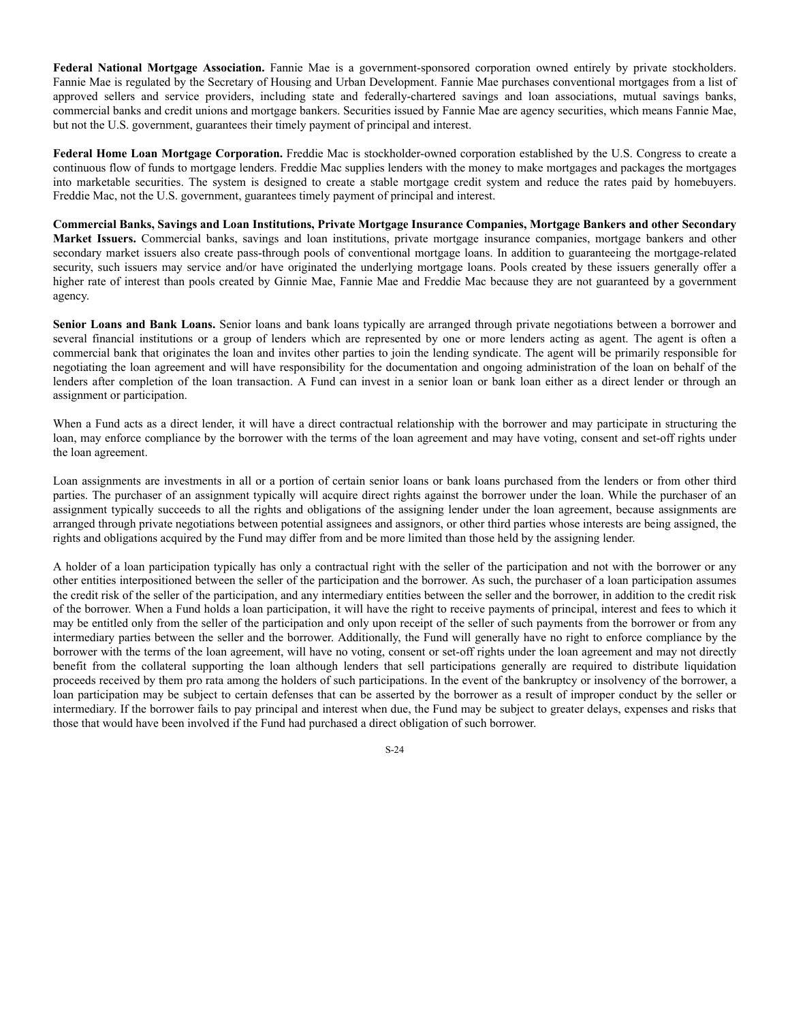**Federal National Mortgage Association.** Fannie Mae is a government-sponsored corporation owned entirely by private stockholders. Fannie Mae is regulated by the Secretary of Housing and Urban Development. Fannie Mae purchases conventional mortgages from a list of approved sellers and service providers, including state and federally-chartered savings and loan associations, mutual savings banks, commercial banks and credit unions and mortgage bankers. Securities issued by Fannie Mae are agency securities, which means Fannie Mae, but not the U.S. government, guarantees their timely payment of principal and interest.

**Federal Home Loan Mortgage Corporation.** Freddie Mac is stockholder-owned corporation established by the U.S. Congress to create a continuous flow of funds to mortgage lenders. Freddie Mac supplies lenders with the money to make mortgages and packages the mortgages into marketable securities. The system is designed to create a stable mortgage credit system and reduce the rates paid by homebuyers. Freddie Mac, not the U.S. government, guarantees timely payment of principal and interest.

**Commercial Banks, Savings and Loan Institutions, Private Mortgage Insurance Companies, Mortgage Bankers and other Secondary Market Issuers.** Commercial banks, savings and loan institutions, private mortgage insurance companies, mortgage bankers and other secondary market issuers also create pass-through pools of conventional mortgage loans. In addition to guaranteeing the mortgage-related security, such issuers may service and/or have originated the underlying mortgage loans. Pools created by these issuers generally offer a higher rate of interest than pools created by Ginnie Mae, Fannie Mae and Freddie Mac because they are not guaranteed by a government agency.

**Senior Loans and Bank Loans.** Senior loans and bank loans typically are arranged through private negotiations between a borrower and several financial institutions or a group of lenders which are represented by one or more lenders acting as agent. The agent is often a commercial bank that originates the loan and invites other parties to join the lending syndicate. The agent will be primarily responsible for negotiating the loan agreement and will have responsibility for the documentation and ongoing administration of the loan on behalf of the lenders after completion of the loan transaction. A Fund can invest in a senior loan or bank loan either as a direct lender or through an assignment or participation.

When a Fund acts as a direct lender, it will have a direct contractual relationship with the borrower and may participate in structuring the loan, may enforce compliance by the borrower with the terms of the loan agreement and may have voting, consent and set-off rights under the loan agreement.

Loan assignments are investments in all or a portion of certain senior loans or bank loans purchased from the lenders or from other third parties. The purchaser of an assignment typically will acquire direct rights against the borrower under the loan. While the purchaser of an assignment typically succeeds to all the rights and obligations of the assigning lender under the loan agreement, because assignments are arranged through private negotiations between potential assignees and assignors, or other third parties whose interests are being assigned, the rights and obligations acquired by the Fund may differ from and be more limited than those held by the assigning lender.

A holder of a loan participation typically has only a contractual right with the seller of the participation and not with the borrower or any other entities interpositioned between the seller of the participation and the borrower. As such, the purchaser of a loan participation assumes the credit risk of the seller of the participation, and any intermediary entities between the seller and the borrower, in addition to the credit risk of the borrower. When a Fund holds a loan participation, it will have the right to receive payments of principal, interest and fees to which it may be entitled only from the seller of the participation and only upon receipt of the seller of such payments from the borrower or from any intermediary parties between the seller and the borrower. Additionally, the Fund will generally have no right to enforce compliance by the borrower with the terms of the loan agreement, will have no voting, consent or set-off rights under the loan agreement and may not directly benefit from the collateral supporting the loan although lenders that sell participations generally are required to distribute liquidation proceeds received by them pro rata among the holders of such participations. In the event of the bankruptcy or insolvency of the borrower, a loan participation may be subject to certain defenses that can be asserted by the borrower as a result of improper conduct by the seller or intermediary. If the borrower fails to pay principal and interest when due, the Fund may be subject to greater delays, expenses and risks that those that would have been involved if the Fund had purchased a direct obligation of such borrower.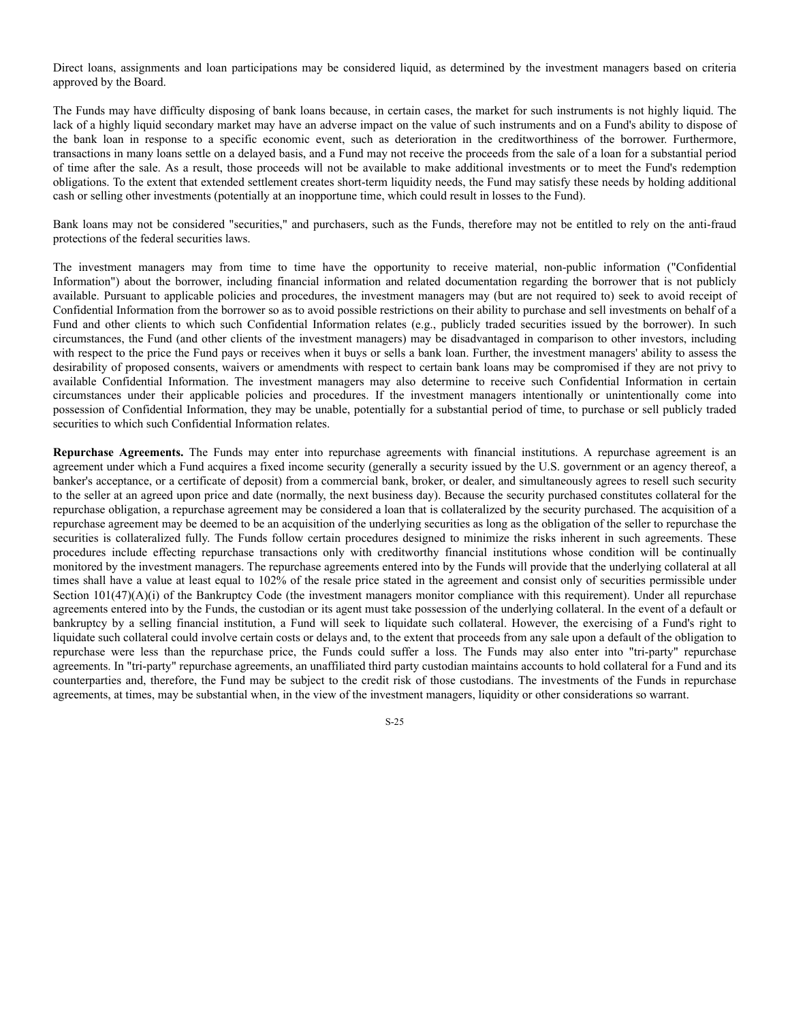Direct loans, assignments and loan participations may be considered liquid, as determined by the investment managers based on criteria approved by the Board.

The Funds may have difficulty disposing of bank loans because, in certain cases, the market for such instruments is not highly liquid. The lack of a highly liquid secondary market may have an adverse impact on the value of such instruments and on a Fund's ability to dispose of the bank loan in response to a specific economic event, such as deterioration in the creditworthiness of the borrower. Furthermore, transactions in many loans settle on a delayed basis, and a Fund may not receive the proceeds from the sale of a loan for a substantial period of time after the sale. As a result, those proceeds will not be available to make additional investments or to meet the Fund's redemption obligations. To the extent that extended settlement creates short-term liquidity needs, the Fund may satisfy these needs by holding additional cash or selling other investments (potentially at an inopportune time, which could result in losses to the Fund).

Bank loans may not be considered "securities," and purchasers, such as the Funds, therefore may not be entitled to rely on the anti-fraud protections of the federal securities laws.

The investment managers may from time to time have the opportunity to receive material, non-public information ("Confidential Information") about the borrower, including financial information and related documentation regarding the borrower that is not publicly available. Pursuant to applicable policies and procedures, the investment managers may (but are not required to) seek to avoid receipt of Confidential Information from the borrower so as to avoid possible restrictions on their ability to purchase and sell investments on behalf of a Fund and other clients to which such Confidential Information relates (e.g., publicly traded securities issued by the borrower). In such circumstances, the Fund (and other clients of the investment managers) may be disadvantaged in comparison to other investors, including with respect to the price the Fund pays or receives when it buys or sells a bank loan. Further, the investment managers' ability to assess the desirability of proposed consents, waivers or amendments with respect to certain bank loans may be compromised if they are not privy to available Confidential Information. The investment managers may also determine to receive such Confidential Information in certain circumstances under their applicable policies and procedures. If the investment managers intentionally or unintentionally come into possession of Confidential Information, they may be unable, potentially for a substantial period of time, to purchase or sell publicly traded securities to which such Confidential Information relates.

**Repurchase Agreements.** The Funds may enter into repurchase agreements with financial institutions. A repurchase agreement is an agreement under which a Fund acquires a fixed income security (generally a security issued by the U.S. government or an agency thereof, a banker's acceptance, or a certificate of deposit) from a commercial bank, broker, or dealer, and simultaneously agrees to resell such security to the seller at an agreed upon price and date (normally, the next business day). Because the security purchased constitutes collateral for the repurchase obligation, a repurchase agreement may be considered a loan that is collateralized by the security purchased. The acquisition of a repurchase agreement may be deemed to be an acquisition of the underlying securities as long as the obligation of the seller to repurchase the securities is collateralized fully. The Funds follow certain procedures designed to minimize the risks inherent in such agreements. These procedures include effecting repurchase transactions only with creditworthy financial institutions whose condition will be continually monitored by the investment managers. The repurchase agreements entered into by the Funds will provide that the underlying collateral at all times shall have a value at least equal to 102% of the resale price stated in the agreement and consist only of securities permissible under Section  $101(47)(A)(i)$  of the Bankruptcy Code (the investment managers monitor compliance with this requirement). Under all repurchase agreements entered into by the Funds, the custodian or its agent must take possession of the underlying collateral. In the event of a default or bankruptcy by a selling financial institution, a Fund will seek to liquidate such collateral. However, the exercising of a Fund's right to liquidate such collateral could involve certain costs or delays and, to the extent that proceeds from any sale upon a default of the obligation to repurchase were less than the repurchase price, the Funds could suffer a loss. The Funds may also enter into "tri-party" repurchase agreements. In "tri-party" repurchase agreements, an unaffiliated third party custodian maintains accounts to hold collateral for a Fund and its counterparties and, therefore, the Fund may be subject to the credit risk of those custodians. The investments of the Funds in repurchase agreements, at times, may be substantial when, in the view of the investment managers, liquidity or other considerations so warrant.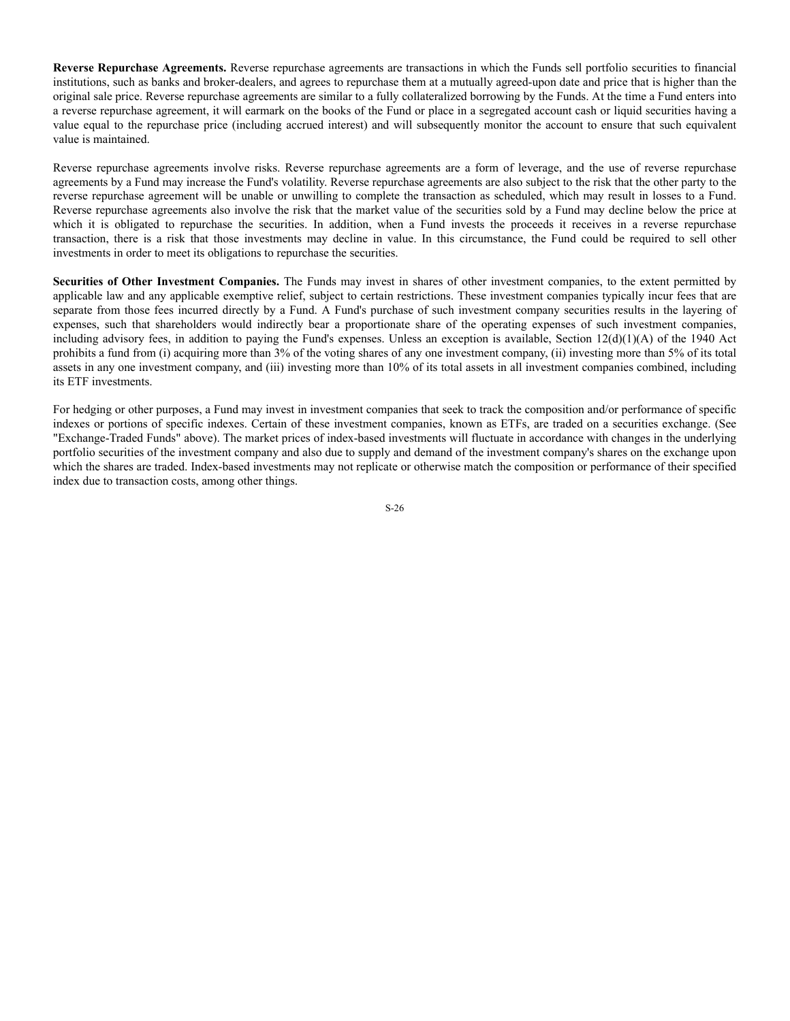**Reverse Repurchase Agreements.** Reverse repurchase agreements are transactions in which the Funds sell portfolio securities to financial institutions, such as banks and broker-dealers, and agrees to repurchase them at a mutually agreed-upon date and price that is higher than the original sale price. Reverse repurchase agreements are similar to a fully collateralized borrowing by the Funds. At the time a Fund enters into a reverse repurchase agreement, it will earmark on the books of the Fund or place in a segregated account cash or liquid securities having a value equal to the repurchase price (including accrued interest) and will subsequently monitor the account to ensure that such equivalent value is maintained.

Reverse repurchase agreements involve risks. Reverse repurchase agreements are a form of leverage, and the use of reverse repurchase agreements by a Fund may increase the Fund's volatility. Reverse repurchase agreements are also subject to the risk that the other party to the reverse repurchase agreement will be unable or unwilling to complete the transaction as scheduled, which may result in losses to a Fund. Reverse repurchase agreements also involve the risk that the market value of the securities sold by a Fund may decline below the price at which it is obligated to repurchase the securities. In addition, when a Fund invests the proceeds it receives in a reverse repurchase transaction, there is a risk that those investments may decline in value. In this circumstance, the Fund could be required to sell other investments in order to meet its obligations to repurchase the securities.

**Securities of Other Investment Companies.** The Funds may invest in shares of other investment companies, to the extent permitted by applicable law and any applicable exemptive relief, subject to certain restrictions. These investment companies typically incur fees that are separate from those fees incurred directly by a Fund. A Fund's purchase of such investment company securities results in the layering of expenses, such that shareholders would indirectly bear a proportionate share of the operating expenses of such investment companies, including advisory fees, in addition to paying the Fund's expenses. Unless an exception is available, Section  $12(d)(1)(A)$  of the 1940 Act prohibits a fund from (i) acquiring more than 3% of the voting shares of any one investment company, (ii) investing more than 5% of its total assets in any one investment company, and (iii) investing more than 10% of its total assets in all investment companies combined, including its ETF investments.

For hedging or other purposes, a Fund may invest in investment companies that seek to track the composition and/or performance of specific indexes or portions of specific indexes. Certain of these investment companies, known as ETFs, are traded on a securities exchange. (See "Exchange-Traded Funds" above). The market prices of index-based investments will fluctuate in accordance with changes in the underlying portfolio securities of the investment company and also due to supply and demand of the investment company's shares on the exchange upon which the shares are traded. Index-based investments may not replicate or otherwise match the composition or performance of their specified index due to transaction costs, among other things.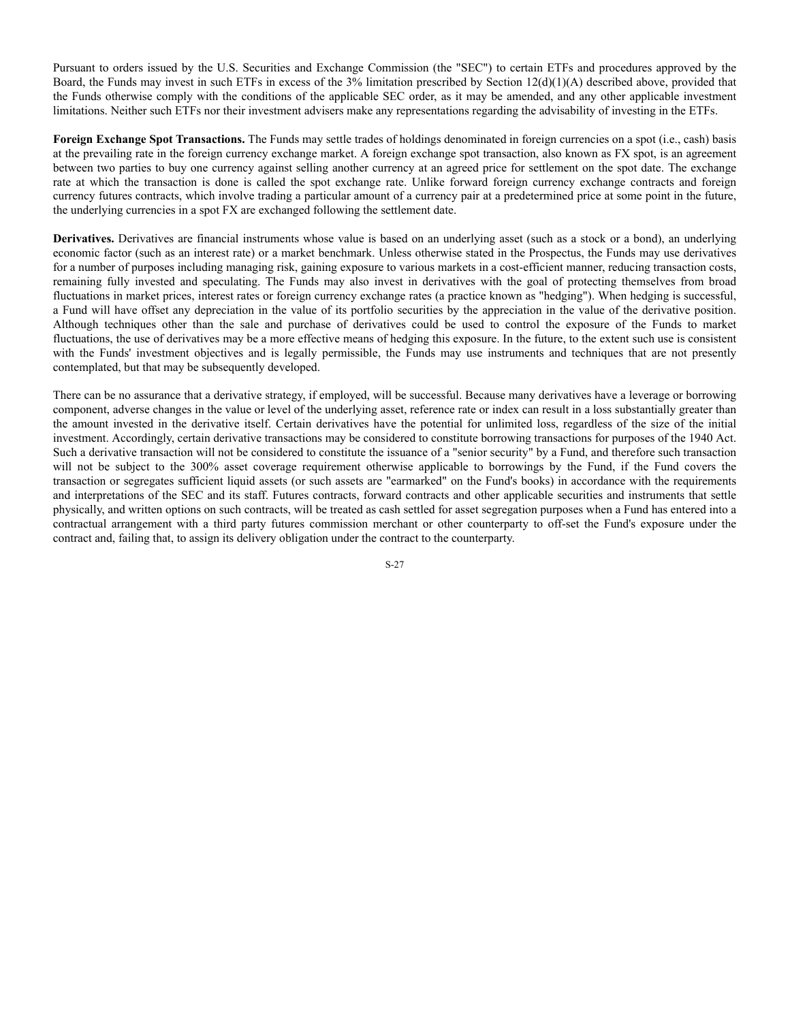Pursuant to orders issued by the U.S. Securities and Exchange Commission (the "SEC") to certain ETFs and procedures approved by the Board, the Funds may invest in such ETFs in excess of the 3% limitation prescribed by Section 12(d)(1)(A) described above, provided that the Funds otherwise comply with the conditions of the applicable SEC order, as it may be amended, and any other applicable investment limitations. Neither such ETFs nor their investment advisers make any representations regarding the advisability of investing in the ETFs.

**Foreign Exchange Spot Transactions.** The Funds may settle trades of holdings denominated in foreign currencies on a spot (i.e., cash) basis at the prevailing rate in the foreign currency exchange market. A foreign exchange spot transaction, also known as FX spot, is an agreement between two parties to buy one currency against selling another currency at an agreed price for settlement on the spot date. The exchange rate at which the transaction is done is called the spot exchange rate. Unlike forward foreign currency exchange contracts and foreign currency futures contracts, which involve trading a particular amount of a currency pair at a predetermined price at some point in the future, the underlying currencies in a spot FX are exchanged following the settlement date.

**Derivatives.** Derivatives are financial instruments whose value is based on an underlying asset (such as a stock or a bond), an underlying economic factor (such as an interest rate) or a market benchmark. Unless otherwise stated in the Prospectus, the Funds may use derivatives for a number of purposes including managing risk, gaining exposure to various markets in a cost-efficient manner, reducing transaction costs, remaining fully invested and speculating. The Funds may also invest in derivatives with the goal of protecting themselves from broad fluctuations in market prices, interest rates or foreign currency exchange rates (a practice known as "hedging"). When hedging is successful, a Fund will have offset any depreciation in the value of its portfolio securities by the appreciation in the value of the derivative position. Although techniques other than the sale and purchase of derivatives could be used to control the exposure of the Funds to market fluctuations, the use of derivatives may be a more effective means of hedging this exposure. In the future, to the extent such use is consistent with the Funds' investment objectives and is legally permissible, the Funds may use instruments and techniques that are not presently contemplated, but that may be subsequently developed.

There can be no assurance that a derivative strategy, if employed, will be successful. Because many derivatives have a leverage or borrowing component, adverse changes in the value or level of the underlying asset, reference rate or index can result in a loss substantially greater than the amount invested in the derivative itself. Certain derivatives have the potential for unlimited loss, regardless of the size of the initial investment. Accordingly, certain derivative transactions may be considered to constitute borrowing transactions for purposes of the 1940 Act. Such a derivative transaction will not be considered to constitute the issuance of a "senior security" by a Fund, and therefore such transaction will not be subject to the 300% asset coverage requirement otherwise applicable to borrowings by the Fund, if the Fund covers the transaction or segregates sufficient liquid assets (or such assets are "earmarked" on the Fund's books) in accordance with the requirements and interpretations of the SEC and its staff. Futures contracts, forward contracts and other applicable securities and instruments that settle physically, and written options on such contracts, will be treated as cash settled for asset segregation purposes when a Fund has entered into a contractual arrangement with a third party futures commission merchant or other counterparty to off-set the Fund's exposure under the contract and, failing that, to assign its delivery obligation under the contract to the counterparty.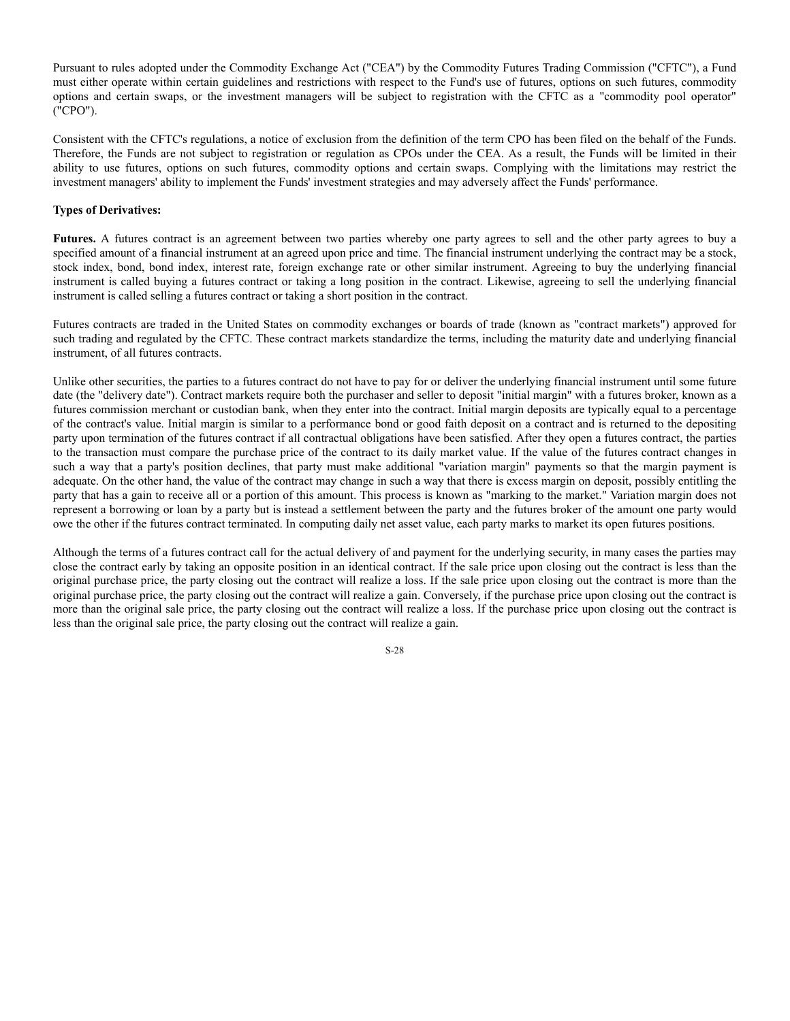Pursuant to rules adopted under the Commodity Exchange Act ("CEA") by the Commodity Futures Trading Commission ("CFTC"), a Fund must either operate within certain guidelines and restrictions with respect to the Fund's use of futures, options on such futures, commodity options and certain swaps, or the investment managers will be subject to registration with the CFTC as a "commodity pool operator" ("CPO").

Consistent with the CFTC's regulations, a notice of exclusion from the definition of the term CPO has been filed on the behalf of the Funds. Therefore, the Funds are not subject to registration or regulation as CPOs under the CEA. As a result, the Funds will be limited in their ability to use futures, options on such futures, commodity options and certain swaps. Complying with the limitations may restrict the investment managers' ability to implement the Funds' investment strategies and may adversely affect the Funds' performance.

### **Types of Derivatives:**

**Futures.** A futures contract is an agreement between two parties whereby one party agrees to sell and the other party agrees to buy a specified amount of a financial instrument at an agreed upon price and time. The financial instrument underlying the contract may be a stock, stock index, bond, bond index, interest rate, foreign exchange rate or other similar instrument. Agreeing to buy the underlying financial instrument is called buying a futures contract or taking a long position in the contract. Likewise, agreeing to sell the underlying financial instrument is called selling a futures contract or taking a short position in the contract.

Futures contracts are traded in the United States on commodity exchanges or boards of trade (known as "contract markets") approved for such trading and regulated by the CFTC. These contract markets standardize the terms, including the maturity date and underlying financial instrument, of all futures contracts.

Unlike other securities, the parties to a futures contract do not have to pay for or deliver the underlying financial instrument until some future date (the "delivery date"). Contract markets require both the purchaser and seller to deposit "initial margin" with a futures broker, known as a futures commission merchant or custodian bank, when they enter into the contract. Initial margin deposits are typically equal to a percentage of the contract's value. Initial margin is similar to a performance bond or good faith deposit on a contract and is returned to the depositing party upon termination of the futures contract if all contractual obligations have been satisfied. After they open a futures contract, the parties to the transaction must compare the purchase price of the contract to its daily market value. If the value of the futures contract changes in such a way that a party's position declines, that party must make additional "variation margin" payments so that the margin payment is adequate. On the other hand, the value of the contract may change in such a way that there is excess margin on deposit, possibly entitling the party that has a gain to receive all or a portion of this amount. This process is known as "marking to the market." Variation margin does not represent a borrowing or loan by a party but is instead a settlement between the party and the futures broker of the amount one party would owe the other if the futures contract terminated. In computing daily net asset value, each party marks to market its open futures positions.

Although the terms of a futures contract call for the actual delivery of and payment for the underlying security, in many cases the parties may close the contract early by taking an opposite position in an identical contract. If the sale price upon closing out the contract is less than the original purchase price, the party closing out the contract will realize a loss. If the sale price upon closing out the contract is more than the original purchase price, the party closing out the contract will realize a gain. Conversely, if the purchase price upon closing out the contract is more than the original sale price, the party closing out the contract will realize a loss. If the purchase price upon closing out the contract is less than the original sale price, the party closing out the contract will realize a gain.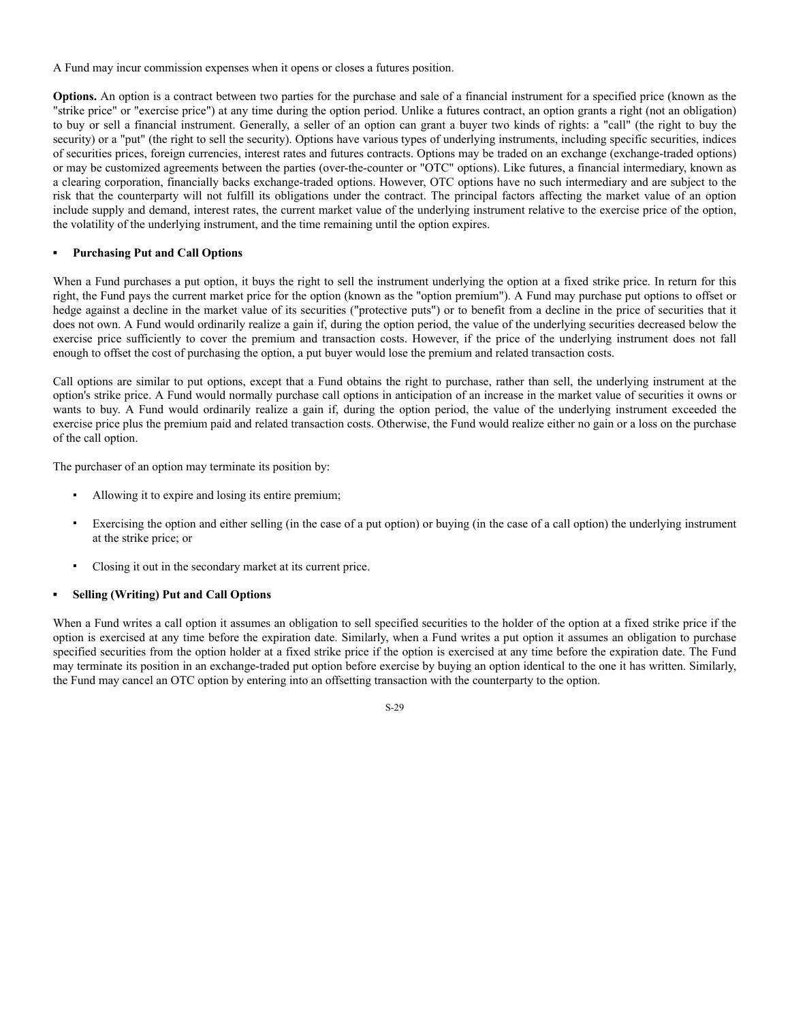A Fund may incur commission expenses when it opens or closes a futures position.

**Options.** An option is a contract between two parties for the purchase and sale of a financial instrument for a specified price (known as the "strike price" or "exercise price") at any time during the option period. Unlike a futures contract, an option grants a right (not an obligation) to buy or sell a financial instrument. Generally, a seller of an option can grant a buyer two kinds of rights: a "call" (the right to buy the security) or a "put" (the right to sell the security). Options have various types of underlying instruments, including specific securities, indices of securities prices, foreign currencies, interest rates and futures contracts. Options may be traded on an exchange (exchange-traded options) or may be customized agreements between the parties (over-the-counter or "OTC" options). Like futures, a financial intermediary, known as a clearing corporation, financially backs exchange-traded options. However, OTC options have no such intermediary and are subject to the risk that the counterparty will not fulfill its obligations under the contract. The principal factors affecting the market value of an option include supply and demand, interest rates, the current market value of the underlying instrument relative to the exercise price of the option, the volatility of the underlying instrument, and the time remaining until the option expires.

#### **▪ Purchasing Put and Call Options**

When a Fund purchases a put option, it buys the right to sell the instrument underlying the option at a fixed strike price. In return for this right, the Fund pays the current market price for the option (known as the "option premium"). A Fund may purchase put options to offset or hedge against a decline in the market value of its securities ("protective puts") or to benefit from a decline in the price of securities that it does not own. A Fund would ordinarily realize a gain if, during the option period, the value of the underlying securities decreased below the exercise price sufficiently to cover the premium and transaction costs. However, if the price of the underlying instrument does not fall enough to offset the cost of purchasing the option, a put buyer would lose the premium and related transaction costs.

Call options are similar to put options, except that a Fund obtains the right to purchase, rather than sell, the underlying instrument at the option's strike price. A Fund would normally purchase call options in anticipation of an increase in the market value of securities it owns or wants to buy. A Fund would ordinarily realize a gain if, during the option period, the value of the underlying instrument exceeded the exercise price plus the premium paid and related transaction costs. Otherwise, the Fund would realize either no gain or a loss on the purchase of the call option.

The purchaser of an option may terminate its position by:

- Allowing it to expire and losing its entire premium;
- Exercising the option and either selling (in the case of a put option) or buying (in the case of a call option) the underlying instrument at the strike price; or
- Closing it out in the secondary market at its current price.

#### **▪ Selling (Writing) Put and Call Options**

When a Fund writes a call option it assumes an obligation to sell specified securities to the holder of the option at a fixed strike price if the option is exercised at any time before the expiration date. Similarly, when a Fund writes a put option it assumes an obligation to purchase specified securities from the option holder at a fixed strike price if the option is exercised at any time before the expiration date. The Fund may terminate its position in an exchange-traded put option before exercise by buying an option identical to the one it has written. Similarly, the Fund may cancel an OTC option by entering into an offsetting transaction with the counterparty to the option.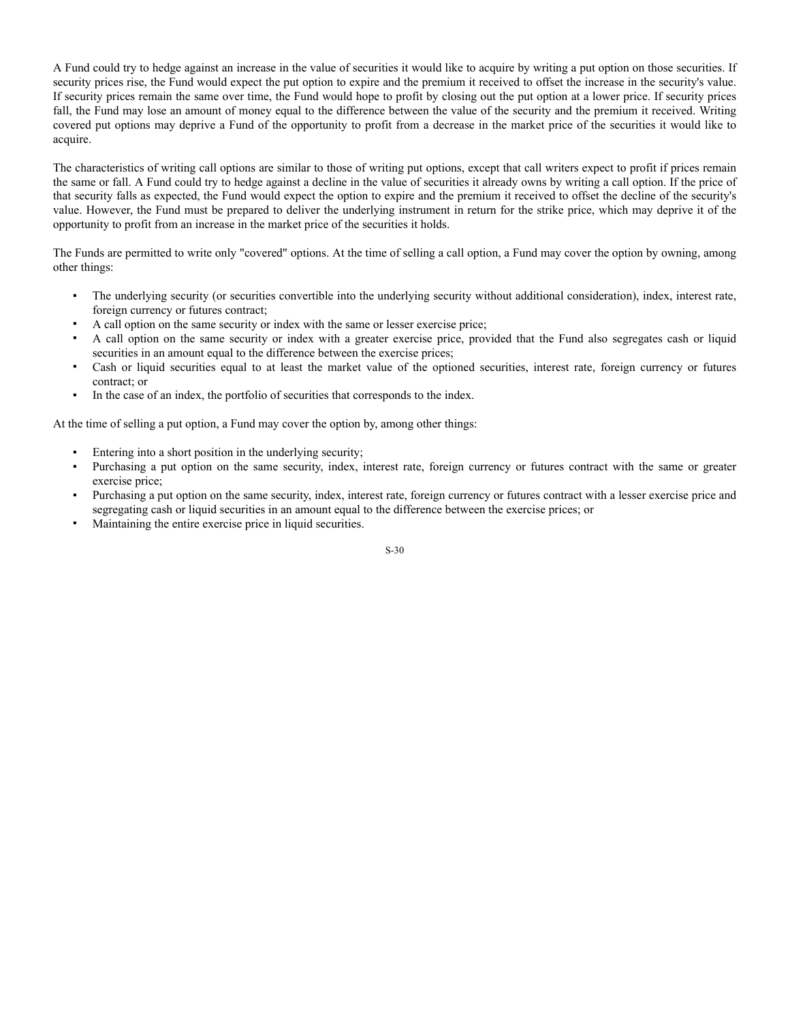A Fund could try to hedge against an increase in the value of securities it would like to acquire by writing a put option on those securities. If security prices rise, the Fund would expect the put option to expire and the premium it received to offset the increase in the security's value. If security prices remain the same over time, the Fund would hope to profit by closing out the put option at a lower price. If security prices fall, the Fund may lose an amount of money equal to the difference between the value of the security and the premium it received. Writing covered put options may deprive a Fund of the opportunity to profit from a decrease in the market price of the securities it would like to acquire.

The characteristics of writing call options are similar to those of writing put options, except that call writers expect to profit if prices remain the same or fall. A Fund could try to hedge against a decline in the value of securities it already owns by writing a call option. If the price of that security falls as expected, the Fund would expect the option to expire and the premium it received to offset the decline of the security's value. However, the Fund must be prepared to deliver the underlying instrument in return for the strike price, which may deprive it of the opportunity to profit from an increase in the market price of the securities it holds.

The Funds are permitted to write only "covered" options. At the time of selling a call option, a Fund may cover the option by owning, among other things:

- The underlying security (or securities convertible into the underlying security without additional consideration), index, interest rate, foreign currency or futures contract;
- A call option on the same security or index with the same or lesser exercise price;
- A call option on the same security or index with a greater exercise price, provided that the Fund also segregates cash or liquid securities in an amount equal to the difference between the exercise prices;
- Cash or liquid securities equal to at least the market value of the optioned securities, interest rate, foreign currency or futures contract; or
- In the case of an index, the portfolio of securities that corresponds to the index.

At the time of selling a put option, a Fund may cover the option by, among other things:

- Entering into a short position in the underlying security;
- Purchasing a put option on the same security, index, interest rate, foreign currency or futures contract with the same or greater exercise price;
- Purchasing a put option on the same security, index, interest rate, foreign currency or futures contract with a lesser exercise price and segregating cash or liquid securities in an amount equal to the difference between the exercise prices; or
- Maintaining the entire exercise price in liquid securities.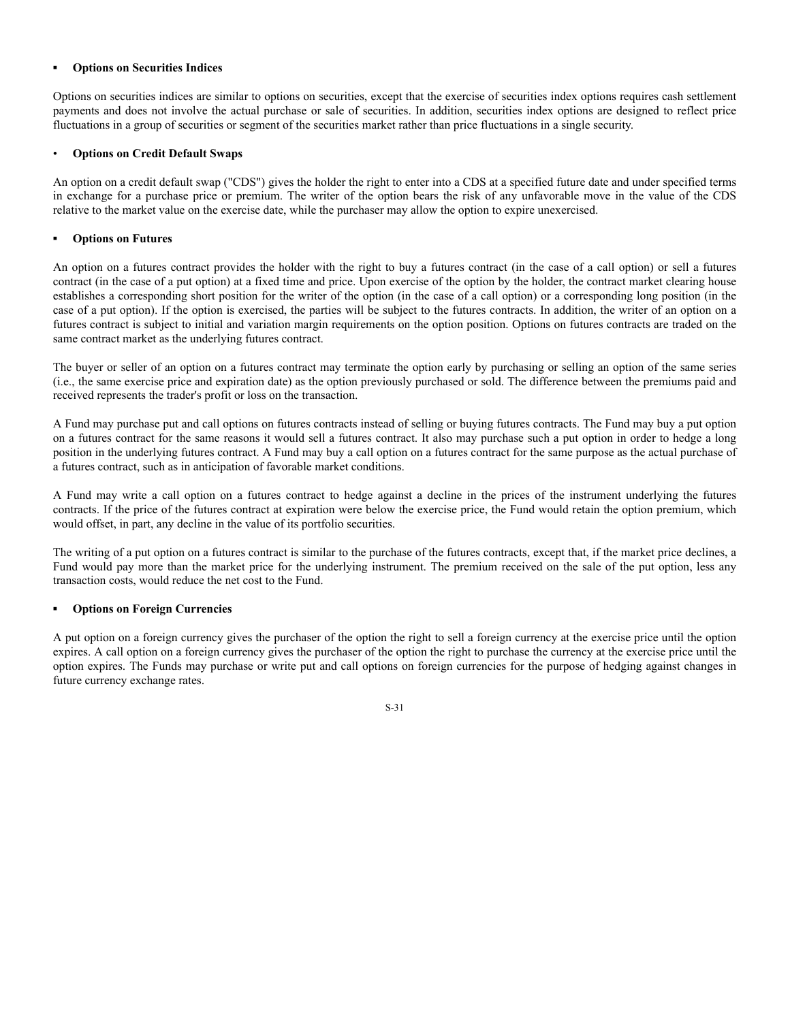### **▪ Options on Securities Indices**

Options on securities indices are similar to options on securities, except that the exercise of securities index options requires cash settlement payments and does not involve the actual purchase or sale of securities. In addition, securities index options are designed to reflect price fluctuations in a group of securities or segment of the securities market rather than price fluctuations in a single security.

#### • **Options on Credit Default Swaps**

An option on a credit default swap ("CDS") gives the holder the right to enter into a CDS at a specified future date and under specified terms in exchange for a purchase price or premium. The writer of the option bears the risk of any unfavorable move in the value of the CDS relative to the market value on the exercise date, while the purchaser may allow the option to expire unexercised.

### **▪ Options on Futures**

An option on a futures contract provides the holder with the right to buy a futures contract (in the case of a call option) or sell a futures contract (in the case of a put option) at a fixed time and price. Upon exercise of the option by the holder, the contract market clearing house establishes a corresponding short position for the writer of the option (in the case of a call option) or a corresponding long position (in the case of a put option). If the option is exercised, the parties will be subject to the futures contracts. In addition, the writer of an option on a futures contract is subject to initial and variation margin requirements on the option position. Options on futures contracts are traded on the same contract market as the underlying futures contract.

The buyer or seller of an option on a futures contract may terminate the option early by purchasing or selling an option of the same series (i.e., the same exercise price and expiration date) as the option previously purchased or sold. The difference between the premiums paid and received represents the trader's profit or loss on the transaction.

A Fund may purchase put and call options on futures contracts instead of selling or buying futures contracts. The Fund may buy a put option on a futures contract for the same reasons it would sell a futures contract. It also may purchase such a put option in order to hedge a long position in the underlying futures contract. A Fund may buy a call option on a futures contract for the same purpose as the actual purchase of a futures contract, such as in anticipation of favorable market conditions.

A Fund may write a call option on a futures contract to hedge against a decline in the prices of the instrument underlying the futures contracts. If the price of the futures contract at expiration were below the exercise price, the Fund would retain the option premium, which would offset, in part, any decline in the value of its portfolio securities.

The writing of a put option on a futures contract is similar to the purchase of the futures contracts, except that, if the market price declines, a Fund would pay more than the market price for the underlying instrument. The premium received on the sale of the put option, less any transaction costs, would reduce the net cost to the Fund.

# **▪ Options on Foreign Currencies**

A put option on a foreign currency gives the purchaser of the option the right to sell a foreign currency at the exercise price until the option expires. A call option on a foreign currency gives the purchaser of the option the right to purchase the currency at the exercise price until the option expires. The Funds may purchase or write put and call options on foreign currencies for the purpose of hedging against changes in future currency exchange rates.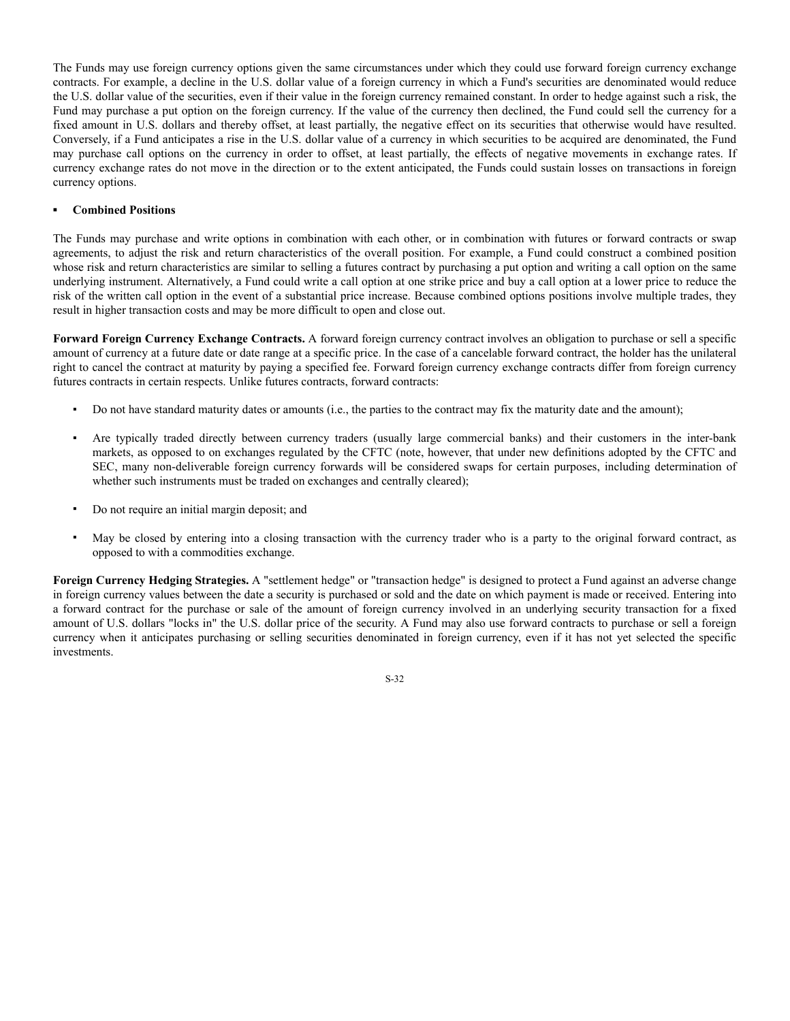The Funds may use foreign currency options given the same circumstances under which they could use forward foreign currency exchange contracts. For example, a decline in the U.S. dollar value of a foreign currency in which a Fund's securities are denominated would reduce the U.S. dollar value of the securities, even if their value in the foreign currency remained constant. In order to hedge against such a risk, the Fund may purchase a put option on the foreign currency. If the value of the currency then declined, the Fund could sell the currency for a fixed amount in U.S. dollars and thereby offset, at least partially, the negative effect on its securities that otherwise would have resulted. Conversely, if a Fund anticipates a rise in the U.S. dollar value of a currency in which securities to be acquired are denominated, the Fund may purchase call options on the currency in order to offset, at least partially, the effects of negative movements in exchange rates. If currency exchange rates do not move in the direction or to the extent anticipated, the Funds could sustain losses on transactions in foreign currency options.

#### **▪ Combined Positions**

The Funds may purchase and write options in combination with each other, or in combination with futures or forward contracts or swap agreements, to adjust the risk and return characteristics of the overall position. For example, a Fund could construct a combined position whose risk and return characteristics are similar to selling a futures contract by purchasing a put option and writing a call option on the same underlying instrument. Alternatively, a Fund could write a call option at one strike price and buy a call option at a lower price to reduce the risk of the written call option in the event of a substantial price increase. Because combined options positions involve multiple trades, they result in higher transaction costs and may be more difficult to open and close out.

**Forward Foreign Currency Exchange Contracts.** A forward foreign currency contract involves an obligation to purchase or sell a specific amount of currency at a future date or date range at a specific price. In the case of a cancelable forward contract, the holder has the unilateral right to cancel the contract at maturity by paying a specified fee. Forward foreign currency exchange contracts differ from foreign currency futures contracts in certain respects. Unlike futures contracts, forward contracts:

- Do not have standard maturity dates or amounts (i.e., the parties to the contract may fix the maturity date and the amount);
- Are typically traded directly between currency traders (usually large commercial banks) and their customers in the inter-bank markets, as opposed to on exchanges regulated by the CFTC (note, however, that under new definitions adopted by the CFTC and SEC, many non-deliverable foreign currency forwards will be considered swaps for certain purposes, including determination of whether such instruments must be traded on exchanges and centrally cleared);
- Do not require an initial margin deposit; and
- May be closed by entering into a closing transaction with the currency trader who is a party to the original forward contract, as opposed to with a commodities exchange.

**Foreign Currency Hedging Strategies.** A "settlement hedge" or "transaction hedge" is designed to protect a Fund against an adverse change in foreign currency values between the date a security is purchased or sold and the date on which payment is made or received. Entering into a forward contract for the purchase or sale of the amount of foreign currency involved in an underlying security transaction for a fixed amount of U.S. dollars "locks in" the U.S. dollar price of the security. A Fund may also use forward contracts to purchase or sell a foreign currency when it anticipates purchasing or selling securities denominated in foreign currency, even if it has not yet selected the specific investments.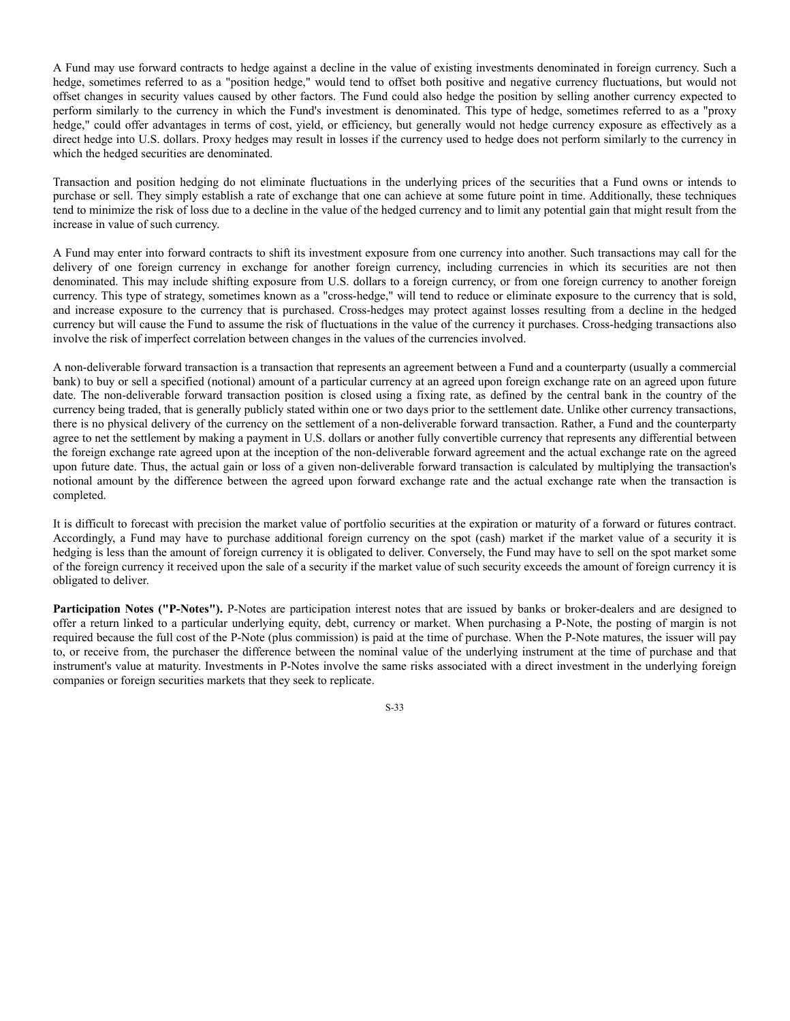A Fund may use forward contracts to hedge against a decline in the value of existing investments denominated in foreign currency. Such a hedge, sometimes referred to as a "position hedge," would tend to offset both positive and negative currency fluctuations, but would not offset changes in security values caused by other factors. The Fund could also hedge the position by selling another currency expected to perform similarly to the currency in which the Fund's investment is denominated. This type of hedge, sometimes referred to as a "proxy hedge," could offer advantages in terms of cost, yield, or efficiency, but generally would not hedge currency exposure as effectively as a direct hedge into U.S. dollars. Proxy hedges may result in losses if the currency used to hedge does not perform similarly to the currency in which the hedged securities are denominated.

Transaction and position hedging do not eliminate fluctuations in the underlying prices of the securities that a Fund owns or intends to purchase or sell. They simply establish a rate of exchange that one can achieve at some future point in time. Additionally, these techniques tend to minimize the risk of loss due to a decline in the value of the hedged currency and to limit any potential gain that might result from the increase in value of such currency.

A Fund may enter into forward contracts to shift its investment exposure from one currency into another. Such transactions may call for the delivery of one foreign currency in exchange for another foreign currency, including currencies in which its securities are not then denominated. This may include shifting exposure from U.S. dollars to a foreign currency, or from one foreign currency to another foreign currency. This type of strategy, sometimes known as a "cross-hedge," will tend to reduce or eliminate exposure to the currency that is sold, and increase exposure to the currency that is purchased. Cross-hedges may protect against losses resulting from a decline in the hedged currency but will cause the Fund to assume the risk of fluctuations in the value of the currency it purchases. Cross-hedging transactions also involve the risk of imperfect correlation between changes in the values of the currencies involved.

A non-deliverable forward transaction is a transaction that represents an agreement between a Fund and a counterparty (usually a commercial bank) to buy or sell a specified (notional) amount of a particular currency at an agreed upon foreign exchange rate on an agreed upon future date. The non-deliverable forward transaction position is closed using a fixing rate, as defined by the central bank in the country of the currency being traded, that is generally publicly stated within one or two days prior to the settlement date. Unlike other currency transactions, there is no physical delivery of the currency on the settlement of a non-deliverable forward transaction. Rather, a Fund and the counterparty agree to net the settlement by making a payment in U.S. dollars or another fully convertible currency that represents any differential between the foreign exchange rate agreed upon at the inception of the non-deliverable forward agreement and the actual exchange rate on the agreed upon future date. Thus, the actual gain or loss of a given non-deliverable forward transaction is calculated by multiplying the transaction's notional amount by the difference between the agreed upon forward exchange rate and the actual exchange rate when the transaction is completed.

It is difficult to forecast with precision the market value of portfolio securities at the expiration or maturity of a forward or futures contract. Accordingly, a Fund may have to purchase additional foreign currency on the spot (cash) market if the market value of a security it is hedging is less than the amount of foreign currency it is obligated to deliver. Conversely, the Fund may have to sell on the spot market some of the foreign currency it received upon the sale of a security if the market value of such security exceeds the amount of foreign currency it is obligated to deliver.

**Participation Notes ("P-Notes").** P-Notes are participation interest notes that are issued by banks or broker-dealers and are designed to offer a return linked to a particular underlying equity, debt, currency or market. When purchasing a P-Note, the posting of margin is not required because the full cost of the P-Note (plus commission) is paid at the time of purchase. When the P-Note matures, the issuer will pay to, or receive from, the purchaser the difference between the nominal value of the underlying instrument at the time of purchase and that instrument's value at maturity. Investments in P-Notes involve the same risks associated with a direct investment in the underlying foreign companies or foreign securities markets that they seek to replicate.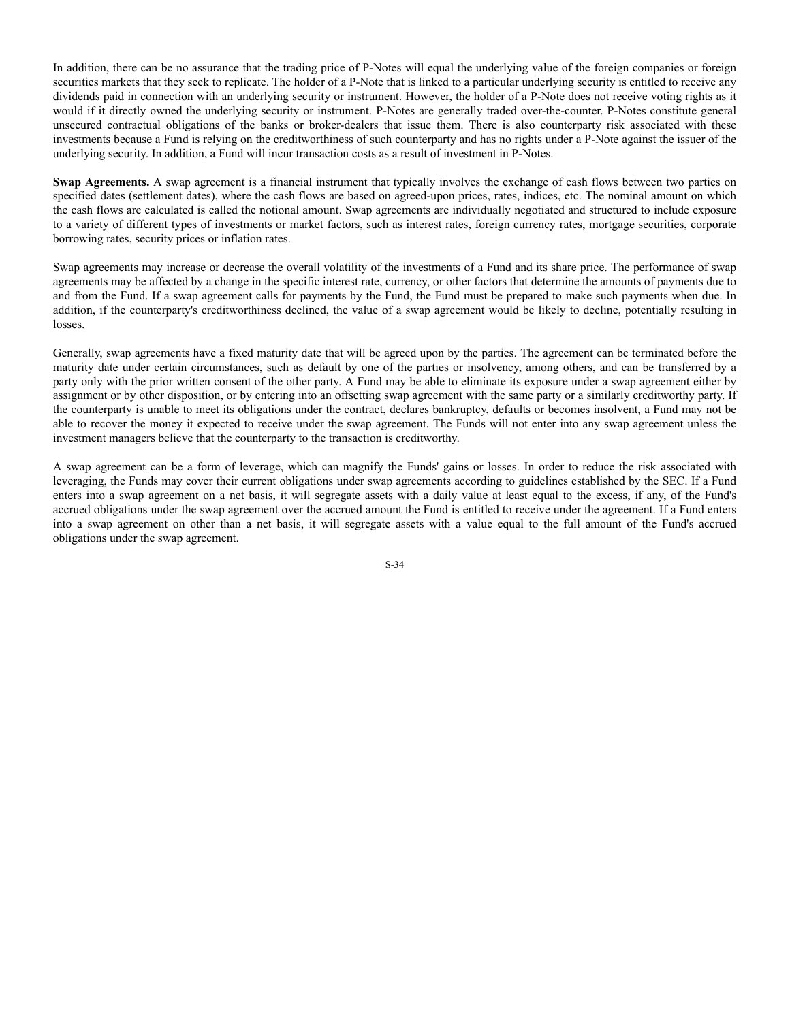In addition, there can be no assurance that the trading price of P-Notes will equal the underlying value of the foreign companies or foreign securities markets that they seek to replicate. The holder of a P-Note that is linked to a particular underlying security is entitled to receive any dividends paid in connection with an underlying security or instrument. However, the holder of a P-Note does not receive voting rights as it would if it directly owned the underlying security or instrument. P-Notes are generally traded over-the-counter. P-Notes constitute general unsecured contractual obligations of the banks or broker-dealers that issue them. There is also counterparty risk associated with these investments because a Fund is relying on the creditworthiness of such counterparty and has no rights under a P-Note against the issuer of the underlying security. In addition, a Fund will incur transaction costs as a result of investment in P-Notes.

**Swap Agreements.** A swap agreement is a financial instrument that typically involves the exchange of cash flows between two parties on specified dates (settlement dates), where the cash flows are based on agreed-upon prices, rates, indices, etc. The nominal amount on which the cash flows are calculated is called the notional amount. Swap agreements are individually negotiated and structured to include exposure to a variety of different types of investments or market factors, such as interest rates, foreign currency rates, mortgage securities, corporate borrowing rates, security prices or inflation rates.

Swap agreements may increase or decrease the overall volatility of the investments of a Fund and its share price. The performance of swap agreements may be affected by a change in the specific interest rate, currency, or other factors that determine the amounts of payments due to and from the Fund. If a swap agreement calls for payments by the Fund, the Fund must be prepared to make such payments when due. In addition, if the counterparty's creditworthiness declined, the value of a swap agreement would be likely to decline, potentially resulting in losses.

Generally, swap agreements have a fixed maturity date that will be agreed upon by the parties. The agreement can be terminated before the maturity date under certain circumstances, such as default by one of the parties or insolvency, among others, and can be transferred by a party only with the prior written consent of the other party. A Fund may be able to eliminate its exposure under a swap agreement either by assignment or by other disposition, or by entering into an offsetting swap agreement with the same party or a similarly creditworthy party. If the counterparty is unable to meet its obligations under the contract, declares bankruptcy, defaults or becomes insolvent, a Fund may not be able to recover the money it expected to receive under the swap agreement. The Funds will not enter into any swap agreement unless the investment managers believe that the counterparty to the transaction is creditworthy.

A swap agreement can be a form of leverage, which can magnify the Funds' gains or losses. In order to reduce the risk associated with leveraging, the Funds may cover their current obligations under swap agreements according to guidelines established by the SEC. If a Fund enters into a swap agreement on a net basis, it will segregate assets with a daily value at least equal to the excess, if any, of the Fund's accrued obligations under the swap agreement over the accrued amount the Fund is entitled to receive under the agreement. If a Fund enters into a swap agreement on other than a net basis, it will segregate assets with a value equal to the full amount of the Fund's accrued obligations under the swap agreement.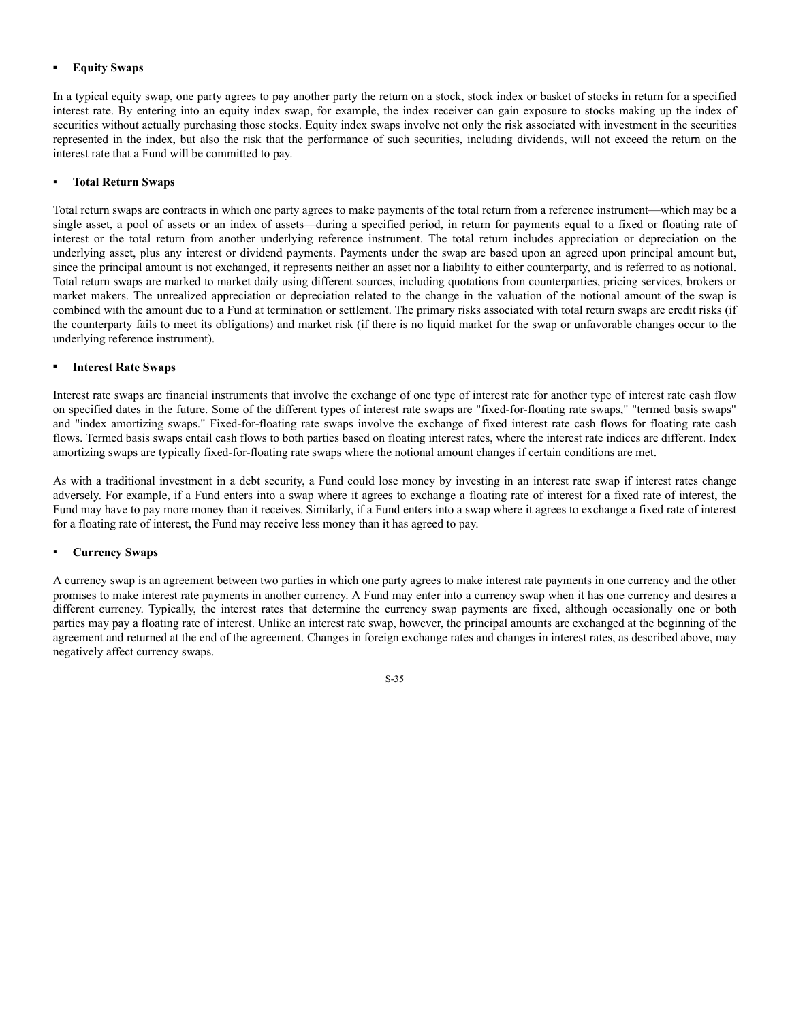## **▪ Equity Swaps**

In a typical equity swap, one party agrees to pay another party the return on a stock, stock index or basket of stocks in return for a specified interest rate. By entering into an equity index swap, for example, the index receiver can gain exposure to stocks making up the index of securities without actually purchasing those stocks. Equity index swaps involve not only the risk associated with investment in the securities represented in the index, but also the risk that the performance of such securities, including dividends, will not exceed the return on the interest rate that a Fund will be committed to pay.

## ▪ **Total Return Swaps**

Total return swaps are contracts in which one party agrees to make payments of the total return from a reference instrument—which may be a single asset, a pool of assets or an index of assets—during a specified period, in return for payments equal to a fixed or floating rate of interest or the total return from another underlying reference instrument. The total return includes appreciation or depreciation on the underlying asset, plus any interest or dividend payments. Payments under the swap are based upon an agreed upon principal amount but, since the principal amount is not exchanged, it represents neither an asset nor a liability to either counterparty, and is referred to as notional. Total return swaps are marked to market daily using different sources, including quotations from counterparties, pricing services, brokers or market makers. The unrealized appreciation or depreciation related to the change in the valuation of the notional amount of the swap is combined with the amount due to a Fund at termination or settlement. The primary risks associated with total return swaps are credit risks (if the counterparty fails to meet its obligations) and market risk (if there is no liquid market for the swap or unfavorable changes occur to the underlying reference instrument).

#### **▪ Interest Rate Swaps**

Interest rate swaps are financial instruments that involve the exchange of one type of interest rate for another type of interest rate cash flow on specified dates in the future. Some of the different types of interest rate swaps are "fixed-for-floating rate swaps," "termed basis swaps" and "index amortizing swaps." Fixed-for-floating rate swaps involve the exchange of fixed interest rate cash flows for floating rate cash flows. Termed basis swaps entail cash flows to both parties based on floating interest rates, where the interest rate indices are different. Index amortizing swaps are typically fixed-for-floating rate swaps where the notional amount changes if certain conditions are met.

As with a traditional investment in a debt security, a Fund could lose money by investing in an interest rate swap if interest rates change adversely. For example, if a Fund enters into a swap where it agrees to exchange a floating rate of interest for a fixed rate of interest, the Fund may have to pay more money than it receives. Similarly, if a Fund enters into a swap where it agrees to exchange a fixed rate of interest for a floating rate of interest, the Fund may receive less money than it has agreed to pay.

#### ▪ **Currency Swaps**

A currency swap is an agreement between two parties in which one party agrees to make interest rate payments in one currency and the other promises to make interest rate payments in another currency. A Fund may enter into a currency swap when it has one currency and desires a different currency. Typically, the interest rates that determine the currency swap payments are fixed, although occasionally one or both parties may pay a floating rate of interest. Unlike an interest rate swap, however, the principal amounts are exchanged at the beginning of the agreement and returned at the end of the agreement. Changes in foreign exchange rates and changes in interest rates, as described above, may negatively affect currency swaps.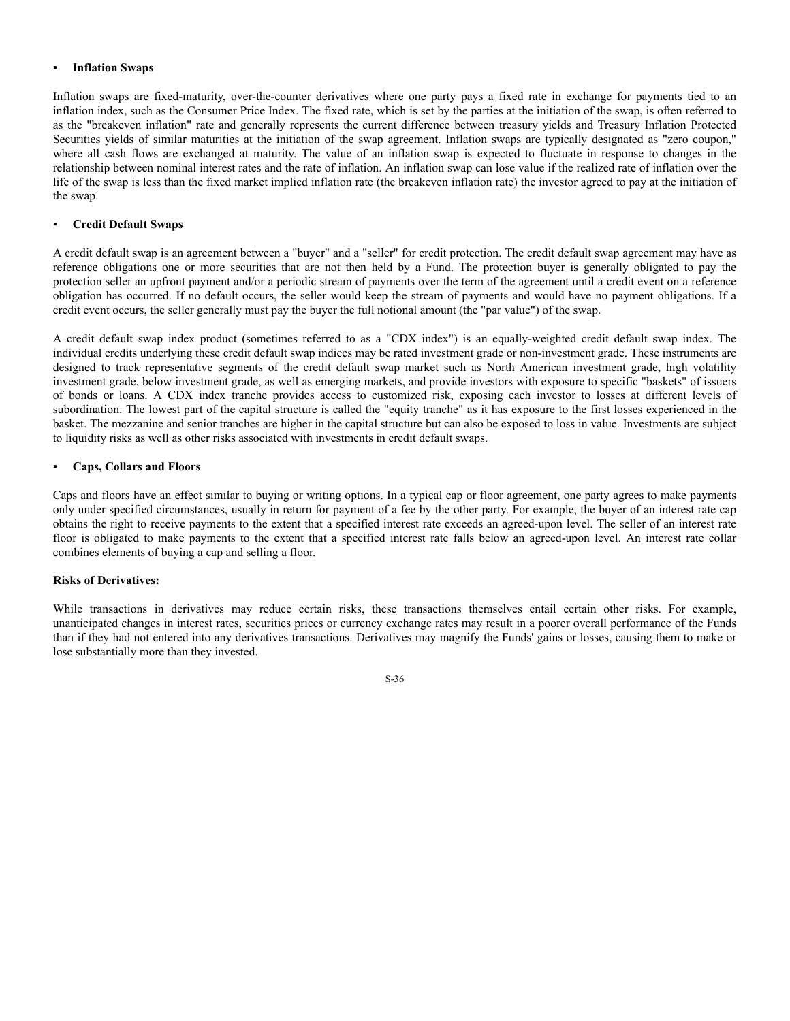#### **Inflation Swaps**

Inflation swaps are fixed-maturity, over-the-counter derivatives where one party pays a fixed rate in exchange for payments tied to an inflation index, such as the Consumer Price Index. The fixed rate, which is set by the parties at the initiation of the swap, is often referred to as the "breakeven inflation" rate and generally represents the current difference between treasury yields and Treasury Inflation Protected Securities yields of similar maturities at the initiation of the swap agreement. Inflation swaps are typically designated as "zero coupon," where all cash flows are exchanged at maturity. The value of an inflation swap is expected to fluctuate in response to changes in the relationship between nominal interest rates and the rate of inflation. An inflation swap can lose value if the realized rate of inflation over the life of the swap is less than the fixed market implied inflation rate (the breakeven inflation rate) the investor agreed to pay at the initiation of the swap.

## **Credit Default Swaps**

A credit default swap is an agreement between a "buyer" and a "seller" for credit protection. The credit default swap agreement may have as reference obligations one or more securities that are not then held by a Fund. The protection buyer is generally obligated to pay the protection seller an upfront payment and/or a periodic stream of payments over the term of the agreement until a credit event on a reference obligation has occurred. If no default occurs, the seller would keep the stream of payments and would have no payment obligations. If a credit event occurs, the seller generally must pay the buyer the full notional amount (the "par value") of the swap.

A credit default swap index product (sometimes referred to as a "CDX index") is an equally-weighted credit default swap index. The individual credits underlying these credit default swap indices may be rated investment grade or non-investment grade. These instruments are designed to track representative segments of the credit default swap market such as North American investment grade, high volatility investment grade, below investment grade, as well as emerging markets, and provide investors with exposure to specific "baskets" of issuers of bonds or loans. A CDX index tranche provides access to customized risk, exposing each investor to losses at different levels of subordination. The lowest part of the capital structure is called the "equity tranche" as it has exposure to the first losses experienced in the basket. The mezzanine and senior tranches are higher in the capital structure but can also be exposed to loss in value. Investments are subject to liquidity risks as well as other risks associated with investments in credit default swaps.

#### ▪ **Caps, Collars and Floors**

Caps and floors have an effect similar to buying or writing options. In a typical cap or floor agreement, one party agrees to make payments only under specified circumstances, usually in return for payment of a fee by the other party. For example, the buyer of an interest rate cap obtains the right to receive payments to the extent that a specified interest rate exceeds an agreed-upon level. The seller of an interest rate floor is obligated to make payments to the extent that a specified interest rate falls below an agreed-upon level. An interest rate collar combines elements of buying a cap and selling a floor.

#### **Risks of Derivatives:**

While transactions in derivatives may reduce certain risks, these transactions themselves entail certain other risks. For example, unanticipated changes in interest rates, securities prices or currency exchange rates may result in a poorer overall performance of the Funds than if they had not entered into any derivatives transactions. Derivatives may magnify the Funds' gains or losses, causing them to make or lose substantially more than they invested.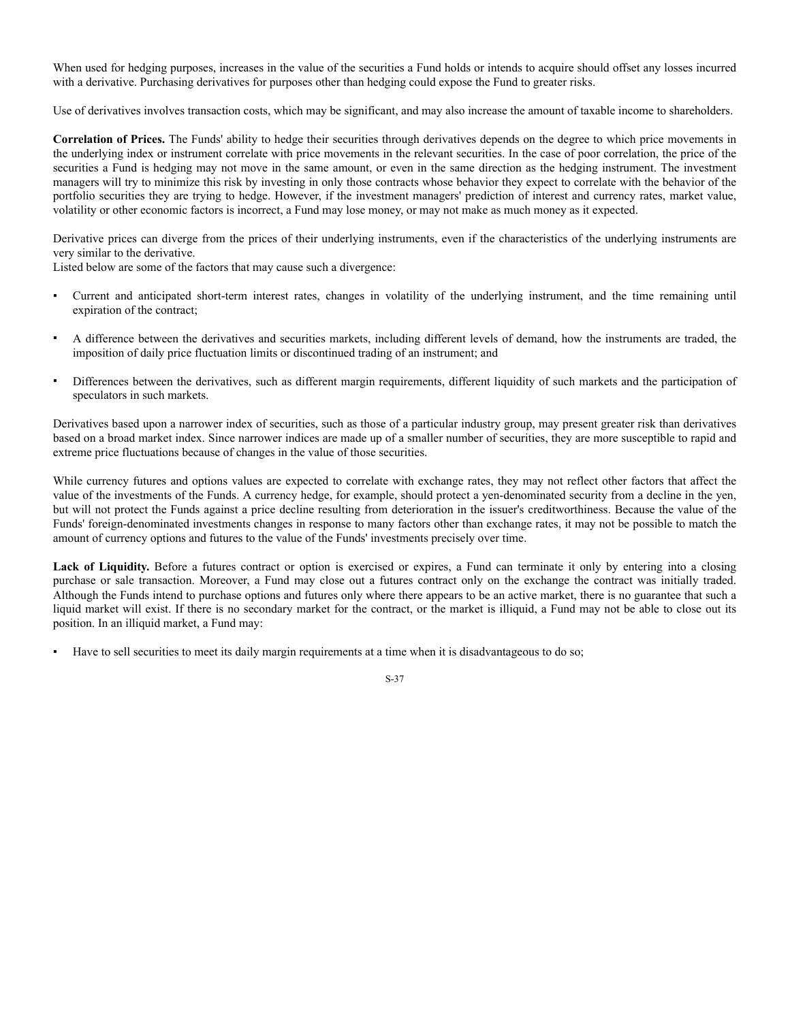When used for hedging purposes, increases in the value of the securities a Fund holds or intends to acquire should offset any losses incurred with a derivative. Purchasing derivatives for purposes other than hedging could expose the Fund to greater risks.

Use of derivatives involves transaction costs, which may be significant, and may also increase the amount of taxable income to shareholders.

**Correlation of Prices.** The Funds' ability to hedge their securities through derivatives depends on the degree to which price movements in the underlying index or instrument correlate with price movements in the relevant securities. In the case of poor correlation, the price of the securities a Fund is hedging may not move in the same amount, or even in the same direction as the hedging instrument. The investment managers will try to minimize this risk by investing in only those contracts whose behavior they expect to correlate with the behavior of the portfolio securities they are trying to hedge. However, if the investment managers' prediction of interest and currency rates, market value, volatility or other economic factors is incorrect, a Fund may lose money, or may not make as much money as it expected.

Derivative prices can diverge from the prices of their underlying instruments, even if the characteristics of the underlying instruments are very similar to the derivative.

Listed below are some of the factors that may cause such a divergence:

- Current and anticipated short-term interest rates, changes in volatility of the underlying instrument, and the time remaining until expiration of the contract;
- A difference between the derivatives and securities markets, including different levels of demand, how the instruments are traded, the imposition of daily price fluctuation limits or discontinued trading of an instrument; and
- Differences between the derivatives, such as different margin requirements, different liquidity of such markets and the participation of speculators in such markets.

Derivatives based upon a narrower index of securities, such as those of a particular industry group, may present greater risk than derivatives based on a broad market index. Since narrower indices are made up of a smaller number of securities, they are more susceptible to rapid and extreme price fluctuations because of changes in the value of those securities.

While currency futures and options values are expected to correlate with exchange rates, they may not reflect other factors that affect the value of the investments of the Funds. A currency hedge, for example, should protect a yen-denominated security from a decline in the yen, but will not protect the Funds against a price decline resulting from deterioration in the issuer's creditworthiness. Because the value of the Funds' foreign-denominated investments changes in response to many factors other than exchange rates, it may not be possible to match the amount of currency options and futures to the value of the Funds' investments precisely over time.

Lack of Liquidity. Before a futures contract or option is exercised or expires, a Fund can terminate it only by entering into a closing purchase or sale transaction. Moreover, a Fund may close out a futures contract only on the exchange the contract was initially traded. Although the Funds intend to purchase options and futures only where there appears to be an active market, there is no guarantee that such a liquid market will exist. If there is no secondary market for the contract, or the market is illiquid, a Fund may not be able to close out its position. In an illiquid market, a Fund may:

Have to sell securities to meet its daily margin requirements at a time when it is disadvantageous to do so;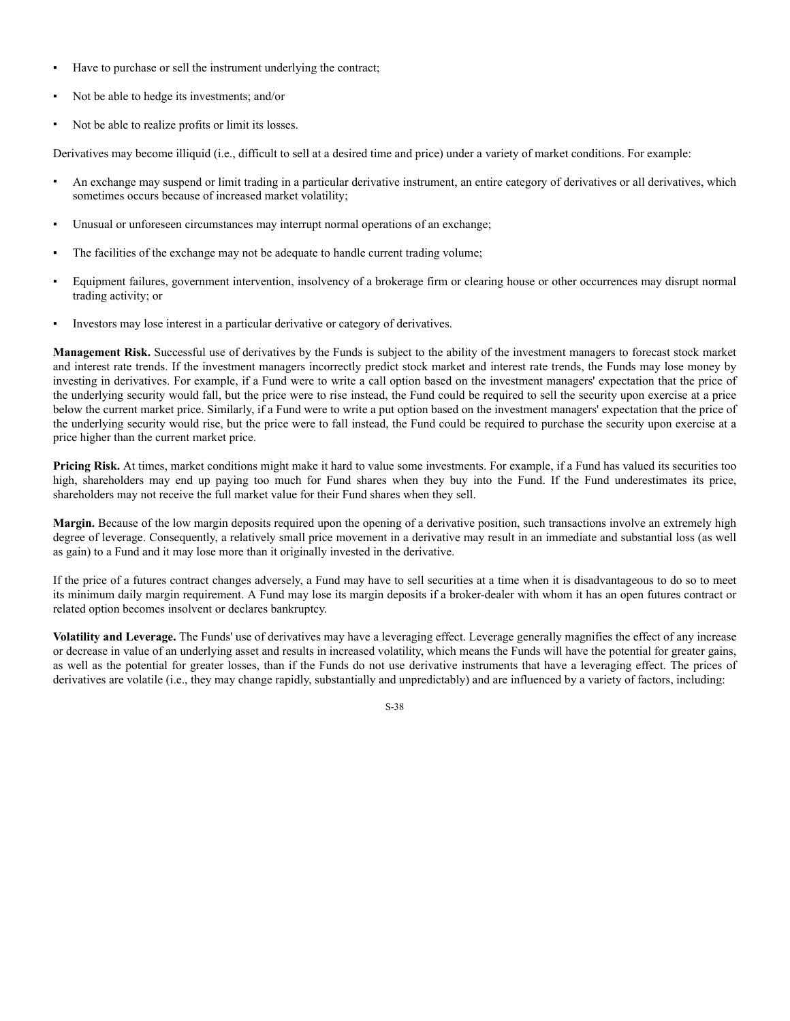- Have to purchase or sell the instrument underlying the contract;
- Not be able to hedge its investments; and/or
- Not be able to realize profits or limit its losses.

Derivatives may become illiquid (i.e., difficult to sell at a desired time and price) under a variety of market conditions. For example:

- An exchange may suspend or limit trading in a particular derivative instrument, an entire category of derivatives or all derivatives, which sometimes occurs because of increased market volatility;
- Unusual or unforeseen circumstances may interrupt normal operations of an exchange;
- The facilities of the exchange may not be adequate to handle current trading volume;
- Equipment failures, government intervention, insolvency of a brokerage firm or clearing house or other occurrences may disrupt normal trading activity; or
- Investors may lose interest in a particular derivative or category of derivatives.

**Management Risk.** Successful use of derivatives by the Funds is subject to the ability of the investment managers to forecast stock market and interest rate trends. If the investment managers incorrectly predict stock market and interest rate trends, the Funds may lose money by investing in derivatives. For example, if a Fund were to write a call option based on the investment managers' expectation that the price of the underlying security would fall, but the price were to rise instead, the Fund could be required to sell the security upon exercise at a price below the current market price. Similarly, if a Fund were to write a put option based on the investment managers' expectation that the price of the underlying security would rise, but the price were to fall instead, the Fund could be required to purchase the security upon exercise at a price higher than the current market price.

**Pricing Risk.** At times, market conditions might make it hard to value some investments. For example, if a Fund has valued its securities too high, shareholders may end up paying too much for Fund shares when they buy into the Fund. If the Fund underestimates its price, shareholders may not receive the full market value for their Fund shares when they sell.

**Margin.** Because of the low margin deposits required upon the opening of a derivative position, such transactions involve an extremely high degree of leverage. Consequently, a relatively small price movement in a derivative may result in an immediate and substantial loss (as well as gain) to a Fund and it may lose more than it originally invested in the derivative.

If the price of a futures contract changes adversely, a Fund may have to sell securities at a time when it is disadvantageous to do so to meet its minimum daily margin requirement. A Fund may lose its margin deposits if a broker-dealer with whom it has an open futures contract or related option becomes insolvent or declares bankruptcy.

**Volatility and Leverage.** The Funds' use of derivatives may have a leveraging effect. Leverage generally magnifies the effect of any increase or decrease in value of an underlying asset and results in increased volatility, which means the Funds will have the potential for greater gains, as well as the potential for greater losses, than if the Funds do not use derivative instruments that have a leveraging effect. The prices of derivatives are volatile (i.e., they may change rapidly, substantially and unpredictably) and are influenced by a variety of factors, including: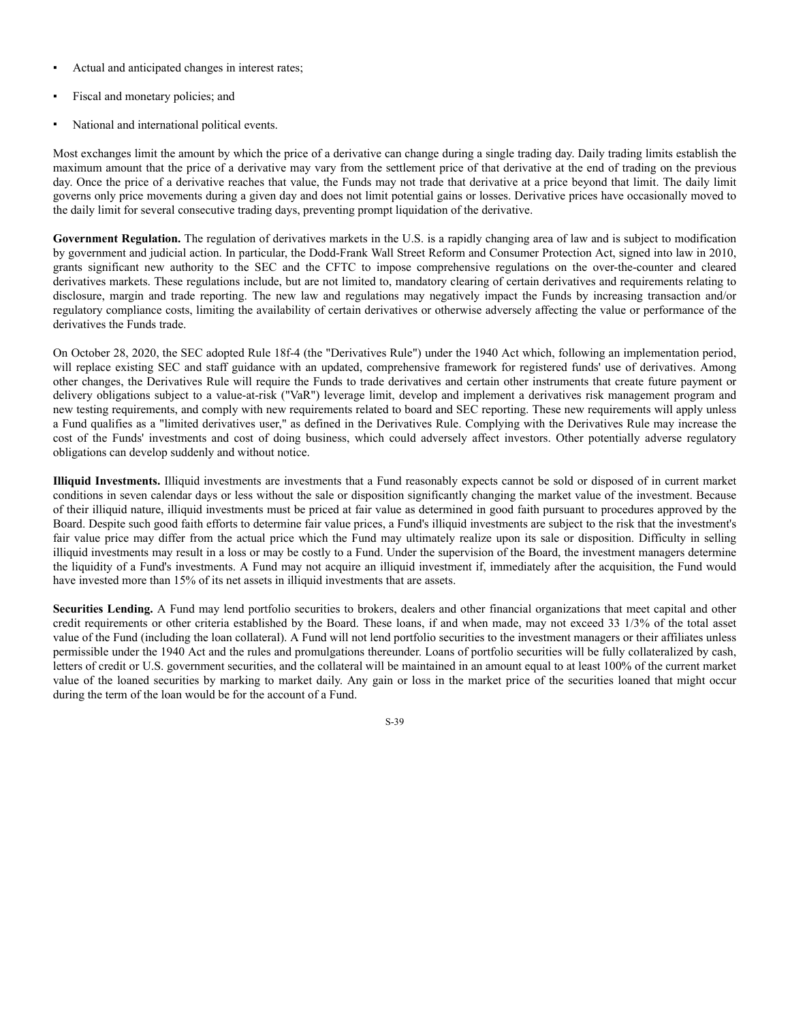- Actual and anticipated changes in interest rates;
- Fiscal and monetary policies; and
- National and international political events.

Most exchanges limit the amount by which the price of a derivative can change during a single trading day. Daily trading limits establish the maximum amount that the price of a derivative may vary from the settlement price of that derivative at the end of trading on the previous day. Once the price of a derivative reaches that value, the Funds may not trade that derivative at a price beyond that limit. The daily limit governs only price movements during a given day and does not limit potential gains or losses. Derivative prices have occasionally moved to the daily limit for several consecutive trading days, preventing prompt liquidation of the derivative.

Government Regulation. The regulation of derivatives markets in the U.S. is a rapidly changing area of law and is subject to modification by government and judicial action. In particular, the Dodd-Frank Wall Street Reform and Consumer Protection Act, signed into law in 2010, grants significant new authority to the SEC and the CFTC to impose comprehensive regulations on the over-the-counter and cleared derivatives markets. These regulations include, but are not limited to, mandatory clearing of certain derivatives and requirements relating to disclosure, margin and trade reporting. The new law and regulations may negatively impact the Funds by increasing transaction and/or regulatory compliance costs, limiting the availability of certain derivatives or otherwise adversely affecting the value or performance of the derivatives the Funds trade.

On October 28, 2020, the SEC adopted Rule 18f-4 (the "Derivatives Rule") under the 1940 Act which, following an implementation period, will replace existing SEC and staff guidance with an updated, comprehensive framework for registered funds' use of derivatives. Among other changes, the Derivatives Rule will require the Funds to trade derivatives and certain other instruments that create future payment or delivery obligations subject to a value-at-risk ("VaR") leverage limit, develop and implement a derivatives risk management program and new testing requirements, and comply with new requirements related to board and SEC reporting. These new requirements will apply unless a Fund qualifies as a "limited derivatives user," as defined in the Derivatives Rule. Complying with the Derivatives Rule may increase the cost of the Funds' investments and cost of doing business, which could adversely affect investors. Other potentially adverse regulatory obligations can develop suddenly and without notice.

**Illiquid Investments.** Illiquid investments are investments that a Fund reasonably expects cannot be sold or disposed of in current market conditions in seven calendar days or less without the sale or disposition significantly changing the market value of the investment. Because of their illiquid nature, illiquid investments must be priced at fair value as determined in good faith pursuant to procedures approved by the Board. Despite such good faith efforts to determine fair value prices, a Fund's illiquid investments are subject to the risk that the investment's fair value price may differ from the actual price which the Fund may ultimately realize upon its sale or disposition. Difficulty in selling illiquid investments may result in a loss or may be costly to a Fund. Under the supervision of the Board, the investment managers determine the liquidity of a Fund's investments. A Fund may not acquire an illiquid investment if, immediately after the acquisition, the Fund would have invested more than 15% of its net assets in illiquid investments that are assets.

Securities Lending. A Fund may lend portfolio securities to brokers, dealers and other financial organizations that meet capital and other credit requirements or other criteria established by the Board. These loans, if and when made, may not exceed 33 1/3% of the total asset value of the Fund (including the loan collateral). A Fund will not lend portfolio securities to the investment managers or their affiliates unless permissible under the 1940 Act and the rules and promulgations thereunder. Loans of portfolio securities will be fully collateralized by cash, letters of credit or U.S. government securities, and the collateral will be maintained in an amount equal to at least 100% of the current market value of the loaned securities by marking to market daily. Any gain or loss in the market price of the securities loaned that might occur during the term of the loan would be for the account of a Fund.

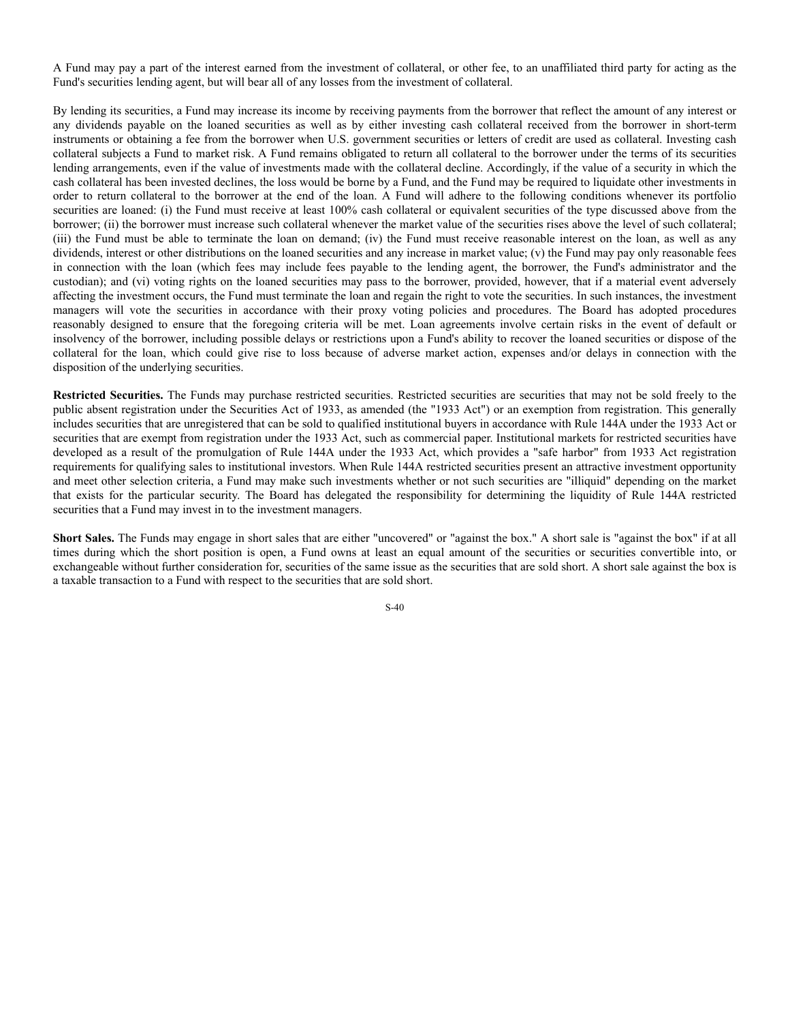A Fund may pay a part of the interest earned from the investment of collateral, or other fee, to an unaffiliated third party for acting as the Fund's securities lending agent, but will bear all of any losses from the investment of collateral.

By lending its securities, a Fund may increase its income by receiving payments from the borrower that reflect the amount of any interest or any dividends payable on the loaned securities as well as by either investing cash collateral received from the borrower in short-term instruments or obtaining a fee from the borrower when U.S. government securities or letters of credit are used as collateral. Investing cash collateral subjects a Fund to market risk. A Fund remains obligated to return all collateral to the borrower under the terms of its securities lending arrangements, even if the value of investments made with the collateral decline. Accordingly, if the value of a security in which the cash collateral has been invested declines, the loss would be borne by a Fund, and the Fund may be required to liquidate other investments in order to return collateral to the borrower at the end of the loan. A Fund will adhere to the following conditions whenever its portfolio securities are loaned: (i) the Fund must receive at least 100% cash collateral or equivalent securities of the type discussed above from the borrower; (ii) the borrower must increase such collateral whenever the market value of the securities rises above the level of such collateral; (iii) the Fund must be able to terminate the loan on demand; (iv) the Fund must receive reasonable interest on the loan, as well as any dividends, interest or other distributions on the loaned securities and any increase in market value; (v) the Fund may pay only reasonable fees in connection with the loan (which fees may include fees payable to the lending agent, the borrower, the Fund's administrator and the custodian); and (vi) voting rights on the loaned securities may pass to the borrower, provided, however, that if a material event adversely affecting the investment occurs, the Fund must terminate the loan and regain the right to vote the securities. In such instances, the investment managers will vote the securities in accordance with their proxy voting policies and procedures. The Board has adopted procedures reasonably designed to ensure that the foregoing criteria will be met. Loan agreements involve certain risks in the event of default or insolvency of the borrower, including possible delays or restrictions upon a Fund's ability to recover the loaned securities or dispose of the collateral for the loan, which could give rise to loss because of adverse market action, expenses and/or delays in connection with the disposition of the underlying securities.

**Restricted Securities.** The Funds may purchase restricted securities. Restricted securities are securities that may not be sold freely to the public absent registration under the Securities Act of 1933, as amended (the "1933 Act") or an exemption from registration. This generally includes securities that are unregistered that can be sold to qualified institutional buyers in accordance with Rule 144A under the 1933 Act or securities that are exempt from registration under the 1933 Act, such as commercial paper. Institutional markets for restricted securities have developed as a result of the promulgation of Rule 144A under the 1933 Act, which provides a "safe harbor" from 1933 Act registration requirements for qualifying sales to institutional investors. When Rule 144A restricted securities present an attractive investment opportunity and meet other selection criteria, a Fund may make such investments whether or not such securities are "illiquid" depending on the market that exists for the particular security. The Board has delegated the responsibility for determining the liquidity of Rule 144A restricted securities that a Fund may invest in to the investment managers.

**Short Sales.** The Funds may engage in short sales that are either "uncovered" or "against the box." A short sale is "against the box" if at all times during which the short position is open, a Fund owns at least an equal amount of the securities or securities convertible into, or exchangeable without further consideration for, securities of the same issue as the securities that are sold short. A short sale against the box is a taxable transaction to a Fund with respect to the securities that are sold short.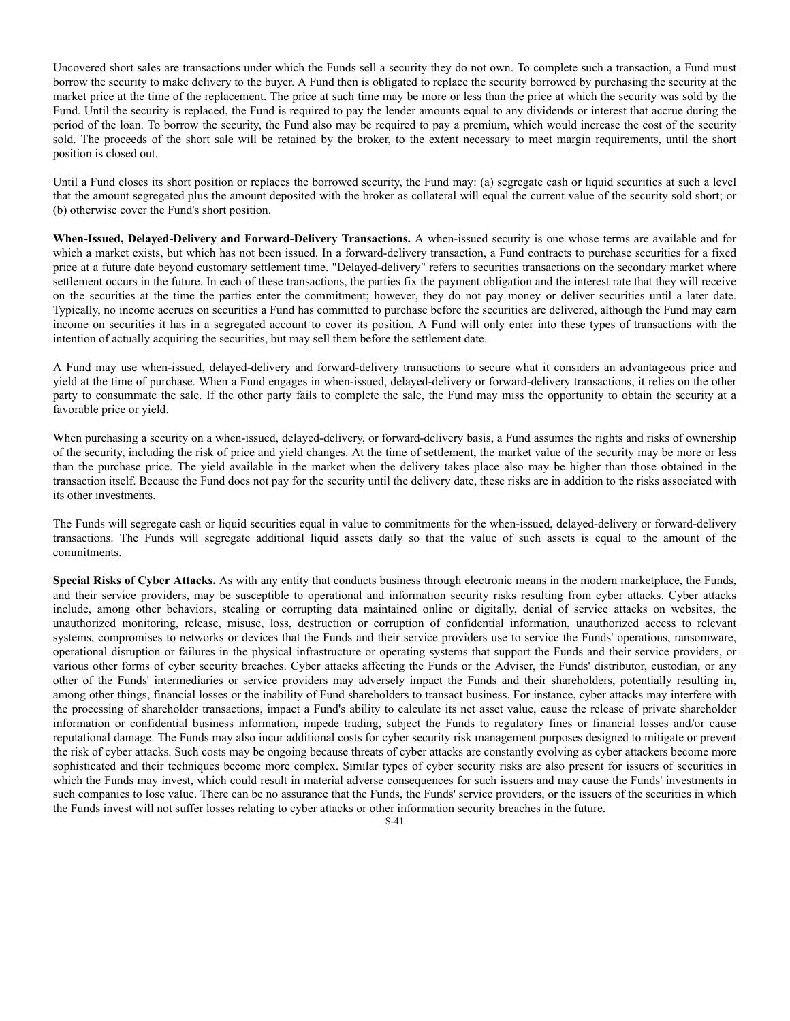Uncovered short sales are transactions under which the Funds sell a security they do not own. To complete such a transaction, a Fund must borrow the security to make delivery to the buyer. A Fund then is obligated to replace the security borrowed by purchasing the security at the market price at the time of the replacement. The price at such time may be more or less than the price at which the security was sold by the Fund. Until the security is replaced, the Fund is required to pay the lender amounts equal to any dividends or interest that accrue during the period of the loan. To borrow the security, the Fund also may be required to pay a premium, which would increase the cost of the security sold. The proceeds of the short sale will be retained by the broker, to the extent necessary to meet margin requirements, until the short position is closed out.

Until a Fund closes its short position or replaces the borrowed security, the Fund may: (a) segregate cash or liquid securities at such a level that the amount segregated plus the amount deposited with the broker as collateral will equal the current value of the security sold short; or (b) otherwise cover the Fund's short position.

**When-Issued, Delayed-Delivery and Forward-Delivery Transactions.** A when-issued security is one whose terms are available and for which a market exists, but which has not been issued. In a forward-delivery transaction, a Fund contracts to purchase securities for a fixed price at a future date beyond customary settlement time. "Delayed-delivery" refers to securities transactions on the secondary market where settlement occurs in the future. In each of these transactions, the parties fix the payment obligation and the interest rate that they will receive on the securities at the time the parties enter the commitment; however, they do not pay money or deliver securities until a later date. Typically, no income accrues on securities a Fund has committed to purchase before the securities are delivered, although the Fund may earn income on securities it has in a segregated account to cover its position. A Fund will only enter into these types of transactions with the intention of actually acquiring the securities, but may sell them before the settlement date.

A Fund may use when-issued, delayed-delivery and forward-delivery transactions to secure what it considers an advantageous price and yield at the time of purchase. When a Fund engages in when-issued, delayed-delivery or forward-delivery transactions, it relies on the other party to consummate the sale. If the other party fails to complete the sale, the Fund may miss the opportunity to obtain the security at a favorable price or yield.

When purchasing a security on a when-issued, delayed-delivery, or forward-delivery basis, a Fund assumes the rights and risks of ownership of the security, including the risk of price and yield changes. At the time of settlement, the market value of the security may be more or less than the purchase price. The yield available in the market when the delivery takes place also may be higher than those obtained in the transaction itself. Because the Fund does not pay for the security until the delivery date, these risks are in addition to the risks associated with its other investments.

The Funds will segregate cash or liquid securities equal in value to commitments for the when-issued, delayed-delivery or forward-delivery transactions. The Funds will segregate additional liquid assets daily so that the value of such assets is equal to the amount of the commitments.

**Special Risks of Cyber Attacks.** As with any entity that conducts business through electronic means in the modern marketplace, the Funds, and their service providers, may be susceptible to operational and information security risks resulting from cyber attacks. Cyber attacks include, among other behaviors, stealing or corrupting data maintained online or digitally, denial of service attacks on websites, the unauthorized monitoring, release, misuse, loss, destruction or corruption of confidential information, unauthorized access to relevant systems, compromises to networks or devices that the Funds and their service providers use to service the Funds' operations, ransomware, operational disruption or failures in the physical infrastructure or operating systems that support the Funds and their service providers, or various other forms of cyber security breaches. Cyber attacks affecting the Funds or the Adviser, the Funds' distributor, custodian, or any other of the Funds' intermediaries or service providers may adversely impact the Funds and their shareholders, potentially resulting in, among other things, financial losses or the inability of Fund shareholders to transact business. For instance, cyber attacks may interfere with the processing of shareholder transactions, impact a Fund's ability to calculate its net asset value, cause the release of private shareholder information or confidential business information, impede trading, subject the Funds to regulatory fines or financial losses and/or cause reputational damage. The Funds may also incur additional costs for cyber security risk management purposes designed to mitigate or prevent the risk of cyber attacks. Such costs may be ongoing because threats of cyber attacks are constantly evolving as cyber attackers become more sophisticated and their techniques become more complex. Similar types of cyber security risks are also present for issuers of securities in which the Funds may invest, which could result in material adverse consequences for such issuers and may cause the Funds' investments in such companies to lose value. There can be no assurance that the Funds, the Funds' service providers, or the issuers of the securities in which the Funds invest will not suffer losses relating to cyber attacks or other information security breaches in the future.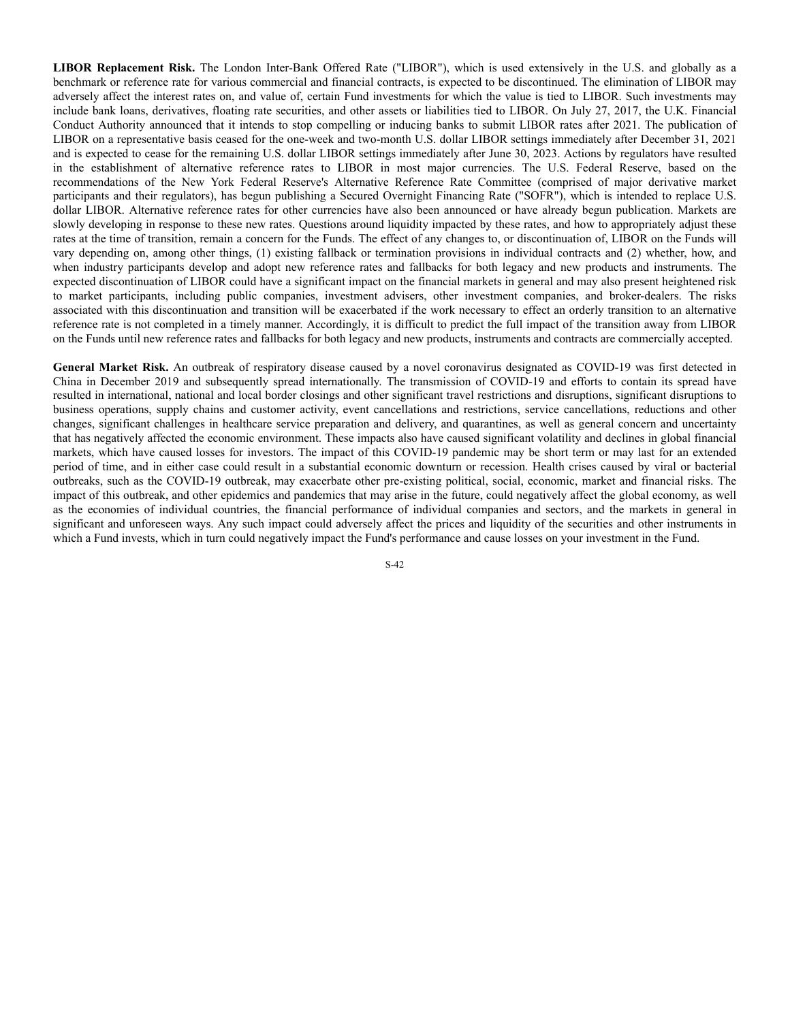**LIBOR Replacement Risk.** The London Inter-Bank Offered Rate ("LIBOR"), which is used extensively in the U.S. and globally as a benchmark or reference rate for various commercial and financial contracts, is expected to be discontinued. The elimination of LIBOR may adversely affect the interest rates on, and value of, certain Fund investments for which the value is tied to LIBOR. Such investments may include bank loans, derivatives, floating rate securities, and other assets or liabilities tied to LIBOR. On July 27, 2017, the U.K. Financial Conduct Authority announced that it intends to stop compelling or inducing banks to submit LIBOR rates after 2021. The publication of LIBOR on a representative basis ceased for the one-week and two-month U.S. dollar LIBOR settings immediately after December 31, 2021 and is expected to cease for the remaining U.S. dollar LIBOR settings immediately after June 30, 2023. Actions by regulators have resulted in the establishment of alternative reference rates to LIBOR in most major currencies. The U.S. Federal Reserve, based on the recommendations of the New York Federal Reserve's Alternative Reference Rate Committee (comprised of major derivative market participants and their regulators), has begun publishing a Secured Overnight Financing Rate ("SOFR"), which is intended to replace U.S. dollar LIBOR. Alternative reference rates for other currencies have also been announced or have already begun publication. Markets are slowly developing in response to these new rates. Questions around liquidity impacted by these rates, and how to appropriately adjust these rates at the time of transition, remain a concern for the Funds. The effect of any changes to, or discontinuation of, LIBOR on the Funds will vary depending on, among other things, (1) existing fallback or termination provisions in individual contracts and (2) whether, how, and when industry participants develop and adopt new reference rates and fallbacks for both legacy and new products and instruments. The expected discontinuation of LIBOR could have a significant impact on the financial markets in general and may also present heightened risk to market participants, including public companies, investment advisers, other investment companies, and broker-dealers. The risks associated with this discontinuation and transition will be exacerbated if the work necessary to effect an orderly transition to an alternative reference rate is not completed in a timely manner. Accordingly, it is difficult to predict the full impact of the transition away from LIBOR on the Funds until new reference rates and fallbacks for both legacy and new products, instruments and contracts are commercially accepted.

**General Market Risk.** An outbreak of respiratory disease caused by a novel coronavirus designated as COVID-19 was first detected in China in December 2019 and subsequently spread internationally. The transmission of COVID-19 and efforts to contain its spread have resulted in international, national and local border closings and other significant travel restrictions and disruptions, significant disruptions to business operations, supply chains and customer activity, event cancellations and restrictions, service cancellations, reductions and other changes, significant challenges in healthcare service preparation and delivery, and quarantines, as well as general concern and uncertainty that has negatively affected the economic environment. These impacts also have caused significant volatility and declines in global financial markets, which have caused losses for investors. The impact of this COVID-19 pandemic may be short term or may last for an extended period of time, and in either case could result in a substantial economic downturn or recession. Health crises caused by viral or bacterial outbreaks, such as the COVID-19 outbreak, may exacerbate other pre-existing political, social, economic, market and financial risks. The impact of this outbreak, and other epidemics and pandemics that may arise in the future, could negatively affect the global economy, as well as the economies of individual countries, the financial performance of individual companies and sectors, and the markets in general in significant and unforeseen ways. Any such impact could adversely affect the prices and liquidity of the securities and other instruments in which a Fund invests, which in turn could negatively impact the Fund's performance and cause losses on your investment in the Fund.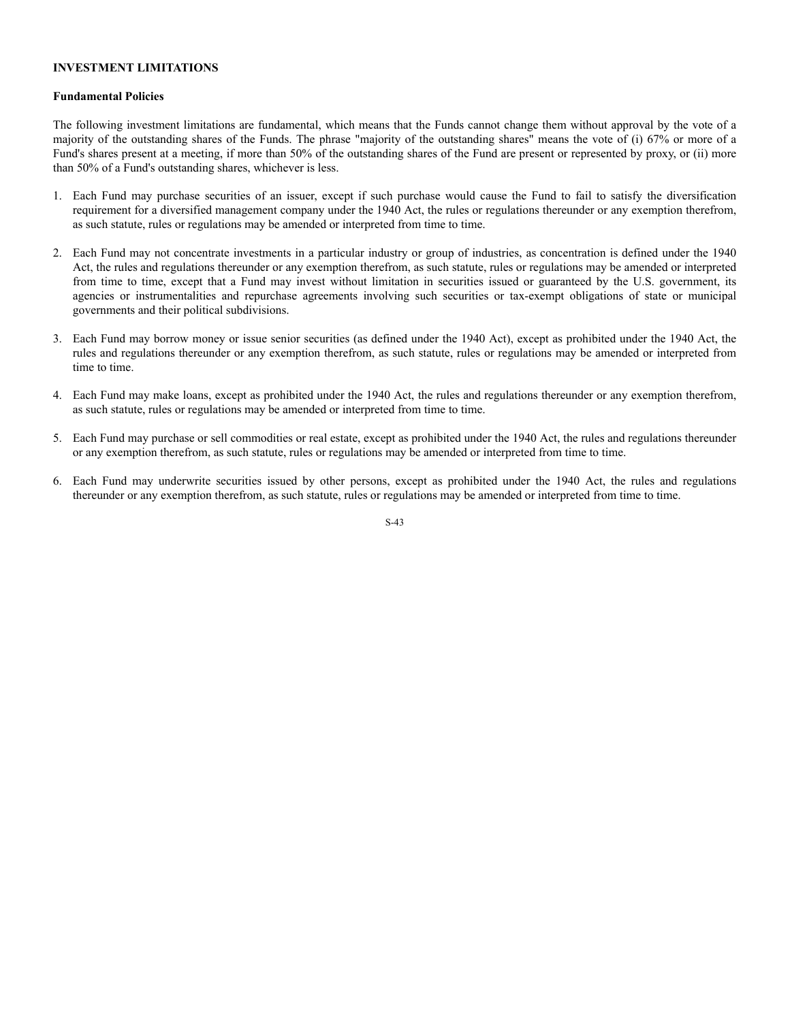#### **INVESTMENT LIMITATIONS**

#### **Fundamental Policies**

The following investment limitations are fundamental, which means that the Funds cannot change them without approval by the vote of a majority of the outstanding shares of the Funds. The phrase "majority of the outstanding shares" means the vote of (i) 67% or more of a Fund's shares present at a meeting, if more than 50% of the outstanding shares of the Fund are present or represented by proxy, or (ii) more than 50% of a Fund's outstanding shares, whichever is less.

- 1. Each Fund may purchase securities of an issuer, except if such purchase would cause the Fund to fail to satisfy the diversification requirement for a diversified management company under the 1940 Act, the rules or regulations thereunder or any exemption therefrom, as such statute, rules or regulations may be amended or interpreted from time to time.
- 2. Each Fund may not concentrate investments in a particular industry or group of industries, as concentration is defined under the 1940 Act, the rules and regulations thereunder or any exemption therefrom, as such statute, rules or regulations may be amended or interpreted from time to time, except that a Fund may invest without limitation in securities issued or guaranteed by the U.S. government, its agencies or instrumentalities and repurchase agreements involving such securities or tax-exempt obligations of state or municipal governments and their political subdivisions.
- 3. Each Fund may borrow money or issue senior securities (as defined under the 1940 Act), except as prohibited under the 1940 Act, the rules and regulations thereunder or any exemption therefrom, as such statute, rules or regulations may be amended or interpreted from time to time.
- 4. Each Fund may make loans, except as prohibited under the 1940 Act, the rules and regulations thereunder or any exemption therefrom, as such statute, rules or regulations may be amended or interpreted from time to time.
- 5. Each Fund may purchase or sell commodities or real estate, except as prohibited under the 1940 Act, the rules and regulations thereunder or any exemption therefrom, as such statute, rules or regulations may be amended or interpreted from time to time.
- 6. Each Fund may underwrite securities issued by other persons, except as prohibited under the 1940 Act, the rules and regulations thereunder or any exemption therefrom, as such statute, rules or regulations may be amended or interpreted from time to time.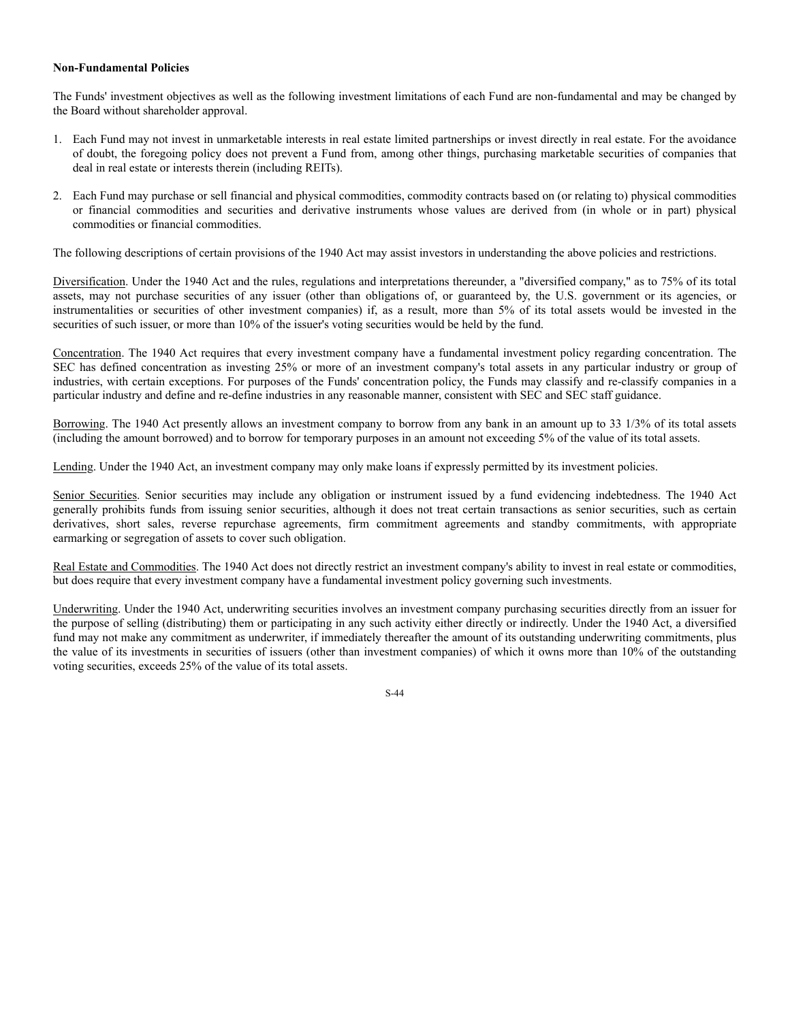#### **Non-Fundamental Policies**

The Funds' investment objectives as well as the following investment limitations of each Fund are non-fundamental and may be changed by the Board without shareholder approval.

- 1. Each Fund may not invest in unmarketable interests in real estate limited partnerships or invest directly in real estate. For the avoidance of doubt, the foregoing policy does not prevent a Fund from, among other things, purchasing marketable securities of companies that deal in real estate or interests therein (including REITs).
- 2. Each Fund may purchase or sell financial and physical commodities, commodity contracts based on (or relating to) physical commodities or financial commodities and securities and derivative instruments whose values are derived from (in whole or in part) physical commodities or financial commodities.

The following descriptions of certain provisions of the 1940 Act may assist investors in understanding the above policies and restrictions.

Diversification. Under the 1940 Act and the rules, regulations and interpretations thereunder, a "diversified company," as to 75% of its total assets, may not purchase securities of any issuer (other than obligations of, or guaranteed by, the U.S. government or its agencies, or instrumentalities or securities of other investment companies) if, as a result, more than 5% of its total assets would be invested in the securities of such issuer, or more than 10% of the issuer's voting securities would be held by the fund.

Concentration. The 1940 Act requires that every investment company have a fundamental investment policy regarding concentration. The SEC has defined concentration as investing 25% or more of an investment company's total assets in any particular industry or group of industries, with certain exceptions. For purposes of the Funds' concentration policy, the Funds may classify and re-classify companies in a particular industry and define and re-define industries in any reasonable manner, consistent with SEC and SEC staff guidance.

Borrowing. The 1940 Act presently allows an investment company to borrow from any bank in an amount up to 33 1/3% of its total assets (including the amount borrowed) and to borrow for temporary purposes in an amount not exceeding 5% of the value of its total assets.

Lending. Under the 1940 Act, an investment company may only make loans if expressly permitted by its investment policies.

Senior Securities. Senior securities may include any obligation or instrument issued by a fund evidencing indebtedness. The 1940 Act generally prohibits funds from issuing senior securities, although it does not treat certain transactions as senior securities, such as certain derivatives, short sales, reverse repurchase agreements, firm commitment agreements and standby commitments, with appropriate earmarking or segregation of assets to cover such obligation.

Real Estate and Commodities. The 1940 Act does not directly restrict an investment company's ability to invest in real estate or commodities, but does require that every investment company have a fundamental investment policy governing such investments.

Underwriting. Under the 1940 Act, underwriting securities involves an investment company purchasing securities directly from an issuer for the purpose of selling (distributing) them or participating in any such activity either directly or indirectly. Under the 1940 Act, a diversified fund may not make any commitment as underwriter, if immediately thereafter the amount of its outstanding underwriting commitments, plus the value of its investments in securities of issuers (other than investment companies) of which it owns more than 10% of the outstanding voting securities, exceeds 25% of the value of its total assets.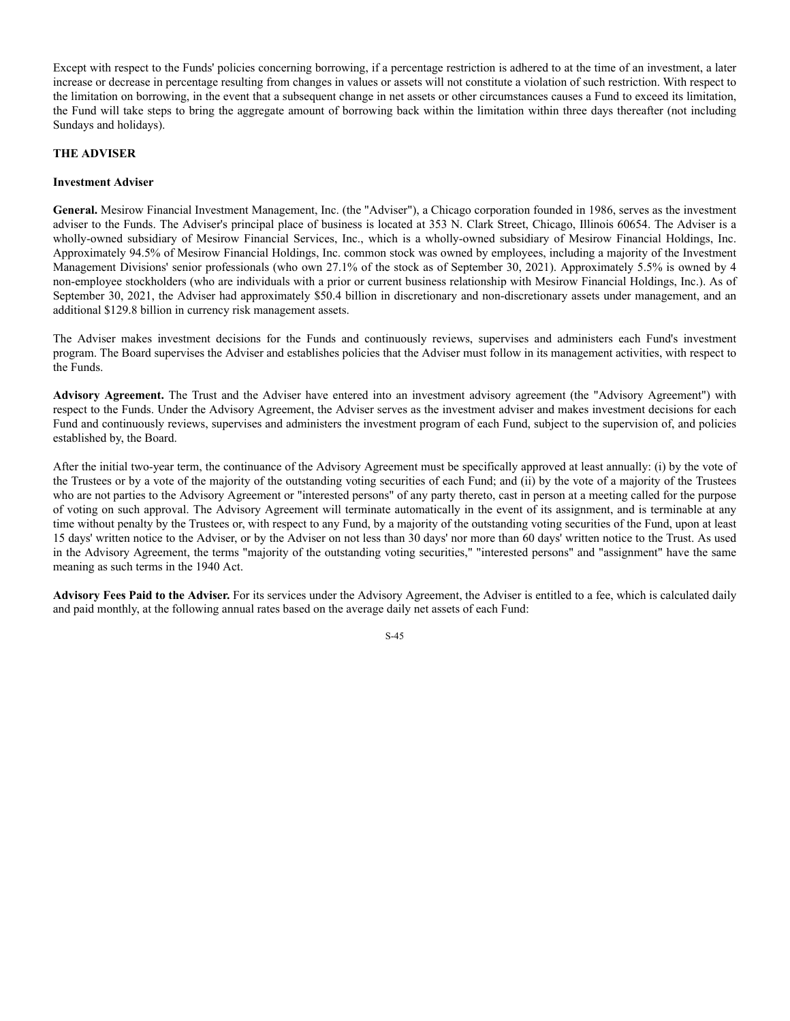Except with respect to the Funds' policies concerning borrowing, if a percentage restriction is adhered to at the time of an investment, a later increase or decrease in percentage resulting from changes in values or assets will not constitute a violation of such restriction. With respect to the limitation on borrowing, in the event that a subsequent change in net assets or other circumstances causes a Fund to exceed its limitation, the Fund will take steps to bring the aggregate amount of borrowing back within the limitation within three days thereafter (not including Sundays and holidays).

#### **THE ADVISER**

#### **Investment Adviser**

**General.** Mesirow Financial Investment Management, Inc. (the "Adviser"), a Chicago corporation founded in 1986, serves as the investment adviser to the Funds. The Adviser's principal place of business is located at 353 N. Clark Street, Chicago, Illinois 60654. The Adviser is a wholly-owned subsidiary of Mesirow Financial Services, Inc., which is a wholly-owned subsidiary of Mesirow Financial Holdings, Inc. Approximately 94.5% of Mesirow Financial Holdings, Inc. common stock was owned by employees, including a majority of the Investment Management Divisions' senior professionals (who own 27.1% of the stock as of September 30, 2021). Approximately 5.5% is owned by 4 non-employee stockholders (who are individuals with a prior or current business relationship with Mesirow Financial Holdings, Inc.). As of September 30, 2021, the Adviser had approximately \$50.4 billion in discretionary and non-discretionary assets under management, and an additional \$129.8 billion in currency risk management assets.

The Adviser makes investment decisions for the Funds and continuously reviews, supervises and administers each Fund's investment program. The Board supervises the Adviser and establishes policies that the Adviser must follow in its management activities, with respect to the Funds.

**Advisory Agreement.** The Trust and the Adviser have entered into an investment advisory agreement (the "Advisory Agreement") with respect to the Funds. Under the Advisory Agreement, the Adviser serves as the investment adviser and makes investment decisions for each Fund and continuously reviews, supervises and administers the investment program of each Fund, subject to the supervision of, and policies established by, the Board.

After the initial two-year term, the continuance of the Advisory Agreement must be specifically approved at least annually: (i) by the vote of the Trustees or by a vote of the majority of the outstanding voting securities of each Fund; and (ii) by the vote of a majority of the Trustees who are not parties to the Advisory Agreement or "interested persons" of any party thereto, cast in person at a meeting called for the purpose of voting on such approval. The Advisory Agreement will terminate automatically in the event of its assignment, and is terminable at any time without penalty by the Trustees or, with respect to any Fund, by a majority of the outstanding voting securities of the Fund, upon at least 15 days' written notice to the Adviser, or by the Adviser on not less than 30 days' nor more than 60 days' written notice to the Trust. As used in the Advisory Agreement, the terms "majority of the outstanding voting securities," "interested persons" and "assignment" have the same meaning as such terms in the 1940 Act.

**Advisory Fees Paid to the Adviser.** For its services under the Advisory Agreement, the Adviser is entitled to a fee, which is calculated daily and paid monthly, at the following annual rates based on the average daily net assets of each Fund: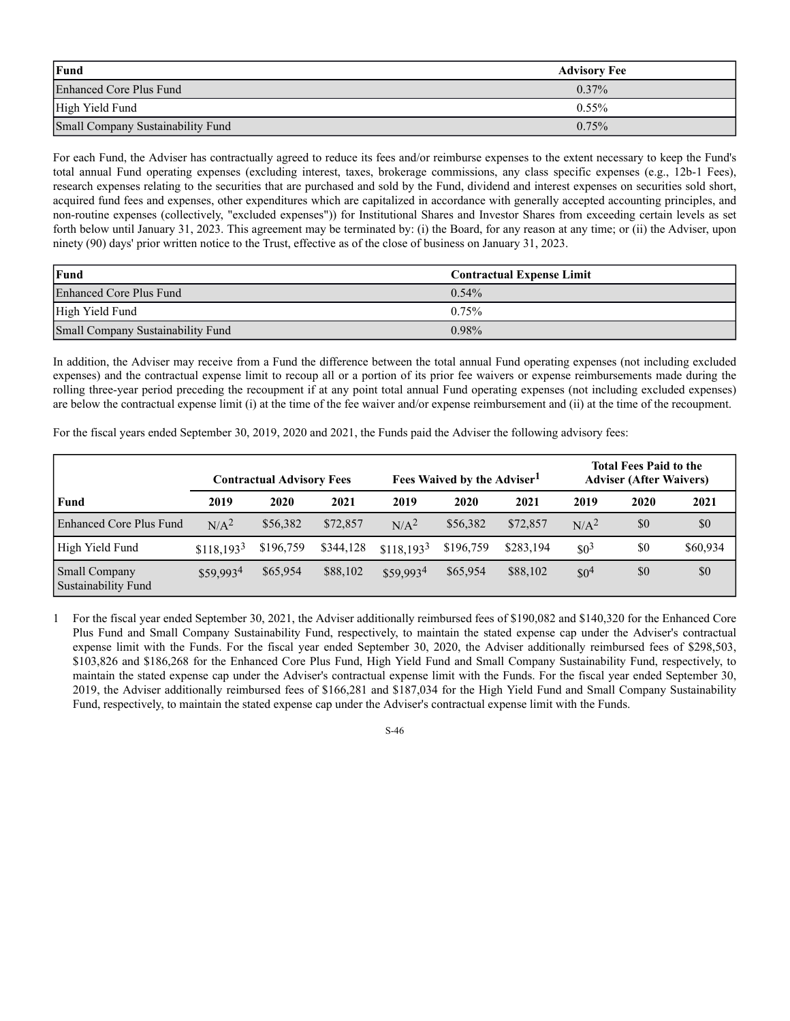| Fund                              | <b>Advisory Fee</b> |
|-----------------------------------|---------------------|
| Enhanced Core Plus Fund           | $0.37\%$            |
| High Yield Fund                   | $0.55\%$            |
| Small Company Sustainability Fund | 0.75%               |

For each Fund, the Adviser has contractually agreed to reduce its fees and/or reimburse expenses to the extent necessary to keep the Fund's total annual Fund operating expenses (excluding interest, taxes, brokerage commissions, any class specific expenses (e.g., 12b-1 Fees), research expenses relating to the securities that are purchased and sold by the Fund, dividend and interest expenses on securities sold short, acquired fund fees and expenses, other expenditures which are capitalized in accordance with generally accepted accounting principles, and non-routine expenses (collectively, "excluded expenses")) for Institutional Shares and Investor Shares from exceeding certain levels as set forth below until January 31, 2023. This agreement may be terminated by: (i) the Board, for any reason at any time; or (ii) the Adviser, upon ninety (90) days' prior written notice to the Trust, effective as of the close of business on January 31, 2023.

| Fund                              | <b>Contractual Expense Limit</b> |
|-----------------------------------|----------------------------------|
| Enhanced Core Plus Fund           | $0.54\%$                         |
| High Yield Fund                   | 0.75%                            |
| Small Company Sustainability Fund | $0.98\%$                         |

In addition, the Adviser may receive from a Fund the difference between the total annual Fund operating expenses (not including excluded expenses) and the contractual expense limit to recoup all or a portion of its prior fee waivers or expense reimbursements made during the rolling three-year period preceding the recoupment if at any point total annual Fund operating expenses (not including excluded expenses) are below the contractual expense limit (i) at the time of the fee waiver and/or expense reimbursement and (ii) at the time of the recoupment.

For the fiscal years ended September 30, 2019, 2020 and 2021, the Funds paid the Adviser the following advisory fees:

|                                             |                  | <b>Contractual Advisory Fees</b> |           |                  | Fees Waived by the Adviser <sup>1</sup> |           |                  | <b>Total Fees Paid to the</b><br><b>Adviser (After Waivers)</b> |          |
|---------------------------------------------|------------------|----------------------------------|-----------|------------------|-----------------------------------------|-----------|------------------|-----------------------------------------------------------------|----------|
| Fund                                        | 2019             | 2020                             | 2021      | 2019             | 2020                                    | 2021      | 2019             | 2020                                                            | 2021     |
| Enhanced Core Plus Fund                     | N/A <sup>2</sup> | \$56,382                         | \$72,857  | N/A <sup>2</sup> | \$56,382                                | \$72,857  | N/A <sup>2</sup> | \$0                                                             | \$0      |
| High Yield Fund                             | $$118.193^3$     | \$196,759                        | \$344,128 | $$118.193^3$     | \$196,759                               | \$283,194 | $$0^3$           | \$0                                                             | \$60,934 |
| <b>Small Company</b><br>Sustainability Fund | \$59,9934        | \$65,954                         | \$88,102  | \$59,9934        | \$65,954                                | \$88,102  | $$0^4$           | \$0                                                             | \$0      |

1 For the fiscal year ended September 30, 2021, the Adviser additionally reimbursed fees of \$190,082 and \$140,320 for the Enhanced Core Plus Fund and Small Company Sustainability Fund, respectively, to maintain the stated expense cap under the Adviser's contractual expense limit with the Funds. For the fiscal year ended September 30, 2020, the Adviser additionally reimbursed fees of \$298,503, \$103,826 and \$186,268 for the Enhanced Core Plus Fund, High Yield Fund and Small Company Sustainability Fund, respectively, to maintain the stated expense cap under the Adviser's contractual expense limit with the Funds. For the fiscal year ended September 30, 2019, the Adviser additionally reimbursed fees of \$166,281 and \$187,034 for the High Yield Fund and Small Company Sustainability Fund, respectively, to maintain the stated expense cap under the Adviser's contractual expense limit with the Funds.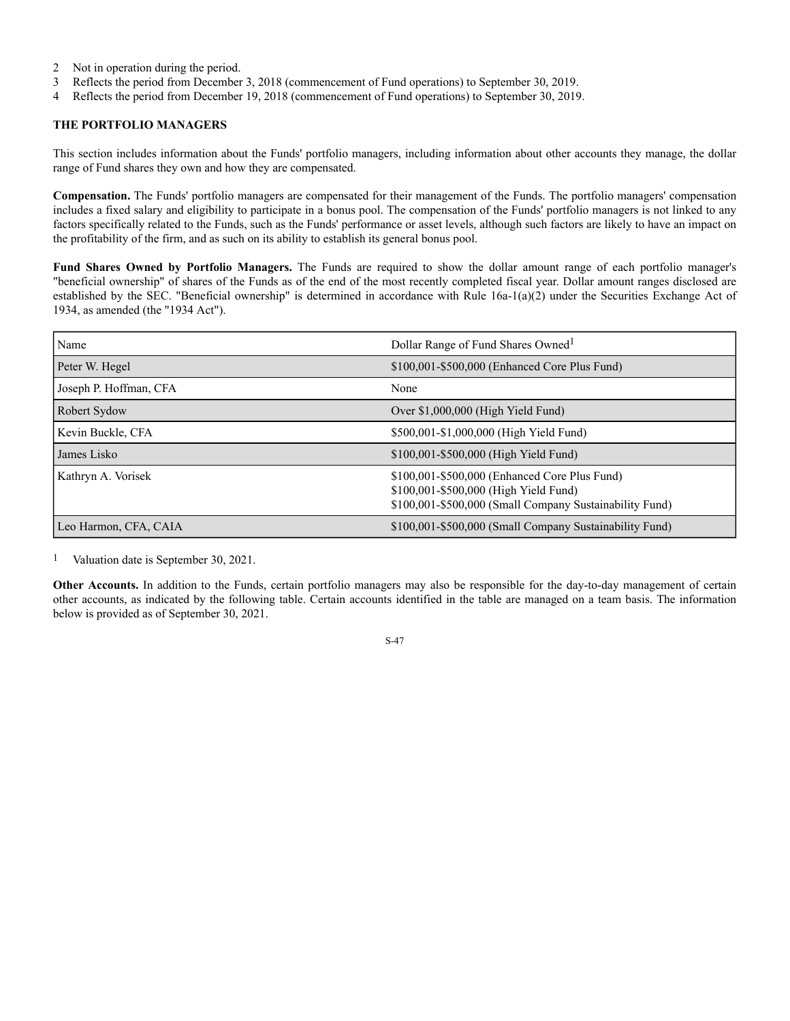- 2 Not in operation during the period.
- 3 Reflects the period from December 3, 2018 (commencement of Fund operations) to September 30, 2019.
- 4 Reflects the period from December 19, 2018 (commencement of Fund operations) to September 30, 2019.

# **THE PORTFOLIO MANAGERS**

This section includes information about the Funds' portfolio managers, including information about other accounts they manage, the dollar range of Fund shares they own and how they are compensated.

**Compensation.** The Funds' portfolio managers are compensated for their management of the Funds. The portfolio managers' compensation includes a fixed salary and eligibility to participate in a bonus pool. The compensation of the Funds' portfolio managers is not linked to any factors specifically related to the Funds, such as the Funds' performance or asset levels, although such factors are likely to have an impact on the profitability of the firm, and as such on its ability to establish its general bonus pool.

**Fund Shares Owned by Portfolio Managers.** The Funds are required to show the dollar amount range of each portfolio manager's "beneficial ownership" of shares of the Funds as of the end of the most recently completed fiscal year. Dollar amount ranges disclosed are established by the SEC. "Beneficial ownership" is determined in accordance with Rule 16a-1(a)(2) under the Securities Exchange Act of 1934, as amended (the "1934 Act").

| Name                   | Dollar Range of Fund Shares Owned <sup>1</sup>                                                                                                    |  |  |
|------------------------|---------------------------------------------------------------------------------------------------------------------------------------------------|--|--|
| Peter W. Hegel         | \$100,001-\$500,000 (Enhanced Core Plus Fund)                                                                                                     |  |  |
| Joseph P. Hoffman, CFA | None                                                                                                                                              |  |  |
| Robert Sydow           | Over \$1,000,000 (High Yield Fund)                                                                                                                |  |  |
| Kevin Buckle, CFA      | \$500,001-\$1,000,000 (High Yield Fund)                                                                                                           |  |  |
| James Lisko            | \$100,001-\$500,000 (High Yield Fund)                                                                                                             |  |  |
| Kathryn A. Vorisek     | \$100,001-\$500,000 (Enhanced Core Plus Fund)<br>\$100,001-\$500,000 (High Yield Fund)<br>\$100,001-\$500,000 (Small Company Sustainability Fund) |  |  |
| Leo Harmon, CFA, CAIA  | \$100,001-\$500,000 (Small Company Sustainability Fund)                                                                                           |  |  |

1 Valuation date is September 30, 2021.

**Other Accounts.** In addition to the Funds, certain portfolio managers may also be responsible for the day-to-day management of certain other accounts, as indicated by the following table. Certain accounts identified in the table are managed on a team basis. The information below is provided as of September 30, 2021.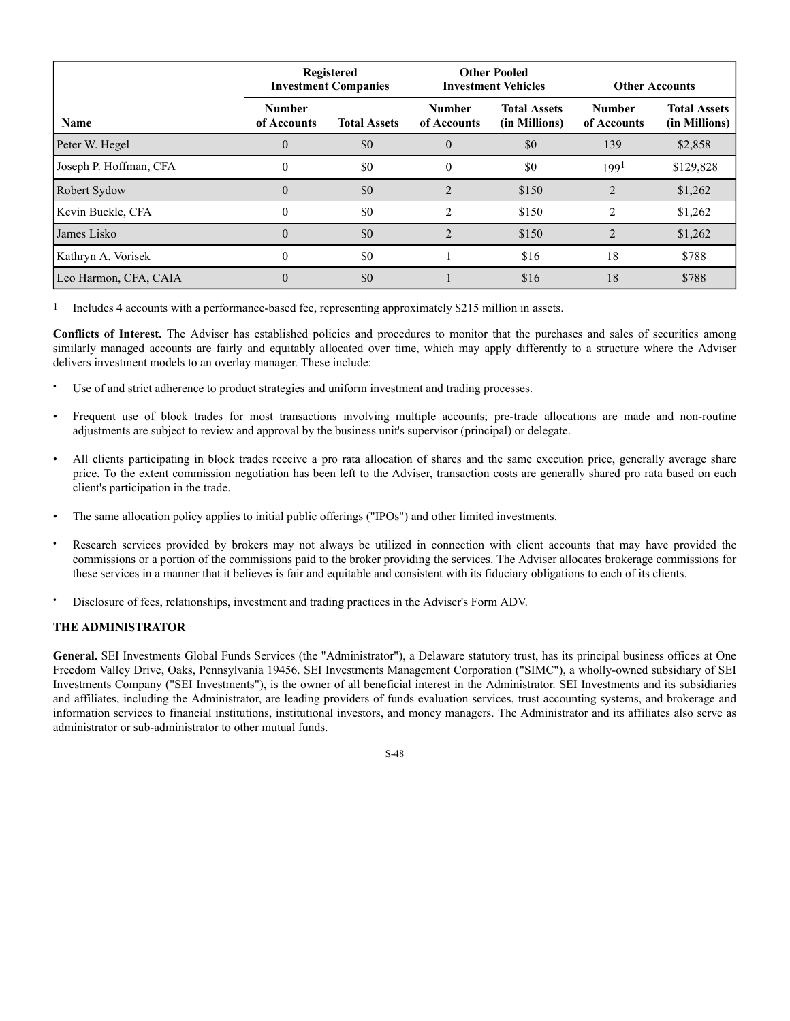|                        |                              | <b>Registered</b><br><b>Investment Companies</b> |                              | <b>Other Pooled</b><br><b>Investment Vehicles</b> |                              | <b>Other Accounts</b>                |  |
|------------------------|------------------------------|--------------------------------------------------|------------------------------|---------------------------------------------------|------------------------------|--------------------------------------|--|
| <b>Name</b>            | <b>Number</b><br>of Accounts | <b>Total Assets</b>                              | <b>Number</b><br>of Accounts | <b>Total Assets</b><br>(in Millions)              | <b>Number</b><br>of Accounts | <b>Total Assets</b><br>(in Millions) |  |
| Peter W. Hegel         | $\theta$                     | \$0                                              | $\theta$                     | \$0                                               | 139                          | \$2,858                              |  |
| Joseph P. Hoffman, CFA | $\theta$                     | \$0                                              | 0                            | \$0                                               | 199 <sup>1</sup>             | \$129,828                            |  |
| Robert Sydow           |                              | \$0                                              |                              | \$150                                             |                              | \$1,262                              |  |
| Kevin Buckle, CFA      | 0                            | \$0                                              | $\mathfrak{D}$               | \$150                                             | 2                            | \$1,262                              |  |
| James Lisko            |                              | \$0                                              |                              | \$150                                             |                              | \$1,262                              |  |
| Kathryn A. Vorisek     |                              | \$0                                              |                              | \$16                                              | 18                           | \$788                                |  |
| Leo Harmon, CFA, CAIA  | 0                            | \$0                                              |                              | \$16                                              | 18                           | \$788                                |  |

1 Includes 4 accounts with a performance-based fee, representing approximately \$215 million in assets.

**Conflicts of Interest.** The Adviser has established policies and procedures to monitor that the purchases and sales of securities among similarly managed accounts are fairly and equitably allocated over time, which may apply differently to a structure where the Adviser delivers investment models to an overlay manager. These include:

- Use of and strict adherence to product strategies and uniform investment and trading processes.
- Frequent use of block trades for most transactions involving multiple accounts; pre-trade allocations are made and non-routine adjustments are subject to review and approval by the business unit's supervisor (principal) or delegate.
- All clients participating in block trades receive a pro rata allocation of shares and the same execution price, generally average share price. To the extent commission negotiation has been left to the Adviser, transaction costs are generally shared pro rata based on each client's participation in the trade.
- The same allocation policy applies to initial public offerings ("IPOs") and other limited investments.
- Research services provided by brokers may not always be utilized in connection with client accounts that may have provided the commissions or a portion of the commissions paid to the broker providing the services. The Adviser allocates brokerage commissions for these services in a manner that it believes is fair and equitable and consistent with its fiduciary obligations to each of its clients.
- Disclosure of fees, relationships, investment and trading practices in the Adviser's Form ADV.

## **THE ADMINISTRATOR**

**General.** SEI Investments Global Funds Services (the "Administrator"), a Delaware statutory trust, has its principal business offices at One Freedom Valley Drive, Oaks, Pennsylvania 19456. SEI Investments Management Corporation ("SIMC"), a wholly-owned subsidiary of SEI Investments Company ("SEI Investments"), is the owner of all beneficial interest in the Administrator. SEI Investments and its subsidiaries and affiliates, including the Administrator, are leading providers of funds evaluation services, trust accounting systems, and brokerage and information services to financial institutions, institutional investors, and money managers. The Administrator and its affiliates also serve as administrator or sub-administrator to other mutual funds.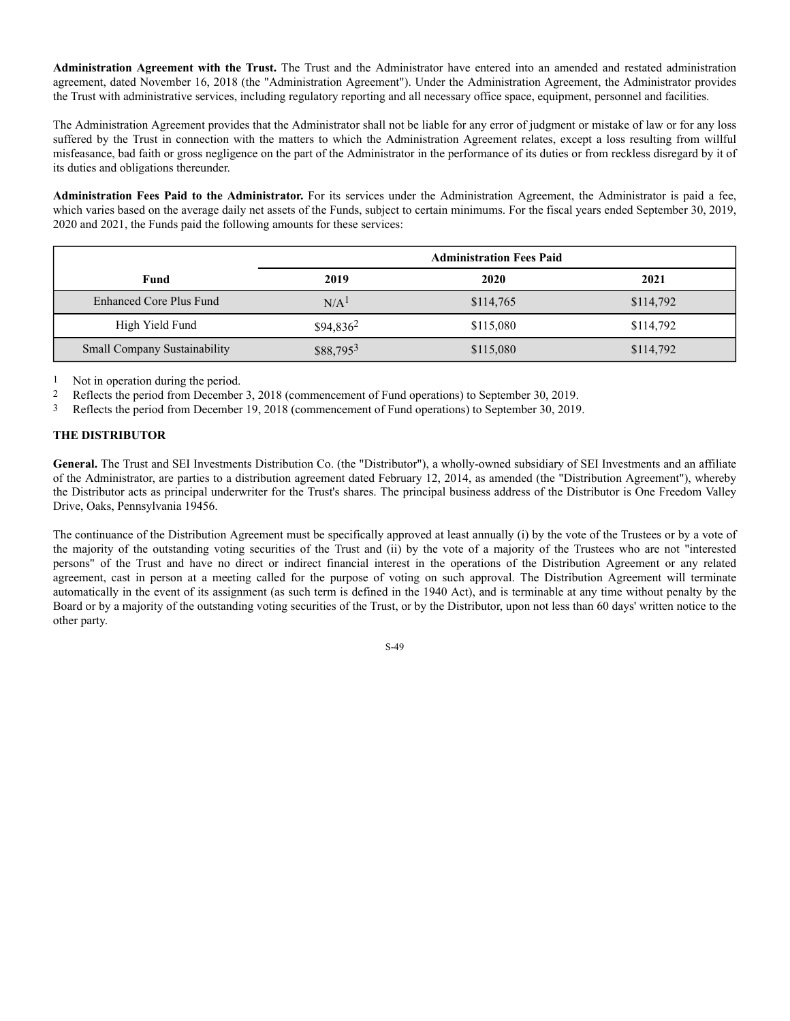**Administration Agreement with the Trust.** The Trust and the Administrator have entered into an amended and restated administration agreement, dated November 16, 2018 (the "Administration Agreement"). Under the Administration Agreement, the Administrator provides the Trust with administrative services, including regulatory reporting and all necessary office space, equipment, personnel and facilities.

The Administration Agreement provides that the Administrator shall not be liable for any error of judgment or mistake of law or for any loss suffered by the Trust in connection with the matters to which the Administration Agreement relates, except a loss resulting from willful misfeasance, bad faith or gross negligence on the part of the Administrator in the performance of its duties or from reckless disregard by it of its duties and obligations thereunder.

**Administration Fees Paid to the Administrator.** For its services under the Administration Agreement, the Administrator is paid a fee, which varies based on the average daily net assets of the Funds, subject to certain minimums. For the fiscal years ended September 30, 2019, 2020 and 2021, the Funds paid the following amounts for these services:

|                                     | <b>Administration Fees Paid</b> |           |           |  |
|-------------------------------------|---------------------------------|-----------|-----------|--|
| Fund                                | 2019                            | 2020      | 2021      |  |
| Enhanced Core Plus Fund             | N/A <sup>1</sup>                | \$114,765 | \$114,792 |  |
| High Yield Fund                     | $$94,836^2$                     | \$115,080 | \$114,792 |  |
| <b>Small Company Sustainability</b> | $$88,795^3$                     | \$115,080 | \$114,792 |  |

1 Not in operation during the period.

2 Reflects the period from December 3, 2018 (commencement of Fund operations) to September 30, 2019.

3 Reflects the period from December 19, 2018 (commencement of Fund operations) to September 30, 2019.

## **THE DISTRIBUTOR**

**General.** The Trust and SEI Investments Distribution Co. (the "Distributor"), a wholly-owned subsidiary of SEI Investments and an affiliate of the Administrator, are parties to a distribution agreement dated February 12, 2014, as amended (the "Distribution Agreement"), whereby the Distributor acts as principal underwriter for the Trust's shares. The principal business address of the Distributor is One Freedom Valley Drive, Oaks, Pennsylvania 19456.

The continuance of the Distribution Agreement must be specifically approved at least annually (i) by the vote of the Trustees or by a vote of the majority of the outstanding voting securities of the Trust and (ii) by the vote of a majority of the Trustees who are not "interested persons" of the Trust and have no direct or indirect financial interest in the operations of the Distribution Agreement or any related agreement, cast in person at a meeting called for the purpose of voting on such approval. The Distribution Agreement will terminate automatically in the event of its assignment (as such term is defined in the 1940 Act), and is terminable at any time without penalty by the Board or by a majority of the outstanding voting securities of the Trust, or by the Distributor, upon not less than 60 days' written notice to the other party.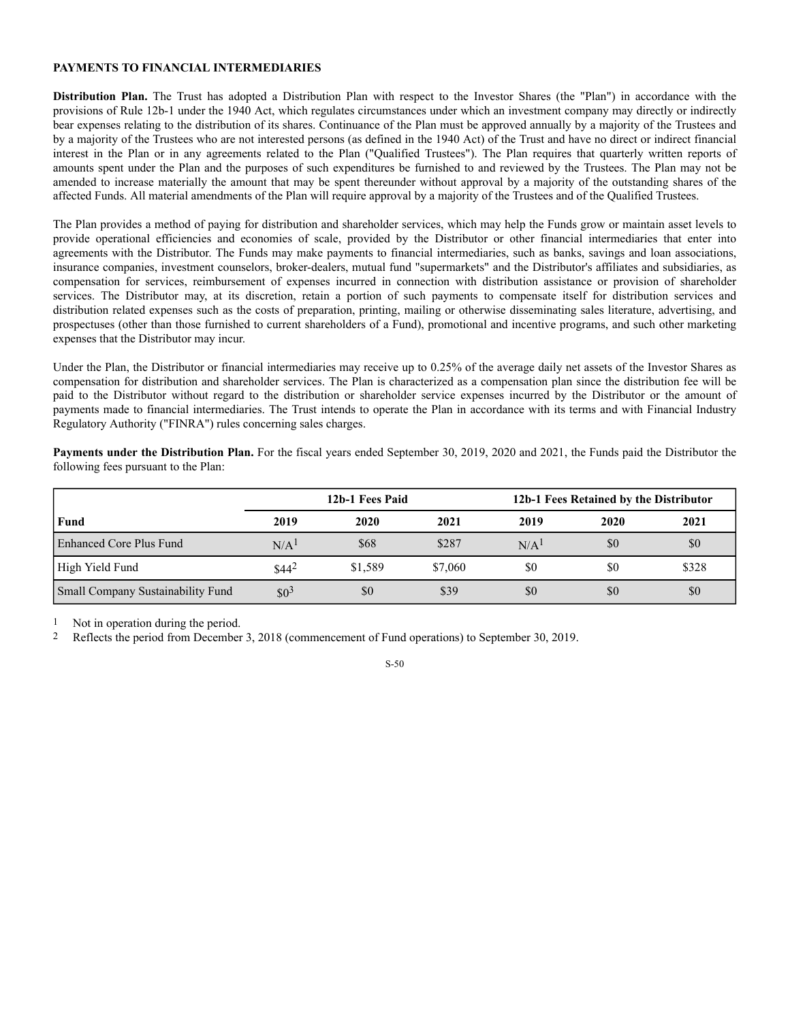# **PAYMENTS TO FINANCIAL INTERMEDIARIES**

**Distribution Plan.** The Trust has adopted a Distribution Plan with respect to the Investor Shares (the "Plan") in accordance with the provisions of Rule 12b-1 under the 1940 Act, which regulates circumstances under which an investment company may directly or indirectly bear expenses relating to the distribution of its shares. Continuance of the Plan must be approved annually by a majority of the Trustees and by a majority of the Trustees who are not interested persons (as defined in the 1940 Act) of the Trust and have no direct or indirect financial interest in the Plan or in any agreements related to the Plan ("Qualified Trustees"). The Plan requires that quarterly written reports of amounts spent under the Plan and the purposes of such expenditures be furnished to and reviewed by the Trustees. The Plan may not be amended to increase materially the amount that may be spent thereunder without approval by a majority of the outstanding shares of the affected Funds. All material amendments of the Plan will require approval by a majority of the Trustees and of the Qualified Trustees.

The Plan provides a method of paying for distribution and shareholder services, which may help the Funds grow or maintain asset levels to provide operational efficiencies and economies of scale, provided by the Distributor or other financial intermediaries that enter into agreements with the Distributor. The Funds may make payments to financial intermediaries, such as banks, savings and loan associations, insurance companies, investment counselors, broker-dealers, mutual fund "supermarkets" and the Distributor's affiliates and subsidiaries, as compensation for services, reimbursement of expenses incurred in connection with distribution assistance or provision of shareholder services. The Distributor may, at its discretion, retain a portion of such payments to compensate itself for distribution services and distribution related expenses such as the costs of preparation, printing, mailing or otherwise disseminating sales literature, advertising, and prospectuses (other than those furnished to current shareholders of a Fund), promotional and incentive programs, and such other marketing expenses that the Distributor may incur.

Under the Plan, the Distributor or financial intermediaries may receive up to 0.25% of the average daily net assets of the Investor Shares as compensation for distribution and shareholder services. The Plan is characterized as a compensation plan since the distribution fee will be paid to the Distributor without regard to the distribution or shareholder service expenses incurred by the Distributor or the amount of payments made to financial intermediaries. The Trust intends to operate the Plan in accordance with its terms and with Financial Industry Regulatory Authority ("FINRA") rules concerning sales charges.

**Payments under the Distribution Plan.** For the fiscal years ended September 30, 2019, 2020 and 2021, the Funds paid the Distributor the following fees pursuant to the Plan:

|                                   | 12b-1 Fees Paid  |         |         | 12b-1 Fees Retained by the Distributor |      |       |
|-----------------------------------|------------------|---------|---------|----------------------------------------|------|-------|
| Fund                              | 2019             | 2020    | 2021    | 2019                                   | 2020 | 2021  |
| Enhanced Core Plus Fund           | N/A <sup>1</sup> | \$68    | \$287   | N/A <sup>1</sup>                       | \$0  | \$0   |
| High Yield Fund                   | $$44^2$          | \$1,589 | \$7,060 | \$0                                    | \$0  | \$328 |
| Small Company Sustainability Fund | $$0^3$           | \$0     | \$39    | \$0                                    | \$0  | \$0   |

1 Not in operation during the period.

2 Reflects the period from December 3, 2018 (commencement of Fund operations) to September 30, 2019.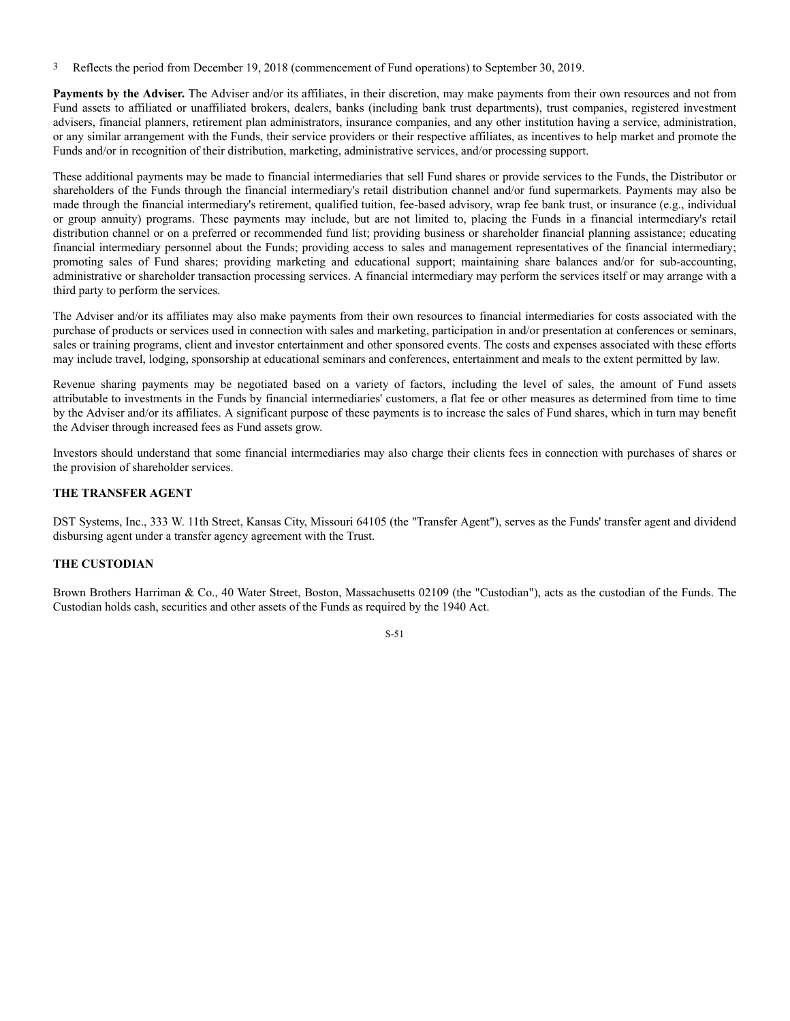3 Reflects the period from December 19, 2018 (commencement of Fund operations) to September 30, 2019.

**Payments by the Adviser.** The Adviser and/or its affiliates, in their discretion, may make payments from their own resources and not from Fund assets to affiliated or unaffiliated brokers, dealers, banks (including bank trust departments), trust companies, registered investment advisers, financial planners, retirement plan administrators, insurance companies, and any other institution having a service, administration, or any similar arrangement with the Funds, their service providers or their respective affiliates, as incentives to help market and promote the Funds and/or in recognition of their distribution, marketing, administrative services, and/or processing support.

These additional payments may be made to financial intermediaries that sell Fund shares or provide services to the Funds, the Distributor or shareholders of the Funds through the financial intermediary's retail distribution channel and/or fund supermarkets. Payments may also be made through the financial intermediary's retirement, qualified tuition, fee-based advisory, wrap fee bank trust, or insurance (e.g., individual or group annuity) programs. These payments may include, but are not limited to, placing the Funds in a financial intermediary's retail distribution channel or on a preferred or recommended fund list; providing business or shareholder financial planning assistance; educating financial intermediary personnel about the Funds; providing access to sales and management representatives of the financial intermediary; promoting sales of Fund shares; providing marketing and educational support; maintaining share balances and/or for sub-accounting, administrative or shareholder transaction processing services. A financial intermediary may perform the services itself or may arrange with a third party to perform the services.

The Adviser and/or its affiliates may also make payments from their own resources to financial intermediaries for costs associated with the purchase of products or services used in connection with sales and marketing, participation in and/or presentation at conferences or seminars, sales or training programs, client and investor entertainment and other sponsored events. The costs and expenses associated with these efforts may include travel, lodging, sponsorship at educational seminars and conferences, entertainment and meals to the extent permitted by law.

Revenue sharing payments may be negotiated based on a variety of factors, including the level of sales, the amount of Fund assets attributable to investments in the Funds by financial intermediaries' customers, a flat fee or other measures as determined from time to time by the Adviser and/or its affiliates. A significant purpose of these payments is to increase the sales of Fund shares, which in turn may benefit the Adviser through increased fees as Fund assets grow.

Investors should understand that some financial intermediaries may also charge their clients fees in connection with purchases of shares or the provision of shareholder services.

## **THE TRANSFER AGENT**

DST Systems, Inc., 333 W. 11th Street, Kansas City, Missouri 64105 (the "Transfer Agent"), serves as the Funds' transfer agent and dividend disbursing agent under a transfer agency agreement with the Trust.

## **THE CUSTODIAN**

Brown Brothers Harriman & Co., 40 Water Street, Boston, Massachusetts 02109 (the "Custodian"), acts as the custodian of the Funds. The Custodian holds cash, securities and other assets of the Funds as required by the 1940 Act.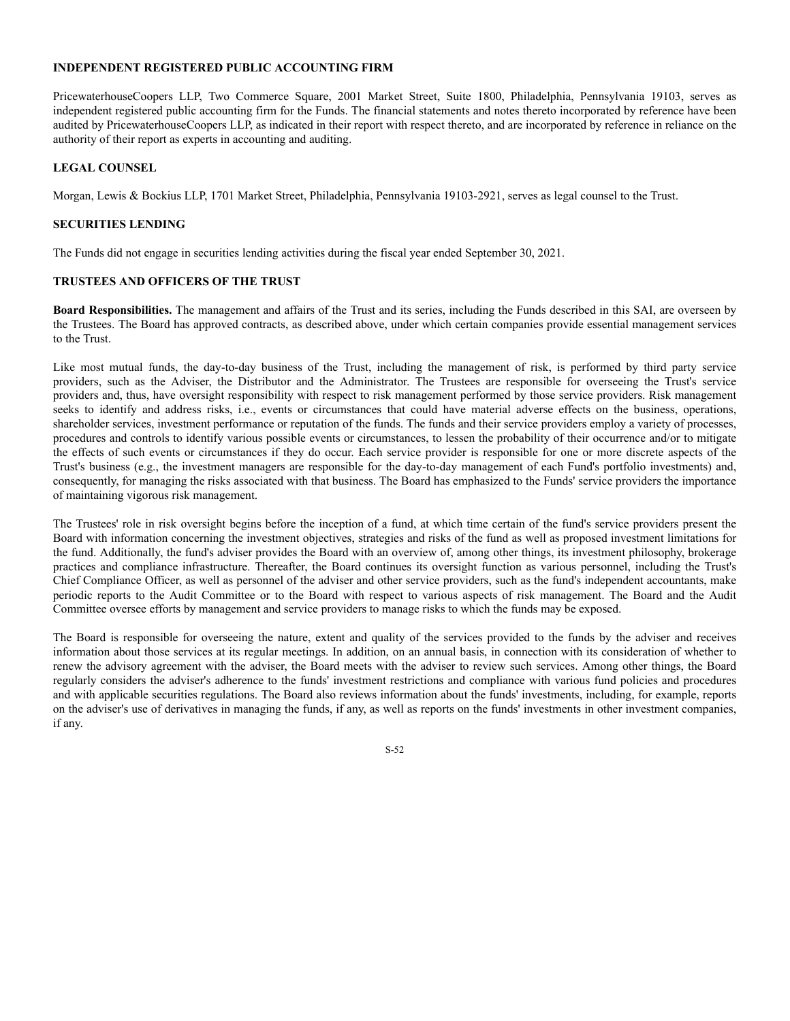## **INDEPENDENT REGISTERED PUBLIC ACCOUNTING FIRM**

PricewaterhouseCoopers LLP, Two Commerce Square, 2001 Market Street, Suite 1800, Philadelphia, Pennsylvania 19103, serves as independent registered public accounting firm for the Funds. The financial statements and notes thereto incorporated by reference have been audited by PricewaterhouseCoopers LLP, as indicated in their report with respect thereto, and are incorporated by reference in reliance on the authority of their report as experts in accounting and auditing.

## **LEGAL COUNSEL**

Morgan, Lewis & Bockius LLP, 1701 Market Street, Philadelphia, Pennsylvania 19103-2921, serves as legal counsel to the Trust.

## **SECURITIES LENDING**

The Funds did not engage in securities lending activities during the fiscal year ended September 30, 2021.

## **TRUSTEES AND OFFICERS OF THE TRUST**

**Board Responsibilities.** The management and affairs of the Trust and its series, including the Funds described in this SAI, are overseen by the Trustees. The Board has approved contracts, as described above, under which certain companies provide essential management services to the Trust.

Like most mutual funds, the day-to-day business of the Trust, including the management of risk, is performed by third party service providers, such as the Adviser, the Distributor and the Administrator. The Trustees are responsible for overseeing the Trust's service providers and, thus, have oversight responsibility with respect to risk management performed by those service providers. Risk management seeks to identify and address risks, i.e., events or circumstances that could have material adverse effects on the business, operations, shareholder services, investment performance or reputation of the funds. The funds and their service providers employ a variety of processes, procedures and controls to identify various possible events or circumstances, to lessen the probability of their occurrence and/or to mitigate the effects of such events or circumstances if they do occur. Each service provider is responsible for one or more discrete aspects of the Trust's business (e.g., the investment managers are responsible for the day-to-day management of each Fund's portfolio investments) and, consequently, for managing the risks associated with that business. The Board has emphasized to the Funds' service providers the importance of maintaining vigorous risk management.

The Trustees' role in risk oversight begins before the inception of a fund, at which time certain of the fund's service providers present the Board with information concerning the investment objectives, strategies and risks of the fund as well as proposed investment limitations for the fund. Additionally, the fund's adviser provides the Board with an overview of, among other things, its investment philosophy, brokerage practices and compliance infrastructure. Thereafter, the Board continues its oversight function as various personnel, including the Trust's Chief Compliance Officer, as well as personnel of the adviser and other service providers, such as the fund's independent accountants, make periodic reports to the Audit Committee or to the Board with respect to various aspects of risk management. The Board and the Audit Committee oversee efforts by management and service providers to manage risks to which the funds may be exposed.

The Board is responsible for overseeing the nature, extent and quality of the services provided to the funds by the adviser and receives information about those services at its regular meetings. In addition, on an annual basis, in connection with its consideration of whether to renew the advisory agreement with the adviser, the Board meets with the adviser to review such services. Among other things, the Board regularly considers the adviser's adherence to the funds' investment restrictions and compliance with various fund policies and procedures and with applicable securities regulations. The Board also reviews information about the funds' investments, including, for example, reports on the adviser's use of derivatives in managing the funds, if any, as well as reports on the funds' investments in other investment companies, if any.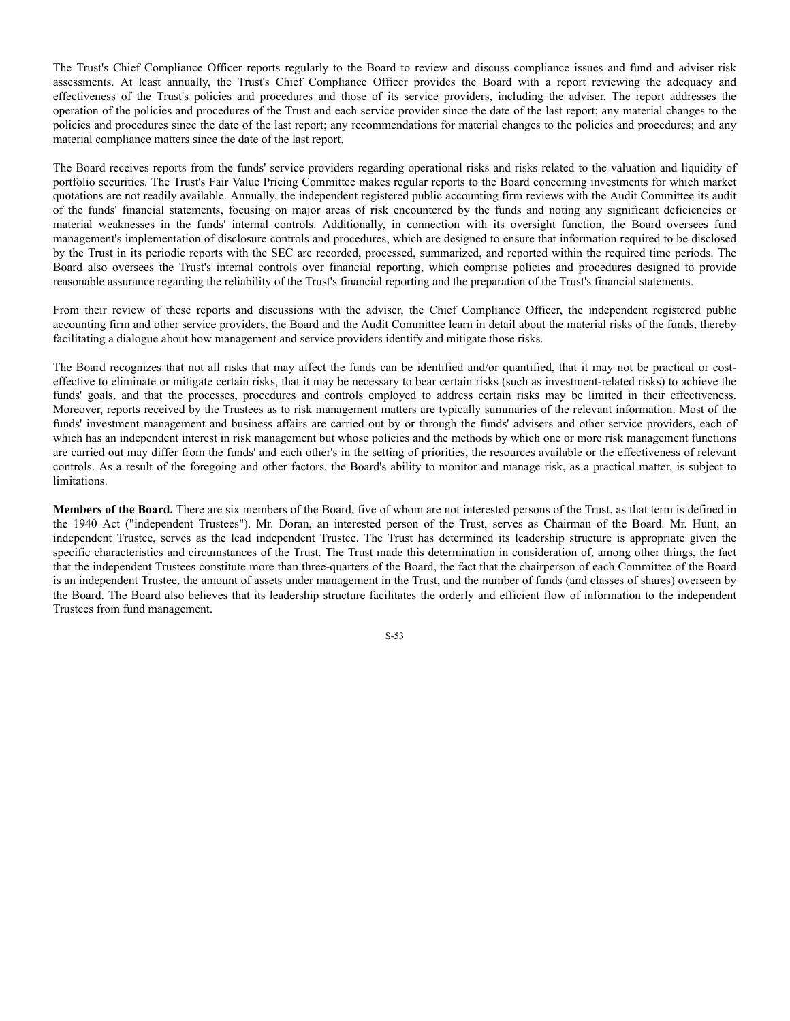The Trust's Chief Compliance Officer reports regularly to the Board to review and discuss compliance issues and fund and adviser risk assessments. At least annually, the Trust's Chief Compliance Officer provides the Board with a report reviewing the adequacy and effectiveness of the Trust's policies and procedures and those of its service providers, including the adviser. The report addresses the operation of the policies and procedures of the Trust and each service provider since the date of the last report; any material changes to the policies and procedures since the date of the last report; any recommendations for material changes to the policies and procedures; and any material compliance matters since the date of the last report.

The Board receives reports from the funds' service providers regarding operational risks and risks related to the valuation and liquidity of portfolio securities. The Trust's Fair Value Pricing Committee makes regular reports to the Board concerning investments for which market quotations are not readily available. Annually, the independent registered public accounting firm reviews with the Audit Committee its audit of the funds' financial statements, focusing on major areas of risk encountered by the funds and noting any significant deficiencies or material weaknesses in the funds' internal controls. Additionally, in connection with its oversight function, the Board oversees fund management's implementation of disclosure controls and procedures, which are designed to ensure that information required to be disclosed by the Trust in its periodic reports with the SEC are recorded, processed, summarized, and reported within the required time periods. The Board also oversees the Trust's internal controls over financial reporting, which comprise policies and procedures designed to provide reasonable assurance regarding the reliability of the Trust's financial reporting and the preparation of the Trust's financial statements.

From their review of these reports and discussions with the adviser, the Chief Compliance Officer, the independent registered public accounting firm and other service providers, the Board and the Audit Committee learn in detail about the material risks of the funds, thereby facilitating a dialogue about how management and service providers identify and mitigate those risks.

The Board recognizes that not all risks that may affect the funds can be identified and/or quantified, that it may not be practical or costeffective to eliminate or mitigate certain risks, that it may be necessary to bear certain risks (such as investment-related risks) to achieve the funds' goals, and that the processes, procedures and controls employed to address certain risks may be limited in their effectiveness. Moreover, reports received by the Trustees as to risk management matters are typically summaries of the relevant information. Most of the funds' investment management and business affairs are carried out by or through the funds' advisers and other service providers, each of which has an independent interest in risk management but whose policies and the methods by which one or more risk management functions are carried out may differ from the funds' and each other's in the setting of priorities, the resources available or the effectiveness of relevant controls. As a result of the foregoing and other factors, the Board's ability to monitor and manage risk, as a practical matter, is subject to limitations.

**Members of the Board.** There are six members of the Board, five of whom are not interested persons of the Trust, as that term is defined in the 1940 Act ("independent Trustees"). Mr. Doran, an interested person of the Trust, serves as Chairman of the Board. Mr. Hunt, an independent Trustee, serves as the lead independent Trustee. The Trust has determined its leadership structure is appropriate given the specific characteristics and circumstances of the Trust. The Trust made this determination in consideration of, among other things, the fact that the independent Trustees constitute more than three-quarters of the Board, the fact that the chairperson of each Committee of the Board is an independent Trustee, the amount of assets under management in the Trust, and the number of funds (and classes of shares) overseen by the Board. The Board also believes that its leadership structure facilitates the orderly and efficient flow of information to the independent Trustees from fund management.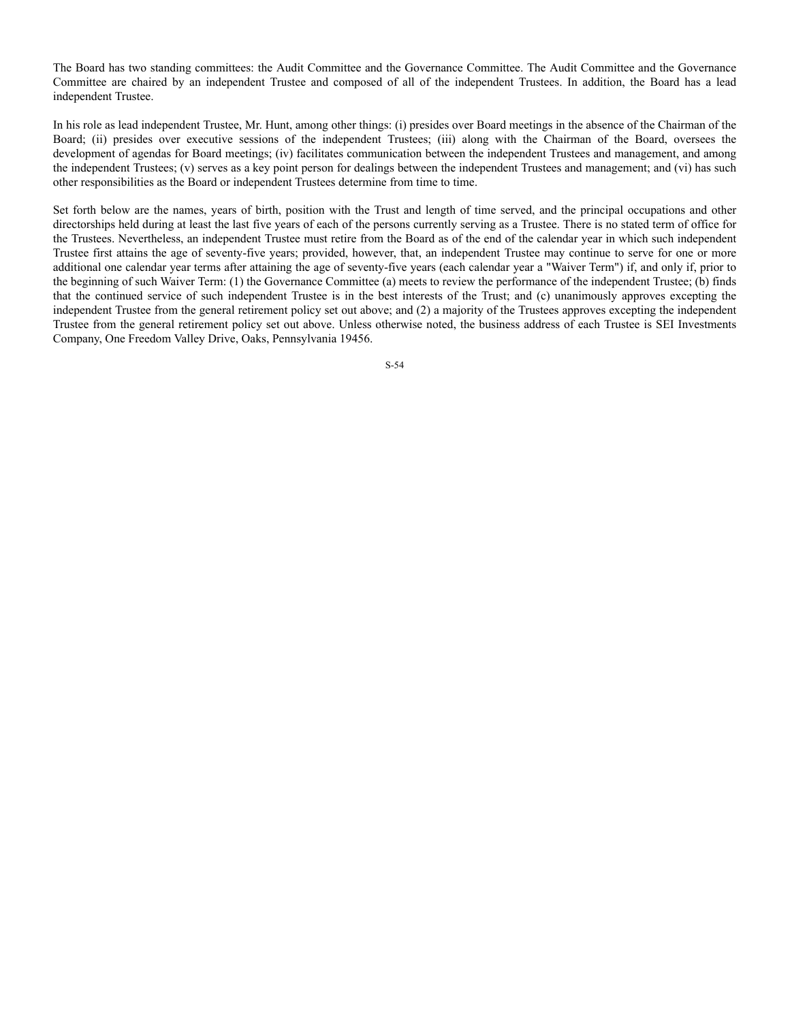The Board has two standing committees: the Audit Committee and the Governance Committee. The Audit Committee and the Governance Committee are chaired by an independent Trustee and composed of all of the independent Trustees. In addition, the Board has a lead independent Trustee.

In his role as lead independent Trustee, Mr. Hunt, among other things: (i) presides over Board meetings in the absence of the Chairman of the Board; (ii) presides over executive sessions of the independent Trustees; (iii) along with the Chairman of the Board, oversees the development of agendas for Board meetings; (iv) facilitates communication between the independent Trustees and management, and among the independent Trustees; (v) serves as a key point person for dealings between the independent Trustees and management; and (vi) has such other responsibilities as the Board or independent Trustees determine from time to time.

Set forth below are the names, years of birth, position with the Trust and length of time served, and the principal occupations and other directorships held during at least the last five years of each of the persons currently serving as a Trustee. There is no stated term of office for the Trustees. Nevertheless, an independent Trustee must retire from the Board as of the end of the calendar year in which such independent Trustee first attains the age of seventy-five years; provided, however, that, an independent Trustee may continue to serve for one or more additional one calendar year terms after attaining the age of seventy-five years (each calendar year a "Waiver Term") if, and only if, prior to the beginning of such Waiver Term: (1) the Governance Committee (a) meets to review the performance of the independent Trustee; (b) finds that the continued service of such independent Trustee is in the best interests of the Trust; and (c) unanimously approves excepting the independent Trustee from the general retirement policy set out above; and (2) a majority of the Trustees approves excepting the independent Trustee from the general retirement policy set out above. Unless otherwise noted, the business address of each Trustee is SEI Investments Company, One Freedom Valley Drive, Oaks, Pennsylvania 19456.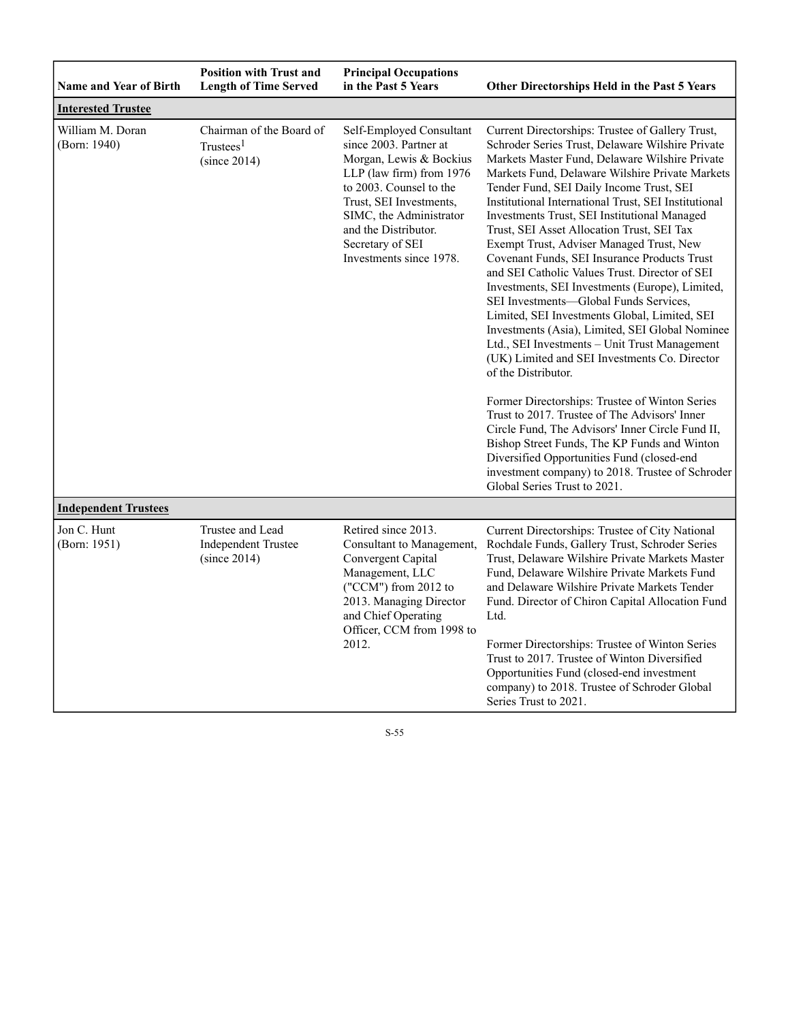| <b>Name and Year of Birth</b>    | <b>Position with Trust and</b><br><b>Length of Time Served</b>    | <b>Principal Occupations</b><br>in the Past 5 Years                                                                                                                                                                                                               | Other Directorships Held in the Past 5 Years                                                                                                                                                                                                                                                                                                                                                                                                                                                                                                                                                                                                                                                                                                                                                                                                                                                                                                                                                                                                                                                                                                                                                 |
|----------------------------------|-------------------------------------------------------------------|-------------------------------------------------------------------------------------------------------------------------------------------------------------------------------------------------------------------------------------------------------------------|----------------------------------------------------------------------------------------------------------------------------------------------------------------------------------------------------------------------------------------------------------------------------------------------------------------------------------------------------------------------------------------------------------------------------------------------------------------------------------------------------------------------------------------------------------------------------------------------------------------------------------------------------------------------------------------------------------------------------------------------------------------------------------------------------------------------------------------------------------------------------------------------------------------------------------------------------------------------------------------------------------------------------------------------------------------------------------------------------------------------------------------------------------------------------------------------|
| <b>Interested Trustee</b>        |                                                                   |                                                                                                                                                                                                                                                                   |                                                                                                                                                                                                                                                                                                                                                                                                                                                                                                                                                                                                                                                                                                                                                                                                                                                                                                                                                                                                                                                                                                                                                                                              |
| William M. Doran<br>(Born: 1940) | Chairman of the Board of<br>Trustees <sup>1</sup><br>(since 2014) | Self-Employed Consultant<br>since 2003. Partner at<br>Morgan, Lewis & Bockius<br>LLP (law firm) from 1976<br>to 2003. Counsel to the<br>Trust, SEI Investments,<br>SIMC, the Administrator<br>and the Distributor.<br>Secretary of SEI<br>Investments since 1978. | Current Directorships: Trustee of Gallery Trust,<br>Schroder Series Trust, Delaware Wilshire Private<br>Markets Master Fund, Delaware Wilshire Private<br>Markets Fund, Delaware Wilshire Private Markets<br>Tender Fund, SEI Daily Income Trust, SEI<br>Institutional International Trust, SEI Institutional<br>Investments Trust, SEI Institutional Managed<br>Trust, SEI Asset Allocation Trust, SEI Tax<br>Exempt Trust, Adviser Managed Trust, New<br>Covenant Funds, SEI Insurance Products Trust<br>and SEI Catholic Values Trust. Director of SEI<br>Investments, SEI Investments (Europe), Limited,<br>SEI Investments-Global Funds Services,<br>Limited, SEI Investments Global, Limited, SEI<br>Investments (Asia), Limited, SEI Global Nominee<br>Ltd., SEI Investments - Unit Trust Management<br>(UK) Limited and SEI Investments Co. Director<br>of the Distributor.<br>Former Directorships: Trustee of Winton Series<br>Trust to 2017. Trustee of The Advisors' Inner<br>Circle Fund, The Advisors' Inner Circle Fund II,<br>Bishop Street Funds, The KP Funds and Winton<br>Diversified Opportunities Fund (closed-end<br>investment company) to 2018. Trustee of Schroder |
| <b>Independent Trustees</b>      |                                                                   |                                                                                                                                                                                                                                                                   |                                                                                                                                                                                                                                                                                                                                                                                                                                                                                                                                                                                                                                                                                                                                                                                                                                                                                                                                                                                                                                                                                                                                                                                              |
| Jon C. Hunt<br>(Born: 1951)      | Trustee and Lead<br><b>Independent Trustee</b><br>(since 2014)    | Retired since 2013.<br>Consultant to Management,<br>Convergent Capital<br>Management, LLC<br>("CCM") from 2012 to<br>2013. Managing Director<br>and Chief Operating<br>Officer, CCM from 1998 to<br>2012.                                                         | Current Directorships: Trustee of City National<br>Rochdale Funds, Gallery Trust, Schroder Series<br>Trust, Delaware Wilshire Private Markets Master<br>Fund, Delaware Wilshire Private Markets Fund<br>and Delaware Wilshire Private Markets Tender<br>Fund. Director of Chiron Capital Allocation Fund<br>Ltd.<br>Former Directorships: Trustee of Winton Series<br>Trust to 2017. Trustee of Winton Diversified<br>Opportunities Fund (closed-end investment<br>company) to 2018. Trustee of Schroder Global<br>Series Trust to 2021.                                                                                                                                                                                                                                                                                                                                                                                                                                                                                                                                                                                                                                                     |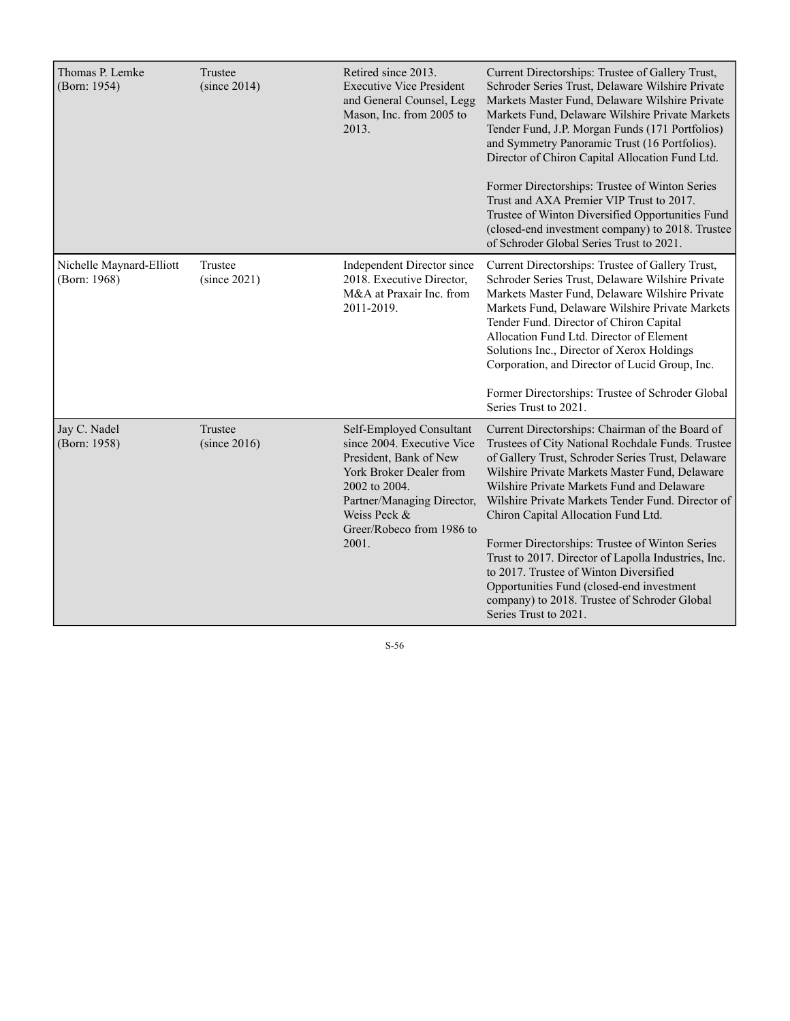| Thomas P. Lemke<br>(Born: 1954)          | Trustee<br>(since 2014) | Retired since 2013.<br><b>Executive Vice President</b><br>and General Counsel, Legg<br>Mason, Inc. from 2005 to<br>2013.                                                                                         | Current Directorships: Trustee of Gallery Trust,<br>Schroder Series Trust, Delaware Wilshire Private<br>Markets Master Fund, Delaware Wilshire Private<br>Markets Fund, Delaware Wilshire Private Markets<br>Tender Fund, J.P. Morgan Funds (171 Portfolios)<br>and Symmetry Panoramic Trust (16 Portfolios).<br>Director of Chiron Capital Allocation Fund Ltd.<br>Former Directorships: Trustee of Winton Series<br>Trust and AXA Premier VIP Trust to 2017.<br>Trustee of Winton Diversified Opportunities Fund                                                                                                             |
|------------------------------------------|-------------------------|------------------------------------------------------------------------------------------------------------------------------------------------------------------------------------------------------------------|--------------------------------------------------------------------------------------------------------------------------------------------------------------------------------------------------------------------------------------------------------------------------------------------------------------------------------------------------------------------------------------------------------------------------------------------------------------------------------------------------------------------------------------------------------------------------------------------------------------------------------|
|                                          |                         |                                                                                                                                                                                                                  | (closed-end investment company) to 2018. Trustee<br>of Schroder Global Series Trust to 2021.                                                                                                                                                                                                                                                                                                                                                                                                                                                                                                                                   |
| Nichelle Maynard-Elliott<br>(Born: 1968) | Trustee<br>(since 2021) | Independent Director since<br>2018. Executive Director,<br>M&A at Praxair Inc. from<br>2011-2019.                                                                                                                | Current Directorships: Trustee of Gallery Trust,<br>Schroder Series Trust, Delaware Wilshire Private<br>Markets Master Fund, Delaware Wilshire Private<br>Markets Fund, Delaware Wilshire Private Markets<br>Tender Fund. Director of Chiron Capital<br>Allocation Fund Ltd. Director of Element<br>Solutions Inc., Director of Xerox Holdings<br>Corporation, and Director of Lucid Group, Inc.<br>Former Directorships: Trustee of Schroder Global<br>Series Trust to 2021.                                                                                                                                                  |
| Jay C. Nadel<br>(Born: 1958)             | Trustee<br>(since 2016) | Self-Employed Consultant<br>since 2004. Executive Vice<br>President. Bank of New<br>York Broker Dealer from<br>2002 to 2004.<br>Partner/Managing Director,<br>Weiss Peck &<br>Greer/Robeco from 1986 to<br>2001. | Current Directorships: Chairman of the Board of<br>Trustees of City National Rochdale Funds. Trustee<br>of Gallery Trust, Schroder Series Trust, Delaware<br>Wilshire Private Markets Master Fund, Delaware<br>Wilshire Private Markets Fund and Delaware<br>Wilshire Private Markets Tender Fund. Director of<br>Chiron Capital Allocation Fund Ltd.<br>Former Directorships: Trustee of Winton Series<br>Trust to 2017. Director of Lapolla Industries, Inc.<br>to 2017. Trustee of Winton Diversified<br>Opportunities Fund (closed-end investment<br>company) to 2018. Trustee of Schroder Global<br>Series Trust to 2021. |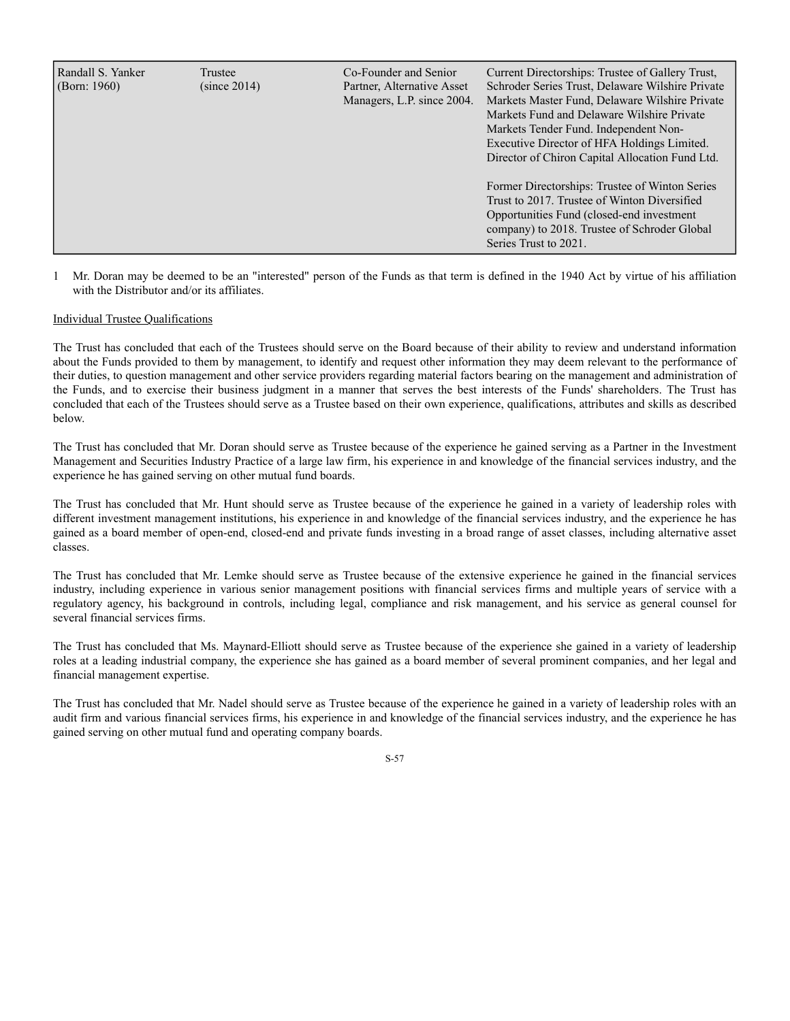| Randall S. Yanker<br>(Born: $1960$ ) | Trustee<br>(since 2014) | Co-Founder and Senior<br>Partner, Alternative Asset<br>Managers, L.P. since 2004. | Current Directorships: Trustee of Gallery Trust,<br>Schroder Series Trust, Delaware Wilshire Private<br>Markets Master Fund, Delaware Wilshire Private<br>Markets Fund and Delaware Wilshire Private<br>Markets Tender Fund. Independent Non-<br>Executive Director of HFA Holdings Limited.<br>Director of Chiron Capital Allocation Fund Ltd.<br>Former Directorships: Trustee of Winton Series<br>Trust to 2017. Trustee of Winton Diversified<br>Opportunities Fund (closed-end investment |
|--------------------------------------|-------------------------|-----------------------------------------------------------------------------------|------------------------------------------------------------------------------------------------------------------------------------------------------------------------------------------------------------------------------------------------------------------------------------------------------------------------------------------------------------------------------------------------------------------------------------------------------------------------------------------------|
|                                      |                         |                                                                                   | company) to 2018. Trustee of Schroder Global<br>Series Trust to 2021.                                                                                                                                                                                                                                                                                                                                                                                                                          |

1 Mr. Doran may be deemed to be an "interested" person of the Funds as that term is defined in the 1940 Act by virtue of his affiliation with the Distributor and/or its affiliates.

# Individual Trustee Qualifications

The Trust has concluded that each of the Trustees should serve on the Board because of their ability to review and understand information about the Funds provided to them by management, to identify and request other information they may deem relevant to the performance of their duties, to question management and other service providers regarding material factors bearing on the management and administration of the Funds, and to exercise their business judgment in a manner that serves the best interests of the Funds' shareholders. The Trust has concluded that each of the Trustees should serve as a Trustee based on their own experience, qualifications, attributes and skills as described below.

The Trust has concluded that Mr. Doran should serve as Trustee because of the experience he gained serving as a Partner in the Investment Management and Securities Industry Practice of a large law firm, his experience in and knowledge of the financial services industry, and the experience he has gained serving on other mutual fund boards.

The Trust has concluded that Mr. Hunt should serve as Trustee because of the experience he gained in a variety of leadership roles with different investment management institutions, his experience in and knowledge of the financial services industry, and the experience he has gained as a board member of open-end, closed-end and private funds investing in a broad range of asset classes, including alternative asset classes.

The Trust has concluded that Mr. Lemke should serve as Trustee because of the extensive experience he gained in the financial services industry, including experience in various senior management positions with financial services firms and multiple years of service with a regulatory agency, his background in controls, including legal, compliance and risk management, and his service as general counsel for several financial services firms.

The Trust has concluded that Ms. Maynard-Elliott should serve as Trustee because of the experience she gained in a variety of leadership roles at a leading industrial company, the experience she has gained as a board member of several prominent companies, and her legal and financial management expertise.

The Trust has concluded that Mr. Nadel should serve as Trustee because of the experience he gained in a variety of leadership roles with an audit firm and various financial services firms, his experience in and knowledge of the financial services industry, and the experience he has gained serving on other mutual fund and operating company boards.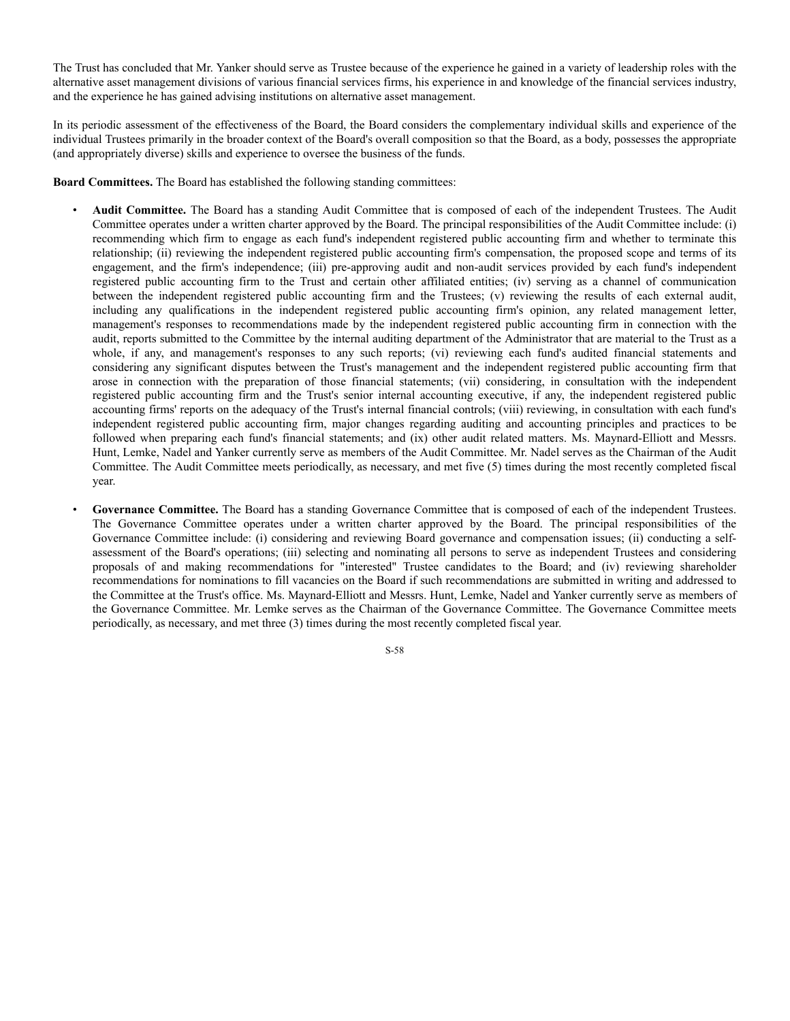The Trust has concluded that Mr. Yanker should serve as Trustee because of the experience he gained in a variety of leadership roles with the alternative asset management divisions of various financial services firms, his experience in and knowledge of the financial services industry, and the experience he has gained advising institutions on alternative asset management.

In its periodic assessment of the effectiveness of the Board, the Board considers the complementary individual skills and experience of the individual Trustees primarily in the broader context of the Board's overall composition so that the Board, as a body, possesses the appropriate (and appropriately diverse) skills and experience to oversee the business of the funds.

**Board Committees.** The Board has established the following standing committees:

- **Audit Committee.** The Board has a standing Audit Committee that is composed of each of the independent Trustees. The Audit Committee operates under a written charter approved by the Board. The principal responsibilities of the Audit Committee include: (i) recommending which firm to engage as each fund's independent registered public accounting firm and whether to terminate this relationship; (ii) reviewing the independent registered public accounting firm's compensation, the proposed scope and terms of its engagement, and the firm's independence; (iii) pre-approving audit and non-audit services provided by each fund's independent registered public accounting firm to the Trust and certain other affiliated entities; (iv) serving as a channel of communication between the independent registered public accounting firm and the Trustees; (v) reviewing the results of each external audit, including any qualifications in the independent registered public accounting firm's opinion, any related management letter, management's responses to recommendations made by the independent registered public accounting firm in connection with the audit, reports submitted to the Committee by the internal auditing department of the Administrator that are material to the Trust as a whole, if any, and management's responses to any such reports; (vi) reviewing each fund's audited financial statements and considering any significant disputes between the Trust's management and the independent registered public accounting firm that arose in connection with the preparation of those financial statements; (vii) considering, in consultation with the independent registered public accounting firm and the Trust's senior internal accounting executive, if any, the independent registered public accounting firms' reports on the adequacy of the Trust's internal financial controls; (viii) reviewing, in consultation with each fund's independent registered public accounting firm, major changes regarding auditing and accounting principles and practices to be followed when preparing each fund's financial statements; and (ix) other audit related matters. Ms. Maynard-Elliott and Messrs. Hunt, Lemke, Nadel and Yanker currently serve as members of the Audit Committee. Mr. Nadel serves as the Chairman of the Audit Committee. The Audit Committee meets periodically, as necessary, and met five (5) times during the most recently completed fiscal year.
- Governance Committee. The Board has a standing Governance Committee that is composed of each of the independent Trustees. The Governance Committee operates under a written charter approved by the Board. The principal responsibilities of the Governance Committee include: (i) considering and reviewing Board governance and compensation issues; (ii) conducting a selfassessment of the Board's operations; (iii) selecting and nominating all persons to serve as independent Trustees and considering proposals of and making recommendations for "interested" Trustee candidates to the Board; and (iv) reviewing shareholder recommendations for nominations to fill vacancies on the Board if such recommendations are submitted in writing and addressed to the Committee at the Trust's office. Ms. Maynard-Elliott and Messrs. Hunt, Lemke, Nadel and Yanker currently serve as members of the Governance Committee. Mr. Lemke serves as the Chairman of the Governance Committee. The Governance Committee meets periodically, as necessary, and met three (3) times during the most recently completed fiscal year.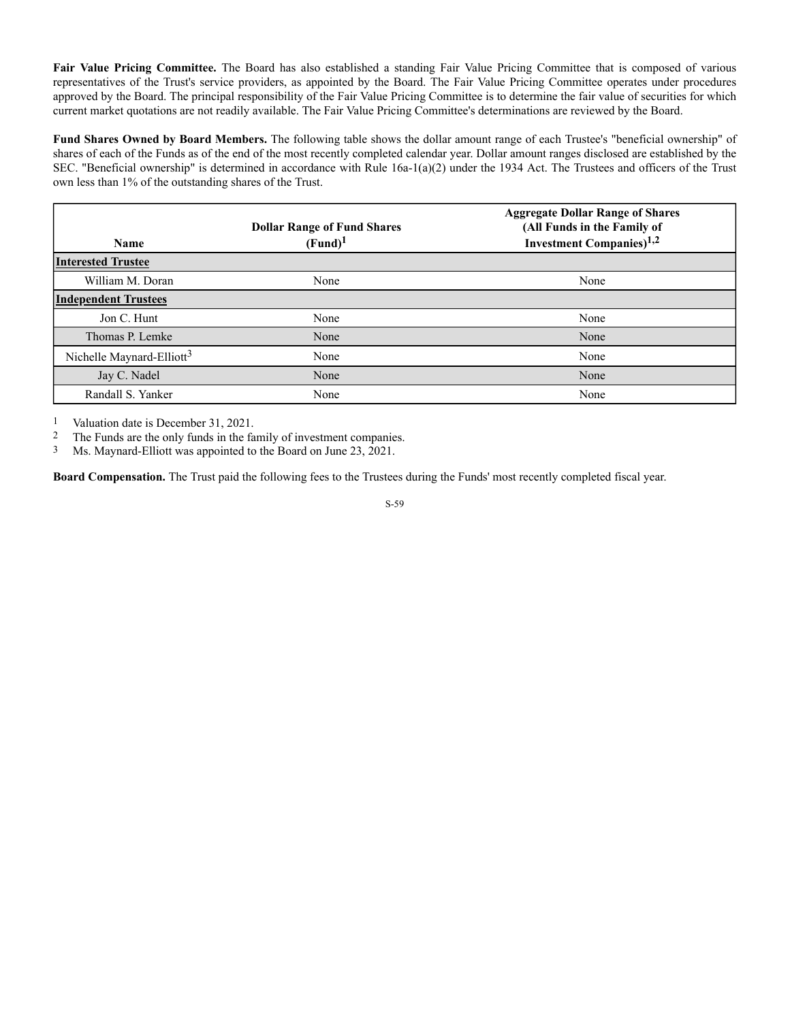**Fair Value Pricing Committee.** The Board has also established a standing Fair Value Pricing Committee that is composed of various representatives of the Trust's service providers, as appointed by the Board. The Fair Value Pricing Committee operates under procedures approved by the Board. The principal responsibility of the Fair Value Pricing Committee is to determine the fair value of securities for which current market quotations are not readily available. The Fair Value Pricing Committee's determinations are reviewed by the Board.

**Fund Shares Owned by Board Members.** The following table shows the dollar amount range of each Trustee's "beneficial ownership" of shares of each of the Funds as of the end of the most recently completed calendar year. Dollar amount ranges disclosed are established by the SEC. "Beneficial ownership" is determined in accordance with Rule 16a-1(a)(2) under the 1934 Act. The Trustees and officers of the Trust own less than 1% of the outstanding shares of the Trust.

|                                       | <b>Dollar Range of Fund Shares</b> | <b>Aggregate Dollar Range of Shares</b><br>(All Funds in the Family of |
|---------------------------------------|------------------------------------|------------------------------------------------------------------------|
| <b>Name</b>                           | (Fund) <sup>1</sup>                | <b>Investment Companies</b> ) <sup>1,2</sup>                           |
| <b>Interested Trustee</b>             |                                    |                                                                        |
| William M. Doran                      | None                               | None                                                                   |
| <b>Independent Trustees</b>           |                                    |                                                                        |
| Jon C. Hunt                           | None                               | None                                                                   |
| Thomas P. Lemke                       | None                               | None                                                                   |
| Nichelle Maynard-Elliott <sup>3</sup> | None                               | None                                                                   |
| Jay C. Nadel                          | None                               | None                                                                   |
| Randall S. Yanker                     | None                               | None                                                                   |

1 Valuation date is December 31, 2021.

2 The Funds are the only funds in the family of investment companies.

3 Ms. Maynard-Elliott was appointed to the Board on June 23, 2021.

**Board Compensation.** The Trust paid the following fees to the Trustees during the Funds' most recently completed fiscal year.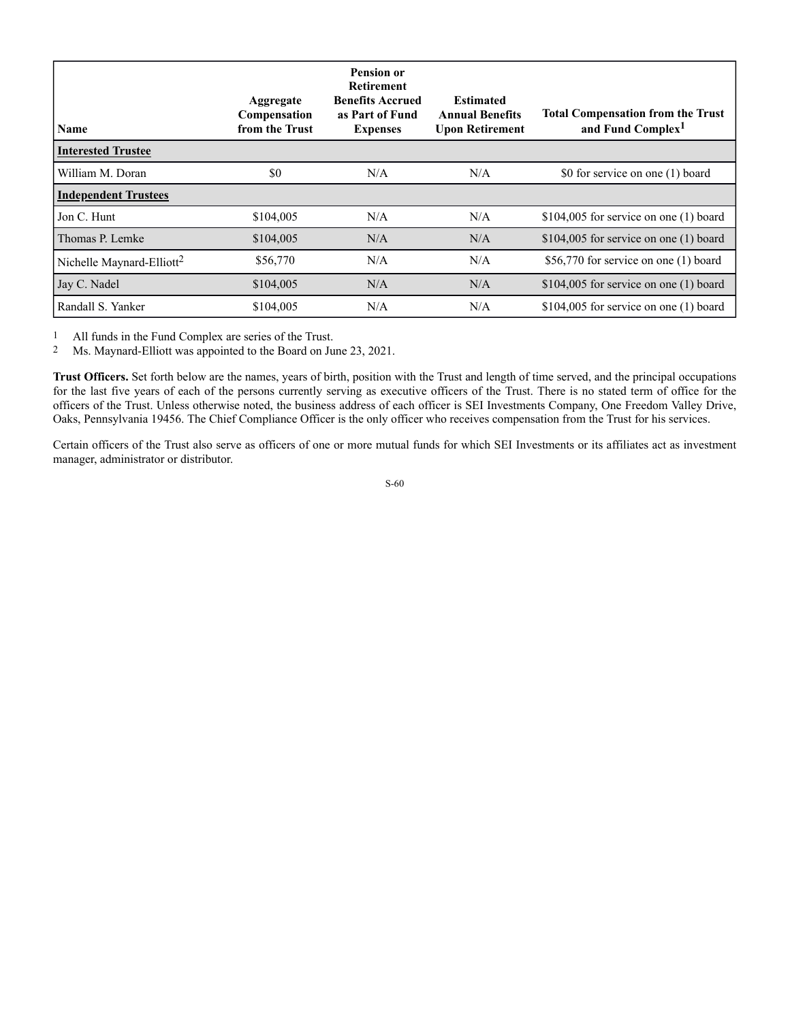| <b>Name</b>                           | Aggregate<br>Compensation<br>from the Trust | <b>Pension or</b><br><b>Retirement</b><br><b>Benefits Accrued</b><br>as Part of Fund<br><b>Expenses</b> | <b>Estimated</b><br><b>Annual Benefits</b><br><b>Upon Retirement</b> | <b>Total Compensation from the Trust</b><br>and Fund Complex <sup>1</sup> |
|---------------------------------------|---------------------------------------------|---------------------------------------------------------------------------------------------------------|----------------------------------------------------------------------|---------------------------------------------------------------------------|
| <b>Interested Trustee</b>             |                                             |                                                                                                         |                                                                      |                                                                           |
| William M. Doran                      | \$0                                         | N/A                                                                                                     | N/A                                                                  | \$0 for service on one (1) board                                          |
| <b>Independent Trustees</b>           |                                             |                                                                                                         |                                                                      |                                                                           |
| Jon C. Hunt                           | \$104,005                                   | N/A                                                                                                     | N/A                                                                  | \$104,005 for service on one $(1)$ board                                  |
| Thomas P. Lemke                       | \$104,005                                   | N/A                                                                                                     | N/A                                                                  | \$104,005 for service on one $(1)$ board                                  |
| Nichelle Maynard-Elliott <sup>2</sup> | \$56,770                                    | N/A                                                                                                     | N/A                                                                  | \$56,770 for service on one (1) board                                     |
| Jay C. Nadel                          | \$104,005                                   | N/A                                                                                                     | N/A                                                                  | $$104,005$ for service on one (1) board                                   |
| Randall S. Yanker                     | \$104,005                                   | N/A                                                                                                     | N/A                                                                  | \$104,005 for service on one $(1)$ board                                  |

1 All funds in the Fund Complex are series of the Trust.

2 Ms. Maynard-Elliott was appointed to the Board on June 23, 2021.

**Trust Officers.** Set forth below are the names, years of birth, position with the Trust and length of time served, and the principal occupations for the last five years of each of the persons currently serving as executive officers of the Trust. There is no stated term of office for the officers of the Trust. Unless otherwise noted, the business address of each officer is SEI Investments Company, One Freedom Valley Drive, Oaks, Pennsylvania 19456. The Chief Compliance Officer is the only officer who receives compensation from the Trust for his services.

Certain officers of the Trust also serve as officers of one or more mutual funds for which SEI Investments or its affiliates act as investment manager, administrator or distributor.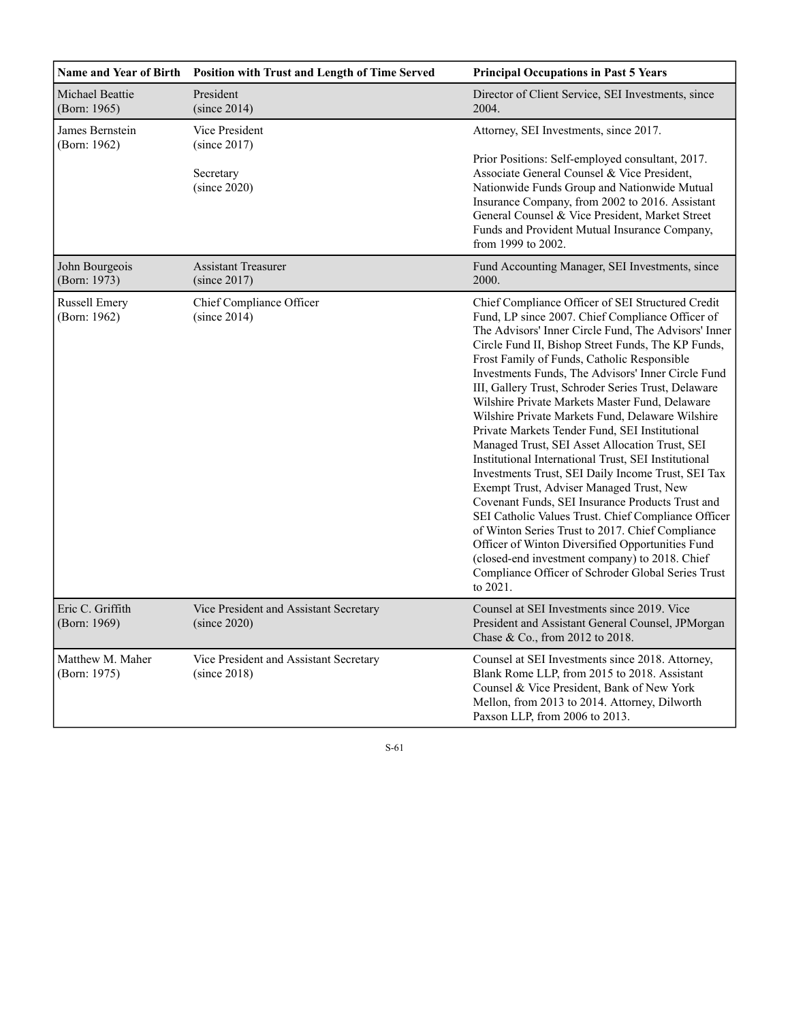| <b>Name and Year of Birth</b>        | Position with Trust and Length of Time Served          | <b>Principal Occupations in Past 5 Years</b>                                                                                                                                                                                                                                                                                                                                                                                                                                                                                                                                                                                                                                                                                                                                                                                                                                                                                                                                                                                                                                               |
|--------------------------------------|--------------------------------------------------------|--------------------------------------------------------------------------------------------------------------------------------------------------------------------------------------------------------------------------------------------------------------------------------------------------------------------------------------------------------------------------------------------------------------------------------------------------------------------------------------------------------------------------------------------------------------------------------------------------------------------------------------------------------------------------------------------------------------------------------------------------------------------------------------------------------------------------------------------------------------------------------------------------------------------------------------------------------------------------------------------------------------------------------------------------------------------------------------------|
| Michael Beattie<br>(Born: 1965)      | President<br>(since 2014)                              | Director of Client Service, SEI Investments, since<br>2004.                                                                                                                                                                                                                                                                                                                                                                                                                                                                                                                                                                                                                                                                                                                                                                                                                                                                                                                                                                                                                                |
| James Bernstein<br>(Born: 1962)      | Vice President<br>(since 2017)                         | Attorney, SEI Investments, since 2017.                                                                                                                                                                                                                                                                                                                                                                                                                                                                                                                                                                                                                                                                                                                                                                                                                                                                                                                                                                                                                                                     |
|                                      | Secretary<br>(since 2020)                              | Prior Positions: Self-employed consultant, 2017.<br>Associate General Counsel & Vice President,<br>Nationwide Funds Group and Nationwide Mutual<br>Insurance Company, from 2002 to 2016. Assistant<br>General Counsel & Vice President, Market Street<br>Funds and Provident Mutual Insurance Company,<br>from 1999 to 2002.                                                                                                                                                                                                                                                                                                                                                                                                                                                                                                                                                                                                                                                                                                                                                               |
| John Bourgeois<br>(Born: 1973)       | <b>Assistant Treasurer</b><br>(since 2017)             | Fund Accounting Manager, SEI Investments, since<br>2000.                                                                                                                                                                                                                                                                                                                                                                                                                                                                                                                                                                                                                                                                                                                                                                                                                                                                                                                                                                                                                                   |
| <b>Russell Emery</b><br>(Born: 1962) | Chief Compliance Officer<br>(since 2014)               | Chief Compliance Officer of SEI Structured Credit<br>Fund, LP since 2007. Chief Compliance Officer of<br>The Advisors' Inner Circle Fund, The Advisors' Inner<br>Circle Fund II, Bishop Street Funds, The KP Funds,<br>Frost Family of Funds, Catholic Responsible<br>Investments Funds, The Advisors' Inner Circle Fund<br>III, Gallery Trust, Schroder Series Trust, Delaware<br>Wilshire Private Markets Master Fund, Delaware<br>Wilshire Private Markets Fund, Delaware Wilshire<br>Private Markets Tender Fund, SEI Institutional<br>Managed Trust, SEI Asset Allocation Trust, SEI<br>Institutional International Trust, SEI Institutional<br>Investments Trust, SEI Daily Income Trust, SEI Tax<br>Exempt Trust, Adviser Managed Trust, New<br>Covenant Funds, SEI Insurance Products Trust and<br>SEI Catholic Values Trust. Chief Compliance Officer<br>of Winton Series Trust to 2017. Chief Compliance<br>Officer of Winton Diversified Opportunities Fund<br>(closed-end investment company) to 2018. Chief<br>Compliance Officer of Schroder Global Series Trust<br>to 2021. |
| Eric C. Griffith<br>(Born: 1969)     | Vice President and Assistant Secretary<br>(since 2020) | Counsel at SEI Investments since 2019. Vice<br>President and Assistant General Counsel, JPMorgan<br>Chase & Co., from 2012 to 2018.                                                                                                                                                                                                                                                                                                                                                                                                                                                                                                                                                                                                                                                                                                                                                                                                                                                                                                                                                        |
| Matthew M. Maher<br>(Born: 1975)     | Vice President and Assistant Secretary<br>(since 2018) | Counsel at SEI Investments since 2018. Attorney,<br>Blank Rome LLP, from 2015 to 2018. Assistant<br>Counsel & Vice President, Bank of New York<br>Mellon, from 2013 to 2014. Attorney, Dilworth<br>Paxson LLP, from 2006 to 2013.                                                                                                                                                                                                                                                                                                                                                                                                                                                                                                                                                                                                                                                                                                                                                                                                                                                          |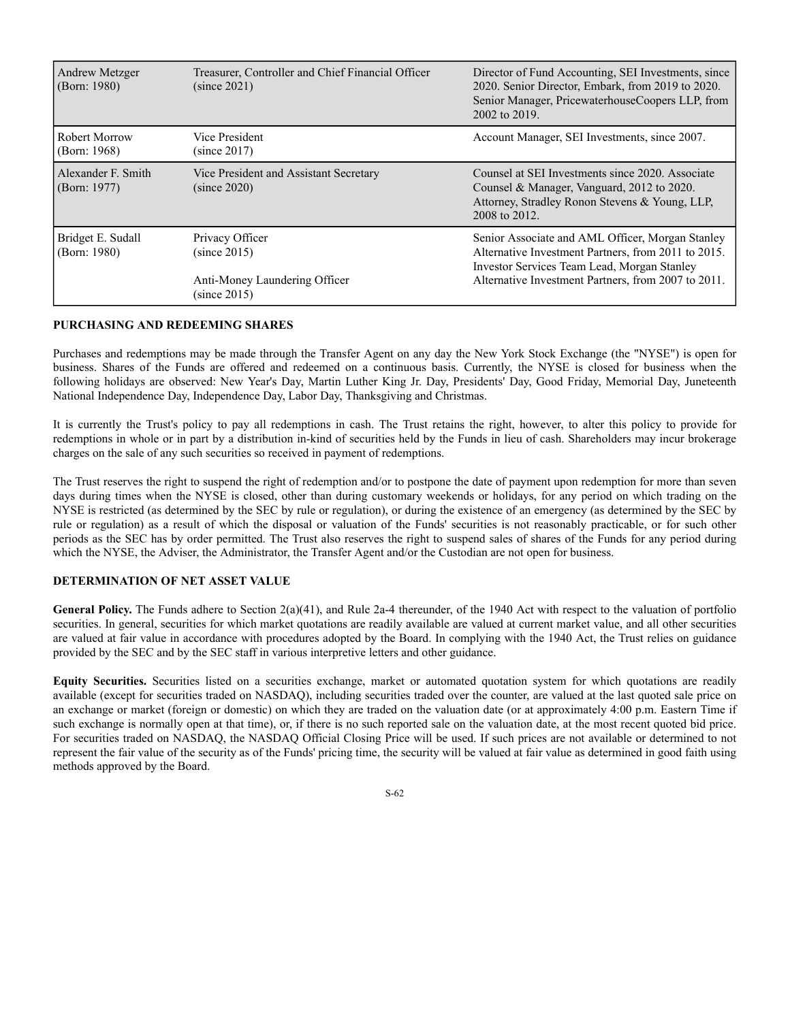| Andrew Metzger<br>(Born: 1980)     | Treasurer, Controller and Chief Financial Officer<br>(since 2021)                | Director of Fund Accounting, SEI Investments, since<br>2020. Senior Director, Embark, from 2019 to 2020.<br>Senior Manager, PricewaterhouseCoopers LLP, from<br>2002 to 2019.                                 |
|------------------------------------|----------------------------------------------------------------------------------|---------------------------------------------------------------------------------------------------------------------------------------------------------------------------------------------------------------|
| Robert Morrow<br>(Born: 1968)      | Vice President<br>(since 2017)                                                   | Account Manager, SEI Investments, since 2007.                                                                                                                                                                 |
| Alexander F. Smith<br>(Born: 1977) | Vice President and Assistant Secretary<br>(since 2020)                           | Counsel at SEI Investments since 2020. Associate<br>Counsel & Manager, Vanguard, 2012 to 2020.<br>Attorney, Stradley Ronon Stevens & Young, LLP,<br>2008 to 2012.                                             |
| Bridget E. Sudall<br>(Born: 1980)  | Privacy Officer<br>(since 2015)<br>Anti-Money Laundering Officer<br>(since 2015) | Senior Associate and AML Officer, Morgan Stanley<br>Alternative Investment Partners, from 2011 to 2015.<br>Investor Services Team Lead, Morgan Stanley<br>Alternative Investment Partners, from 2007 to 2011. |

#### **PURCHASING AND REDEEMING SHARES**

Purchases and redemptions may be made through the Transfer Agent on any day the New York Stock Exchange (the "NYSE") is open for business. Shares of the Funds are offered and redeemed on a continuous basis. Currently, the NYSE is closed for business when the following holidays are observed: New Year's Day, Martin Luther King Jr. Day, Presidents' Day, Good Friday, Memorial Day, Juneteenth National Independence Day, Independence Day, Labor Day, Thanksgiving and Christmas.

It is currently the Trust's policy to pay all redemptions in cash. The Trust retains the right, however, to alter this policy to provide for redemptions in whole or in part by a distribution in-kind of securities held by the Funds in lieu of cash. Shareholders may incur brokerage charges on the sale of any such securities so received in payment of redemptions.

The Trust reserves the right to suspend the right of redemption and/or to postpone the date of payment upon redemption for more than seven days during times when the NYSE is closed, other than during customary weekends or holidays, for any period on which trading on the NYSE is restricted (as determined by the SEC by rule or regulation), or during the existence of an emergency (as determined by the SEC by rule or regulation) as a result of which the disposal or valuation of the Funds' securities is not reasonably practicable, or for such other periods as the SEC has by order permitted. The Trust also reserves the right to suspend sales of shares of the Funds for any period during which the NYSE, the Adviser, the Administrator, the Transfer Agent and/or the Custodian are not open for business.

## **DETERMINATION OF NET ASSET VALUE**

General Policy. The Funds adhere to Section 2(a)(41), and Rule 2a-4 thereunder, of the 1940 Act with respect to the valuation of portfolio securities. In general, securities for which market quotations are readily available are valued at current market value, and all other securities are valued at fair value in accordance with procedures adopted by the Board. In complying with the 1940 Act, the Trust relies on guidance provided by the SEC and by the SEC staff in various interpretive letters and other guidance.

**Equity Securities.** Securities listed on a securities exchange, market or automated quotation system for which quotations are readily available (except for securities traded on NASDAQ), including securities traded over the counter, are valued at the last quoted sale price on an exchange or market (foreign or domestic) on which they are traded on the valuation date (or at approximately 4:00 p.m. Eastern Time if such exchange is normally open at that time), or, if there is no such reported sale on the valuation date, at the most recent quoted bid price. For securities traded on NASDAQ, the NASDAQ Official Closing Price will be used. If such prices are not available or determined to not represent the fair value of the security as of the Funds' pricing time, the security will be valued at fair value as determined in good faith using methods approved by the Board.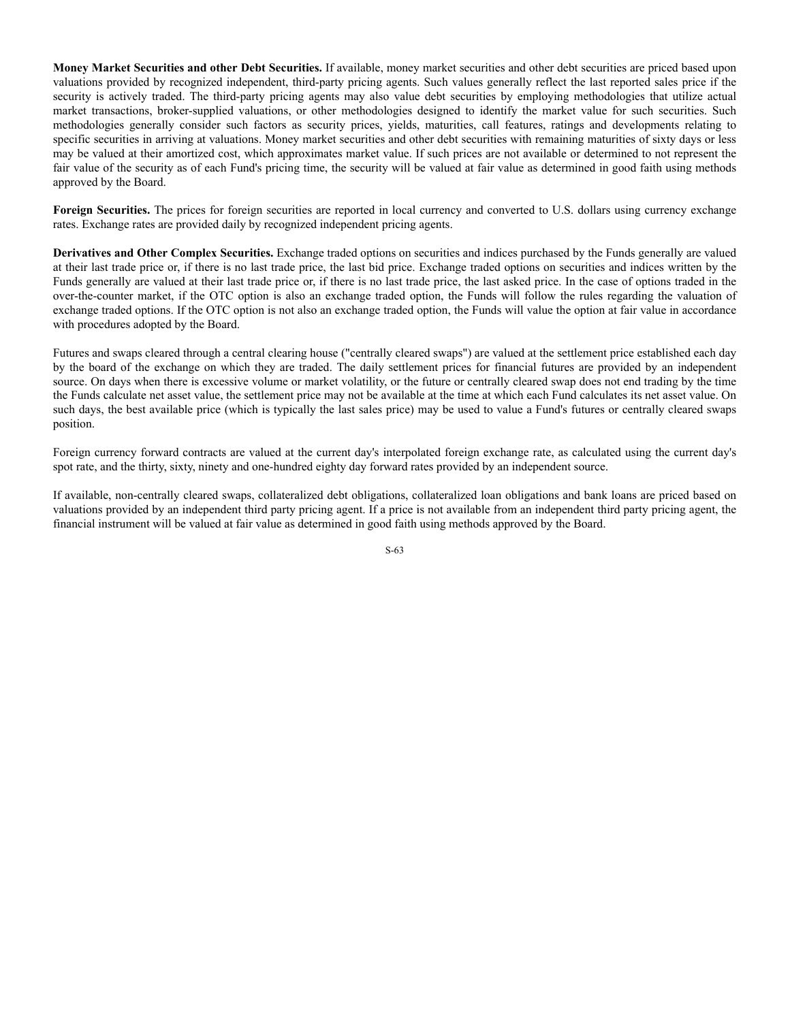**Money Market Securities and other Debt Securities.** If available, money market securities and other debt securities are priced based upon valuations provided by recognized independent, third-party pricing agents. Such values generally reflect the last reported sales price if the security is actively traded. The third-party pricing agents may also value debt securities by employing methodologies that utilize actual market transactions, broker-supplied valuations, or other methodologies designed to identify the market value for such securities. Such methodologies generally consider such factors as security prices, yields, maturities, call features, ratings and developments relating to specific securities in arriving at valuations. Money market securities and other debt securities with remaining maturities of sixty days or less may be valued at their amortized cost, which approximates market value. If such prices are not available or determined to not represent the fair value of the security as of each Fund's pricing time, the security will be valued at fair value as determined in good faith using methods approved by the Board.

**Foreign Securities.** The prices for foreign securities are reported in local currency and converted to U.S. dollars using currency exchange rates. Exchange rates are provided daily by recognized independent pricing agents.

**Derivatives and Other Complex Securities.** Exchange traded options on securities and indices purchased by the Funds generally are valued at their last trade price or, if there is no last trade price, the last bid price. Exchange traded options on securities and indices written by the Funds generally are valued at their last trade price or, if there is no last trade price, the last asked price. In the case of options traded in the over-the-counter market, if the OTC option is also an exchange traded option, the Funds will follow the rules regarding the valuation of exchange traded options. If the OTC option is not also an exchange traded option, the Funds will value the option at fair value in accordance with procedures adopted by the Board.

Futures and swaps cleared through a central clearing house ("centrally cleared swaps") are valued at the settlement price established each day by the board of the exchange on which they are traded. The daily settlement prices for financial futures are provided by an independent source. On days when there is excessive volume or market volatility, or the future or centrally cleared swap does not end trading by the time the Funds calculate net asset value, the settlement price may not be available at the time at which each Fund calculates its net asset value. On such days, the best available price (which is typically the last sales price) may be used to value a Fund's futures or centrally cleared swaps position.

Foreign currency forward contracts are valued at the current day's interpolated foreign exchange rate, as calculated using the current day's spot rate, and the thirty, sixty, ninety and one-hundred eighty day forward rates provided by an independent source.

If available, non-centrally cleared swaps, collateralized debt obligations, collateralized loan obligations and bank loans are priced based on valuations provided by an independent third party pricing agent. If a price is not available from an independent third party pricing agent, the financial instrument will be valued at fair value as determined in good faith using methods approved by the Board.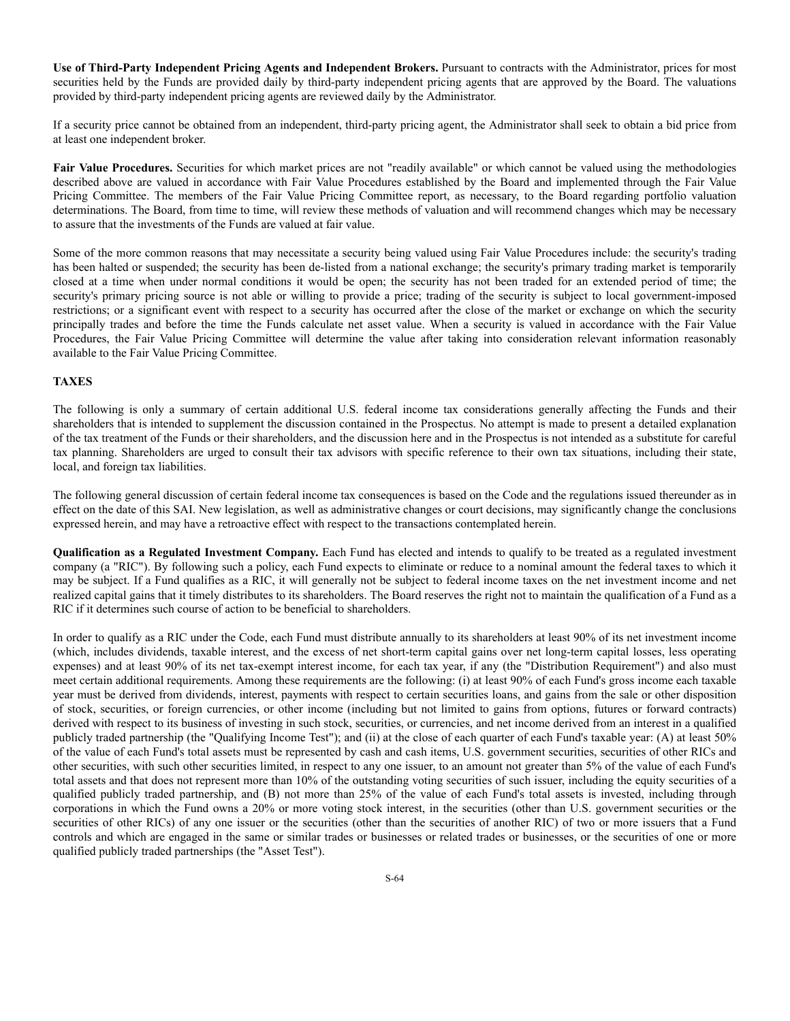**Use of Third-Party Independent Pricing Agents and Independent Brokers.** Pursuant to contracts with the Administrator, prices for most securities held by the Funds are provided daily by third-party independent pricing agents that are approved by the Board. The valuations provided by third-party independent pricing agents are reviewed daily by the Administrator.

If a security price cannot be obtained from an independent, third-party pricing agent, the Administrator shall seek to obtain a bid price from at least one independent broker.

Fair Value Procedures. Securities for which market prices are not "readily available" or which cannot be valued using the methodologies described above are valued in accordance with Fair Value Procedures established by the Board and implemented through the Fair Value Pricing Committee. The members of the Fair Value Pricing Committee report, as necessary, to the Board regarding portfolio valuation determinations. The Board, from time to time, will review these methods of valuation and will recommend changes which may be necessary to assure that the investments of the Funds are valued at fair value.

Some of the more common reasons that may necessitate a security being valued using Fair Value Procedures include: the security's trading has been halted or suspended; the security has been de-listed from a national exchange; the security's primary trading market is temporarily closed at a time when under normal conditions it would be open; the security has not been traded for an extended period of time; the security's primary pricing source is not able or willing to provide a price; trading of the security is subject to local government-imposed restrictions; or a significant event with respect to a security has occurred after the close of the market or exchange on which the security principally trades and before the time the Funds calculate net asset value. When a security is valued in accordance with the Fair Value Procedures, the Fair Value Pricing Committee will determine the value after taking into consideration relevant information reasonably available to the Fair Value Pricing Committee.

#### **TAXES**

The following is only a summary of certain additional U.S. federal income tax considerations generally affecting the Funds and their shareholders that is intended to supplement the discussion contained in the Prospectus. No attempt is made to present a detailed explanation of the tax treatment of the Funds or their shareholders, and the discussion here and in the Prospectus is not intended as a substitute for careful tax planning. Shareholders are urged to consult their tax advisors with specific reference to their own tax situations, including their state, local, and foreign tax liabilities.

The following general discussion of certain federal income tax consequences is based on the Code and the regulations issued thereunder as in effect on the date of this SAI. New legislation, as well as administrative changes or court decisions, may significantly change the conclusions expressed herein, and may have a retroactive effect with respect to the transactions contemplated herein.

**Qualification as a Regulated Investment Company.** Each Fund has elected and intends to qualify to be treated as a regulated investment company (a "RIC"). By following such a policy, each Fund expects to eliminate or reduce to a nominal amount the federal taxes to which it may be subject. If a Fund qualifies as a RIC, it will generally not be subject to federal income taxes on the net investment income and net realized capital gains that it timely distributes to its shareholders. The Board reserves the right not to maintain the qualification of a Fund as a RIC if it determines such course of action to be beneficial to shareholders.

In order to qualify as a RIC under the Code, each Fund must distribute annually to its shareholders at least 90% of its net investment income (which, includes dividends, taxable interest, and the excess of net short-term capital gains over net long-term capital losses, less operating expenses) and at least 90% of its net tax-exempt interest income, for each tax year, if any (the "Distribution Requirement") and also must meet certain additional requirements. Among these requirements are the following: (i) at least 90% of each Fund's gross income each taxable year must be derived from dividends, interest, payments with respect to certain securities loans, and gains from the sale or other disposition of stock, securities, or foreign currencies, or other income (including but not limited to gains from options, futures or forward contracts) derived with respect to its business of investing in such stock, securities, or currencies, and net income derived from an interest in a qualified publicly traded partnership (the "Qualifying Income Test"); and (ii) at the close of each quarter of each Fund's taxable year: (A) at least 50% of the value of each Fund's total assets must be represented by cash and cash items, U.S. government securities, securities of other RICs and other securities, with such other securities limited, in respect to any one issuer, to an amount not greater than 5% of the value of each Fund's total assets and that does not represent more than 10% of the outstanding voting securities of such issuer, including the equity securities of a qualified publicly traded partnership, and (B) not more than 25% of the value of each Fund's total assets is invested, including through corporations in which the Fund owns a 20% or more voting stock interest, in the securities (other than U.S. government securities or the securities of other RICs) of any one issuer or the securities (other than the securities of another RIC) of two or more issuers that a Fund controls and which are engaged in the same or similar trades or businesses or related trades or businesses, or the securities of one or more qualified publicly traded partnerships (the "Asset Test").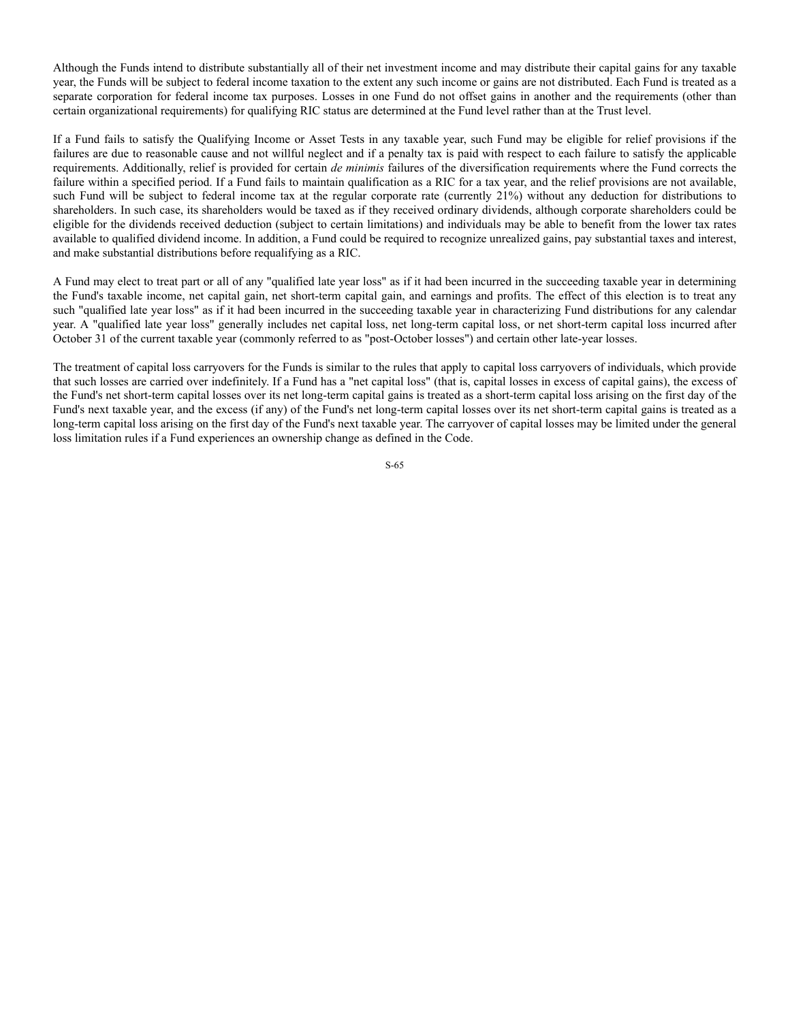Although the Funds intend to distribute substantially all of their net investment income and may distribute their capital gains for any taxable year, the Funds will be subject to federal income taxation to the extent any such income or gains are not distributed. Each Fund is treated as a separate corporation for federal income tax purposes. Losses in one Fund do not offset gains in another and the requirements (other than certain organizational requirements) for qualifying RIC status are determined at the Fund level rather than at the Trust level.

If a Fund fails to satisfy the Qualifying Income or Asset Tests in any taxable year, such Fund may be eligible for relief provisions if the failures are due to reasonable cause and not willful neglect and if a penalty tax is paid with respect to each failure to satisfy the applicable requirements. Additionally, relief is provided for certain *de minimis* failures of the diversification requirements where the Fund corrects the failure within a specified period. If a Fund fails to maintain qualification as a RIC for a tax year, and the relief provisions are not available, such Fund will be subject to federal income tax at the regular corporate rate (currently 21%) without any deduction for distributions to shareholders. In such case, its shareholders would be taxed as if they received ordinary dividends, although corporate shareholders could be eligible for the dividends received deduction (subject to certain limitations) and individuals may be able to benefit from the lower tax rates available to qualified dividend income. In addition, a Fund could be required to recognize unrealized gains, pay substantial taxes and interest, and make substantial distributions before requalifying as a RIC.

A Fund may elect to treat part or all of any "qualified late year loss" as if it had been incurred in the succeeding taxable year in determining the Fund's taxable income, net capital gain, net short-term capital gain, and earnings and profits. The effect of this election is to treat any such "qualified late year loss" as if it had been incurred in the succeeding taxable year in characterizing Fund distributions for any calendar year. A "qualified late year loss" generally includes net capital loss, net long-term capital loss, or net short-term capital loss incurred after October 31 of the current taxable year (commonly referred to as "post-October losses") and certain other late-year losses.

The treatment of capital loss carryovers for the Funds is similar to the rules that apply to capital loss carryovers of individuals, which provide that such losses are carried over indefinitely. If a Fund has a "net capital loss" (that is, capital losses in excess of capital gains), the excess of the Fund's net short-term capital losses over its net long-term capital gains is treated as a short-term capital loss arising on the first day of the Fund's next taxable year, and the excess (if any) of the Fund's net long-term capital losses over its net short-term capital gains is treated as a long-term capital loss arising on the first day of the Fund's next taxable year. The carryover of capital losses may be limited under the general loss limitation rules if a Fund experiences an ownership change as defined in the Code.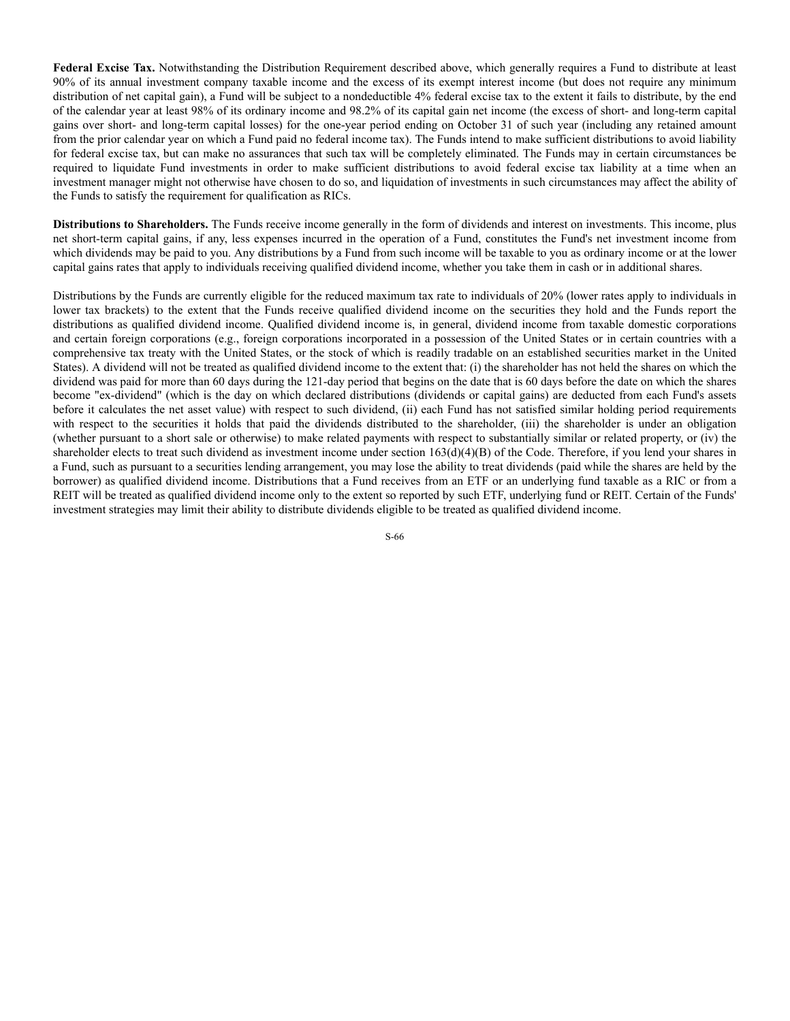**Federal Excise Tax.** Notwithstanding the Distribution Requirement described above, which generally requires a Fund to distribute at least 90% of its annual investment company taxable income and the excess of its exempt interest income (but does not require any minimum distribution of net capital gain), a Fund will be subject to a nondeductible 4% federal excise tax to the extent it fails to distribute, by the end of the calendar year at least 98% of its ordinary income and 98.2% of its capital gain net income (the excess of short- and long-term capital gains over short- and long-term capital losses) for the one-year period ending on October 31 of such year (including any retained amount from the prior calendar year on which a Fund paid no federal income tax). The Funds intend to make sufficient distributions to avoid liability for federal excise tax, but can make no assurances that such tax will be completely eliminated. The Funds may in certain circumstances be required to liquidate Fund investments in order to make sufficient distributions to avoid federal excise tax liability at a time when an investment manager might not otherwise have chosen to do so, and liquidation of investments in such circumstances may affect the ability of the Funds to satisfy the requirement for qualification as RICs.

**Distributions to Shareholders.** The Funds receive income generally in the form of dividends and interest on investments. This income, plus net short-term capital gains, if any, less expenses incurred in the operation of a Fund, constitutes the Fund's net investment income from which dividends may be paid to you. Any distributions by a Fund from such income will be taxable to you as ordinary income or at the lower capital gains rates that apply to individuals receiving qualified dividend income, whether you take them in cash or in additional shares.

Distributions by the Funds are currently eligible for the reduced maximum tax rate to individuals of 20% (lower rates apply to individuals in lower tax brackets) to the extent that the Funds receive qualified dividend income on the securities they hold and the Funds report the distributions as qualified dividend income. Qualified dividend income is, in general, dividend income from taxable domestic corporations and certain foreign corporations (e.g., foreign corporations incorporated in a possession of the United States or in certain countries with a comprehensive tax treaty with the United States, or the stock of which is readily tradable on an established securities market in the United States). A dividend will not be treated as qualified dividend income to the extent that: (i) the shareholder has not held the shares on which the dividend was paid for more than 60 days during the 121-day period that begins on the date that is 60 days before the date on which the shares become "ex-dividend" (which is the day on which declared distributions (dividends or capital gains) are deducted from each Fund's assets before it calculates the net asset value) with respect to such dividend, (ii) each Fund has not satisfied similar holding period requirements with respect to the securities it holds that paid the dividends distributed to the shareholder, (iii) the shareholder is under an obligation (whether pursuant to a short sale or otherwise) to make related payments with respect to substantially similar or related property, or (iv) the shareholder elects to treat such dividend as investment income under section  $163(d)(4)(B)$  of the Code. Therefore, if you lend your shares in a Fund, such as pursuant to a securities lending arrangement, you may lose the ability to treat dividends (paid while the shares are held by the borrower) as qualified dividend income. Distributions that a Fund receives from an ETF or an underlying fund taxable as a RIC or from a REIT will be treated as qualified dividend income only to the extent so reported by such ETF, underlying fund or REIT. Certain of the Funds' investment strategies may limit their ability to distribute dividends eligible to be treated as qualified dividend income.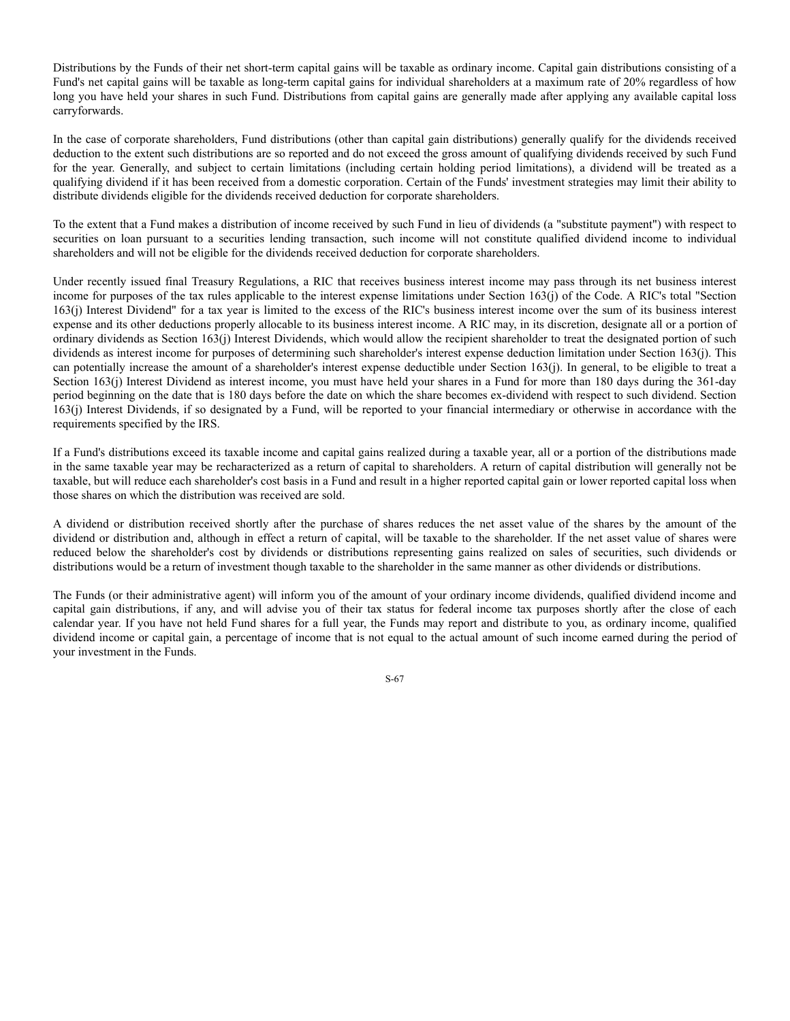Distributions by the Funds of their net short-term capital gains will be taxable as ordinary income. Capital gain distributions consisting of a Fund's net capital gains will be taxable as long-term capital gains for individual shareholders at a maximum rate of 20% regardless of how long you have held your shares in such Fund. Distributions from capital gains are generally made after applying any available capital loss carryforwards.

In the case of corporate shareholders, Fund distributions (other than capital gain distributions) generally qualify for the dividends received deduction to the extent such distributions are so reported and do not exceed the gross amount of qualifying dividends received by such Fund for the year. Generally, and subject to certain limitations (including certain holding period limitations), a dividend will be treated as a qualifying dividend if it has been received from a domestic corporation. Certain of the Funds' investment strategies may limit their ability to distribute dividends eligible for the dividends received deduction for corporate shareholders.

To the extent that a Fund makes a distribution of income received by such Fund in lieu of dividends (a "substitute payment") with respect to securities on loan pursuant to a securities lending transaction, such income will not constitute qualified dividend income to individual shareholders and will not be eligible for the dividends received deduction for corporate shareholders.

Under recently issued final Treasury Regulations, a RIC that receives business interest income may pass through its net business interest income for purposes of the tax rules applicable to the interest expense limitations under Section 163(j) of the Code. A RIC's total "Section 163(j) Interest Dividend" for a tax year is limited to the excess of the RIC's business interest income over the sum of its business interest expense and its other deductions properly allocable to its business interest income. A RIC may, in its discretion, designate all or a portion of ordinary dividends as Section 163(j) Interest Dividends, which would allow the recipient shareholder to treat the designated portion of such dividends as interest income for purposes of determining such shareholder's interest expense deduction limitation under Section 163(j). This can potentially increase the amount of a shareholder's interest expense deductible under Section 163(j). In general, to be eligible to treat a Section 163(j) Interest Dividend as interest income, you must have held your shares in a Fund for more than 180 days during the 361-day period beginning on the date that is 180 days before the date on which the share becomes ex-dividend with respect to such dividend. Section 163(j) Interest Dividends, if so designated by a Fund, will be reported to your financial intermediary or otherwise in accordance with the requirements specified by the IRS.

If a Fund's distributions exceed its taxable income and capital gains realized during a taxable year, all or a portion of the distributions made in the same taxable year may be recharacterized as a return of capital to shareholders. A return of capital distribution will generally not be taxable, but will reduce each shareholder's cost basis in a Fund and result in a higher reported capital gain or lower reported capital loss when those shares on which the distribution was received are sold.

A dividend or distribution received shortly after the purchase of shares reduces the net asset value of the shares by the amount of the dividend or distribution and, although in effect a return of capital, will be taxable to the shareholder. If the net asset value of shares were reduced below the shareholder's cost by dividends or distributions representing gains realized on sales of securities, such dividends or distributions would be a return of investment though taxable to the shareholder in the same manner as other dividends or distributions.

The Funds (or their administrative agent) will inform you of the amount of your ordinary income dividends, qualified dividend income and capital gain distributions, if any, and will advise you of their tax status for federal income tax purposes shortly after the close of each calendar year. If you have not held Fund shares for a full year, the Funds may report and distribute to you, as ordinary income, qualified dividend income or capital gain, a percentage of income that is not equal to the actual amount of such income earned during the period of your investment in the Funds.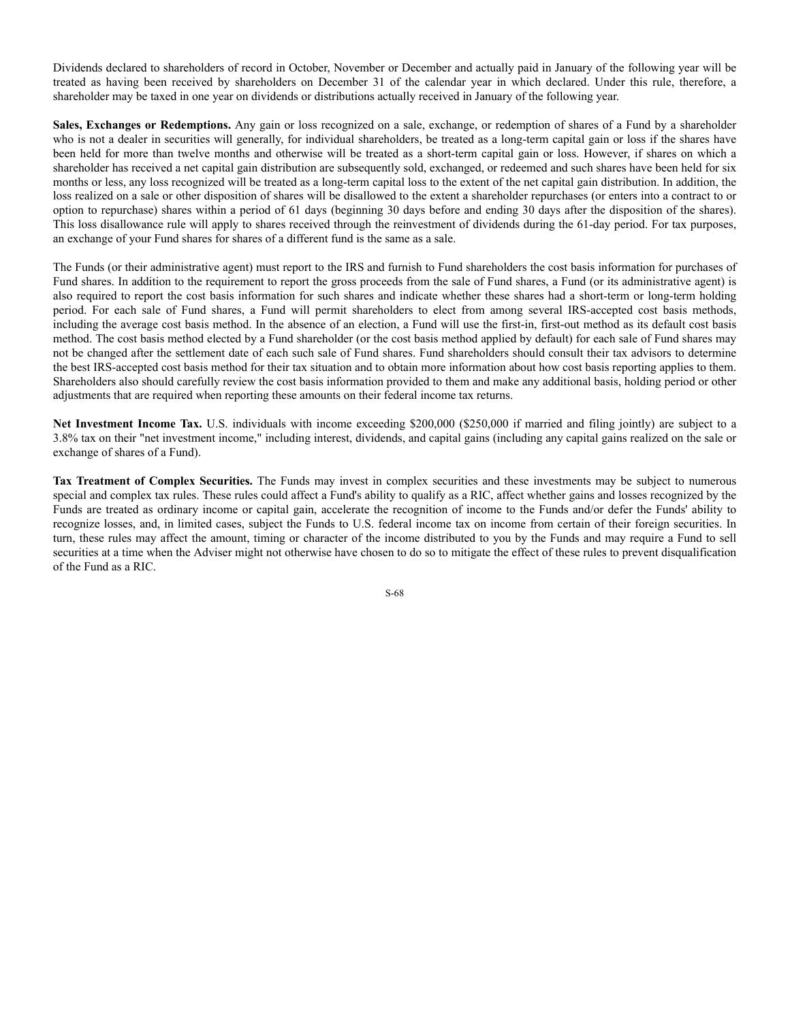Dividends declared to shareholders of record in October, November or December and actually paid in January of the following year will be treated as having been received by shareholders on December 31 of the calendar year in which declared. Under this rule, therefore, a shareholder may be taxed in one year on dividends or distributions actually received in January of the following year.

**Sales, Exchanges or Redemptions.** Any gain or loss recognized on a sale, exchange, or redemption of shares of a Fund by a shareholder who is not a dealer in securities will generally, for individual shareholders, be treated as a long-term capital gain or loss if the shares have been held for more than twelve months and otherwise will be treated as a short-term capital gain or loss. However, if shares on which a shareholder has received a net capital gain distribution are subsequently sold, exchanged, or redeemed and such shares have been held for six months or less, any loss recognized will be treated as a long-term capital loss to the extent of the net capital gain distribution. In addition, the loss realized on a sale or other disposition of shares will be disallowed to the extent a shareholder repurchases (or enters into a contract to or option to repurchase) shares within a period of 61 days (beginning 30 days before and ending 30 days after the disposition of the shares). This loss disallowance rule will apply to shares received through the reinvestment of dividends during the 61-day period. For tax purposes, an exchange of your Fund shares for shares of a different fund is the same as a sale.

The Funds (or their administrative agent) must report to the IRS and furnish to Fund shareholders the cost basis information for purchases of Fund shares. In addition to the requirement to report the gross proceeds from the sale of Fund shares, a Fund (or its administrative agent) is also required to report the cost basis information for such shares and indicate whether these shares had a short-term or long-term holding period. For each sale of Fund shares, a Fund will permit shareholders to elect from among several IRS-accepted cost basis methods, including the average cost basis method. In the absence of an election, a Fund will use the first-in, first-out method as its default cost basis method. The cost basis method elected by a Fund shareholder (or the cost basis method applied by default) for each sale of Fund shares may not be changed after the settlement date of each such sale of Fund shares. Fund shareholders should consult their tax advisors to determine the best IRS-accepted cost basis method for their tax situation and to obtain more information about how cost basis reporting applies to them. Shareholders also should carefully review the cost basis information provided to them and make any additional basis, holding period or other adjustments that are required when reporting these amounts on their federal income tax returns.

**Net Investment Income Tax.** U.S. individuals with income exceeding \$200,000 (\$250,000 if married and filing jointly) are subject to a 3.8% tax on their "net investment income," including interest, dividends, and capital gains (including any capital gains realized on the sale or exchange of shares of a Fund).

**Tax Treatment of Complex Securities.** The Funds may invest in complex securities and these investments may be subject to numerous special and complex tax rules. These rules could affect a Fund's ability to qualify as a RIC, affect whether gains and losses recognized by the Funds are treated as ordinary income or capital gain, accelerate the recognition of income to the Funds and/or defer the Funds' ability to recognize losses, and, in limited cases, subject the Funds to U.S. federal income tax on income from certain of their foreign securities. In turn, these rules may affect the amount, timing or character of the income distributed to you by the Funds and may require a Fund to sell securities at a time when the Adviser might not otherwise have chosen to do so to mitigate the effect of these rules to prevent disqualification of the Fund as a RIC.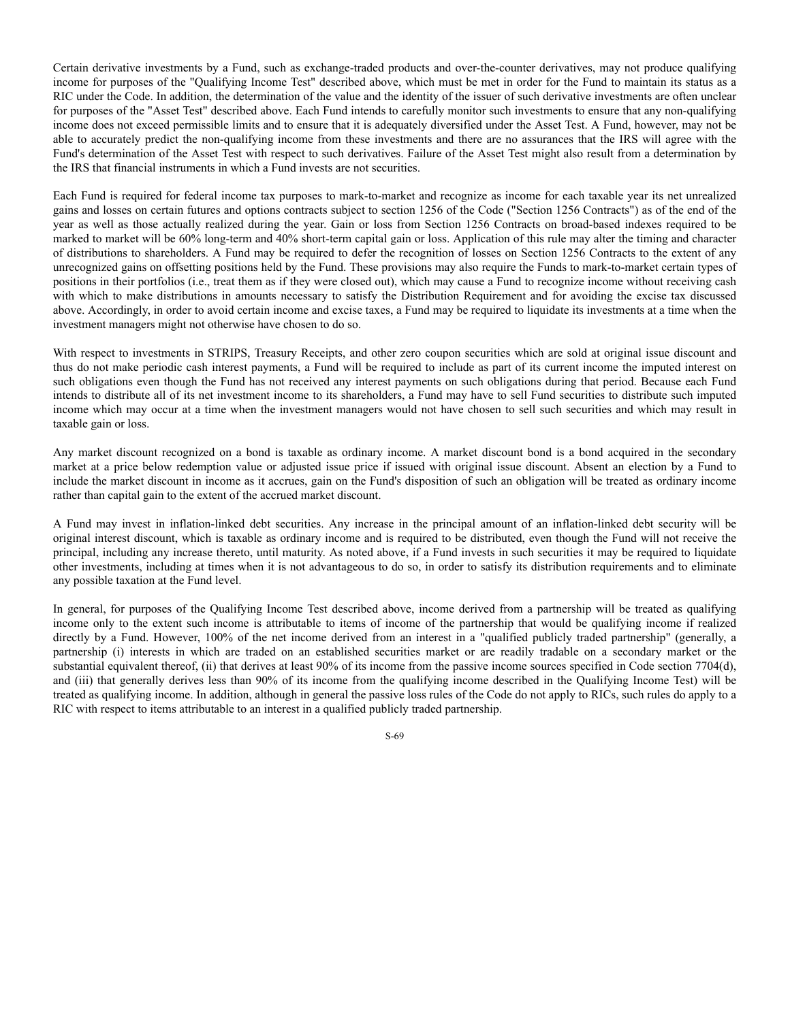Certain derivative investments by a Fund, such as exchange-traded products and over-the-counter derivatives, may not produce qualifying income for purposes of the "Qualifying Income Test" described above, which must be met in order for the Fund to maintain its status as a RIC under the Code. In addition, the determination of the value and the identity of the issuer of such derivative investments are often unclear for purposes of the "Asset Test" described above. Each Fund intends to carefully monitor such investments to ensure that any non-qualifying income does not exceed permissible limits and to ensure that it is adequately diversified under the Asset Test. A Fund, however, may not be able to accurately predict the non-qualifying income from these investments and there are no assurances that the IRS will agree with the Fund's determination of the Asset Test with respect to such derivatives. Failure of the Asset Test might also result from a determination by the IRS that financial instruments in which a Fund invests are not securities.

Each Fund is required for federal income tax purposes to mark-to-market and recognize as income for each taxable year its net unrealized gains and losses on certain futures and options contracts subject to section 1256 of the Code ("Section 1256 Contracts") as of the end of the year as well as those actually realized during the year. Gain or loss from Section 1256 Contracts on broad-based indexes required to be marked to market will be 60% long-term and 40% short-term capital gain or loss. Application of this rule may alter the timing and character of distributions to shareholders. A Fund may be required to defer the recognition of losses on Section 1256 Contracts to the extent of any unrecognized gains on offsetting positions held by the Fund. These provisions may also require the Funds to mark-to-market certain types of positions in their portfolios (i.e., treat them as if they were closed out), which may cause a Fund to recognize income without receiving cash with which to make distributions in amounts necessary to satisfy the Distribution Requirement and for avoiding the excise tax discussed above. Accordingly, in order to avoid certain income and excise taxes, a Fund may be required to liquidate its investments at a time when the investment managers might not otherwise have chosen to do so.

With respect to investments in STRIPS, Treasury Receipts, and other zero coupon securities which are sold at original issue discount and thus do not make periodic cash interest payments, a Fund will be required to include as part of its current income the imputed interest on such obligations even though the Fund has not received any interest payments on such obligations during that period. Because each Fund intends to distribute all of its net investment income to its shareholders, a Fund may have to sell Fund securities to distribute such imputed income which may occur at a time when the investment managers would not have chosen to sell such securities and which may result in taxable gain or loss.

Any market discount recognized on a bond is taxable as ordinary income. A market discount bond is a bond acquired in the secondary market at a price below redemption value or adjusted issue price if issued with original issue discount. Absent an election by a Fund to include the market discount in income as it accrues, gain on the Fund's disposition of such an obligation will be treated as ordinary income rather than capital gain to the extent of the accrued market discount.

A Fund may invest in inflation-linked debt securities. Any increase in the principal amount of an inflation-linked debt security will be original interest discount, which is taxable as ordinary income and is required to be distributed, even though the Fund will not receive the principal, including any increase thereto, until maturity. As noted above, if a Fund invests in such securities it may be required to liquidate other investments, including at times when it is not advantageous to do so, in order to satisfy its distribution requirements and to eliminate any possible taxation at the Fund level.

In general, for purposes of the Qualifying Income Test described above, income derived from a partnership will be treated as qualifying income only to the extent such income is attributable to items of income of the partnership that would be qualifying income if realized directly by a Fund. However, 100% of the net income derived from an interest in a "qualified publicly traded partnership" (generally, a partnership (i) interests in which are traded on an established securities market or are readily tradable on a secondary market or the substantial equivalent thereof, (ii) that derives at least 90% of its income from the passive income sources specified in Code section 7704(d), and (iii) that generally derives less than 90% of its income from the qualifying income described in the Qualifying Income Test) will be treated as qualifying income. In addition, although in general the passive loss rules of the Code do not apply to RICs, such rules do apply to a RIC with respect to items attributable to an interest in a qualified publicly traded partnership.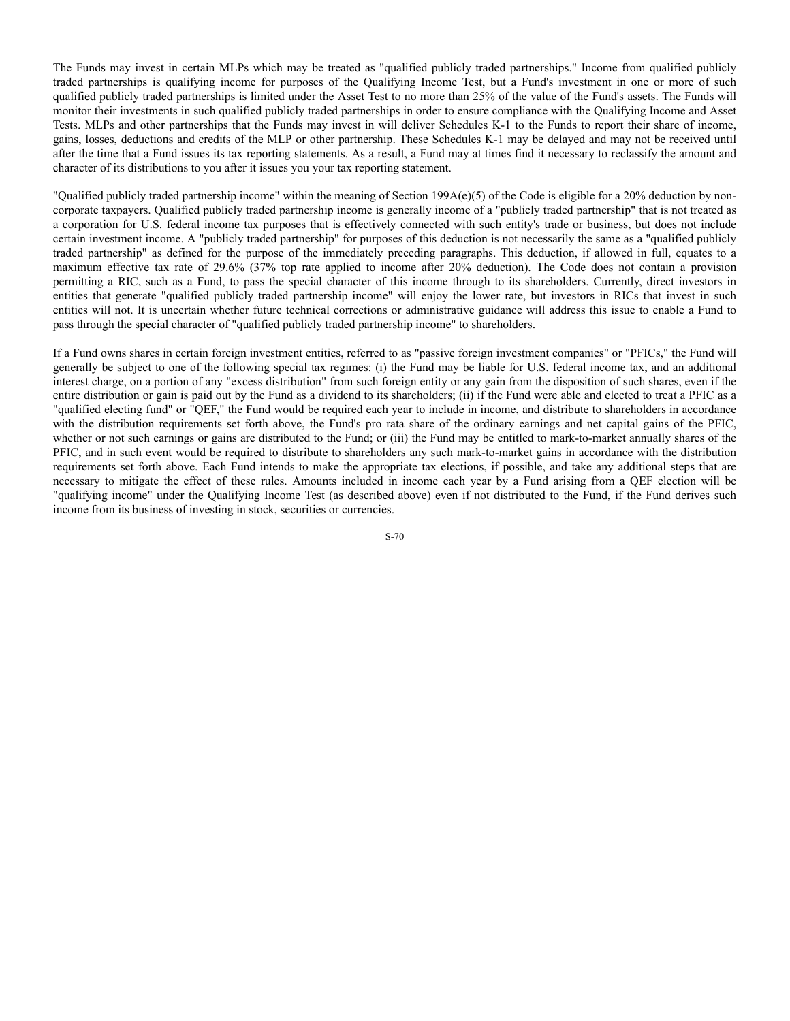The Funds may invest in certain MLPs which may be treated as "qualified publicly traded partnerships." Income from qualified publicly traded partnerships is qualifying income for purposes of the Qualifying Income Test, but a Fund's investment in one or more of such qualified publicly traded partnerships is limited under the Asset Test to no more than 25% of the value of the Fund's assets. The Funds will monitor their investments in such qualified publicly traded partnerships in order to ensure compliance with the Qualifying Income and Asset Tests. MLPs and other partnerships that the Funds may invest in will deliver Schedules K-1 to the Funds to report their share of income, gains, losses, deductions and credits of the MLP or other partnership. These Schedules K-1 may be delayed and may not be received until after the time that a Fund issues its tax reporting statements. As a result, a Fund may at times find it necessary to reclassify the amount and character of its distributions to you after it issues you your tax reporting statement.

"Qualified publicly traded partnership income" within the meaning of Section 199A(e)(5) of the Code is eligible for a 20% deduction by noncorporate taxpayers. Qualified publicly traded partnership income is generally income of a "publicly traded partnership" that is not treated as a corporation for U.S. federal income tax purposes that is effectively connected with such entity's trade or business, but does not include certain investment income. A "publicly traded partnership" for purposes of this deduction is not necessarily the same as a "qualified publicly traded partnership" as defined for the purpose of the immediately preceding paragraphs. This deduction, if allowed in full, equates to a maximum effective tax rate of 29.6% (37% top rate applied to income after 20% deduction). The Code does not contain a provision permitting a RIC, such as a Fund, to pass the special character of this income through to its shareholders. Currently, direct investors in entities that generate "qualified publicly traded partnership income" will enjoy the lower rate, but investors in RICs that invest in such entities will not. It is uncertain whether future technical corrections or administrative guidance will address this issue to enable a Fund to pass through the special character of "qualified publicly traded partnership income" to shareholders.

If a Fund owns shares in certain foreign investment entities, referred to as "passive foreign investment companies" or "PFICs," the Fund will generally be subject to one of the following special tax regimes: (i) the Fund may be liable for U.S. federal income tax, and an additional interest charge, on a portion of any "excess distribution" from such foreign entity or any gain from the disposition of such shares, even if the entire distribution or gain is paid out by the Fund as a dividend to its shareholders; (ii) if the Fund were able and elected to treat a PFIC as a "qualified electing fund" or "QEF," the Fund would be required each year to include in income, and distribute to shareholders in accordance with the distribution requirements set forth above, the Fund's pro rata share of the ordinary earnings and net capital gains of the PFIC, whether or not such earnings or gains are distributed to the Fund; or (iii) the Fund may be entitled to mark-to-market annually shares of the PFIC, and in such event would be required to distribute to shareholders any such mark-to-market gains in accordance with the distribution requirements set forth above. Each Fund intends to make the appropriate tax elections, if possible, and take any additional steps that are necessary to mitigate the effect of these rules. Amounts included in income each year by a Fund arising from a QEF election will be "qualifying income" under the Qualifying Income Test (as described above) even if not distributed to the Fund, if the Fund derives such income from its business of investing in stock, securities or currencies.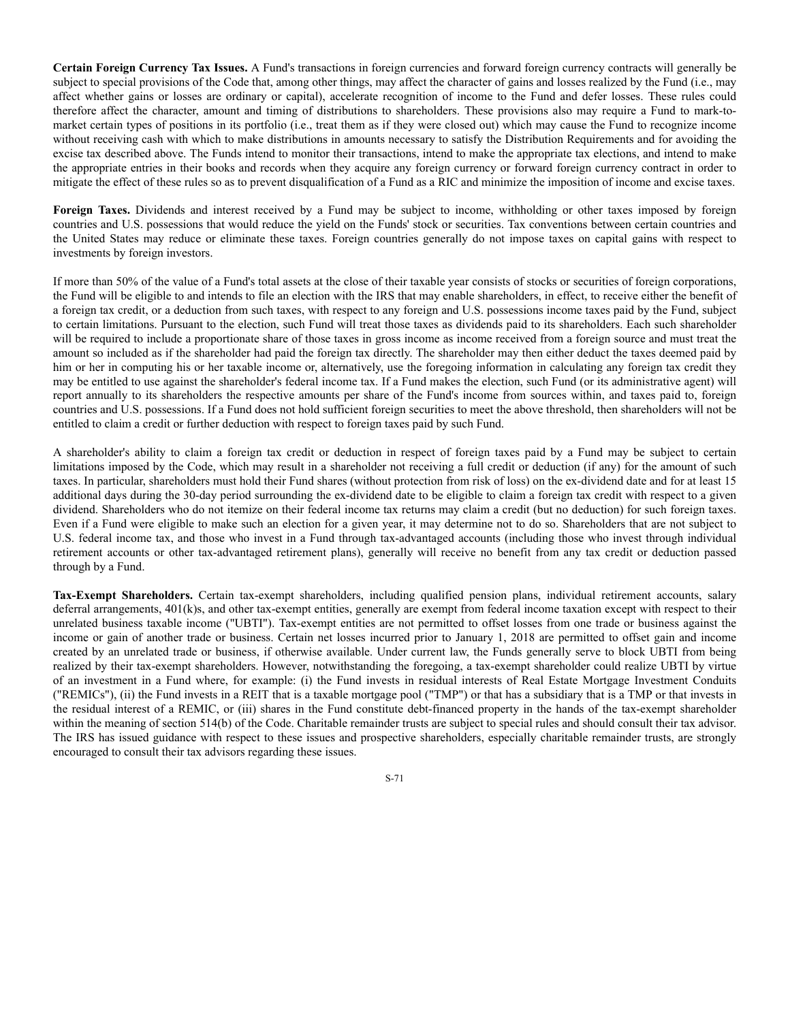**Certain Foreign Currency Tax Issues.** A Fund's transactions in foreign currencies and forward foreign currency contracts will generally be subject to special provisions of the Code that, among other things, may affect the character of gains and losses realized by the Fund (i.e., may affect whether gains or losses are ordinary or capital), accelerate recognition of income to the Fund and defer losses. These rules could therefore affect the character, amount and timing of distributions to shareholders. These provisions also may require a Fund to mark-tomarket certain types of positions in its portfolio (i.e., treat them as if they were closed out) which may cause the Fund to recognize income without receiving cash with which to make distributions in amounts necessary to satisfy the Distribution Requirements and for avoiding the excise tax described above. The Funds intend to monitor their transactions, intend to make the appropriate tax elections, and intend to make the appropriate entries in their books and records when they acquire any foreign currency or forward foreign currency contract in order to mitigate the effect of these rules so as to prevent disqualification of a Fund as a RIC and minimize the imposition of income and excise taxes.

**Foreign Taxes.** Dividends and interest received by a Fund may be subject to income, withholding or other taxes imposed by foreign countries and U.S. possessions that would reduce the yield on the Funds' stock or securities. Tax conventions between certain countries and the United States may reduce or eliminate these taxes. Foreign countries generally do not impose taxes on capital gains with respect to investments by foreign investors.

If more than 50% of the value of a Fund's total assets at the close of their taxable year consists of stocks or securities of foreign corporations, the Fund will be eligible to and intends to file an election with the IRS that may enable shareholders, in effect, to receive either the benefit of a foreign tax credit, or a deduction from such taxes, with respect to any foreign and U.S. possessions income taxes paid by the Fund, subject to certain limitations. Pursuant to the election, such Fund will treat those taxes as dividends paid to its shareholders. Each such shareholder will be required to include a proportionate share of those taxes in gross income as income received from a foreign source and must treat the amount so included as if the shareholder had paid the foreign tax directly. The shareholder may then either deduct the taxes deemed paid by him or her in computing his or her taxable income or, alternatively, use the foregoing information in calculating any foreign tax credit they may be entitled to use against the shareholder's federal income tax. If a Fund makes the election, such Fund (or its administrative agent) will report annually to its shareholders the respective amounts per share of the Fund's income from sources within, and taxes paid to, foreign countries and U.S. possessions. If a Fund does not hold sufficient foreign securities to meet the above threshold, then shareholders will not be entitled to claim a credit or further deduction with respect to foreign taxes paid by such Fund.

A shareholder's ability to claim a foreign tax credit or deduction in respect of foreign taxes paid by a Fund may be subject to certain limitations imposed by the Code, which may result in a shareholder not receiving a full credit or deduction (if any) for the amount of such taxes. In particular, shareholders must hold their Fund shares (without protection from risk of loss) on the ex-dividend date and for at least 15 additional days during the 30-day period surrounding the ex-dividend date to be eligible to claim a foreign tax credit with respect to a given dividend. Shareholders who do not itemize on their federal income tax returns may claim a credit (but no deduction) for such foreign taxes. Even if a Fund were eligible to make such an election for a given year, it may determine not to do so. Shareholders that are not subject to U.S. federal income tax, and those who invest in a Fund through tax-advantaged accounts (including those who invest through individual retirement accounts or other tax-advantaged retirement plans), generally will receive no benefit from any tax credit or deduction passed through by a Fund.

**Tax-Exempt Shareholders.** Certain tax-exempt shareholders, including qualified pension plans, individual retirement accounts, salary deferral arrangements, 401(k)s, and other tax-exempt entities, generally are exempt from federal income taxation except with respect to their unrelated business taxable income ("UBTI"). Tax-exempt entities are not permitted to offset losses from one trade or business against the income or gain of another trade or business. Certain net losses incurred prior to January 1, 2018 are permitted to offset gain and income created by an unrelated trade or business, if otherwise available. Under current law, the Funds generally serve to block UBTI from being realized by their tax-exempt shareholders. However, notwithstanding the foregoing, a tax-exempt shareholder could realize UBTI by virtue of an investment in a Fund where, for example: (i) the Fund invests in residual interests of Real Estate Mortgage Investment Conduits ("REMICs"), (ii) the Fund invests in a REIT that is a taxable mortgage pool ("TMP") or that has a subsidiary that is a TMP or that invests in the residual interest of a REMIC, or (iii) shares in the Fund constitute debt-financed property in the hands of the tax-exempt shareholder within the meaning of section 514(b) of the Code. Charitable remainder trusts are subject to special rules and should consult their tax advisor. The IRS has issued guidance with respect to these issues and prospective shareholders, especially charitable remainder trusts, are strongly encouraged to consult their tax advisors regarding these issues.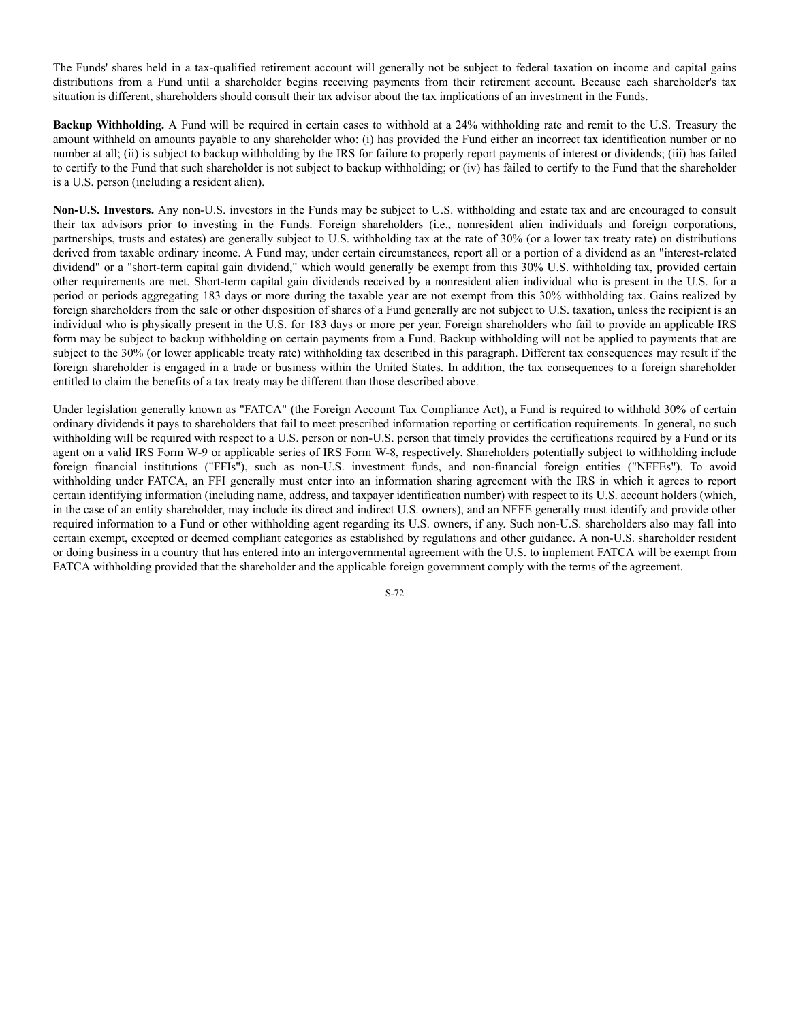The Funds' shares held in a tax-qualified retirement account will generally not be subject to federal taxation on income and capital gains distributions from a Fund until a shareholder begins receiving payments from their retirement account. Because each shareholder's tax situation is different, shareholders should consult their tax advisor about the tax implications of an investment in the Funds.

**Backup Withholding.** A Fund will be required in certain cases to withhold at a 24% withholding rate and remit to the U.S. Treasury the amount withheld on amounts payable to any shareholder who: (i) has provided the Fund either an incorrect tax identification number or no number at all; (ii) is subject to backup withholding by the IRS for failure to properly report payments of interest or dividends; (iii) has failed to certify to the Fund that such shareholder is not subject to backup withholding; or (iv) has failed to certify to the Fund that the shareholder is a U.S. person (including a resident alien).

**Non-U.S. Investors.** Any non-U.S. investors in the Funds may be subject to U.S. withholding and estate tax and are encouraged to consult their tax advisors prior to investing in the Funds. Foreign shareholders (i.e., nonresident alien individuals and foreign corporations, partnerships, trusts and estates) are generally subject to U.S. withholding tax at the rate of 30% (or a lower tax treaty rate) on distributions derived from taxable ordinary income. A Fund may, under certain circumstances, report all or a portion of a dividend as an "interest-related dividend" or a "short-term capital gain dividend," which would generally be exempt from this 30% U.S. withholding tax, provided certain other requirements are met. Short-term capital gain dividends received by a nonresident alien individual who is present in the U.S. for a period or periods aggregating 183 days or more during the taxable year are not exempt from this 30% withholding tax. Gains realized by foreign shareholders from the sale or other disposition of shares of a Fund generally are not subject to U.S. taxation, unless the recipient is an individual who is physically present in the U.S. for 183 days or more per year. Foreign shareholders who fail to provide an applicable IRS form may be subject to backup withholding on certain payments from a Fund. Backup withholding will not be applied to payments that are subject to the 30% (or lower applicable treaty rate) withholding tax described in this paragraph. Different tax consequences may result if the foreign shareholder is engaged in a trade or business within the United States. In addition, the tax consequences to a foreign shareholder entitled to claim the benefits of a tax treaty may be different than those described above.

Under legislation generally known as "FATCA" (the Foreign Account Tax Compliance Act), a Fund is required to withhold 30% of certain ordinary dividends it pays to shareholders that fail to meet prescribed information reporting or certification requirements. In general, no such withholding will be required with respect to a U.S. person or non-U.S. person that timely provides the certifications required by a Fund or its agent on a valid IRS Form W-9 or applicable series of IRS Form W-8, respectively. Shareholders potentially subject to withholding include foreign financial institutions ("FFIs"), such as non-U.S. investment funds, and non-financial foreign entities ("NFFEs"). To avoid withholding under FATCA, an FFI generally must enter into an information sharing agreement with the IRS in which it agrees to report certain identifying information (including name, address, and taxpayer identification number) with respect to its U.S. account holders (which, in the case of an entity shareholder, may include its direct and indirect U.S. owners), and an NFFE generally must identify and provide other required information to a Fund or other withholding agent regarding its U.S. owners, if any. Such non-U.S. shareholders also may fall into certain exempt, excepted or deemed compliant categories as established by regulations and other guidance. A non-U.S. shareholder resident or doing business in a country that has entered into an intergovernmental agreement with the U.S. to implement FATCA will be exempt from FATCA withholding provided that the shareholder and the applicable foreign government comply with the terms of the agreement.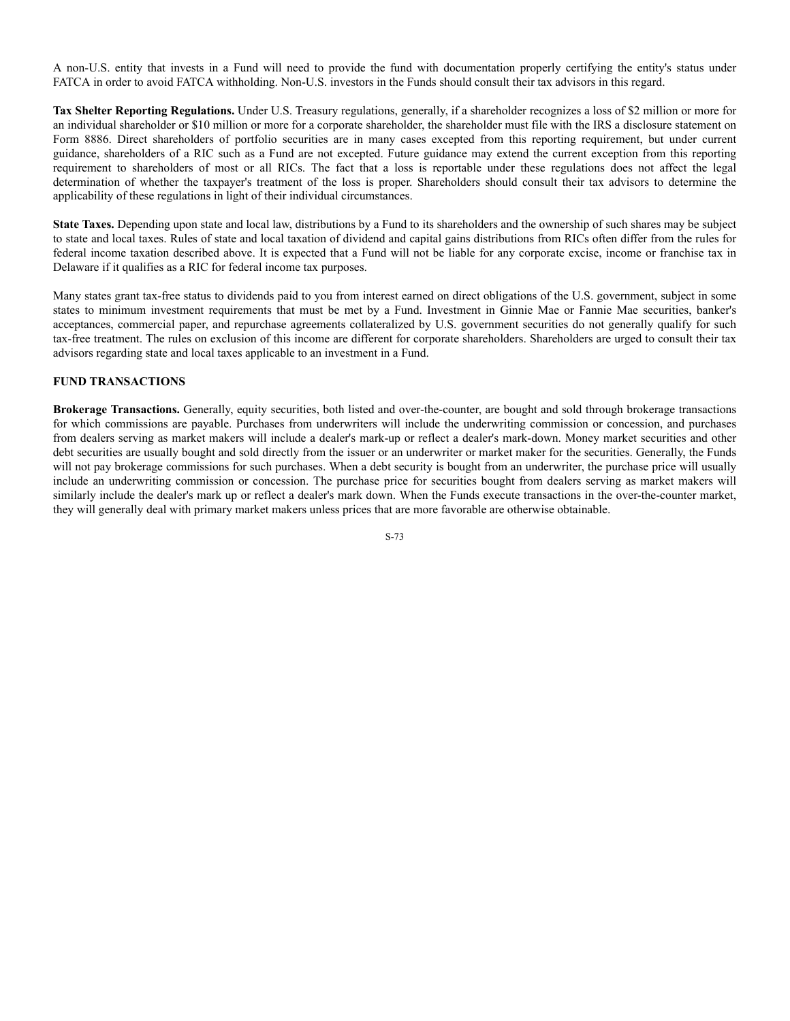A non-U.S. entity that invests in a Fund will need to provide the fund with documentation properly certifying the entity's status under FATCA in order to avoid FATCA withholding. Non-U.S. investors in the Funds should consult their tax advisors in this regard.

**Tax Shelter Reporting Regulations.** Under U.S. Treasury regulations, generally, if a shareholder recognizes a loss of \$2 million or more for an individual shareholder or \$10 million or more for a corporate shareholder, the shareholder must file with the IRS a disclosure statement on Form 8886. Direct shareholders of portfolio securities are in many cases excepted from this reporting requirement, but under current guidance, shareholders of a RIC such as a Fund are not excepted. Future guidance may extend the current exception from this reporting requirement to shareholders of most or all RICs. The fact that a loss is reportable under these regulations does not affect the legal determination of whether the taxpayer's treatment of the loss is proper. Shareholders should consult their tax advisors to determine the applicability of these regulations in light of their individual circumstances.

**State Taxes.** Depending upon state and local law, distributions by a Fund to its shareholders and the ownership of such shares may be subject to state and local taxes. Rules of state and local taxation of dividend and capital gains distributions from RICs often differ from the rules for federal income taxation described above. It is expected that a Fund will not be liable for any corporate excise, income or franchise tax in Delaware if it qualifies as a RIC for federal income tax purposes.

Many states grant tax-free status to dividends paid to you from interest earned on direct obligations of the U.S. government, subject in some states to minimum investment requirements that must be met by a Fund. Investment in Ginnie Mae or Fannie Mae securities, banker's acceptances, commercial paper, and repurchase agreements collateralized by U.S. government securities do not generally qualify for such tax-free treatment. The rules on exclusion of this income are different for corporate shareholders. Shareholders are urged to consult their tax advisors regarding state and local taxes applicable to an investment in a Fund.

# **FUND TRANSACTIONS**

**Brokerage Transactions.** Generally, equity securities, both listed and over-the-counter, are bought and sold through brokerage transactions for which commissions are payable. Purchases from underwriters will include the underwriting commission or concession, and purchases from dealers serving as market makers will include a dealer's mark-up or reflect a dealer's mark-down. Money market securities and other debt securities are usually bought and sold directly from the issuer or an underwriter or market maker for the securities. Generally, the Funds will not pay brokerage commissions for such purchases. When a debt security is bought from an underwriter, the purchase price will usually include an underwriting commission or concession. The purchase price for securities bought from dealers serving as market makers will similarly include the dealer's mark up or reflect a dealer's mark down. When the Funds execute transactions in the over-the-counter market, they will generally deal with primary market makers unless prices that are more favorable are otherwise obtainable.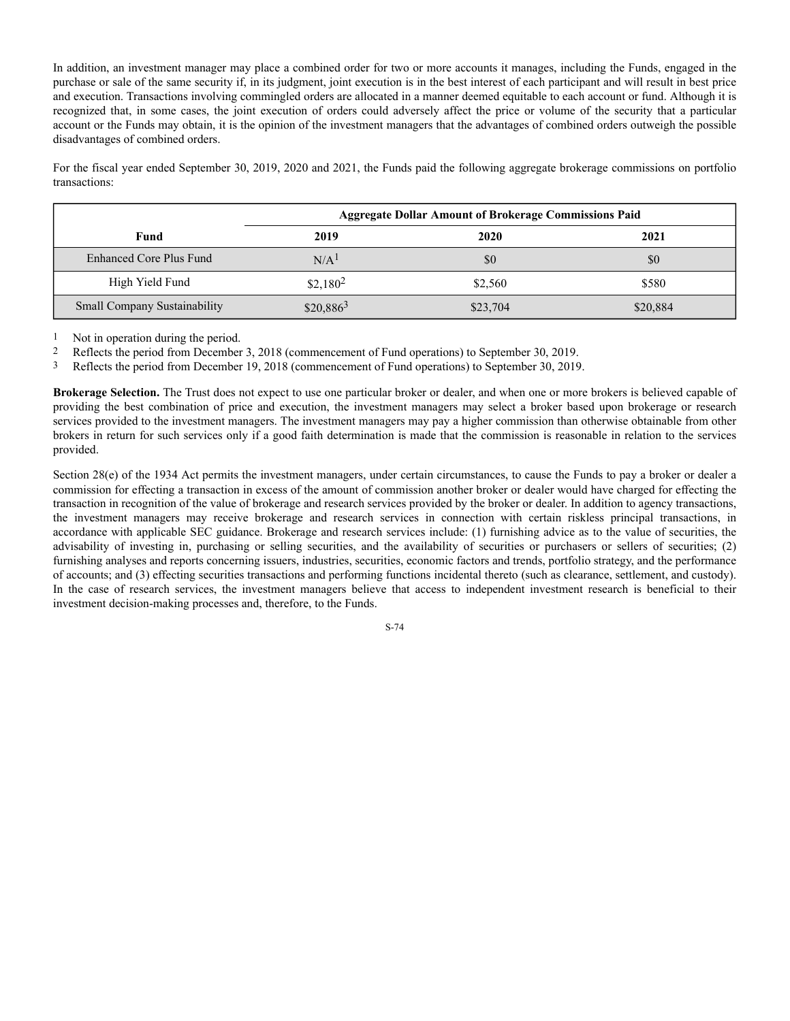In addition, an investment manager may place a combined order for two or more accounts it manages, including the Funds, engaged in the purchase or sale of the same security if, in its judgment, joint execution is in the best interest of each participant and will result in best price and execution. Transactions involving commingled orders are allocated in a manner deemed equitable to each account or fund. Although it is recognized that, in some cases, the joint execution of orders could adversely affect the price or volume of the security that a particular account or the Funds may obtain, it is the opinion of the investment managers that the advantages of combined orders outweigh the possible disadvantages of combined orders.

For the fiscal year ended September 30, 2019, 2020 and 2021, the Funds paid the following aggregate brokerage commissions on portfolio transactions:

|                                     | <b>Aggregate Dollar Amount of Brokerage Commissions Paid</b> |          |          |
|-------------------------------------|--------------------------------------------------------------|----------|----------|
| Fund                                | 2019                                                         | 2020     | 2021     |
| Enhanced Core Plus Fund             | N/A <sup>1</sup>                                             | \$0      | \$0      |
| High Yield Fund                     | $$2,180^2$                                                   | \$2,560  | \$580    |
| <b>Small Company Sustainability</b> | $$20,886^3$                                                  | \$23,704 | \$20,884 |

1 Not in operation during the period.

2 Reflects the period from December 3, 2018 (commencement of Fund operations) to September 30, 2019.

3 Reflects the period from December 19, 2018 (commencement of Fund operations) to September 30, 2019.

**Brokerage Selection.** The Trust does not expect to use one particular broker or dealer, and when one or more brokers is believed capable of providing the best combination of price and execution, the investment managers may select a broker based upon brokerage or research services provided to the investment managers. The investment managers may pay a higher commission than otherwise obtainable from other brokers in return for such services only if a good faith determination is made that the commission is reasonable in relation to the services provided.

Section 28(e) of the 1934 Act permits the investment managers, under certain circumstances, to cause the Funds to pay a broker or dealer a commission for effecting a transaction in excess of the amount of commission another broker or dealer would have charged for effecting the transaction in recognition of the value of brokerage and research services provided by the broker or dealer. In addition to agency transactions, the investment managers may receive brokerage and research services in connection with certain riskless principal transactions, in accordance with applicable SEC guidance. Brokerage and research services include: (1) furnishing advice as to the value of securities, the advisability of investing in, purchasing or selling securities, and the availability of securities or purchasers or sellers of securities; (2) furnishing analyses and reports concerning issuers, industries, securities, economic factors and trends, portfolio strategy, and the performance of accounts; and (3) effecting securities transactions and performing functions incidental thereto (such as clearance, settlement, and custody). In the case of research services, the investment managers believe that access to independent investment research is beneficial to their investment decision-making processes and, therefore, to the Funds.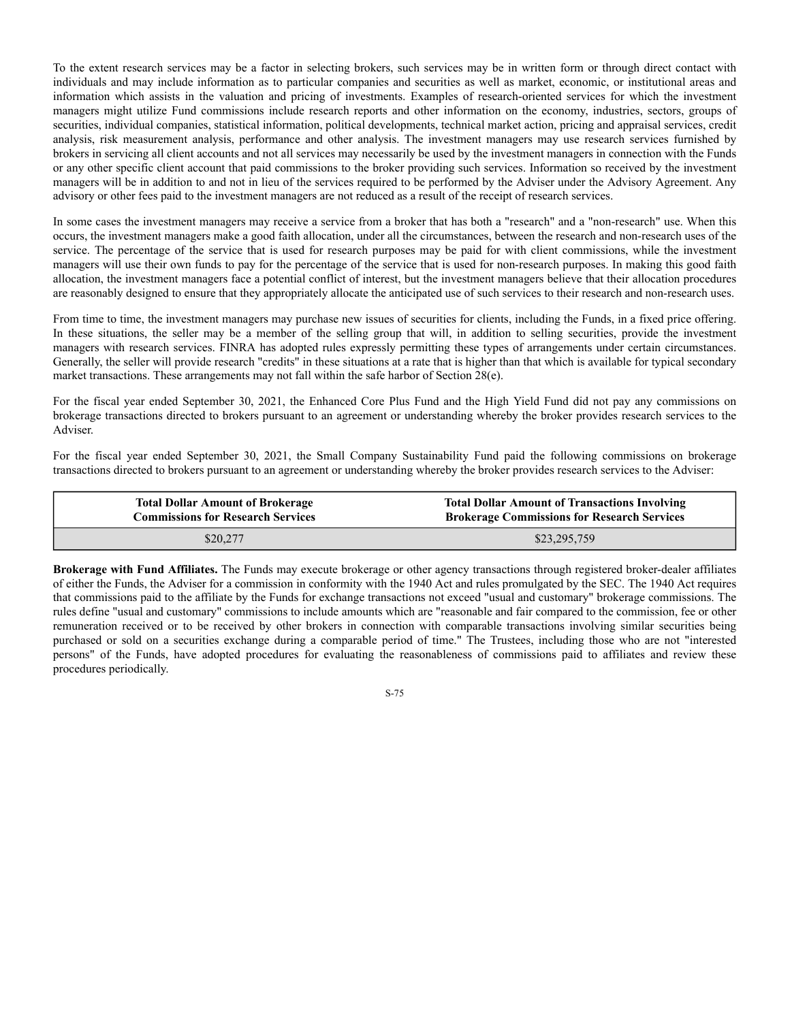To the extent research services may be a factor in selecting brokers, such services may be in written form or through direct contact with individuals and may include information as to particular companies and securities as well as market, economic, or institutional areas and information which assists in the valuation and pricing of investments. Examples of research-oriented services for which the investment managers might utilize Fund commissions include research reports and other information on the economy, industries, sectors, groups of securities, individual companies, statistical information, political developments, technical market action, pricing and appraisal services, credit analysis, risk measurement analysis, performance and other analysis. The investment managers may use research services furnished by brokers in servicing all client accounts and not all services may necessarily be used by the investment managers in connection with the Funds or any other specific client account that paid commissions to the broker providing such services. Information so received by the investment managers will be in addition to and not in lieu of the services required to be performed by the Adviser under the Advisory Agreement. Any advisory or other fees paid to the investment managers are not reduced as a result of the receipt of research services.

In some cases the investment managers may receive a service from a broker that has both a "research" and a "non-research" use. When this occurs, the investment managers make a good faith allocation, under all the circumstances, between the research and non-research uses of the service. The percentage of the service that is used for research purposes may be paid for with client commissions, while the investment managers will use their own funds to pay for the percentage of the service that is used for non-research purposes. In making this good faith allocation, the investment managers face a potential conflict of interest, but the investment managers believe that their allocation procedures are reasonably designed to ensure that they appropriately allocate the anticipated use of such services to their research and non-research uses.

From time to time, the investment managers may purchase new issues of securities for clients, including the Funds, in a fixed price offering. In these situations, the seller may be a member of the selling group that will, in addition to selling securities, provide the investment managers with research services. FINRA has adopted rules expressly permitting these types of arrangements under certain circumstances. Generally, the seller will provide research "credits" in these situations at a rate that is higher than that which is available for typical secondary market transactions. These arrangements may not fall within the safe harbor of Section 28(e).

For the fiscal year ended September 30, 2021, the Enhanced Core Plus Fund and the High Yield Fund did not pay any commissions on brokerage transactions directed to brokers pursuant to an agreement or understanding whereby the broker provides research services to the Adviser.

For the fiscal year ended September 30, 2021, the Small Company Sustainability Fund paid the following commissions on brokerage transactions directed to brokers pursuant to an agreement or understanding whereby the broker provides research services to the Adviser:

| <b>Total Dollar Amount of Brokerage</b>  | <b>Total Dollar Amount of Transactions Involving</b> |  |  |
|------------------------------------------|------------------------------------------------------|--|--|
| <b>Commissions for Research Services</b> | <b>Brokerage Commissions for Research Services</b>   |  |  |
| \$20,277                                 | \$23,295,759                                         |  |  |

**Brokerage with Fund Affiliates.** The Funds may execute brokerage or other agency transactions through registered broker-dealer affiliates of either the Funds, the Adviser for a commission in conformity with the 1940 Act and rules promulgated by the SEC. The 1940 Act requires that commissions paid to the affiliate by the Funds for exchange transactions not exceed "usual and customary" brokerage commissions. The rules define "usual and customary" commissions to include amounts which are "reasonable and fair compared to the commission, fee or other remuneration received or to be received by other brokers in connection with comparable transactions involving similar securities being purchased or sold on a securities exchange during a comparable period of time." The Trustees, including those who are not "interested persons" of the Funds, have adopted procedures for evaluating the reasonableness of commissions paid to affiliates and review these procedures periodically.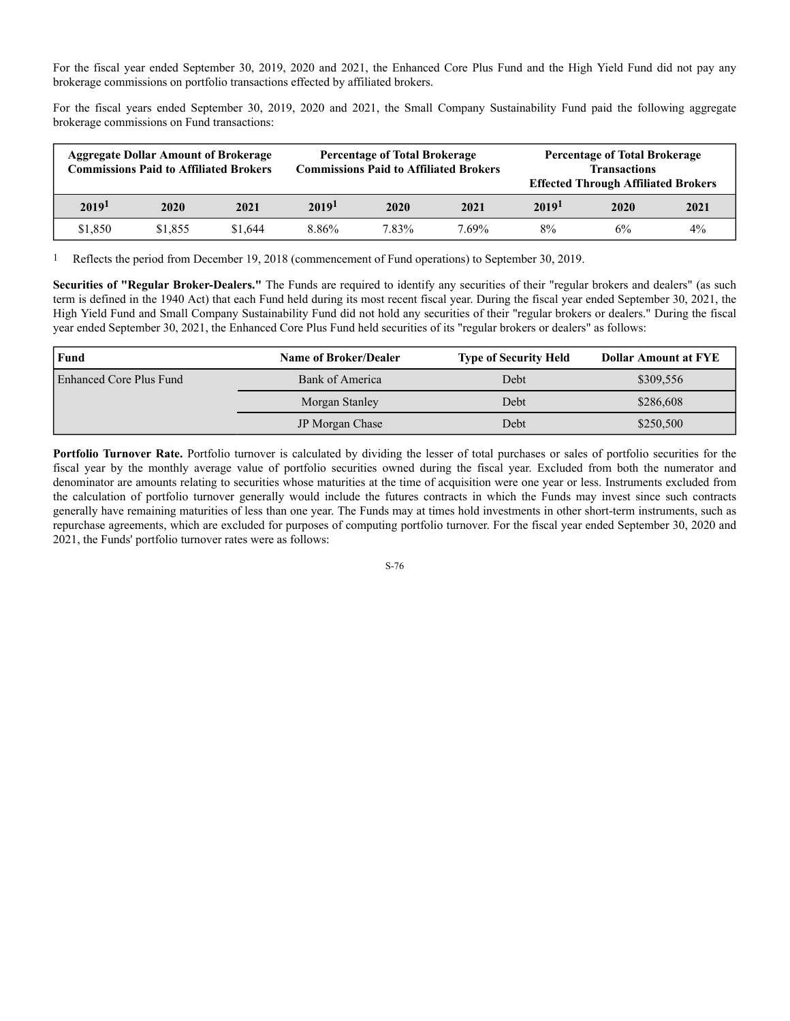For the fiscal year ended September 30, 2019, 2020 and 2021, the Enhanced Core Plus Fund and the High Yield Fund did not pay any brokerage commissions on portfolio transactions effected by affiliated brokers.

For the fiscal years ended September 30, 2019, 2020 and 2021, the Small Company Sustainability Fund paid the following aggregate brokerage commissions on Fund transactions:

|                   | <b>Aggregate Dollar Amount of Brokerage</b><br><b>Commissions Paid to Affiliated Brokers</b> |         | <b>Percentage of Total Brokerage</b><br><b>Commissions Paid to Affiliated Brokers</b> |       | <b>Percentage of Total Brokerage</b><br><b>Transactions</b><br><b>Effected Through Affiliated Brokers</b> |                   |      |       |
|-------------------|----------------------------------------------------------------------------------------------|---------|---------------------------------------------------------------------------------------|-------|-----------------------------------------------------------------------------------------------------------|-------------------|------|-------|
| 2019 <sup>1</sup> | 2020                                                                                         | 2021    | 2019 <sup>1</sup>                                                                     | 2020  | 2021                                                                                                      | 2019 <sup>1</sup> | 2020 | 2021  |
| \$1,850           | \$1,855                                                                                      | \$1,644 | 8.86%                                                                                 | 7.83% | 7.69%                                                                                                     | 8%                | 6%   | $4\%$ |

1 Reflects the period from December 19, 2018 (commencement of Fund operations) to September 30, 2019.

**Securities of "Regular Broker-Dealers."** The Funds are required to identify any securities of their "regular brokers and dealers" (as such term is defined in the 1940 Act) that each Fund held during its most recent fiscal year. During the fiscal year ended September 30, 2021, the High Yield Fund and Small Company Sustainability Fund did not hold any securities of their "regular brokers or dealers." During the fiscal year ended September 30, 2021, the Enhanced Core Plus Fund held securities of its "regular brokers or dealers" as follows:

| Fund                    | <b>Name of Broker/Dealer</b> | <b>Type of Security Held</b> | <b>Dollar Amount at FYE</b> |
|-------------------------|------------------------------|------------------------------|-----------------------------|
| Enhanced Core Plus Fund | Bank of America              | Debt                         | \$309,556                   |
|                         | Morgan Stanley               | Debt                         | \$286,608                   |
|                         | JP Morgan Chase              | Debt                         | \$250,500                   |

**Portfolio Turnover Rate.** Portfolio turnover is calculated by dividing the lesser of total purchases or sales of portfolio securities for the fiscal year by the monthly average value of portfolio securities owned during the fiscal year. Excluded from both the numerator and denominator are amounts relating to securities whose maturities at the time of acquisition were one year or less. Instruments excluded from the calculation of portfolio turnover generally would include the futures contracts in which the Funds may invest since such contracts generally have remaining maturities of less than one year. The Funds may at times hold investments in other short-term instruments, such as repurchase agreements, which are excluded for purposes of computing portfolio turnover. For the fiscal year ended September 30, 2020 and 2021, the Funds' portfolio turnover rates were as follows: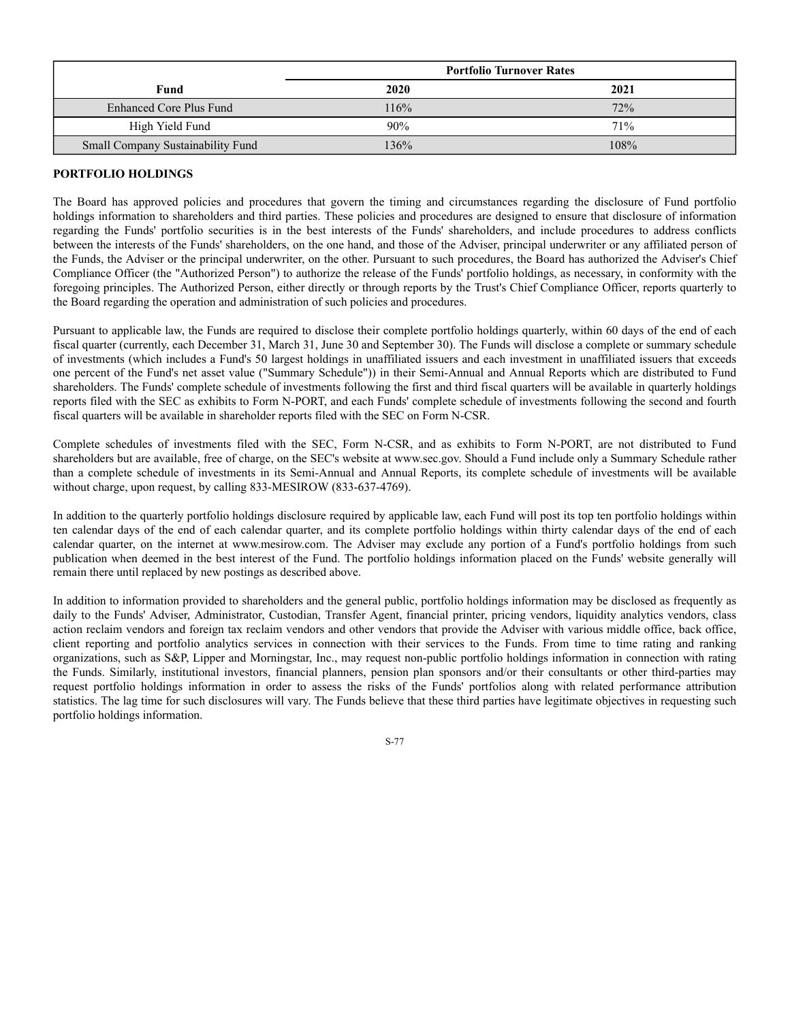|                                   | <b>Portfolio Turnover Rates</b> |      |  |
|-----------------------------------|---------------------------------|------|--|
| Fund                              | 2020                            | 2021 |  |
| Enhanced Core Plus Fund           | 116%                            | 72%  |  |
| High Yield Fund                   | 90%                             | 71%  |  |
| Small Company Sustainability Fund | 136%                            | 108% |  |

# **PORTFOLIO HOLDINGS**

The Board has approved policies and procedures that govern the timing and circumstances regarding the disclosure of Fund portfolio holdings information to shareholders and third parties. These policies and procedures are designed to ensure that disclosure of information regarding the Funds' portfolio securities is in the best interests of the Funds' shareholders, and include procedures to address conflicts between the interests of the Funds' shareholders, on the one hand, and those of the Adviser, principal underwriter or any affiliated person of the Funds, the Adviser or the principal underwriter, on the other. Pursuant to such procedures, the Board has authorized the Adviser's Chief Compliance Officer (the "Authorized Person") to authorize the release of the Funds' portfolio holdings, as necessary, in conformity with the foregoing principles. The Authorized Person, either directly or through reports by the Trust's Chief Compliance Officer, reports quarterly to the Board regarding the operation and administration of such policies and procedures.

Pursuant to applicable law, the Funds are required to disclose their complete portfolio holdings quarterly, within 60 days of the end of each fiscal quarter (currently, each December 31, March 31, June 30 and September 30). The Funds will disclose a complete or summary schedule of investments (which includes a Fund's 50 largest holdings in unaffiliated issuers and each investment in unaffiliated issuers that exceeds one percent of the Fund's net asset value ("Summary Schedule")) in their Semi-Annual and Annual Reports which are distributed to Fund shareholders. The Funds' complete schedule of investments following the first and third fiscal quarters will be available in quarterly holdings reports filed with the SEC as exhibits to Form N-PORT, and each Funds' complete schedule of investments following the second and fourth fiscal quarters will be available in shareholder reports filed with the SEC on Form N-CSR.

Complete schedules of investments filed with the SEC, Form N-CSR, and as exhibits to Form N-PORT, are not distributed to Fund shareholders but are available, free of charge, on the SEC's website at www.sec.gov. Should a Fund include only a Summary Schedule rather than a complete schedule of investments in its Semi-Annual and Annual Reports, its complete schedule of investments will be available without charge, upon request, by calling 833-MESIROW (833-637-4769).

In addition to the quarterly portfolio holdings disclosure required by applicable law, each Fund will post its top ten portfolio holdings within ten calendar days of the end of each calendar quarter, and its complete portfolio holdings within thirty calendar days of the end of each calendar quarter, on the internet at www.mesirow.com. The Adviser may exclude any portion of a Fund's portfolio holdings from such publication when deemed in the best interest of the Fund. The portfolio holdings information placed on the Funds' website generally will remain there until replaced by new postings as described above.

In addition to information provided to shareholders and the general public, portfolio holdings information may be disclosed as frequently as daily to the Funds' Adviser, Administrator, Custodian, Transfer Agent, financial printer, pricing vendors, liquidity analytics vendors, class action reclaim vendors and foreign tax reclaim vendors and other vendors that provide the Adviser with various middle office, back office, client reporting and portfolio analytics services in connection with their services to the Funds. From time to time rating and ranking organizations, such as S&P, Lipper and Morningstar, Inc., may request non-public portfolio holdings information in connection with rating the Funds. Similarly, institutional investors, financial planners, pension plan sponsors and/or their consultants or other third-parties may request portfolio holdings information in order to assess the risks of the Funds' portfolios along with related performance attribution statistics. The lag time for such disclosures will vary. The Funds believe that these third parties have legitimate objectives in requesting such portfolio holdings information.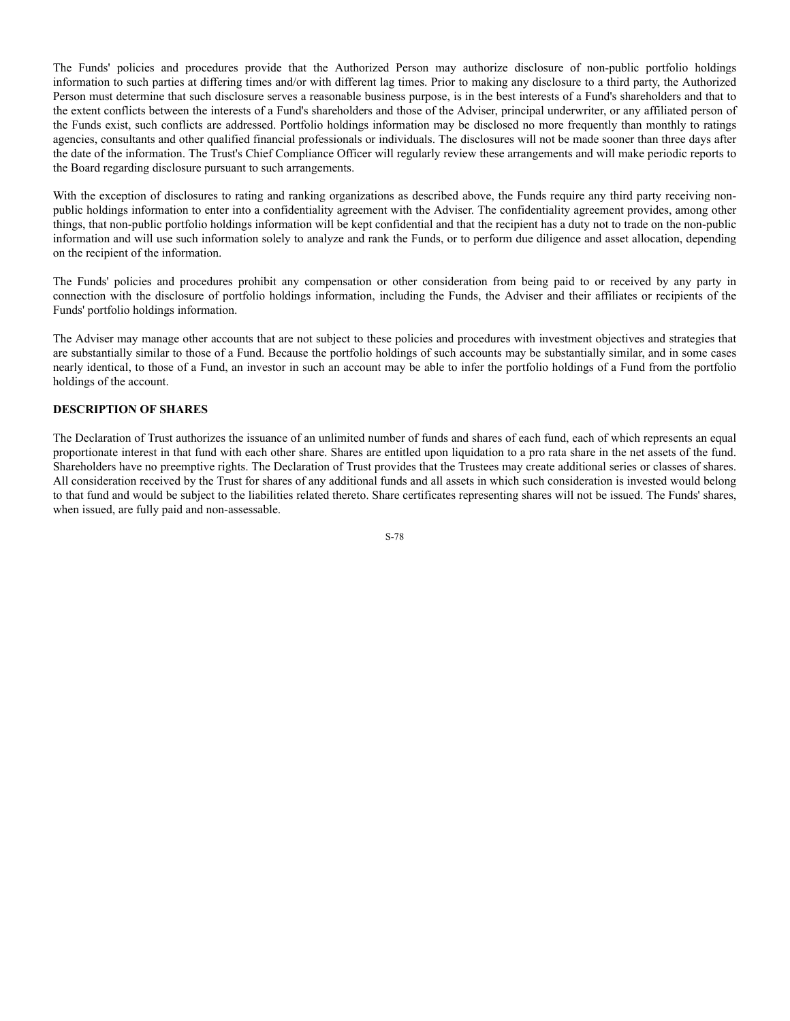The Funds' policies and procedures provide that the Authorized Person may authorize disclosure of non-public portfolio holdings information to such parties at differing times and/or with different lag times. Prior to making any disclosure to a third party, the Authorized Person must determine that such disclosure serves a reasonable business purpose, is in the best interests of a Fund's shareholders and that to the extent conflicts between the interests of a Fund's shareholders and those of the Adviser, principal underwriter, or any affiliated person of the Funds exist, such conflicts are addressed. Portfolio holdings information may be disclosed no more frequently than monthly to ratings agencies, consultants and other qualified financial professionals or individuals. The disclosures will not be made sooner than three days after the date of the information. The Trust's Chief Compliance Officer will regularly review these arrangements and will make periodic reports to the Board regarding disclosure pursuant to such arrangements.

With the exception of disclosures to rating and ranking organizations as described above, the Funds require any third party receiving nonpublic holdings information to enter into a confidentiality agreement with the Adviser. The confidentiality agreement provides, among other things, that non-public portfolio holdings information will be kept confidential and that the recipient has a duty not to trade on the non-public information and will use such information solely to analyze and rank the Funds, or to perform due diligence and asset allocation, depending on the recipient of the information.

The Funds' policies and procedures prohibit any compensation or other consideration from being paid to or received by any party in connection with the disclosure of portfolio holdings information, including the Funds, the Adviser and their affiliates or recipients of the Funds' portfolio holdings information.

The Adviser may manage other accounts that are not subject to these policies and procedures with investment objectives and strategies that are substantially similar to those of a Fund. Because the portfolio holdings of such accounts may be substantially similar, and in some cases nearly identical, to those of a Fund, an investor in such an account may be able to infer the portfolio holdings of a Fund from the portfolio holdings of the account.

# **DESCRIPTION OF SHARES**

The Declaration of Trust authorizes the issuance of an unlimited number of funds and shares of each fund, each of which represents an equal proportionate interest in that fund with each other share. Shares are entitled upon liquidation to a pro rata share in the net assets of the fund. Shareholders have no preemptive rights. The Declaration of Trust provides that the Trustees may create additional series or classes of shares. All consideration received by the Trust for shares of any additional funds and all assets in which such consideration is invested would belong to that fund and would be subject to the liabilities related thereto. Share certificates representing shares will not be issued. The Funds' shares, when issued, are fully paid and non-assessable.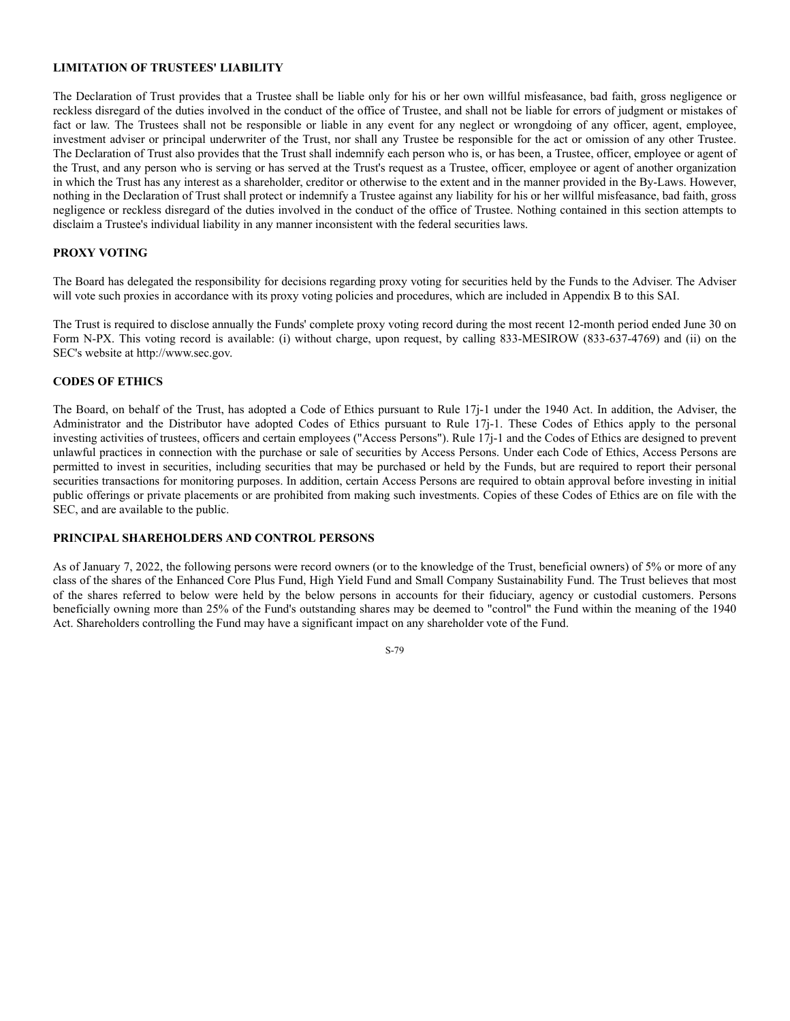# **LIMITATION OF TRUSTEES' LIABILITY**

The Declaration of Trust provides that a Trustee shall be liable only for his or her own willful misfeasance, bad faith, gross negligence or reckless disregard of the duties involved in the conduct of the office of Trustee, and shall not be liable for errors of judgment or mistakes of fact or law. The Trustees shall not be responsible or liable in any event for any neglect or wrongdoing of any officer, agent, employee, investment adviser or principal underwriter of the Trust, nor shall any Trustee be responsible for the act or omission of any other Trustee. The Declaration of Trust also provides that the Trust shall indemnify each person who is, or has been, a Trustee, officer, employee or agent of the Trust, and any person who is serving or has served at the Trust's request as a Trustee, officer, employee or agent of another organization in which the Trust has any interest as a shareholder, creditor or otherwise to the extent and in the manner provided in the By-Laws. However, nothing in the Declaration of Trust shall protect or indemnify a Trustee against any liability for his or her willful misfeasance, bad faith, gross negligence or reckless disregard of the duties involved in the conduct of the office of Trustee. Nothing contained in this section attempts to disclaim a Trustee's individual liability in any manner inconsistent with the federal securities laws.

## **PROXY VOTING**

The Board has delegated the responsibility for decisions regarding proxy voting for securities held by the Funds to the Adviser. The Adviser will vote such proxies in accordance with its proxy voting policies and procedures, which are included in Appendix B to this SAI.

The Trust is required to disclose annually the Funds' complete proxy voting record during the most recent 12-month period ended June 30 on Form N-PX. This voting record is available: (i) without charge, upon request, by calling 833-MESIROW (833-637-4769) and (ii) on the SEC's website at http://www.sec.gov.

#### **CODES OF ETHICS**

The Board, on behalf of the Trust, has adopted a Code of Ethics pursuant to Rule 17j-1 under the 1940 Act. In addition, the Adviser, the Administrator and the Distributor have adopted Codes of Ethics pursuant to Rule 17j-1. These Codes of Ethics apply to the personal investing activities of trustees, officers and certain employees ("Access Persons"). Rule 17j-1 and the Codes of Ethics are designed to prevent unlawful practices in connection with the purchase or sale of securities by Access Persons. Under each Code of Ethics, Access Persons are permitted to invest in securities, including securities that may be purchased or held by the Funds, but are required to report their personal securities transactions for monitoring purposes. In addition, certain Access Persons are required to obtain approval before investing in initial public offerings or private placements or are prohibited from making such investments. Copies of these Codes of Ethics are on file with the SEC, and are available to the public.

## **PRINCIPAL SHAREHOLDERS AND CONTROL PERSONS**

As of January 7, 2022, the following persons were record owners (or to the knowledge of the Trust, beneficial owners) of 5% or more of any class of the shares of the Enhanced Core Plus Fund, High Yield Fund and Small Company Sustainability Fund. The Trust believes that most of the shares referred to below were held by the below persons in accounts for their fiduciary, agency or custodial customers. Persons beneficially owning more than 25% of the Fund's outstanding shares may be deemed to "control" the Fund within the meaning of the 1940 Act. Shareholders controlling the Fund may have a significant impact on any shareholder vote of the Fund.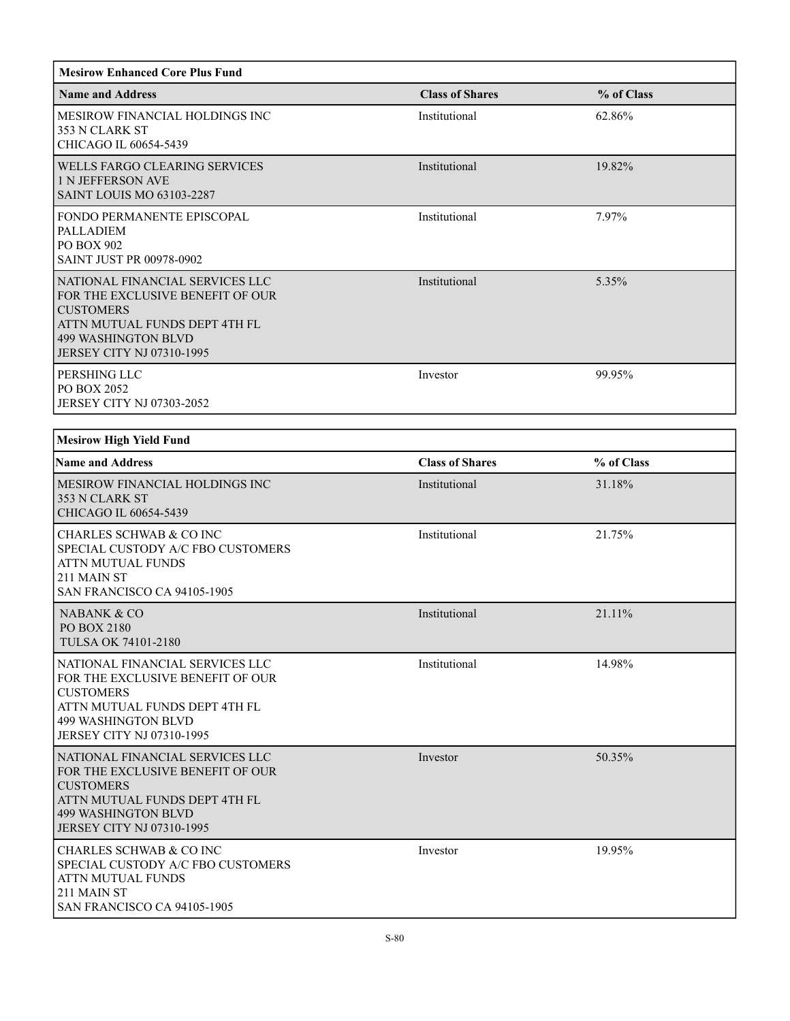| <b>Mesirow Enhanced Core Plus Fund</b>                                                                                                                                                     |                        |            |
|--------------------------------------------------------------------------------------------------------------------------------------------------------------------------------------------|------------------------|------------|
| <b>Name and Address</b>                                                                                                                                                                    | <b>Class of Shares</b> | % of Class |
| MESIROW FINANCIAL HOLDINGS INC<br>353 N CLARK ST<br>CHICAGO IL 60654-5439                                                                                                                  | Institutional          | 62.86%     |
| WELLS FARGO CLEARING SERVICES<br>1 N JEFFERSON AVE<br><b>SAINT LOUIS MO 63103-2287</b>                                                                                                     | Institutional          | 19.82%     |
| FONDO PERMANENTE EPISCOPAL<br>PALLADIEM<br>PO BOX 902<br>SAINT JUST PR 00978-0902                                                                                                          | Institutional          | 7.97%      |
| NATIONAL FINANCIAL SERVICES LLC<br>FOR THE EXCLUSIVE BENEFIT OF OUR<br><b>CUSTOMERS</b><br>ATTN MUTUAL FUNDS DEPT 4TH FL<br><b>499 WASHINGTON BLVD</b><br>JERSEY CITY NJ 07310-1995        | Institutional          | 5.35%      |
| PERSHING LLC<br>PO BOX 2052<br>JERSEY CITY NJ 07303-2052                                                                                                                                   | Investor               | 99.95%     |
| <b>Mesirow High Yield Fund</b>                                                                                                                                                             |                        |            |
| <b>Name and Address</b>                                                                                                                                                                    | <b>Class of Shares</b> | % of Class |
| MESIROW FINANCIAL HOLDINGS INC<br>353 N CLARK ST<br>CHICAGO IL 60654-5439                                                                                                                  | Institutional          | 31.18%     |
| <b>CHARLES SCHWAB &amp; CO INC</b><br>SPECIAL CUSTODY A/C FBO CUSTOMERS<br>ATTN MUTUAL FUNDS<br>211 MAIN ST<br>SAN FRANCISCO CA 94105-1905                                                 | Institutional          | 21.75%     |
| <b>NABANK &amp; CO</b><br>PO BOX 2180<br><b>TULSA OK 74101-2180</b>                                                                                                                        | Institutional          | 21.11%     |
| NATIONAL FINANCIAL SERVICES LLC<br>FOR THE EXCLUSIVE BENEFIT OF OUR<br><b>CUSTOMERS</b><br>ATTN MUTUAL FUNDS DEPT 4TH FL<br><b>499 WASHINGTON BLVD</b><br><b>JERSEY CITY NJ 07310-1995</b> | Institutional          | 14.98%     |
| NATIONAL FINANCIAL SERVICES LLC<br>FOR THE EXCLUSIVE BENEFIT OF OUR<br><b>CUSTOMERS</b><br>ATTN MUTUAL FUNDS DEPT 4TH FL<br><b>499 WASHINGTON BLVD</b><br><b>JERSEY CITY NJ 07310-1995</b> | Investor               | 50.35%     |
| CHARLES SCHWAB & CO INC<br>SPECIAL CUSTODY A/C FBO CUSTOMERS<br><b>ATTN MUTUAL FUNDS</b><br>211 MAIN ST<br>SAN FRANCISCO CA 94105-1905                                                     | Investor               | 19.95%     |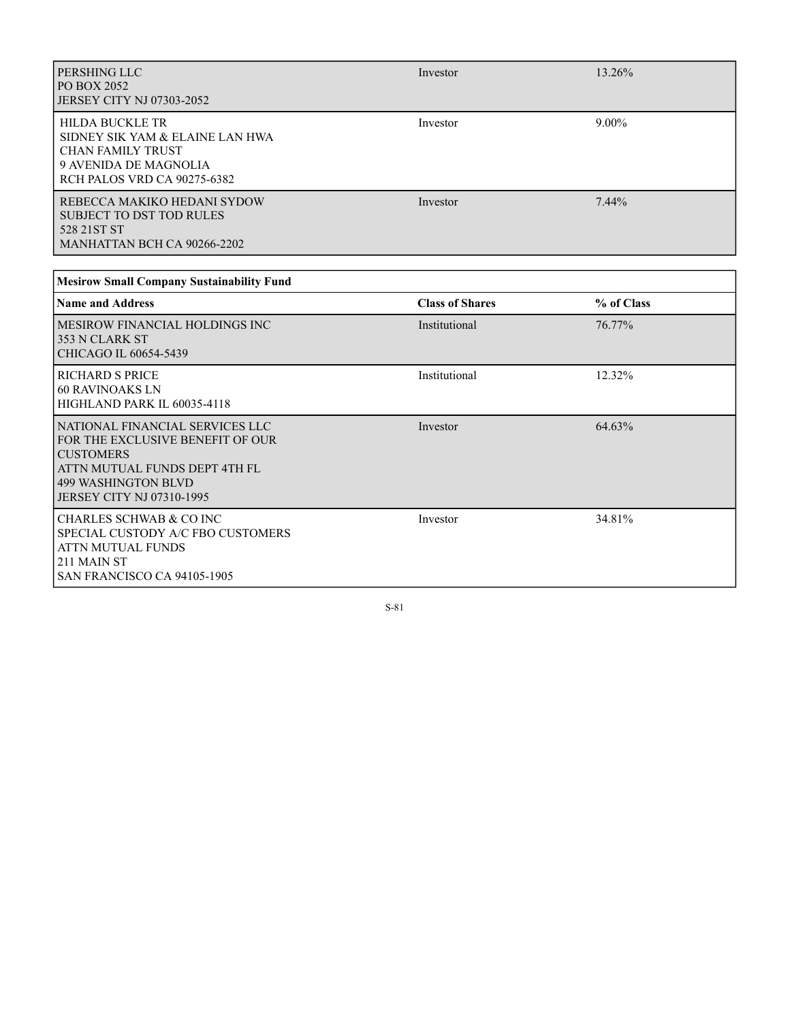| PERSHING LLC<br>PO BOX 2052<br>JERSEY CITY NJ 07303-2052                                                                                                                            | Investor               | 13.26%     |
|-------------------------------------------------------------------------------------------------------------------------------------------------------------------------------------|------------------------|------------|
| <b>HILDA BUCKLE TR</b><br>SIDNEY SIK YAM & ELAINE LAN HWA<br><b>CHAN FAMILY TRUST</b><br>9 AVENIDA DE MAGNOLIA<br>RCH PALOS VRD CA 90275-6382                                       | Investor               | $9.00\%$   |
| REBECCA MAKIKO HEDANI SYDOW<br><b>SUBJECT TO DST TOD RULES</b><br>528 21ST ST<br>MANHATTAN BCH CA 90266-2202                                                                        | Investor               | 7.44%      |
| <b>Mesirow Small Company Sustainability Fund</b>                                                                                                                                    |                        |            |
| <b>Name and Address</b>                                                                                                                                                             | <b>Class of Shares</b> | % of Class |
| <b>MESIROW FINANCIAL HOLDINGS INC</b><br>353 N CLARK ST<br>CHICAGO IL 60654-5439                                                                                                    | Institutional          | 76.77%     |
| <b>RICHARD S PRICE</b><br><b>60 RAVINOAKS LN</b><br>HIGHLAND PARK IL 60035-4118                                                                                                     | Institutional          | 12.32%     |
| NATIONAL FINANCIAL SERVICES LLC<br>FOR THE EXCLUSIVE BENEFIT OF OUR<br><b>CUSTOMERS</b><br>ATTN MUTUAL FUNDS DEPT 4TH FL<br><b>499 WASHINGTON BLVD</b><br>JERSEY CITY NJ 07310-1995 | Investor               | 64.63%     |
| <b>CHARLES SCHWAB &amp; CO INC</b><br>SPECIAL CUSTODY A/C FBO CUSTOMERS<br>ATTN MUTUAL FUNDS<br>211 MAIN ST<br>SAN FRANCISCO CA 94105-1905                                          | Investor               | 34.81%     |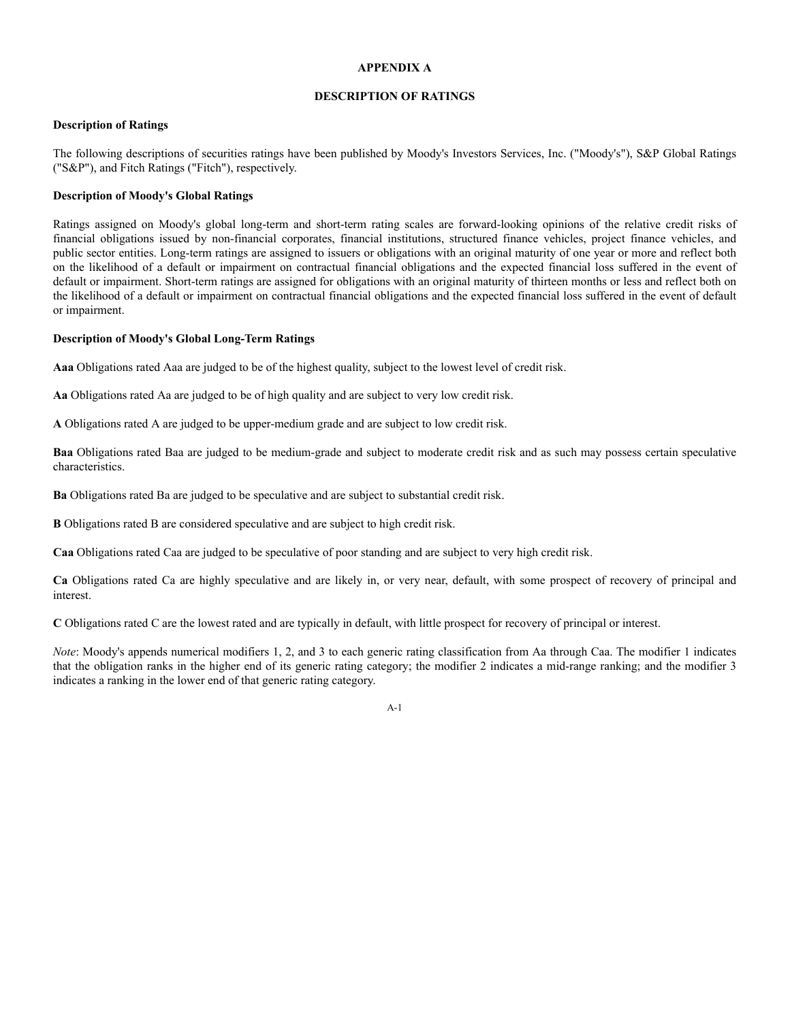# **APPENDIX A**

# **DESCRIPTION OF RATINGS**

#### **Description of Ratings**

The following descriptions of securities ratings have been published by Moody's Investors Services, Inc. ("Moody's"), S&P Global Ratings ("S&P"), and Fitch Ratings ("Fitch"), respectively.

## **Description of Moody's Global Ratings**

Ratings assigned on Moody's global long-term and short-term rating scales are forward-looking opinions of the relative credit risks of financial obligations issued by non-financial corporates, financial institutions, structured finance vehicles, project finance vehicles, and public sector entities. Long-term ratings are assigned to issuers or obligations with an original maturity of one year or more and reflect both on the likelihood of a default or impairment on contractual financial obligations and the expected financial loss suffered in the event of default or impairment. Short-term ratings are assigned for obligations with an original maturity of thirteen months or less and reflect both on the likelihood of a default or impairment on contractual financial obligations and the expected financial loss suffered in the event of default or impairment.

#### **Description of Moody's Global Long-Term Ratings**

**Aaa** Obligations rated Aaa are judged to be of the highest quality, subject to the lowest level of credit risk.

**Aa** Obligations rated Aa are judged to be of high quality and are subject to very low credit risk.

**A** Obligations rated A are judged to be upper-medium grade and are subject to low credit risk.

**Baa** Obligations rated Baa are judged to be medium-grade and subject to moderate credit risk and as such may possess certain speculative characteristics.

**Ba** Obligations rated Ba are judged to be speculative and are subject to substantial credit risk.

**B** Obligations rated B are considered speculative and are subject to high credit risk.

**Caa** Obligations rated Caa are judged to be speculative of poor standing and are subject to very high credit risk.

**Ca** Obligations rated Ca are highly speculative and are likely in, or very near, default, with some prospect of recovery of principal and interest.

**C** Obligations rated C are the lowest rated and are typically in default, with little prospect for recovery of principal or interest.

*Note*: Moody's appends numerical modifiers 1, 2, and 3 to each generic rating classification from Aa through Caa. The modifier 1 indicates that the obligation ranks in the higher end of its generic rating category; the modifier 2 indicates a mid-range ranking; and the modifier 3 indicates a ranking in the lower end of that generic rating category.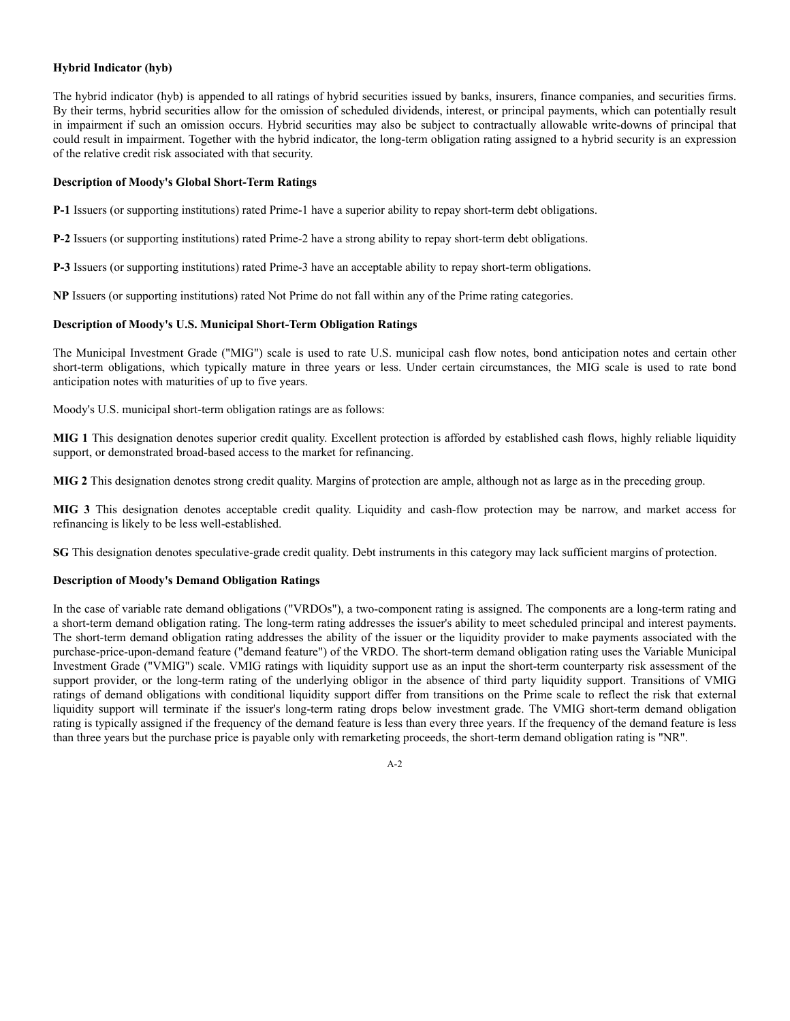# **Hybrid Indicator (hyb)**

The hybrid indicator (hyb) is appended to all ratings of hybrid securities issued by banks, insurers, finance companies, and securities firms. By their terms, hybrid securities allow for the omission of scheduled dividends, interest, or principal payments, which can potentially result in impairment if such an omission occurs. Hybrid securities may also be subject to contractually allowable write-downs of principal that could result in impairment. Together with the hybrid indicator, the long-term obligation rating assigned to a hybrid security is an expression of the relative credit risk associated with that security.

# **Description of Moody's Global Short-Term Ratings**

**P-1** Issuers (or supporting institutions) rated Prime-1 have a superior ability to repay short-term debt obligations.

**P-2** Issuers (or supporting institutions) rated Prime-2 have a strong ability to repay short-term debt obligations.

**P-3** Issuers (or supporting institutions) rated Prime-3 have an acceptable ability to repay short-term obligations.

**NP** Issuers (or supporting institutions) rated Not Prime do not fall within any of the Prime rating categories.

# **Description of Moody's U.S. Municipal Short-Term Obligation Ratings**

The Municipal Investment Grade ("MIG") scale is used to rate U.S. municipal cash flow notes, bond anticipation notes and certain other short-term obligations, which typically mature in three years or less. Under certain circumstances, the MIG scale is used to rate bond anticipation notes with maturities of up to five years.

Moody's U.S. municipal short-term obligation ratings are as follows:

**MIG 1** This designation denotes superior credit quality. Excellent protection is afforded by established cash flows, highly reliable liquidity support, or demonstrated broad-based access to the market for refinancing.

**MIG 2** This designation denotes strong credit quality. Margins of protection are ample, although not as large as in the preceding group.

**MIG 3** This designation denotes acceptable credit quality. Liquidity and cash-flow protection may be narrow, and market access for refinancing is likely to be less well-established.

**SG** This designation denotes speculative-grade credit quality. Debt instruments in this category may lack sufficient margins of protection.

# **Description of Moody's Demand Obligation Ratings**

In the case of variable rate demand obligations ("VRDOs"), a two-component rating is assigned. The components are a long-term rating and a short-term demand obligation rating. The long-term rating addresses the issuer's ability to meet scheduled principal and interest payments. The short-term demand obligation rating addresses the ability of the issuer or the liquidity provider to make payments associated with the purchase-price-upon-demand feature ("demand feature") of the VRDO. The short-term demand obligation rating uses the Variable Municipal Investment Grade ("VMIG") scale. VMIG ratings with liquidity support use as an input the short-term counterparty risk assessment of the support provider, or the long-term rating of the underlying obligor in the absence of third party liquidity support. Transitions of VMIG ratings of demand obligations with conditional liquidity support differ from transitions on the Prime scale to reflect the risk that external liquidity support will terminate if the issuer's long-term rating drops below investment grade. The VMIG short-term demand obligation rating is typically assigned if the frequency of the demand feature is less than every three years. If the frequency of the demand feature is less than three years but the purchase price is payable only with remarketing proceeds, the short-term demand obligation rating is "NR".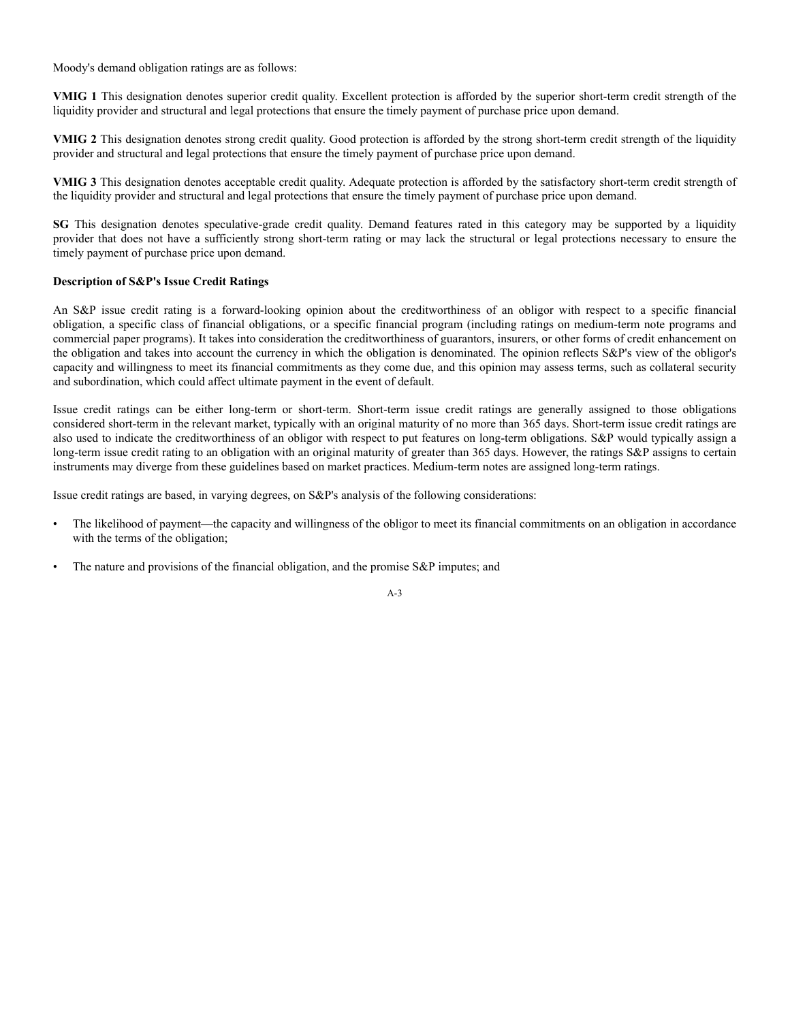Moody's demand obligation ratings are as follows:

**VMIG 1** This designation denotes superior credit quality. Excellent protection is afforded by the superior short-term credit strength of the liquidity provider and structural and legal protections that ensure the timely payment of purchase price upon demand.

**VMIG 2** This designation denotes strong credit quality. Good protection is afforded by the strong short-term credit strength of the liquidity provider and structural and legal protections that ensure the timely payment of purchase price upon demand.

**VMIG 3** This designation denotes acceptable credit quality. Adequate protection is afforded by the satisfactory short-term credit strength of the liquidity provider and structural and legal protections that ensure the timely payment of purchase price upon demand.

**SG** This designation denotes speculative-grade credit quality. Demand features rated in this category may be supported by a liquidity provider that does not have a sufficiently strong short-term rating or may lack the structural or legal protections necessary to ensure the timely payment of purchase price upon demand.

## **Description of S&P's Issue Credit Ratings**

An S&P issue credit rating is a forward-looking opinion about the creditworthiness of an obligor with respect to a specific financial obligation, a specific class of financial obligations, or a specific financial program (including ratings on medium-term note programs and commercial paper programs). It takes into consideration the creditworthiness of guarantors, insurers, or other forms of credit enhancement on the obligation and takes into account the currency in which the obligation is denominated. The opinion reflects S&P's view of the obligor's capacity and willingness to meet its financial commitments as they come due, and this opinion may assess terms, such as collateral security and subordination, which could affect ultimate payment in the event of default.

Issue credit ratings can be either long-term or short-term. Short-term issue credit ratings are generally assigned to those obligations considered short-term in the relevant market, typically with an original maturity of no more than 365 days. Short-term issue credit ratings are also used to indicate the creditworthiness of an obligor with respect to put features on long-term obligations. S&P would typically assign a long-term issue credit rating to an obligation with an original maturity of greater than 365 days. However, the ratings S&P assigns to certain instruments may diverge from these guidelines based on market practices. Medium-term notes are assigned long-term ratings.

Issue credit ratings are based, in varying degrees, on S&P's analysis of the following considerations:

- The likelihood of payment—the capacity and willingness of the obligor to meet its financial commitments on an obligation in accordance with the terms of the obligation;
- The nature and provisions of the financial obligation, and the promise S&P imputes; and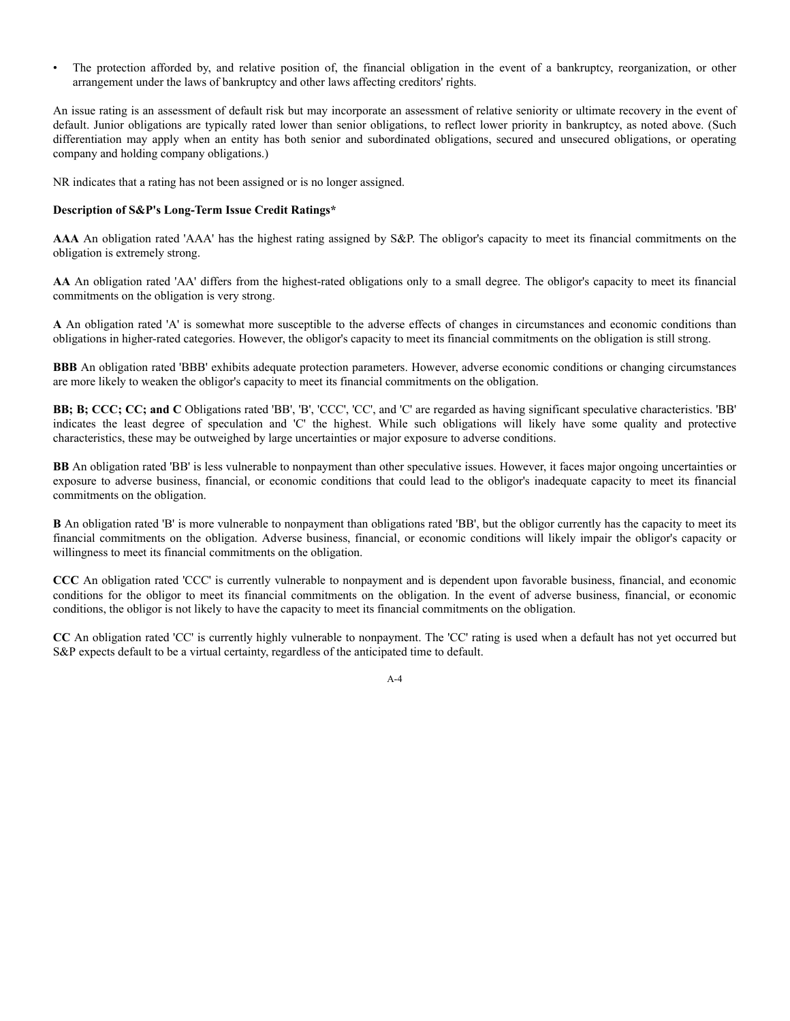• The protection afforded by, and relative position of, the financial obligation in the event of a bankruptcy, reorganization, or other arrangement under the laws of bankruptcy and other laws affecting creditors' rights.

An issue rating is an assessment of default risk but may incorporate an assessment of relative seniority or ultimate recovery in the event of default. Junior obligations are typically rated lower than senior obligations, to reflect lower priority in bankruptcy, as noted above. (Such differentiation may apply when an entity has both senior and subordinated obligations, secured and unsecured obligations, or operating company and holding company obligations.)

NR indicates that a rating has not been assigned or is no longer assigned.

# **Description of S&P's Long-Term Issue Credit Ratings\***

**AAA** An obligation rated 'AAA' has the highest rating assigned by S&P. The obligor's capacity to meet its financial commitments on the obligation is extremely strong.

**AA** An obligation rated 'AA' differs from the highest-rated obligations only to a small degree. The obligor's capacity to meet its financial commitments on the obligation is very strong.

**A** An obligation rated 'A' is somewhat more susceptible to the adverse effects of changes in circumstances and economic conditions than obligations in higher-rated categories. However, the obligor's capacity to meet its financial commitments on the obligation is still strong.

**BBB** An obligation rated 'BBB' exhibits adequate protection parameters. However, adverse economic conditions or changing circumstances are more likely to weaken the obligor's capacity to meet its financial commitments on the obligation.

**BB; B; CCC; CC; and C** Obligations rated 'BB', 'B', 'CCC', 'CC', and 'C' are regarded as having significant speculative characteristics. 'BB' indicates the least degree of speculation and 'C' the highest. While such obligations will likely have some quality and protective characteristics, these may be outweighed by large uncertainties or major exposure to adverse conditions.

**BB** An obligation rated 'BB' is less vulnerable to nonpayment than other speculative issues. However, it faces major ongoing uncertainties or exposure to adverse business, financial, or economic conditions that could lead to the obligor's inadequate capacity to meet its financial commitments on the obligation.

**B** An obligation rated 'B' is more vulnerable to nonpayment than obligations rated 'BB', but the obligor currently has the capacity to meet its financial commitments on the obligation. Adverse business, financial, or economic conditions will likely impair the obligor's capacity or willingness to meet its financial commitments on the obligation.

**CCC** An obligation rated 'CCC' is currently vulnerable to nonpayment and is dependent upon favorable business, financial, and economic conditions for the obligor to meet its financial commitments on the obligation. In the event of adverse business, financial, or economic conditions, the obligor is not likely to have the capacity to meet its financial commitments on the obligation.

**CC** An obligation rated 'CC' is currently highly vulnerable to nonpayment. The 'CC' rating is used when a default has not yet occurred but S&P expects default to be a virtual certainty, regardless of the anticipated time to default.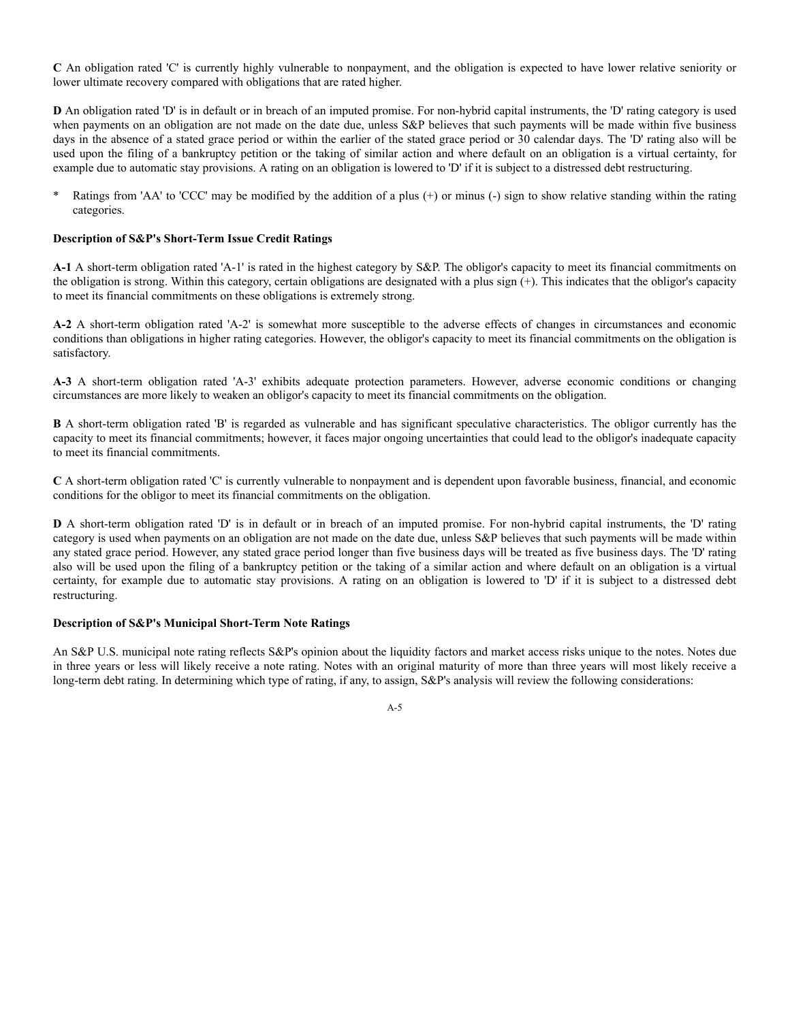**C** An obligation rated 'C' is currently highly vulnerable to nonpayment, and the obligation is expected to have lower relative seniority or lower ultimate recovery compared with obligations that are rated higher.

**D** An obligation rated 'D' is in default or in breach of an imputed promise. For non-hybrid capital instruments, the 'D' rating category is used when payments on an obligation are not made on the date due, unless S&P believes that such payments will be made within five business days in the absence of a stated grace period or within the earlier of the stated grace period or 30 calendar days. The 'D' rating also will be used upon the filing of a bankruptcy petition or the taking of similar action and where default on an obligation is a virtual certainty, for example due to automatic stay provisions. A rating on an obligation is lowered to 'D' if it is subject to a distressed debt restructuring.

Ratings from 'AA' to 'CCC' may be modified by the addition of a plus (+) or minus (-) sign to show relative standing within the rating categories.

## **Description of S&P's Short-Term Issue Credit Ratings**

**A-1** A short-term obligation rated 'A-1' is rated in the highest category by S&P. The obligor's capacity to meet its financial commitments on the obligation is strong. Within this category, certain obligations are designated with a plus sign (+). This indicates that the obligor's capacity to meet its financial commitments on these obligations is extremely strong.

**A-2** A short-term obligation rated 'A-2' is somewhat more susceptible to the adverse effects of changes in circumstances and economic conditions than obligations in higher rating categories. However, the obligor's capacity to meet its financial commitments on the obligation is satisfactory.

**A-3** A short-term obligation rated 'A-3' exhibits adequate protection parameters. However, adverse economic conditions or changing circumstances are more likely to weaken an obligor's capacity to meet its financial commitments on the obligation.

**B** A short-term obligation rated 'B' is regarded as vulnerable and has significant speculative characteristics. The obligor currently has the capacity to meet its financial commitments; however, it faces major ongoing uncertainties that could lead to the obligor's inadequate capacity to meet its financial commitments.

**C** A short-term obligation rated 'C' is currently vulnerable to nonpayment and is dependent upon favorable business, financial, and economic conditions for the obligor to meet its financial commitments on the obligation.

**D** A short-term obligation rated 'D' is in default or in breach of an imputed promise. For non-hybrid capital instruments, the 'D' rating category is used when payments on an obligation are not made on the date due, unless S&P believes that such payments will be made within any stated grace period. However, any stated grace period longer than five business days will be treated as five business days. The 'D' rating also will be used upon the filing of a bankruptcy petition or the taking of a similar action and where default on an obligation is a virtual certainty, for example due to automatic stay provisions. A rating on an obligation is lowered to 'D' if it is subject to a distressed debt restructuring.

## **Description of S&P's Municipal Short-Term Note Ratings**

An S&P U.S. municipal note rating reflects S&P's opinion about the liquidity factors and market access risks unique to the notes. Notes due in three years or less will likely receive a note rating. Notes with an original maturity of more than three years will most likely receive a long-term debt rating. In determining which type of rating, if any, to assign, S&P's analysis will review the following considerations: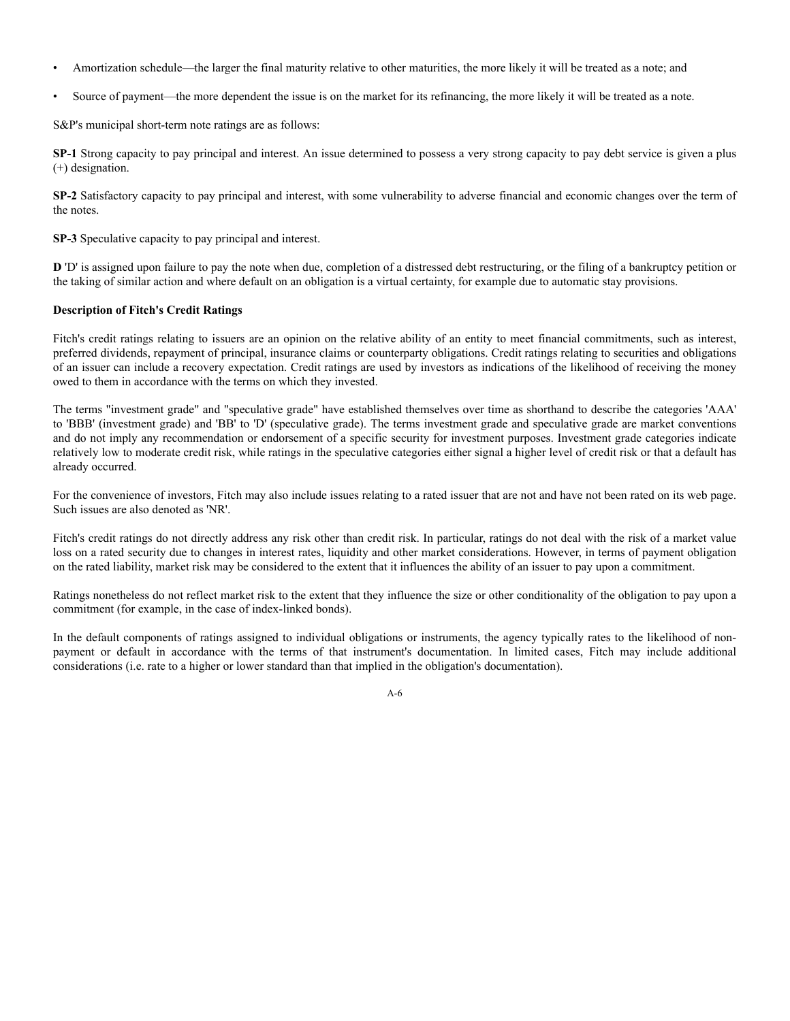- Amortization schedule—the larger the final maturity relative to other maturities, the more likely it will be treated as a note; and
- Source of payment—the more dependent the issue is on the market for its refinancing, the more likely it will be treated as a note.

S&P's municipal short-term note ratings are as follows:

**SP-1** Strong capacity to pay principal and interest. An issue determined to possess a very strong capacity to pay debt service is given a plus (+) designation.

**SP-2** Satisfactory capacity to pay principal and interest, with some vulnerability to adverse financial and economic changes over the term of the notes.

**SP-3** Speculative capacity to pay principal and interest.

**D** 'D' is assigned upon failure to pay the note when due, completion of a distressed debt restructuring, or the filing of a bankruptcy petition or the taking of similar action and where default on an obligation is a virtual certainty, for example due to automatic stay provisions.

## **Description of Fitch's Credit Ratings**

Fitch's credit ratings relating to issuers are an opinion on the relative ability of an entity to meet financial commitments, such as interest, preferred dividends, repayment of principal, insurance claims or counterparty obligations. Credit ratings relating to securities and obligations of an issuer can include a recovery expectation. Credit ratings are used by investors as indications of the likelihood of receiving the money owed to them in accordance with the terms on which they invested.

The terms "investment grade" and "speculative grade" have established themselves over time as shorthand to describe the categories 'AAA' to 'BBB' (investment grade) and 'BB' to 'D' (speculative grade). The terms investment grade and speculative grade are market conventions and do not imply any recommendation or endorsement of a specific security for investment purposes. Investment grade categories indicate relatively low to moderate credit risk, while ratings in the speculative categories either signal a higher level of credit risk or that a default has already occurred.

For the convenience of investors, Fitch may also include issues relating to a rated issuer that are not and have not been rated on its web page. Such issues are also denoted as 'NR'.

Fitch's credit ratings do not directly address any risk other than credit risk. In particular, ratings do not deal with the risk of a market value loss on a rated security due to changes in interest rates, liquidity and other market considerations. However, in terms of payment obligation on the rated liability, market risk may be considered to the extent that it influences the ability of an issuer to pay upon a commitment.

Ratings nonetheless do not reflect market risk to the extent that they influence the size or other conditionality of the obligation to pay upon a commitment (for example, in the case of index-linked bonds).

In the default components of ratings assigned to individual obligations or instruments, the agency typically rates to the likelihood of nonpayment or default in accordance with the terms of that instrument's documentation. In limited cases, Fitch may include additional considerations (i.e. rate to a higher or lower standard than that implied in the obligation's documentation).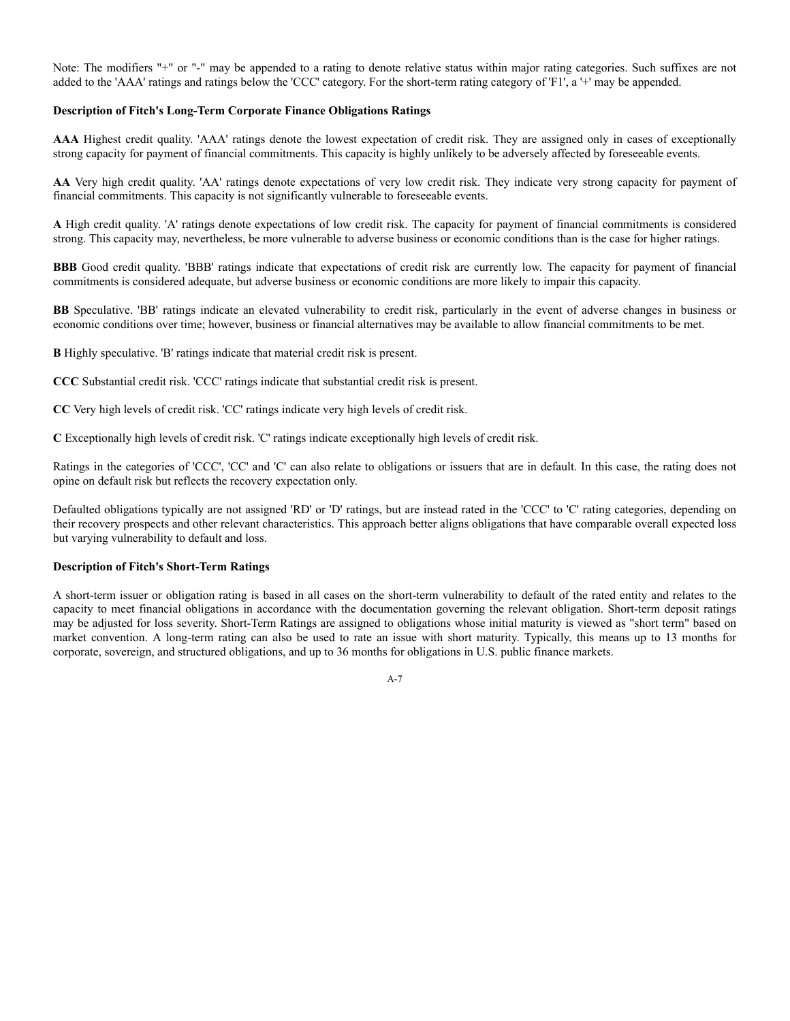Note: The modifiers "+" or "-" may be appended to a rating to denote relative status within major rating categories. Such suffixes are not added to the 'AAA' ratings and ratings below the 'CCC' category. For the short-term rating category of 'F1', a '+' may be appended.

## **Description of Fitch's Long-Term Corporate Finance Obligations Ratings**

**AAA** Highest credit quality. 'AAA' ratings denote the lowest expectation of credit risk. They are assigned only in cases of exceptionally strong capacity for payment of financial commitments. This capacity is highly unlikely to be adversely affected by foreseeable events.

**AA** Very high credit quality. 'AA' ratings denote expectations of very low credit risk. They indicate very strong capacity for payment of financial commitments. This capacity is not significantly vulnerable to foreseeable events.

**A** High credit quality. 'A' ratings denote expectations of low credit risk. The capacity for payment of financial commitments is considered strong. This capacity may, nevertheless, be more vulnerable to adverse business or economic conditions than is the case for higher ratings.

**BBB** Good credit quality. 'BBB' ratings indicate that expectations of credit risk are currently low. The capacity for payment of financial commitments is considered adequate, but adverse business or economic conditions are more likely to impair this capacity.

**BB** Speculative. 'BB' ratings indicate an elevated vulnerability to credit risk, particularly in the event of adverse changes in business or economic conditions over time; however, business or financial alternatives may be available to allow financial commitments to be met.

**B** Highly speculative. 'B' ratings indicate that material credit risk is present.

**CCC** Substantial credit risk. 'CCC' ratings indicate that substantial credit risk is present.

**CC** Very high levels of credit risk. 'CC' ratings indicate very high levels of credit risk.

**C** Exceptionally high levels of credit risk. 'C' ratings indicate exceptionally high levels of credit risk.

Ratings in the categories of 'CCC', 'CC' and 'C' can also relate to obligations or issuers that are in default. In this case, the rating does not opine on default risk but reflects the recovery expectation only.

Defaulted obligations typically are not assigned 'RD' or 'D' ratings, but are instead rated in the 'CCC' to 'C' rating categories, depending on their recovery prospects and other relevant characteristics. This approach better aligns obligations that have comparable overall expected loss but varying vulnerability to default and loss.

# **Description of Fitch's Short-Term Ratings**

A short-term issuer or obligation rating is based in all cases on the short-term vulnerability to default of the rated entity and relates to the capacity to meet financial obligations in accordance with the documentation governing the relevant obligation. Short-term deposit ratings may be adjusted for loss severity. Short-Term Ratings are assigned to obligations whose initial maturity is viewed as "short term" based on market convention. A long-term rating can also be used to rate an issue with short maturity. Typically, this means up to 13 months for corporate, sovereign, and structured obligations, and up to 36 months for obligations in U.S. public finance markets.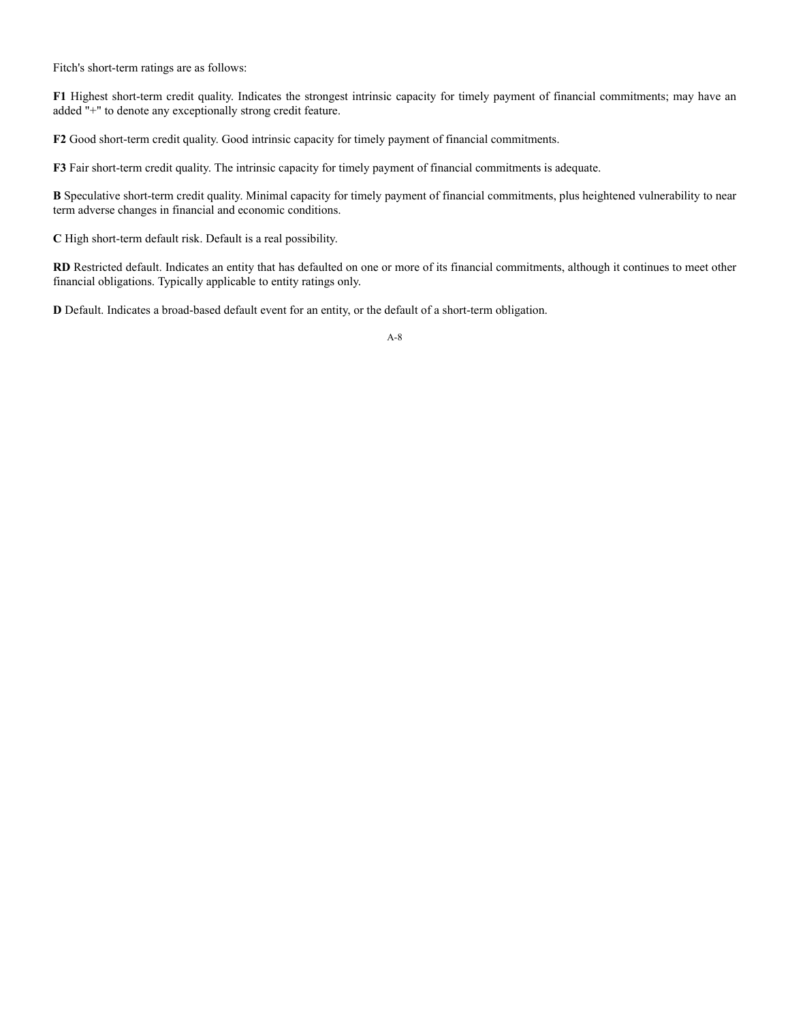Fitch's short-term ratings are as follows:

**F1** Highest short-term credit quality. Indicates the strongest intrinsic capacity for timely payment of financial commitments; may have an added "+" to denote any exceptionally strong credit feature.

**F2** Good short-term credit quality. Good intrinsic capacity for timely payment of financial commitments.

**F3** Fair short-term credit quality. The intrinsic capacity for timely payment of financial commitments is adequate.

**B** Speculative short-term credit quality. Minimal capacity for timely payment of financial commitments, plus heightened vulnerability to near term adverse changes in financial and economic conditions.

**C** High short-term default risk. Default is a real possibility.

**RD** Restricted default. Indicates an entity that has defaulted on one or more of its financial commitments, although it continues to meet other financial obligations. Typically applicable to entity ratings only.

**D** Default. Indicates a broad-based default event for an entity, or the default of a short-term obligation.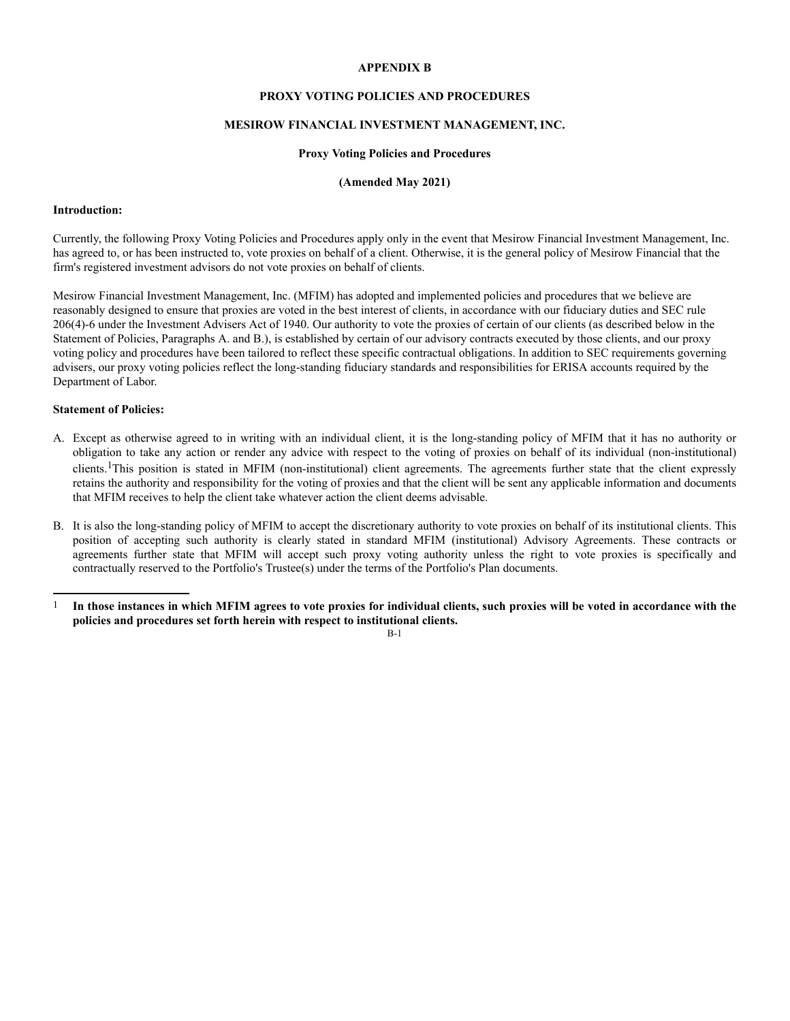## **APPENDIX B**

# **PROXY VOTING POLICIES AND PROCEDURES**

# **MESIROW FINANCIAL INVESTMENT MANAGEMENT, INC.**

#### **Proxy Voting Policies and Procedures**

# **(Amended May 2021)**

#### **Introduction:**

Currently, the following Proxy Voting Policies and Procedures apply only in the event that Mesirow Financial Investment Management, Inc. has agreed to, or has been instructed to, vote proxies on behalf of a client. Otherwise, it is the general policy of Mesirow Financial that the firm's registered investment advisors do not vote proxies on behalf of clients.

Mesirow Financial Investment Management, Inc. (MFIM) has adopted and implemented policies and procedures that we believe are reasonably designed to ensure that proxies are voted in the best interest of clients, in accordance with our fiduciary duties and SEC rule 206(4)-6 under the Investment Advisers Act of 1940. Our authority to vote the proxies of certain of our clients (as described below in the Statement of Policies, Paragraphs A. and B.), is established by certain of our advisory contracts executed by those clients, and our proxy voting policy and procedures have been tailored to reflect these specific contractual obligations. In addition to SEC requirements governing advisers, our proxy voting policies reflect the long-standing fiduciary standards and responsibilities for ERISA accounts required by the Department of Labor.

## **Statement of Policies:**

- A. Except as otherwise agreed to in writing with an individual client, it is the long-standing policy of MFIM that it has no authority or obligation to take any action or render any advice with respect to the voting of proxies on behalf of its individual (non-institutional) clients.1This position is stated in MFIM (non-institutional) client agreements. The agreements further state that the client expressly retains the authority and responsibility for the voting of proxies and that the client will be sent any applicable information and documents that MFIM receives to help the client take whatever action the client deems advisable.
- B. It is also the long-standing policy of MFIM to accept the discretionary authority to vote proxies on behalf of its institutional clients. This position of accepting such authority is clearly stated in standard MFIM (institutional) Advisory Agreements. These contracts or agreements further state that MFIM will accept such proxy voting authority unless the right to vote proxies is specifically and contractually reserved to the Portfolio's Trustee(s) under the terms of the Portfolio's Plan documents.
- 1 **In those instances in which MFIM agrees to vote proxies for individual clients, such proxies will be voted in accordance with the policies and procedures set forth herein with respect to institutional clients.**

B-1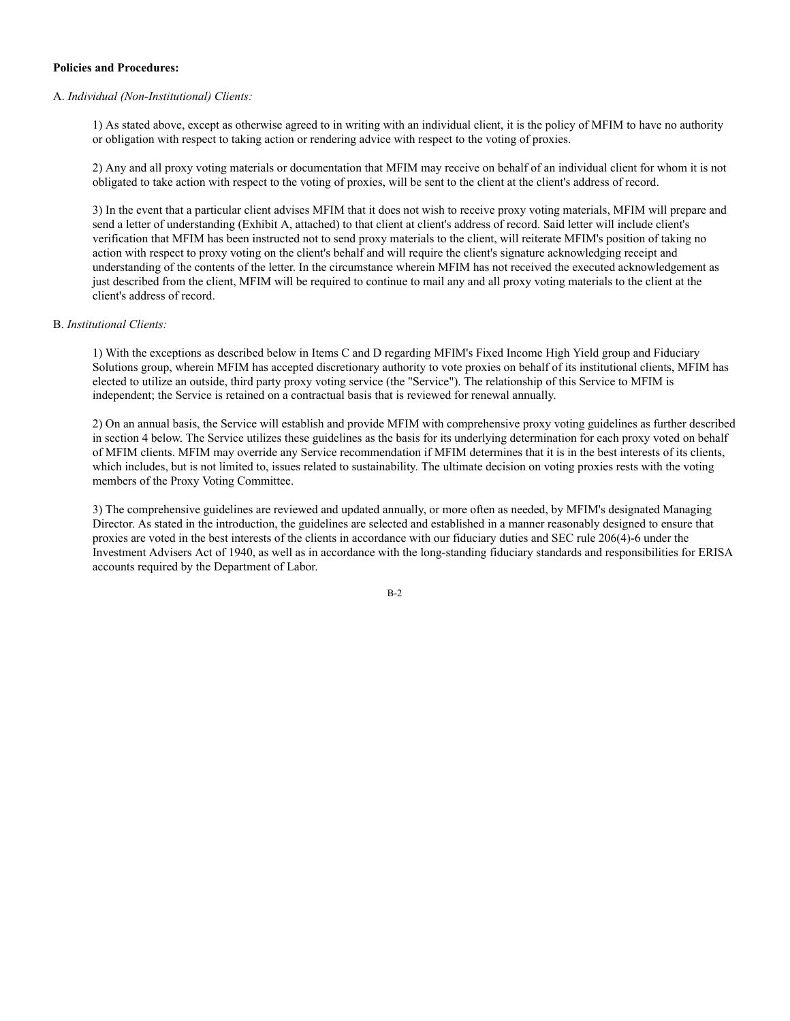## **Policies and Procedures:**

## A. *Individual (Non-Institutional) Clients:*

1) As stated above, except as otherwise agreed to in writing with an individual client, it is the policy of MFIM to have no authority or obligation with respect to taking action or rendering advice with respect to the voting of proxies.

2) Any and all proxy voting materials or documentation that MFIM may receive on behalf of an individual client for whom it is not obligated to take action with respect to the voting of proxies, will be sent to the client at the client's address of record.

3) In the event that a particular client advises MFIM that it does not wish to receive proxy voting materials, MFIM will prepare and send a letter of understanding (Exhibit A, attached) to that client at client's address of record. Said letter will include client's verification that MFIM has been instructed not to send proxy materials to the client, will reiterate MFIM's position of taking no action with respect to proxy voting on the client's behalf and will require the client's signature acknowledging receipt and understanding of the contents of the letter. In the circumstance wherein MFIM has not received the executed acknowledgement as just described from the client, MFIM will be required to continue to mail any and all proxy voting materials to the client at the client's address of record.

#### B. *Institutional Clients:*

1) With the exceptions as described below in Items C and D regarding MFIM's Fixed Income High Yield group and Fiduciary Solutions group, wherein MFIM has accepted discretionary authority to vote proxies on behalf of its institutional clients, MFIM has elected to utilize an outside, third party proxy voting service (the "Service"). The relationship of this Service to MFIM is independent; the Service is retained on a contractual basis that is reviewed for renewal annually.

2) On an annual basis, the Service will establish and provide MFIM with comprehensive proxy voting guidelines as further described in section 4 below. The Service utilizes these guidelines as the basis for its underlying determination for each proxy voted on behalf of MFIM clients. MFIM may override any Service recommendation if MFIM determines that it is in the best interests of its clients, which includes, but is not limited to, issues related to sustainability. The ultimate decision on voting proxies rests with the voting members of the Proxy Voting Committee.

3) The comprehensive guidelines are reviewed and updated annually, or more often as needed, by MFIM's designated Managing Director. As stated in the introduction, the guidelines are selected and established in a manner reasonably designed to ensure that proxies are voted in the best interests of the clients in accordance with our fiduciary duties and SEC rule 206(4)-6 under the Investment Advisers Act of 1940, as well as in accordance with the long-standing fiduciary standards and responsibilities for ERISA accounts required by the Department of Labor.

B-2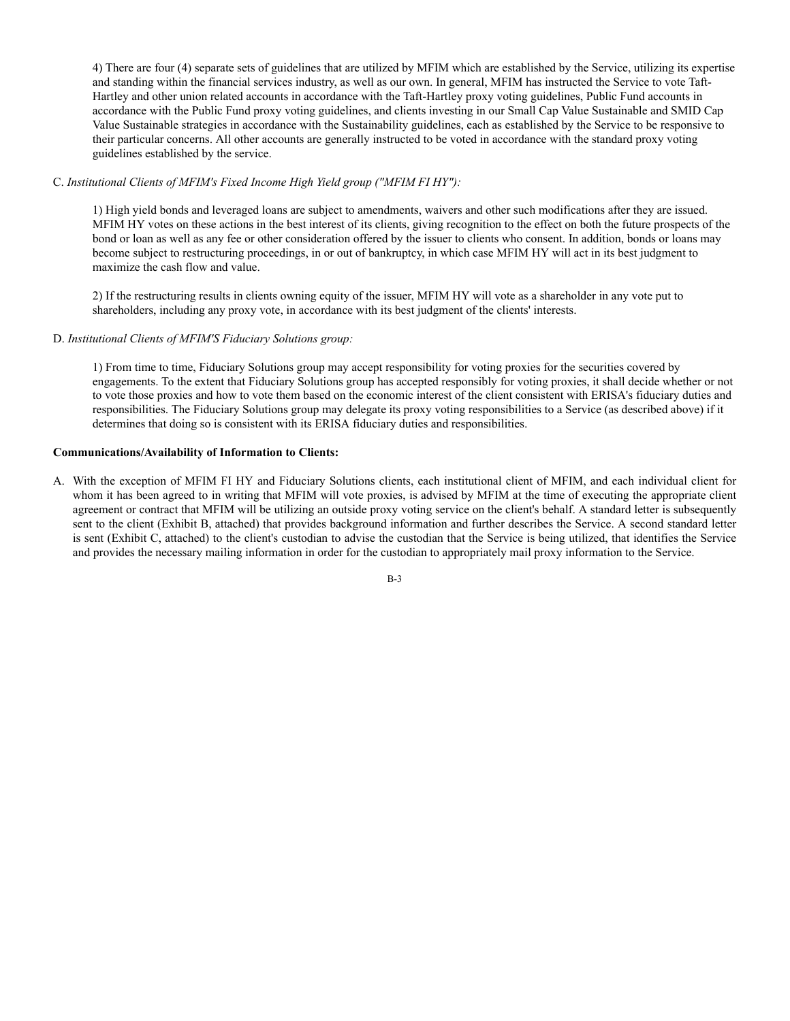4) There are four (4) separate sets of guidelines that are utilized by MFIM which are established by the Service, utilizing its expertise and standing within the financial services industry, as well as our own. In general, MFIM has instructed the Service to vote Taft-Hartley and other union related accounts in accordance with the Taft-Hartley proxy voting guidelines, Public Fund accounts in accordance with the Public Fund proxy voting guidelines, and clients investing in our Small Cap Value Sustainable and SMID Cap Value Sustainable strategies in accordance with the Sustainability guidelines, each as established by the Service to be responsive to their particular concerns. All other accounts are generally instructed to be voted in accordance with the standard proxy voting guidelines established by the service.

# C. *Institutional Clients of MFIM's Fixed Income High Yield group ("MFIM FI HY"):*

1) High yield bonds and leveraged loans are subject to amendments, waivers and other such modifications after they are issued. MFIM HY votes on these actions in the best interest of its clients, giving recognition to the effect on both the future prospects of the bond or loan as well as any fee or other consideration offered by the issuer to clients who consent. In addition, bonds or loans may become subject to restructuring proceedings, in or out of bankruptcy, in which case MFIM HY will act in its best judgment to maximize the cash flow and value.

2) If the restructuring results in clients owning equity of the issuer, MFIM HY will vote as a shareholder in any vote put to shareholders, including any proxy vote, in accordance with its best judgment of the clients' interests.

## D. *Institutional Clients of MFIM'S Fiduciary Solutions group:*

1) From time to time, Fiduciary Solutions group may accept responsibility for voting proxies for the securities covered by engagements. To the extent that Fiduciary Solutions group has accepted responsibly for voting proxies, it shall decide whether or not to vote those proxies and how to vote them based on the economic interest of the client consistent with ERISA's fiduciary duties and responsibilities. The Fiduciary Solutions group may delegate its proxy voting responsibilities to a Service (as described above) if it determines that doing so is consistent with its ERISA fiduciary duties and responsibilities.

### **Communications/Availability of Information to Clients:**

A. With the exception of MFIM FI HY and Fiduciary Solutions clients, each institutional client of MFIM, and each individual client for whom it has been agreed to in writing that MFIM will vote proxies, is advised by MFIM at the time of executing the appropriate client agreement or contract that MFIM will be utilizing an outside proxy voting service on the client's behalf. A standard letter is subsequently sent to the client (Exhibit B, attached) that provides background information and further describes the Service. A second standard letter is sent (Exhibit C, attached) to the client's custodian to advise the custodian that the Service is being utilized, that identifies the Service and provides the necessary mailing information in order for the custodian to appropriately mail proxy information to the Service.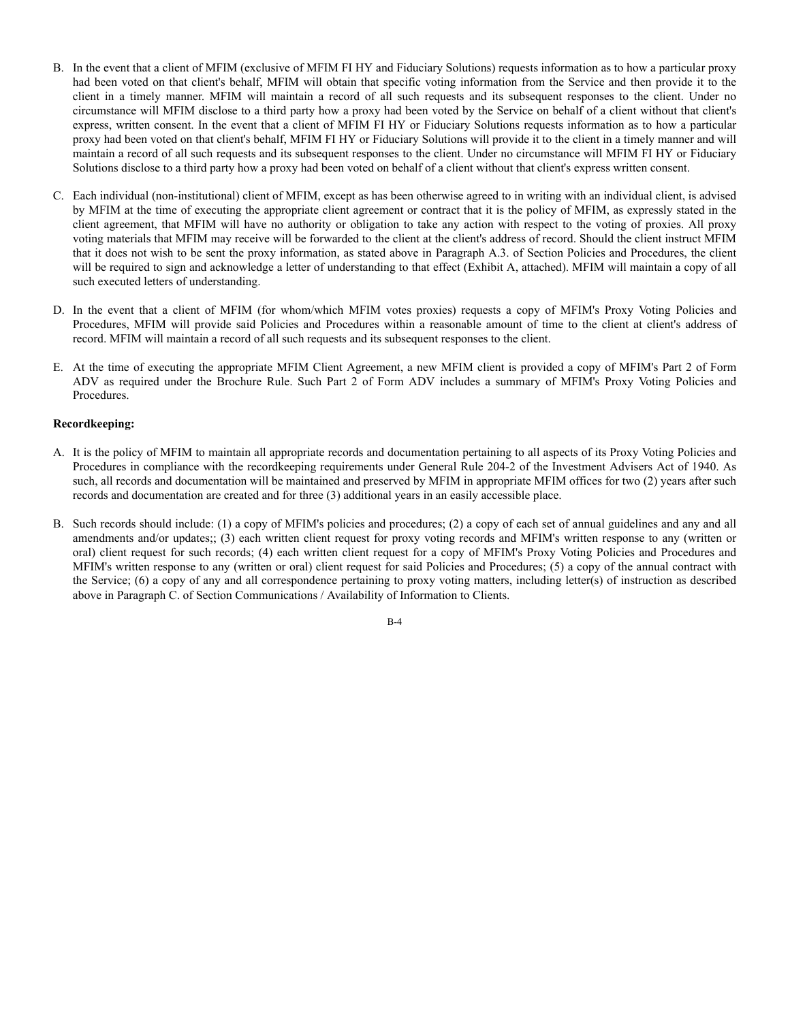- B. In the event that a client of MFIM (exclusive of MFIM FI HY and Fiduciary Solutions) requests information as to how a particular proxy had been voted on that client's behalf, MFIM will obtain that specific voting information from the Service and then provide it to the client in a timely manner. MFIM will maintain a record of all such requests and its subsequent responses to the client. Under no circumstance will MFIM disclose to a third party how a proxy had been voted by the Service on behalf of a client without that client's express, written consent. In the event that a client of MFIM FI HY or Fiduciary Solutions requests information as to how a particular proxy had been voted on that client's behalf, MFIM FI HY or Fiduciary Solutions will provide it to the client in a timely manner and will maintain a record of all such requests and its subsequent responses to the client. Under no circumstance will MFIM FI HY or Fiduciary Solutions disclose to a third party how a proxy had been voted on behalf of a client without that client's express written consent.
- C. Each individual (non-institutional) client of MFIM, except as has been otherwise agreed to in writing with an individual client, is advised by MFIM at the time of executing the appropriate client agreement or contract that it is the policy of MFIM, as expressly stated in the client agreement, that MFIM will have no authority or obligation to take any action with respect to the voting of proxies. All proxy voting materials that MFIM may receive will be forwarded to the client at the client's address of record. Should the client instruct MFIM that it does not wish to be sent the proxy information, as stated above in Paragraph A.3. of Section Policies and Procedures, the client will be required to sign and acknowledge a letter of understanding to that effect (Exhibit A, attached). MFIM will maintain a copy of all such executed letters of understanding.
- D. In the event that a client of MFIM (for whom/which MFIM votes proxies) requests a copy of MFIM's Proxy Voting Policies and Procedures, MFIM will provide said Policies and Procedures within a reasonable amount of time to the client at client's address of record. MFIM will maintain a record of all such requests and its subsequent responses to the client.
- E. At the time of executing the appropriate MFIM Client Agreement, a new MFIM client is provided a copy of MFIM's Part 2 of Form ADV as required under the Brochure Rule. Such Part 2 of Form ADV includes a summary of MFIM's Proxy Voting Policies and Procedures.

# **Recordkeeping:**

- A. It is the policy of MFIM to maintain all appropriate records and documentation pertaining to all aspects of its Proxy Voting Policies and Procedures in compliance with the recordkeeping requirements under General Rule 204-2 of the Investment Advisers Act of 1940. As such, all records and documentation will be maintained and preserved by MFIM in appropriate MFIM offices for two (2) years after such records and documentation are created and for three (3) additional years in an easily accessible place.
- B. Such records should include: (1) a copy of MFIM's policies and procedures; (2) a copy of each set of annual guidelines and any and all amendments and/or updates;; (3) each written client request for proxy voting records and MFIM's written response to any (written or oral) client request for such records; (4) each written client request for a copy of MFIM's Proxy Voting Policies and Procedures and MFIM's written response to any (written or oral) client request for said Policies and Procedures; (5) a copy of the annual contract with the Service; (6) a copy of any and all correspondence pertaining to proxy voting matters, including letter(s) of instruction as described above in Paragraph C. of Section Communications / Availability of Information to Clients.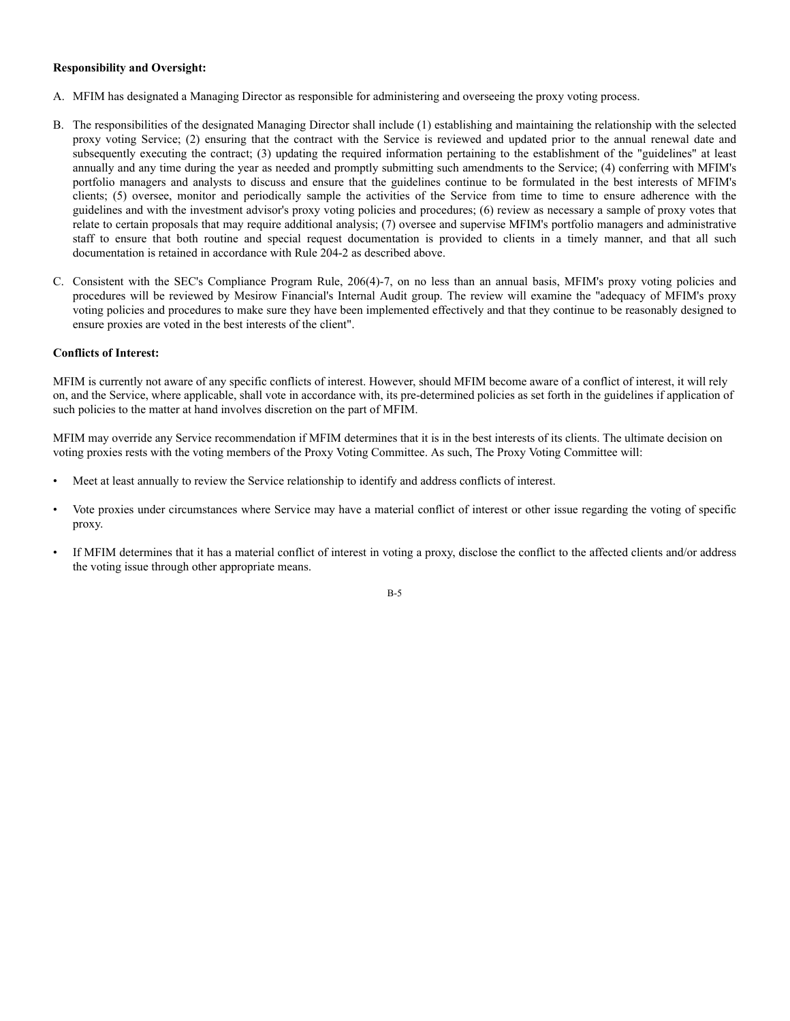## **Responsibility and Oversight:**

- A. MFIM has designated a Managing Director as responsible for administering and overseeing the proxy voting process.
- B. The responsibilities of the designated Managing Director shall include (1) establishing and maintaining the relationship with the selected proxy voting Service; (2) ensuring that the contract with the Service is reviewed and updated prior to the annual renewal date and subsequently executing the contract; (3) updating the required information pertaining to the establishment of the "guidelines" at least annually and any time during the year as needed and promptly submitting such amendments to the Service; (4) conferring with MFIM's portfolio managers and analysts to discuss and ensure that the guidelines continue to be formulated in the best interests of MFIM's clients; (5) oversee, monitor and periodically sample the activities of the Service from time to time to ensure adherence with the guidelines and with the investment advisor's proxy voting policies and procedures; (6) review as necessary a sample of proxy votes that relate to certain proposals that may require additional analysis; (7) oversee and supervise MFIM's portfolio managers and administrative staff to ensure that both routine and special request documentation is provided to clients in a timely manner, and that all such documentation is retained in accordance with Rule 204-2 as described above.
- C. Consistent with the SEC's Compliance Program Rule, 206(4)-7, on no less than an annual basis, MFIM's proxy voting policies and procedures will be reviewed by Mesirow Financial's Internal Audit group. The review will examine the "adequacy of MFIM's proxy voting policies and procedures to make sure they have been implemented effectively and that they continue to be reasonably designed to ensure proxies are voted in the best interests of the client".

#### **Conflicts of Interest:**

MFIM is currently not aware of any specific conflicts of interest. However, should MFIM become aware of a conflict of interest, it will rely on, and the Service, where applicable, shall vote in accordance with, its pre-determined policies as set forth in the guidelines if application of such policies to the matter at hand involves discretion on the part of MFIM.

MFIM may override any Service recommendation if MFIM determines that it is in the best interests of its clients. The ultimate decision on voting proxies rests with the voting members of the Proxy Voting Committee. As such, The Proxy Voting Committee will:

- Meet at least annually to review the Service relationship to identify and address conflicts of interest.
- Vote proxies under circumstances where Service may have a material conflict of interest or other issue regarding the voting of specific proxy.
- If MFIM determines that it has a material conflict of interest in voting a proxy, disclose the conflict to the affected clients and/or address the voting issue through other appropriate means.

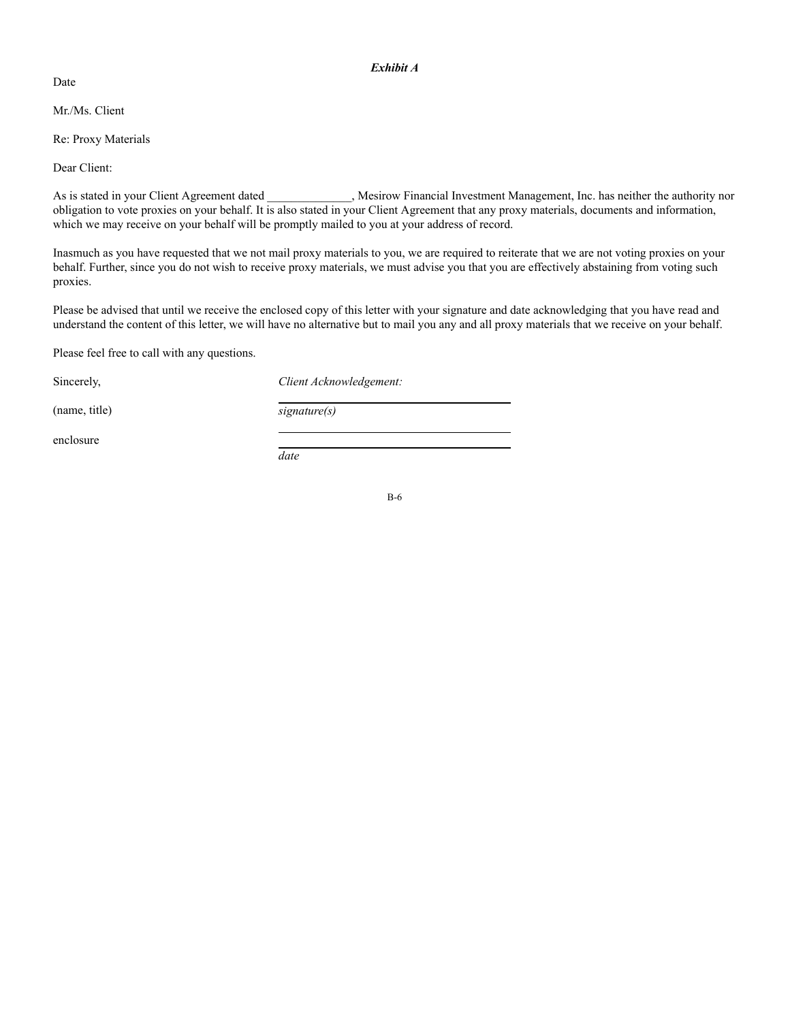Date

## Mr./Ms. Client

Re: Proxy Materials

Dear Client:

As is stated in your Client Agreement dated  $\blacksquare$ , Mesirow Financial Investment Management, Inc. has neither the authority nor obligation to vote proxies on your behalf. It is also stated in your Client Agreement that any proxy materials, documents and information, which we may receive on your behalf will be promptly mailed to you at your address of record.

Inasmuch as you have requested that we not mail proxy materials to you, we are required to reiterate that we are not voting proxies on your behalf. Further, since you do not wish to receive proxy materials, we must advise you that you are effectively abstaining from voting such proxies.

Please be advised that until we receive the enclosed copy of this letter with your signature and date acknowledging that you have read and understand the content of this letter, we will have no alternative but to mail you any and all proxy materials that we receive on your behalf.

Please feel free to call with any questions.

Sincerely,  $Client Acknowledgement:$ 

(name, title) *signature(s)*

*date*

enclosure

B-6

*Exhibit A*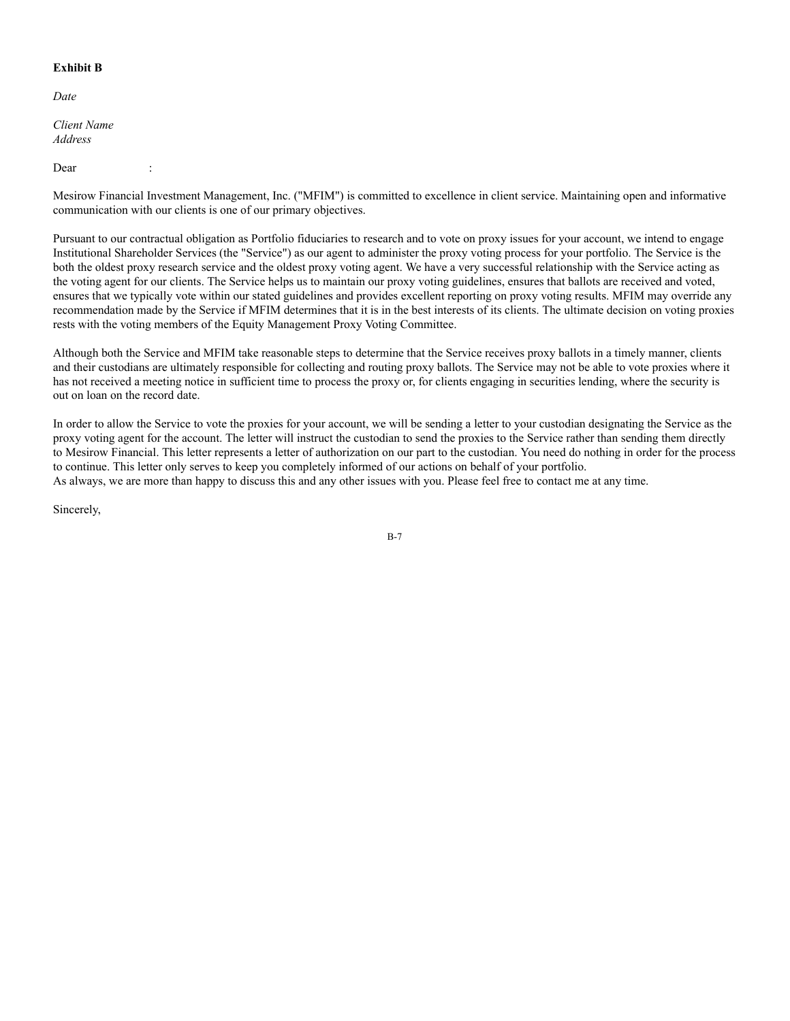# **Exhibit B**

*Date*

*Client Name Address*

Dear :

Mesirow Financial Investment Management, Inc. ("MFIM") is committed to excellence in client service. Maintaining open and informative communication with our clients is one of our primary objectives.

Pursuant to our contractual obligation as Portfolio fiduciaries to research and to vote on proxy issues for your account, we intend to engage Institutional Shareholder Services (the "Service") as our agent to administer the proxy voting process for your portfolio. The Service is the both the oldest proxy research service and the oldest proxy voting agent. We have a very successful relationship with the Service acting as the voting agent for our clients. The Service helps us to maintain our proxy voting guidelines, ensures that ballots are received and voted, ensures that we typically vote within our stated guidelines and provides excellent reporting on proxy voting results. MFIM may override any recommendation made by the Service if MFIM determines that it is in the best interests of its clients. The ultimate decision on voting proxies rests with the voting members of the Equity Management Proxy Voting Committee.

Although both the Service and MFIM take reasonable steps to determine that the Service receives proxy ballots in a timely manner, clients and their custodians are ultimately responsible for collecting and routing proxy ballots. The Service may not be able to vote proxies where it has not received a meeting notice in sufficient time to process the proxy or, for clients engaging in securities lending, where the security is out on loan on the record date.

In order to allow the Service to vote the proxies for your account, we will be sending a letter to your custodian designating the Service as the proxy voting agent for the account. The letter will instruct the custodian to send the proxies to the Service rather than sending them directly to Mesirow Financial. This letter represents a letter of authorization on our part to the custodian. You need do nothing in order for the process to continue. This letter only serves to keep you completely informed of our actions on behalf of your portfolio. As always, we are more than happy to discuss this and any other issues with you. Please feel free to contact me at any time.

Sincerely,

B-7